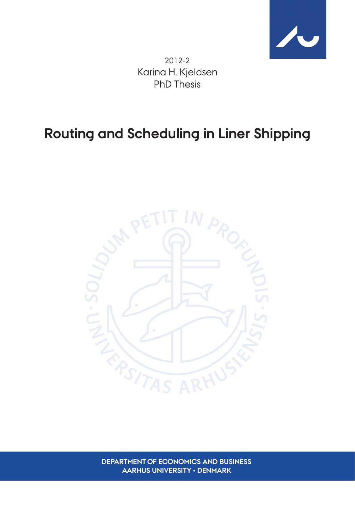

2012-2 Karina H. Kjeldsen PhD Thesis

# **Routing and Scheduling in Liner Shipping**



**DEPARTMENT OF ECONOMICS AND BUSINESS AARHUS UNIVERSITY • DENMARK**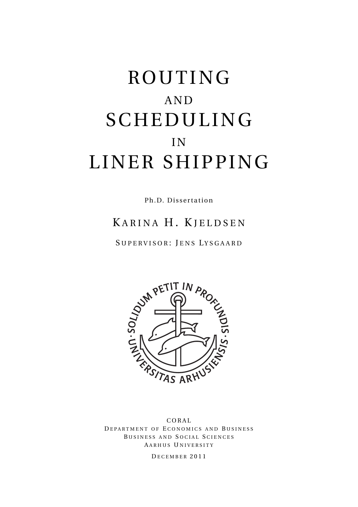# ROUTING AND SCHEDULING IN LINER SHIPPING

Ph.D. Dissertation

# KARINA H. KJELDSEN

SUPERVISOR: JENS LYSGAARD



CORAL DEPARTMENT OF ECONOMICS AND BUSINESS BUSINESS AND SOCIAL SCIENCES A ARHUS U NIVERSITY

D ECEMBER 2011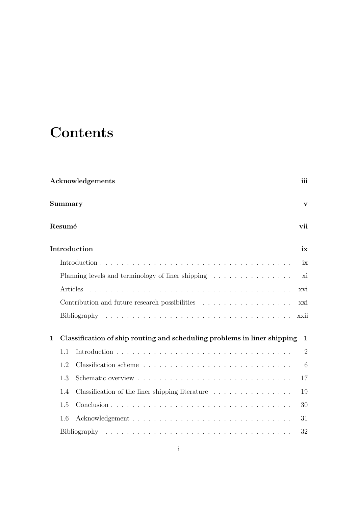# **Contents**

| Acknowledgements |                                                                          |                                                                               |                |  |  |  |  |
|------------------|--------------------------------------------------------------------------|-------------------------------------------------------------------------------|----------------|--|--|--|--|
| Summary          |                                                                          |                                                                               |                |  |  |  |  |
|                  | Resumé<br>vii                                                            |                                                                               |                |  |  |  |  |
|                  |                                                                          | Introduction                                                                  | ix             |  |  |  |  |
|                  |                                                                          |                                                                               | ix             |  |  |  |  |
|                  | Planning levels and terminology of liner shipping                        |                                                                               |                |  |  |  |  |
|                  | Articles                                                                 |                                                                               |                |  |  |  |  |
|                  |                                                                          |                                                                               | xxi            |  |  |  |  |
|                  |                                                                          |                                                                               | xxii           |  |  |  |  |
| $\mathbf 1$      | Classification of ship routing and scheduling problems in liner shipping |                                                                               |                |  |  |  |  |
|                  | 1.1                                                                      |                                                                               | $\overline{2}$ |  |  |  |  |
|                  | 1.2                                                                      |                                                                               | 6              |  |  |  |  |
|                  | 1.3                                                                      |                                                                               | 17             |  |  |  |  |
|                  | 1.4                                                                      | Classification of the liner shipping literature $\ldots \ldots \ldots \ldots$ | 19             |  |  |  |  |
|                  | 1.5                                                                      |                                                                               | 30             |  |  |  |  |
|                  | 1.6                                                                      |                                                                               | 31             |  |  |  |  |
|                  |                                                                          |                                                                               | 32             |  |  |  |  |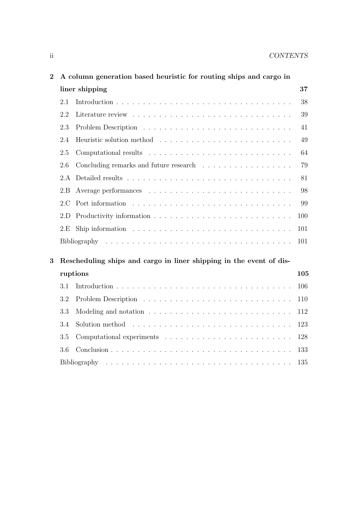| $\bf{2}$ |                | A column generation based heuristic for routing ships and cargo in                       |     |  |  |  |  |
|----------|----------------|------------------------------------------------------------------------------------------|-----|--|--|--|--|
|          | liner shipping |                                                                                          |     |  |  |  |  |
|          | 2.1            |                                                                                          | 38  |  |  |  |  |
|          | 2.2            |                                                                                          | 39  |  |  |  |  |
|          | 2.3            |                                                                                          | 41  |  |  |  |  |
|          | 2.4            |                                                                                          | 49  |  |  |  |  |
|          | 2.5            |                                                                                          | 64  |  |  |  |  |
|          | 2.6            | Concluding remarks and future research                                                   | 79  |  |  |  |  |
|          | 2.A            |                                                                                          | 81  |  |  |  |  |
|          | 2.B            |                                                                                          | 98  |  |  |  |  |
|          | 2.C            |                                                                                          | 99  |  |  |  |  |
|          | 2.D            |                                                                                          | 100 |  |  |  |  |
|          | 2.E            | Ship information $\ldots \ldots \ldots \ldots \ldots \ldots \ldots \ldots \ldots \ldots$ | 101 |  |  |  |  |
|          |                |                                                                                          |     |  |  |  |  |
|          |                |                                                                                          |     |  |  |  |  |
| 3        |                | Rescheduling ships and cargo in liner shipping in the event of dis-                      |     |  |  |  |  |
| ruptions |                |                                                                                          | 105 |  |  |  |  |
|          | 3.1            |                                                                                          | 106 |  |  |  |  |
|          | 3.2            |                                                                                          | 110 |  |  |  |  |
|          | 3.3            | Modeling and notation $\ldots \ldots \ldots \ldots \ldots \ldots \ldots \ldots \ldots$   | 112 |  |  |  |  |
|          | 3.4            |                                                                                          | 123 |  |  |  |  |
|          | 3.5            |                                                                                          | 128 |  |  |  |  |
|          | 3.6            |                                                                                          | 133 |  |  |  |  |
|          |                |                                                                                          | 135 |  |  |  |  |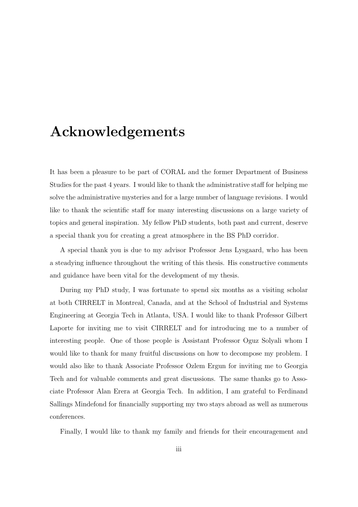# **Acknowledgements**

It has been a pleasure to be part of CORAL and the former Department of Business Studies for the past 4 years. I would like to thank the administrative staff for helping me solve the administrative mysteries and for a large number of language revisions. I would like to thank the scientific staff for many interesting discussions on a large variety of topics and general inspiration. My fellow PhD students, both past and current, deserve a special thank you for creating a great atmosphere in the BS PhD corridor.

A special thank you is due to my advisor Professor Jens Lysgaard, who has been a steadying influence throughout the writing of this thesis. His constructive comments and guidance have been vital for the development of my thesis.

During my PhD study, I was fortunate to spend six months as a visiting scholar at both CIRRELT in Montreal, Canada, and at the School of Industrial and Systems Engineering at Georgia Tech in Atlanta, USA. I would like to thank Professor Gilbert Laporte for inviting me to visit CIRRELT and for introducing me to a number of interesting people. One of those people is Assistant Professor Oguz Solyali whom I would like to thank for many fruitful discussions on how to decompose my problem. I would also like to thank Associate Professor Ozlem Ergun for inviting me to Georgia Tech and for valuable comments and great discussions. The same thanks go to Associate Professor Alan Erera at Georgia Tech. In addition, I am grateful to Ferdinand Sallings Mindefond for financially supporting my two stays abroad as well as numerous conferences.

Finally, I would like to thank my family and friends for their encouragement and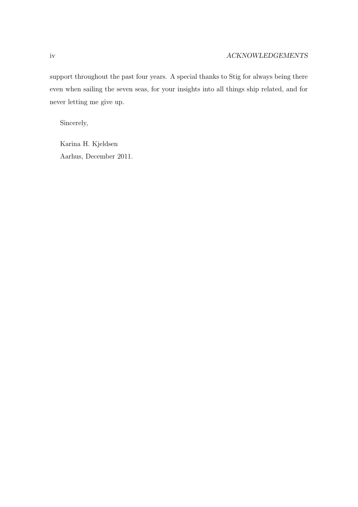support throughout the past four years. A special thanks to Stig for always being there even when sailing the seven seas, for your insights into all things ship related, and for never letting me give up.

Sincerely,

Karina H. Kjeldsen Aarhus, December 2011.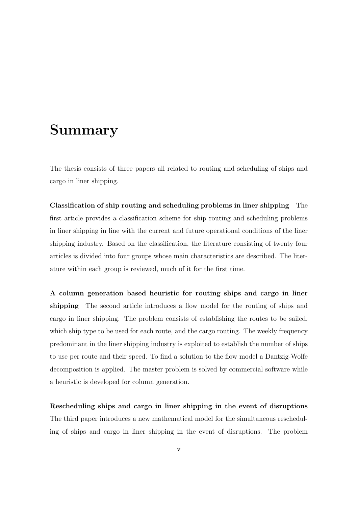# **Summary**

The thesis consists of three papers all related to routing and scheduling of ships and cargo in liner shipping.

**Classification of ship routing and scheduling problems in liner shipping** The first article provides a classification scheme for ship routing and scheduling problems in liner shipping in line with the current and future operational conditions of the liner shipping industry. Based on the classification, the literature consisting of twenty four articles is divided into four groups whose main characteristics are described. The literature within each group is reviewed, much of it for the first time.

**A column generation based heuristic for routing ships and cargo in liner shipping** The second article introduces a flow model for the routing of ships and cargo in liner shipping. The problem consists of establishing the routes to be sailed, which ship type to be used for each route, and the cargo routing. The weekly frequency predominant in the liner shipping industry is exploited to establish the number of ships to use per route and their speed. To find a solution to the flow model a Dantzig-Wolfe decomposition is applied. The master problem is solved by commercial software while a heuristic is developed for column generation.

**Rescheduling ships and cargo in liner shipping in the event of disruptions** The third paper introduces a new mathematical model for the simultaneous rescheduling of ships and cargo in liner shipping in the event of disruptions. The problem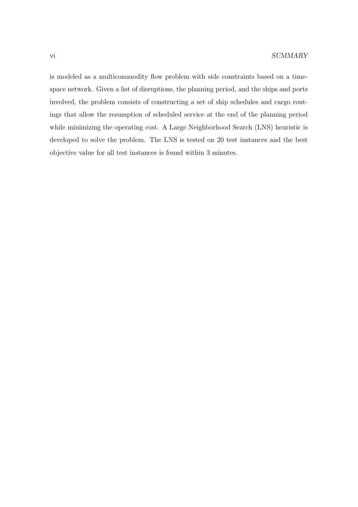is modeled as a multicommodity flow problem with side constraints based on a timespace network. Given a list of disruptions, the planning period, and the ships and ports involved, the problem consists of constructing a set of ship schedules and cargo routings that allow the resumption of scheduled service at the end of the planning period while minimizing the operating cost. A Large Neighborhood Search (LNS) heuristic is developed to solve the problem. The LNS is tested on 20 test instances and the best objective value for all test instances is found within 3 minutes.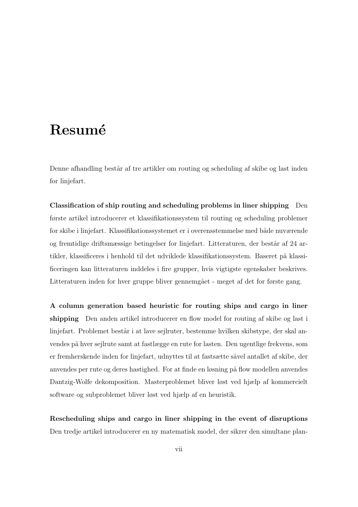# **Resum´e**

Denne afhandling består af tre artikler om routing og scheduling af skibe og last inden for linjefart.

**Classification of ship routing and scheduling problems in liner shipping** Den første artikel introducerer et klassifikationssystem til routing og scheduling problemer for skibe i linjefart. Klassifikationssystemet er i overensstemmelse med både nuværende og fremtidige driftsmæssige betingelser for linjefart. Litteraturen, der består af 24 artikler, klassificeres i henhold til det udviklede klassifikationssystem. Baseret på klassificeringen kan litteraturen inddeles i fire grupper, hvis vigtigste egenskaber beskrives. Litteraturen inden for hver gruppe bliver gennemgået - meget af det for første gang.

**A column generation based heuristic for routing ships and cargo in liner shipping** Den anden artikel introducerer en flow model for routing af skibe og last i linjefart. Problemet består i at lave sejlruter, bestemme hvilken skibstype, der skal anvendes på hver sejlrute samt at fastlægge en rute for lasten. Den ugentlige frekvens, som er fremherskende inden for linjefart, udnyttes til at fastsætte såvel antallet af skibe, der anvendes per rute og deres hastighed. For at finde en løsning på flow modellen anvendes Dantzig-Wolfe dekomposition. Masterproblemet bliver løst ved hjælp af kommercielt software og subproblemet bliver løst ved hjælp af en heuristik.

**Rescheduling ships and cargo in liner shipping in the event of disruptions** Den tredje artikel introducerer en ny matematisk model, der sikrer den simultane plan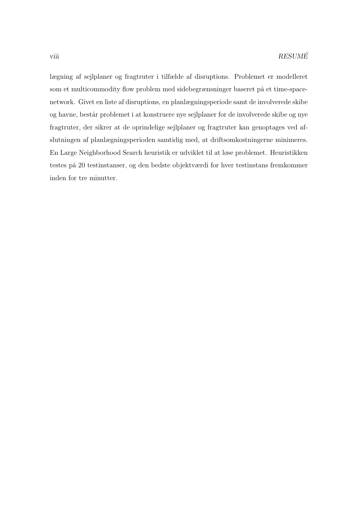lægning af sejlplaner og fragtruter i tilfælde af disruptions. Problemet er modelleret som et multicommodity flow problem med sidebegrænsninger baseret på et time-spacenetwork. Givet en liste af disruptions, en planlægningsperiode samt de involverede skibe og havne, består problemet i at konstruere nye sejlplaner for de involverede skibe og nye fragtruter, der sikrer at de oprindelige sejlplaner og fragtruter kan genoptages ved afslutningen af planlægningsperioden samtidig med, at driftsomkostningerne minimeres. En Large Neighborhood Search heuristik er udviklet til at løse problemet. Heuristikken testes på 20 testinstanser, og den bedste objektværdi for hver testinstans fremkommer inden for tre minutter.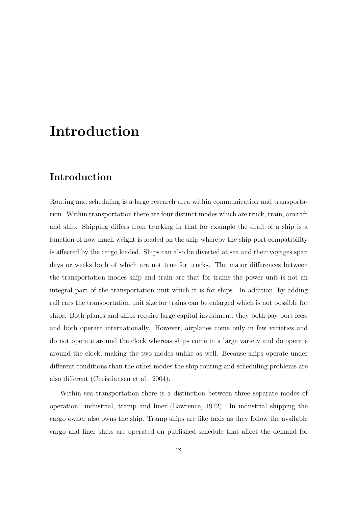# **Introduction**

### **Introduction**

Routing and scheduling is a large research area within communication and transportation. Within transportation there are four distinct modes which are truck, train, aircraft and ship. Shipping differs from trucking in that for example the draft of a ship is a function of how much weight is loaded on the ship whereby the ship-port compatibility is affected by the cargo loaded. Ships can also be diverted at sea and their voyages span days or weeks both of which are not true for trucks. The major differences between the transportation modes ship and train are that for trains the power unit is not an integral part of the transportation unit which it is for ships. In addition, by adding rail cars the transportation unit size for trains can be enlarged which is not possible for ships. Both planes and ships require large capital investment, they both pay port fees, and both operate internationally. However, airplanes come only in few varieties and do not operate around the clock whereas ships come in a large variety and do operate around the clock, making the two modes unlike as well. Because ships operate under different conditions than the other modes the ship routing and scheduling problems are also different (Christiansen et al., 2004).

Within sea transportation there is a distinction between three separate modes of operation: industrial, tramp and liner (Lawrence, 1972). In industrial shipping the cargo owner also owns the ship. Tramp ships are like taxis as they follow the available cargo and liner ships are operated on published schedule that affect the demand for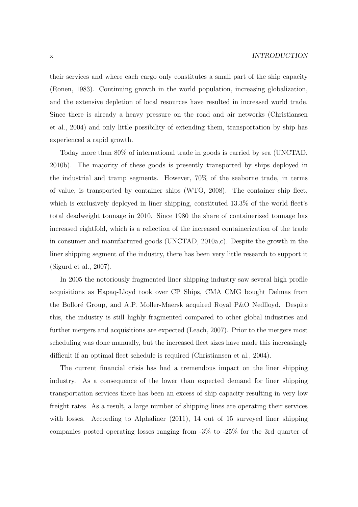their services and where each cargo only constitutes a small part of the ship capacity (Ronen, 1983). Continuing growth in the world population, increasing globalization, and the extensive depletion of local resources have resulted in increased world trade. Since there is already a heavy pressure on the road and air networks (Christiansen et al., 2004) and only little possibility of extending them, transportation by ship has experienced a rapid growth.

Today more than 80% of international trade in goods is carried by sea (UNCTAD, 2010b). The majority of these goods is presently transported by ships deployed in the industrial and tramp segments. However, 70% of the seaborne trade, in terms of value, is transported by container ships (WTO, 2008). The container ship fleet, which is exclusively deployed in liner shipping, constituted  $13.3\%$  of the world fleet's total deadweight tonnage in 2010. Since 1980 the share of containerized tonnage has increased eightfold, which is a reflection of the increased containerization of the trade in consumer and manufactured goods (UNCTAD, 2010a,c). Despite the growth in the liner shipping segment of the industry, there has been very little research to support it (Sigurd et al., 2007).

In 2005 the notoriously fragmented liner shipping industry saw several high profile acquisitions as Hapaq-Lloyd took over CP Ships, CMA CMG bought Delmas from the Bolloré Group, and A.P. Moller-Maersk acquired Royal P&O Nedlloyd. Despite this, the industry is still highly fragmented compared to other global industries and further mergers and acquisitions are expected (Leach, 2007). Prior to the mergers most scheduling was done manually, but the increased fleet sizes have made this increasingly difficult if an optimal fleet schedule is required (Christiansen et al., 2004).

The current financial crisis has had a tremendous impact on the liner shipping industry. As a consequence of the lower than expected demand for liner shipping transportation services there has been an excess of ship capacity resulting in very low freight rates. As a result, a large number of shipping lines are operating their services with losses. According to Alphaliner (2011), 14 out of 15 surveyed liner shipping companies posted operating losses ranging from -3% to -25% for the 3rd quarter of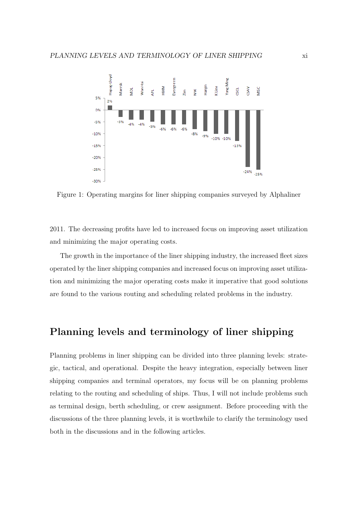

Figure 1: Operating margins for liner shipping companies surveyed by Alphaliner

2011. The decreasing profits have led to increased focus on improving asset utilization and minimizing the major operating costs.

The growth in the importance of the liner shipping industry, the increased fleet sizes operated by the liner shipping companies and increased focus on improving asset utilization and minimizing the major operating costs make it imperative that good solutions are found to the various routing and scheduling related problems in the industry.

### **Planning levels and terminology of liner shipping**

Planning problems in liner shipping can be divided into three planning levels: strategic, tactical, and operational. Despite the heavy integration, especially between liner shipping companies and terminal operators, my focus will be on planning problems relating to the routing and scheduling of ships. Thus, I will not include problems such as terminal design, berth scheduling, or crew assignment. Before proceeding with the discussions of the three planning levels, it is worthwhile to clarify the terminology used both in the discussions and in the following articles.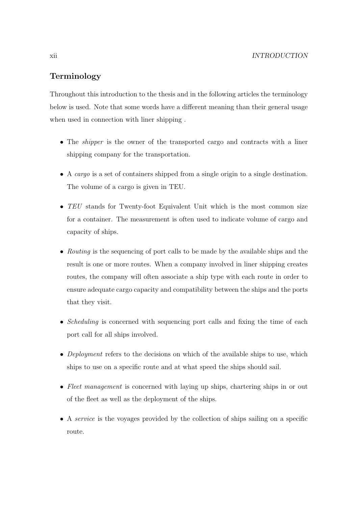### **Terminology**

Throughout this introduction to the thesis and in the following articles the terminology below is used. Note that some words have a different meaning than their general usage when used in connection with liner shipping .

- The *shipper* is the owner of the transported cargo and contracts with a liner shipping company for the transportation.
- A cargo is a set of containers shipped from a single origin to a single destination. The volume of a cargo is given in TEU.
- TEU stands for Twenty-foot Equivalent Unit which is the most common size for a container. The measurement is often used to indicate volume of cargo and capacity of ships.
- Routing is the sequencing of port calls to be made by the available ships and the result is one or more routes. When a company involved in liner shipping creates routes, the company will often associate a ship type with each route in order to ensure adequate cargo capacity and compatibility between the ships and the ports that they visit.
- Scheduling is concerned with sequencing port calls and fixing the time of each port call for all ships involved.
- Deployment refers to the decisions on which of the available ships to use, which ships to use on a specific route and at what speed the ships should sail.
- Fleet management is concerned with laying up ships, chartering ships in or out of the fleet as well as the deployment of the ships.
- A service is the voyages provided by the collection of ships sailing on a specific route.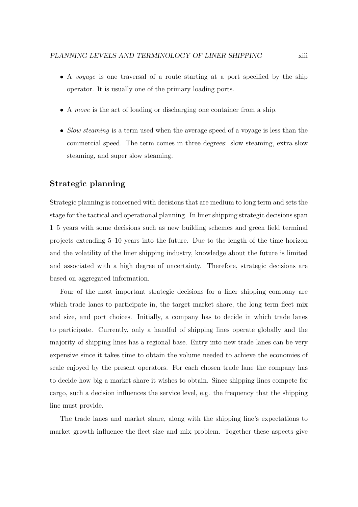- A *voyage* is one traversal of a route starting at a port specified by the ship operator. It is usually one of the primary loading ports.
- A move is the act of loading or discharging one container from a ship.
- Slow steaming is a term used when the average speed of a voyage is less than the commercial speed. The term comes in three degrees: slow steaming, extra slow steaming, and super slow steaming.

#### **Strategic planning**

Strategic planning is concerned with decisions that are medium to long term and sets the stage for the tactical and operational planning. In liner shipping strategic decisions span 1–5 years with some decisions such as new building schemes and green field terminal projects extending 5–10 years into the future. Due to the length of the time horizon and the volatility of the liner shipping industry, knowledge about the future is limited and associated with a high degree of uncertainty. Therefore, strategic decisions are based on aggregated information.

Four of the most important strategic decisions for a liner shipping company are which trade lanes to participate in, the target market share, the long term fleet mix and size, and port choices. Initially, a company has to decide in which trade lanes to participate. Currently, only a handful of shipping lines operate globally and the majority of shipping lines has a regional base. Entry into new trade lanes can be very expensive since it takes time to obtain the volume needed to achieve the economies of scale enjoyed by the present operators. For each chosen trade lane the company has to decide how big a market share it wishes to obtain. Since shipping lines compete for cargo, such a decision influences the service level, e.g. the frequency that the shipping line must provide.

The trade lanes and market share, along with the shipping line's expectations to market growth influence the fleet size and mix problem. Together these aspects give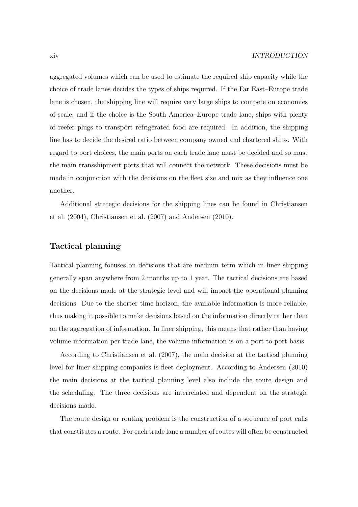aggregated volumes which can be used to estimate the required ship capacity while the choice of trade lanes decides the types of ships required. If the Far East–Europe trade lane is chosen, the shipping line will require very large ships to compete on economies of scale, and if the choice is the South America–Europe trade lane, ships with plenty of reefer plugs to transport refrigerated food are required. In addition, the shipping line has to decide the desired ratio between company owned and chartered ships. With regard to port choices, the main ports on each trade lane must be decided and so must the main transshipment ports that will connect the network. These decisions must be made in conjunction with the decisions on the fleet size and mix as they influence one another.

Additional strategic decisions for the shipping lines can be found in Christiansen et al. (2004), Christiansen et al. (2007) and Andersen (2010).

#### **Tactical planning**

Tactical planning focuses on decisions that are medium term which in liner shipping generally span anywhere from 2 months up to 1 year. The tactical decisions are based on the decisions made at the strategic level and will impact the operational planning decisions. Due to the shorter time horizon, the available information is more reliable, thus making it possible to make decisions based on the information directly rather than on the aggregation of information. In liner shipping, this means that rather than having volume information per trade lane, the volume information is on a port-to-port basis.

According to Christiansen et al. (2007), the main decision at the tactical planning level for liner shipping companies is fleet deployment. According to Andersen (2010) the main decisions at the tactical planning level also include the route design and the scheduling. The three decisions are interrelated and dependent on the strategic decisions made.

The route design or routing problem is the construction of a sequence of port calls that constitutes a route. For each trade lane a number of routes will often be constructed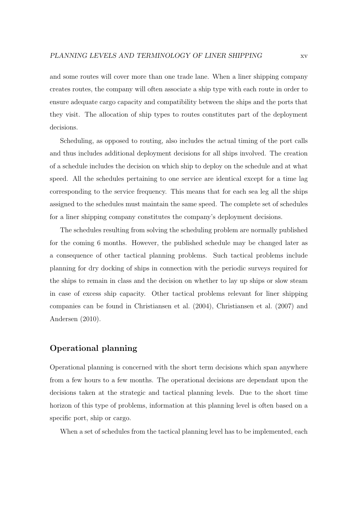and some routes will cover more than one trade lane. When a liner shipping company creates routes, the company will often associate a ship type with each route in order to ensure adequate cargo capacity and compatibility between the ships and the ports that they visit. The allocation of ship types to routes constitutes part of the deployment decisions.

Scheduling, as opposed to routing, also includes the actual timing of the port calls and thus includes additional deployment decisions for all ships involved. The creation of a schedule includes the decision on which ship to deploy on the schedule and at what speed. All the schedules pertaining to one service are identical except for a time lag corresponding to the service frequency. This means that for each sea leg all the ships assigned to the schedules must maintain the same speed. The complete set of schedules for a liner shipping company constitutes the company's deployment decisions.

The schedules resulting from solving the scheduling problem are normally published for the coming 6 months. However, the published schedule may be changed later as a consequence of other tactical planning problems. Such tactical problems include planning for dry docking of ships in connection with the periodic surveys required for the ships to remain in class and the decision on whether to lay up ships or slow steam in case of excess ship capacity. Other tactical problems relevant for liner shipping companies can be found in Christiansen et al. (2004), Christiansen et al. (2007) and Andersen (2010).

#### **Operational planning**

Operational planning is concerned with the short term decisions which span anywhere from a few hours to a few months. The operational decisions are dependant upon the decisions taken at the strategic and tactical planning levels. Due to the short time horizon of this type of problems, information at this planning level is often based on a specific port, ship or cargo.

When a set of schedules from the tactical planning level has to be implemented, each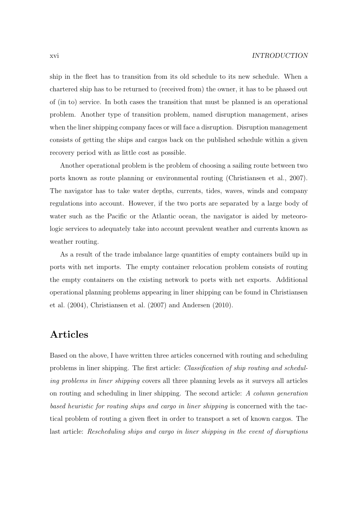ship in the fleet has to transition from its old schedule to its new schedule. When a chartered ship has to be returned to (received from) the owner, it has to be phased out of (in to) service. In both cases the transition that must be planned is an operational problem. Another type of transition problem, named disruption management, arises when the liner shipping company faces or will face a disruption. Disruption management consists of getting the ships and cargos back on the published schedule within a given recovery period with as little cost as possible.

Another operational problem is the problem of choosing a sailing route between two ports known as route planning or environmental routing (Christiansen et al., 2007). The navigator has to take water depths, currents, tides, waves, winds and company regulations into account. However, if the two ports are separated by a large body of water such as the Pacific or the Atlantic ocean, the navigator is aided by meteorologic services to adequately take into account prevalent weather and currents known as weather routing.

As a result of the trade imbalance large quantities of empty containers build up in ports with net imports. The empty container relocation problem consists of routing the empty containers on the existing network to ports with net exports. Additional operational planning problems appearing in liner shipping can be found in Christiansen et al. (2004), Christiansen et al. (2007) and Andersen (2010).

### **Articles**

Based on the above, I have written three articles concerned with routing and scheduling problems in liner shipping. The first article: Classification of ship routing and scheduling problems in liner shipping covers all three planning levels as it surveys all articles on routing and scheduling in liner shipping. The second article: A column generation based heuristic for routing ships and cargo in liner shipping is concerned with the tactical problem of routing a given fleet in order to transport a set of known cargos. The last article: Rescheduling ships and cargo in liner shipping in the event of disruptions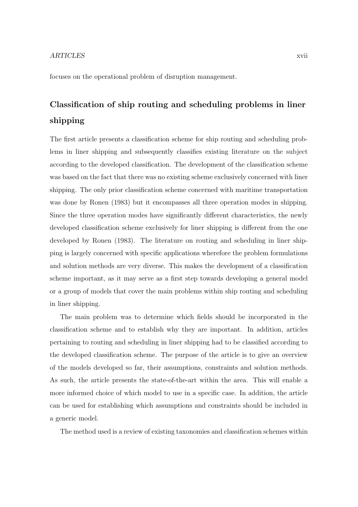#### ARTICLES xvii

focuses on the operational problem of disruption management.

## **Classification of ship routing and scheduling problems in liner shipping**

The first article presents a classification scheme for ship routing and scheduling problems in liner shipping and subsequently classifies existing literature on the subject according to the developed classification. The development of the classification scheme was based on the fact that there was no existing scheme exclusively concerned with liner shipping. The only prior classification scheme concerned with maritime transportation was done by Ronen (1983) but it encompasses all three operation modes in shipping. Since the three operation modes have significantly different characteristics, the newly developed classification scheme exclusively for liner shipping is different from the one developed by Ronen (1983). The literature on routing and scheduling in liner shipping is largely concerned with specific applications wherefore the problem formulations and solution methods are very diverse. This makes the development of a classification scheme important, as it may serve as a first step towards developing a general model or a group of models that cover the main problems within ship routing and scheduling in liner shipping.

The main problem was to determine which fields should be incorporated in the classification scheme and to establish why they are important. In addition, articles pertaining to routing and scheduling in liner shipping had to be classified according to the developed classification scheme. The purpose of the article is to give an overview of the models developed so far, their assumptions, constraints and solution methods. As such, the article presents the state-of-the-art within the area. This will enable a more informed choice of which model to use in a specific case. In addition, the article can be used for establishing which assumptions and constraints should be included in a generic model.

The method used is a review of existing taxonomies and classification schemes within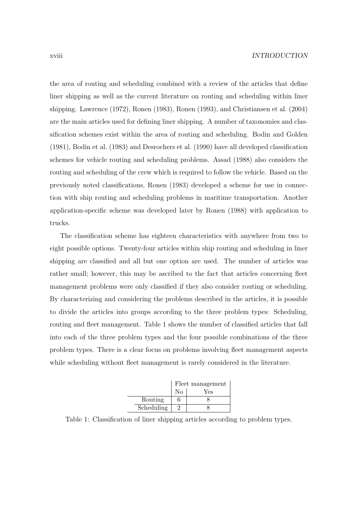the area of routing and scheduling combined with a review of the articles that define liner shipping as well as the current literature on routing and scheduling within liner shipping. Lawrence (1972), Ronen (1983), Ronen (1993), and Christiansen et al. (2004) are the main articles used for defining liner shipping. A number of taxonomies and classification schemes exist within the area of routing and scheduling. Bodin and Golden (1981), Bodin et al. (1983) and Desrochers et al. (1990) have all developed classification schemes for vehicle routing and scheduling problems. Assad (1988) also considers the routing and scheduling of the crew which is required to follow the vehicle. Based on the previously noted classifications, Ronen (1983) developed a scheme for use in connection with ship routing and scheduling problems in maritime transportation. Another application-specific scheme was developed later by Ronen (1988) with application to trucks.

The classification scheme has eighteen characteristics with anywhere from two to eight possible options. Twenty-four articles within ship routing and scheduling in liner shipping are classified and all but one option are used. The number of articles was rather small; however, this may be ascribed to the fact that articles concerning fleet management problems were only classified if they also consider routing or scheduling. By characterizing and considering the problems described in the articles, it is possible to divide the articles into groups according to the three problem types: Scheduling, routing and fleet management. Table 1 shows the number of classified articles that fall into each of the three problem types and the four possible combinations of the three problem types. There is a clear focus on problems involving fleet management aspects while scheduling without fleet management is rarely considered in the literature.



Table 1: Classification of liner shipping articles according to problem types.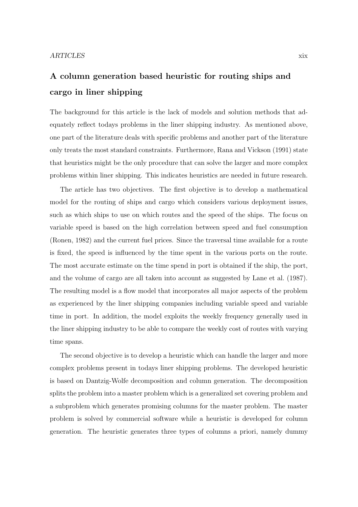## **A column generation based heuristic for routing ships and cargo in liner shipping**

The background for this article is the lack of models and solution methods that adequately reflect todays problems in the liner shipping industry. As mentioned above, one part of the literature deals with specific problems and another part of the literature only treats the most standard constraints. Furthermore, Rana and Vickson (1991) state that heuristics might be the only procedure that can solve the larger and more complex problems within liner shipping. This indicates heuristics are needed in future research.

The article has two objectives. The first objective is to develop a mathematical model for the routing of ships and cargo which considers various deployment issues, such as which ships to use on which routes and the speed of the ships. The focus on variable speed is based on the high correlation between speed and fuel consumption (Ronen, 1982) and the current fuel prices. Since the traversal time available for a route is fixed, the speed is influenced by the time spent in the various ports on the route. The most accurate estimate on the time spend in port is obtained if the ship, the port, and the volume of cargo are all taken into account as suggested by Lane et al. (1987). The resulting model is a flow model that incorporates all major aspects of the problem as experienced by the liner shipping companies including variable speed and variable time in port. In addition, the model exploits the weekly frequency generally used in the liner shipping industry to be able to compare the weekly cost of routes with varying time spans.

The second objective is to develop a heuristic which can handle the larger and more complex problems present in todays liner shipping problems. The developed heuristic is based on Dantzig-Wolfe decomposition and column generation. The decomposition splits the problem into a master problem which is a generalized set covering problem and a subproblem which generates promising columns for the master problem. The master problem is solved by commercial software while a heuristic is developed for column generation. The heuristic generates three types of columns a priori, namely dummy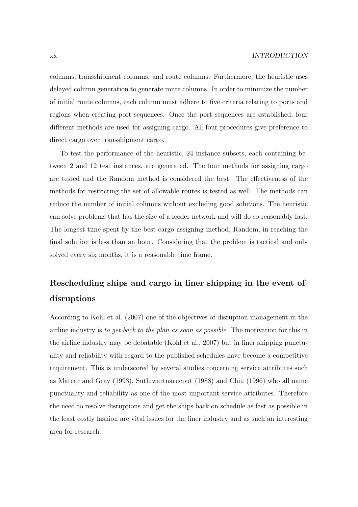columns, transshipment columns, and route columns. Furthermore, the heuristic uses delayed column generation to generate route columns. In order to minimize the number of initial route columns, each column must adhere to five criteria relating to ports and regions when creating port sequences. Once the port sequences are established, four different methods are used for assigning cargo. All four procedures give preference to direct cargo over transshipment cargo.

To test the performance of the heuristic, 24 instance subsets, each containing between 2 and 12 test instances, are generated. The four methods for assigning cargo are tested and the Random method is considered the best. The effectiveness of the methods for restricting the set of allowable routes is tested as well. The methods can reduce the number of initial columns without excluding good solutions. The heuristic can solve problems that has the size of a feeder network and will do so reasonably fast. The longest time spent by the best cargo assigning method, Random, in reaching the final solution is less than an hour. Considering that the problem is tactical and only solved every six months, it is a reasonable time frame.

### **Rescheduling ships and cargo in liner shipping in the event of disruptions**

According to Kohl et al. (2007) one of the objectives of disruption management in the airline industry is to get back to the plan as soon as possible. The motivation for this in the airline industry may be debatable (Kohl et al., 2007) but in liner shipping punctuality and reliability with regard to the published schedules have become a competitive requirement. This is underscored by several studies concerning service attributes such as Matear and Gray (1993), Suthiwartnarueput (1988) and Chiu (1996) who all name punctuality and reliability as one of the most important service attributes. Therefore the need to resolve disruptions and get the ships back on schedule as fast as possible in the least costly fashion are vital issues for the liner industry and as such an interesting area for research.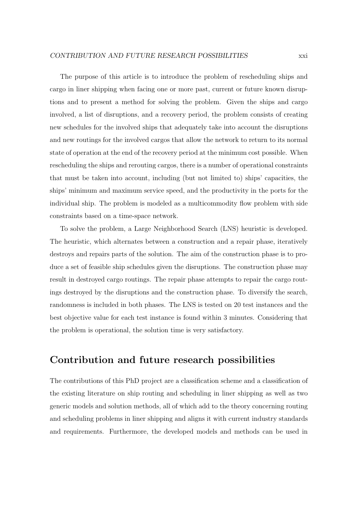The purpose of this article is to introduce the problem of rescheduling ships and cargo in liner shipping when facing one or more past, current or future known disruptions and to present a method for solving the problem. Given the ships and cargo involved, a list of disruptions, and a recovery period, the problem consists of creating new schedules for the involved ships that adequately take into account the disruptions and new routings for the involved cargos that allow the network to return to its normal state of operation at the end of the recovery period at the minimum cost possible. When rescheduling the ships and rerouting cargos, there is a number of operational constraints that must be taken into account, including (but not limited to) ships' capacities, the ships' minimum and maximum service speed, and the productivity in the ports for the individual ship. The problem is modeled as a multicommodity flow problem with side constraints based on a time-space network.

To solve the problem, a Large Neighborhood Search (LNS) heuristic is developed. The heuristic, which alternates between a construction and a repair phase, iteratively destroys and repairs parts of the solution. The aim of the construction phase is to produce a set of feasible ship schedules given the disruptions. The construction phase may result in destroyed cargo routings. The repair phase attempts to repair the cargo routings destroyed by the disruptions and the construction phase. To diversify the search, randomness is included in both phases. The LNS is tested on 20 test instances and the best objective value for each test instance is found within 3 minutes. Considering that the problem is operational, the solution time is very satisfactory.

### **Contribution and future research possibilities**

The contributions of this PhD project are a classification scheme and a classification of the existing literature on ship routing and scheduling in liner shipping as well as two generic models and solution methods, all of which add to the theory concerning routing and scheduling problems in liner shipping and aligns it with current industry standards and requirements. Furthermore, the developed models and methods can be used in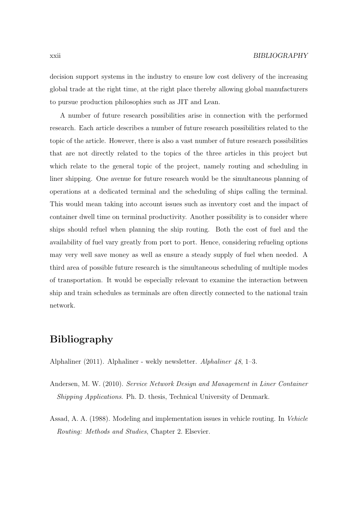decision support systems in the industry to ensure low cost delivery of the increasing global trade at the right time, at the right place thereby allowing global manufacturers to pursue production philosophies such as JIT and Lean.

A number of future research possibilities arise in connection with the performed research. Each article describes a number of future research possibilities related to the topic of the article. However, there is also a vast number of future research possibilities that are not directly related to the topics of the three articles in this project but which relate to the general topic of the project, namely routing and scheduling in liner shipping. One avenue for future research would be the simultaneous planning of operations at a dedicated terminal and the scheduling of ships calling the terminal. This would mean taking into account issues such as inventory cost and the impact of container dwell time on terminal productivity. Another possibility is to consider where ships should refuel when planning the ship routing. Both the cost of fuel and the availability of fuel vary greatly from port to port. Hence, considering refueling options may very well save money as well as ensure a steady supply of fuel when needed. A third area of possible future research is the simultaneous scheduling of multiple modes of transportation. It would be especially relevant to examine the interaction between ship and train schedules as terminals are often directly connected to the national train network.

### **Bibliography**

Alphaliner (2011). Alphaliner - wekly newsletter. Alphaliner 48, 1–3.

- Andersen, M. W. (2010). Service Network Design and Management in Liner Container Shipping Applications. Ph. D. thesis, Technical University of Denmark.
- Assad, A. A. (1988). Modeling and implementation issues in vehicle routing. In Vehicle Routing: Methods and Studies, Chapter 2. Elsevier.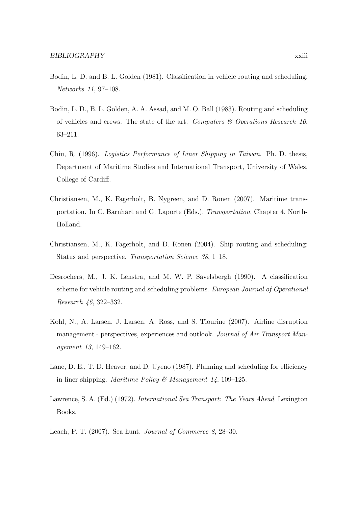- Bodin, L. D. and B. L. Golden (1981). Classification in vehicle routing and scheduling. Networks 11, 97–108.
- Bodin, L. D., B. L. Golden, A. A. Assad, and M. O. Ball (1983). Routing and scheduling of vehicles and crews: The state of the art. Computers  $\mathcal C$  Operations Research 10, 63–211.
- Chiu, R. (1996). Logistics Performance of Liner Shipping in Taiwan. Ph. D. thesis, Department of Maritime Studies and International Transport, University of Wales, College of Cardiff.
- Christiansen, M., K. Fagerholt, B. Nygreen, and D. Ronen (2007). Maritime transportation. In C. Barnhart and G. Laporte (Eds.), Transportation, Chapter 4. North-Holland.
- Christiansen, M., K. Fagerholt, and D. Ronen (2004). Ship routing and scheduling: Status and perspective. Transportation Science 38, 1–18.
- Desrochers, M., J. K. Lenstra, and M. W. P. Savelsbergh (1990). A classification scheme for vehicle routing and scheduling problems. European Journal of Operational Research 46, 322–332.
- Kohl, N., A. Larsen, J. Larsen, A. Ross, and S. Tiourine (2007). Airline disruption management - perspectives, experiences and outlook. Journal of Air Transport Management 13, 149–162.
- Lane, D. E., T. D. Heaver, and D. Uyeno (1987). Planning and scheduling for efficiency in liner shipping. Maritime Policy & Management 14, 109-125.
- Lawrence, S. A. (Ed.) (1972). International Sea Transport: The Years Ahead. Lexington Books.
- Leach, P. T. (2007). Sea hunt. Journal of Commerce 8, 28–30.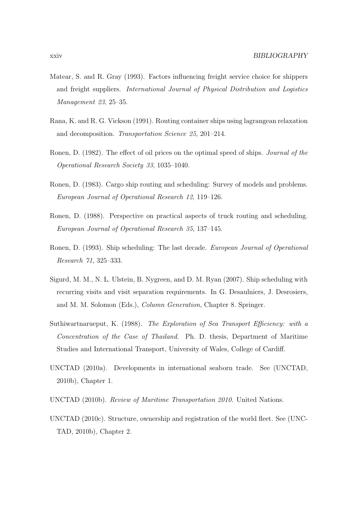- Matear, S. and R. Gray (1993). Factors influencing freight service choice for shippers and freight suppliers. International Journal of Physical Distribution and Logistics Management 23, 25–35.
- Rana, K. and R. G. Vickson (1991). Routing container ships using lagrangean relaxation and decomposition. Transportation Science 25, 201–214.
- Ronen, D. (1982). The effect of oil prices on the optimal speed of ships. Journal of the Operational Research Society 33, 1035–1040.
- Ronen, D. (1983). Cargo ship routing and scheduling: Survey of models and problems. European Journal of Operational Research 12, 119–126.
- Ronen, D. (1988). Perspective on practical aspects of truck routing and scheduling. European Journal of Operational Research 35, 137–145.
- Ronen, D. (1993). Ship scheduling: The last decade. European Journal of Operational Research 71, 325–333.
- Sigurd, M. M., N. L. Ulstein, B. Nygreen, and D. M. Ryan (2007). Ship scheduling with recurring visits and visit separation requirements. In G. Desaulniers, J. Desrosiers, and M. M. Solomon (Eds.), Column Generation, Chapter 8. Springer.
- Suthiwartnarueput, K. (1988). The Exploration of Sea Transport Efficiency: with a Concentration of the Case of Thailand. Ph. D. thesis, Department of Maritime Studies and International Transport, University of Wales, College of Cardiff.
- UNCTAD (2010a). Developments in international seaborn trade. See (UNCTAD, 2010b), Chapter 1.
- UNCTAD (2010b). Review of Maritime Transportation 2010. United Nations.
- UNCTAD (2010c). Structure, ownership and registration of the world fleet. See (UNC-TAD, 2010b), Chapter 2.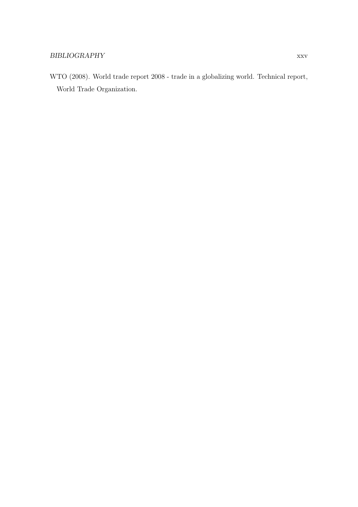WTO (2008). World trade report 2008 - trade in a globalizing world. Technical report, World Trade Organization.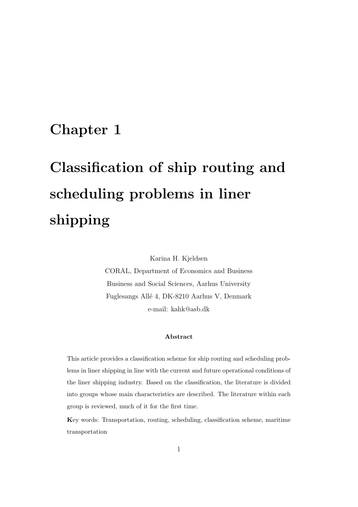# **Chapter 1**

# **Classification of ship routing and scheduling problems in liner shipping**

Karina H. Kjeldsen

CORAL, Department of Economics and Business Business and Social Sciences, Aarhus University Fuglesangs All´e 4, DK-8210 Aarhus V, Denmark e-mail: kahk@asb.dk

#### **Abstract**

This article provides a classification scheme for ship routing and scheduling problems in liner shipping in line with the current and future operational conditions of the liner shipping industry. Based on the classification, the literature is divided into groups whose main characteristics are described. The literature within each group is reviewed, much of it for the first time.

**K**ey words: Transportation, routing, scheduling, classification scheme, maritime transportation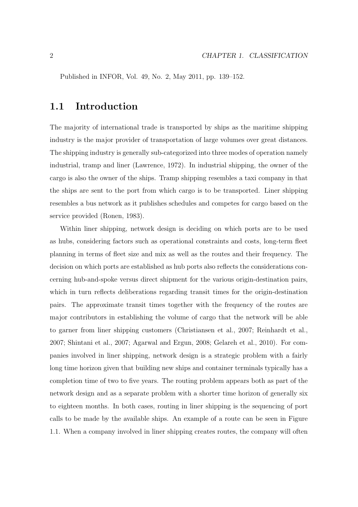Published in INFOR, Vol. 49, No. 2, May 2011, pp. 139–152.

### **1.1 Introduction**

The majority of international trade is transported by ships as the maritime shipping industry is the major provider of transportation of large volumes over great distances. The shipping industry is generally sub-categorized into three modes of operation namely industrial, tramp and liner (Lawrence, 1972). In industrial shipping, the owner of the cargo is also the owner of the ships. Tramp shipping resembles a taxi company in that the ships are sent to the port from which cargo is to be transported. Liner shipping resembles a bus network as it publishes schedules and competes for cargo based on the service provided (Ronen, 1983).

Within liner shipping, network design is deciding on which ports are to be used as hubs, considering factors such as operational constraints and costs, long-term fleet planning in terms of fleet size and mix as well as the routes and their frequency. The decision on which ports are established as hub ports also reflects the considerations concerning hub-and-spoke versus direct shipment for the various origin-destination pairs, which in turn reflects deliberations regarding transit times for the origin-destination pairs. The approximate transit times together with the frequency of the routes are major contributors in establishing the volume of cargo that the network will be able to garner from liner shipping customers (Christiansen et al., 2007; Reinhardt et al., 2007; Shintani et al., 2007; Agarwal and Ergun, 2008; Gelareh et al., 2010). For companies involved in liner shipping, network design is a strategic problem with a fairly long time horizon given that building new ships and container terminals typically has a completion time of two to five years. The routing problem appears both as part of the network design and as a separate problem with a shorter time horizon of generally six to eighteen months. In both cases, routing in liner shipping is the sequencing of port calls to be made by the available ships. An example of a route can be seen in Figure 1.1. When a company involved in liner shipping creates routes, the company will often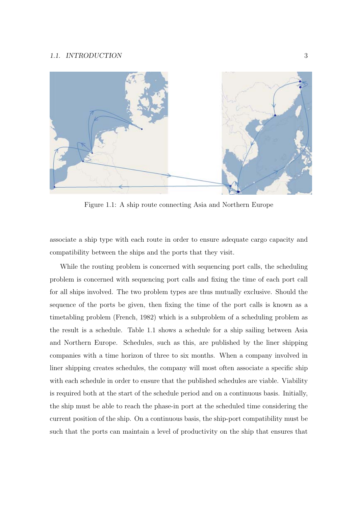#### 1.1. INTRODUCTION 3



Figure 1.1: A ship route connecting Asia and Northern Europe

associate a ship type with each route in order to ensure adequate cargo capacity and compatibility between the ships and the ports that they visit.

While the routing problem is concerned with sequencing port calls, the scheduling problem is concerned with sequencing port calls and fixing the time of each port call for all ships involved. The two problem types are thus mutually exclusive. Should the sequence of the ports be given, then fixing the time of the port calls is known as a timetabling problem (French, 1982) which is a subproblem of a scheduling problem as the result is a schedule. Table 1.1 shows a schedule for a ship sailing between Asia and Northern Europe. Schedules, such as this, are published by the liner shipping companies with a time horizon of three to six months. When a company involved in liner shipping creates schedules, the company will most often associate a specific ship with each schedule in order to ensure that the published schedules are viable. Viability is required both at the start of the schedule period and on a continuous basis. Initially, the ship must be able to reach the phase-in port at the scheduled time considering the current position of the ship. On a continuous basis, the ship-port compatibility must be such that the ports can maintain a level of productivity on the ship that ensures that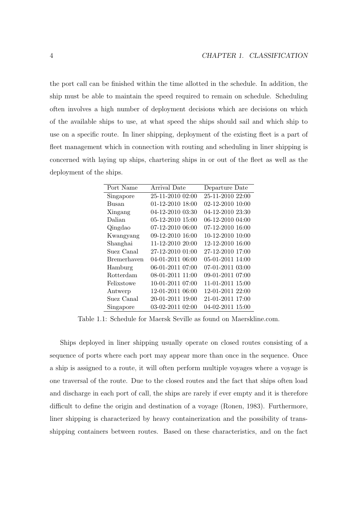the port call can be finished within the time allotted in the schedule. In addition, the ship must be able to maintain the speed required to remain on schedule. Scheduling often involves a high number of deployment decisions which are decisions on which of the available ships to use, at what speed the ships should sail and which ship to use on a specific route. In liner shipping, deployment of the existing fleet is a part of fleet management which in connection with routing and scheduling in liner shipping is concerned with laying up ships, chartering ships in or out of the fleet as well as the deployment of the ships.

| Port Name   | Arrival Date     | Departure Date   |
|-------------|------------------|------------------|
| Singapore   | 25-11-2010 02:00 | 25-11-2010 22:00 |
| Busan       | 01-12-2010 18:00 | 02-12-2010 10:00 |
| Xingang     | 04-12-2010 03:30 | 04-12-2010 23:30 |
| Dalian      | 05-12-2010 15:00 | 06-12-2010 04:00 |
| Qingdao     | 07-12-2010 06:00 | 07-12-2010 16:00 |
| Kwangyang   | 09-12-2010 16:00 | 10-12-2010 10:00 |
| Shanghai    | 11-12-2010 20:00 | 12-12-2010 16:00 |
| Suez Canal  | 27-12-2010 01:00 | 27-12-2010 17:00 |
| Bremerhaven | 04-01-2011 06:00 | 05-01-2011 14:00 |
| Hamburg     | 06-01-2011 07:00 | 07-01-2011 03:00 |
| Rotterdam   | 08-01-2011 11:00 | 09-01-2011 07:00 |
| Felixstowe  | 10-01-2011 07:00 | 11-01-2011 15:00 |
| Antwerp     | 12-01-2011 06:00 | 12-01-2011 22:00 |
| Suez Canal  | 20-01-2011 19:00 | 21-01-2011 17:00 |
| Singapore   | 03-02-2011 02:00 | 04-02-2011 15:00 |

Table 1.1: Schedule for Maersk Seville as found on Maerskline.com.

Ships deployed in liner shipping usually operate on closed routes consisting of a sequence of ports where each port may appear more than once in the sequence. Once a ship is assigned to a route, it will often perform multiple voyages where a voyage is one traversal of the route. Due to the closed routes and the fact that ships often load and discharge in each port of call, the ships are rarely if ever empty and it is therefore difficult to define the origin and destination of a voyage (Ronen, 1983). Furthermore, liner shipping is characterized by heavy containerization and the possibility of transshipping containers between routes. Based on these characteristics, and on the fact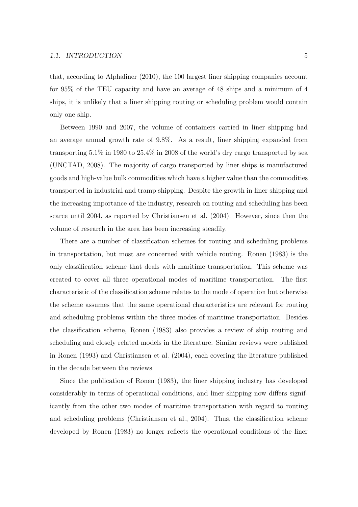that, according to Alphaliner (2010), the 100 largest liner shipping companies account for 95% of the TEU capacity and have an average of 48 ships and a minimum of 4 ships, it is unlikely that a liner shipping routing or scheduling problem would contain only one ship.

Between 1990 and 2007, the volume of containers carried in liner shipping had an average annual growth rate of 9.8%. As a result, liner shipping expanded from transporting 5.1% in 1980 to 25.4% in 2008 of the world's dry cargo transported by sea (UNCTAD, 2008). The majority of cargo transported by liner ships is manufactured goods and high-value bulk commodities which have a higher value than the commodities transported in industrial and tramp shipping. Despite the growth in liner shipping and the increasing importance of the industry, research on routing and scheduling has been scarce until 2004, as reported by Christiansen et al. (2004). However, since then the volume of research in the area has been increasing steadily.

There are a number of classification schemes for routing and scheduling problems in transportation, but most are concerned with vehicle routing. Ronen (1983) is the only classification scheme that deals with maritime transportation. This scheme was created to cover all three operational modes of maritime transportation. The first characteristic of the classification scheme relates to the mode of operation but otherwise the scheme assumes that the same operational characteristics are relevant for routing and scheduling problems within the three modes of maritime transportation. Besides the classification scheme, Ronen (1983) also provides a review of ship routing and scheduling and closely related models in the literature. Similar reviews were published in Ronen (1993) and Christiansen et al. (2004), each covering the literature published in the decade between the reviews.

Since the publication of Ronen (1983), the liner shipping industry has developed considerably in terms of operational conditions, and liner shipping now differs significantly from the other two modes of maritime transportation with regard to routing and scheduling problems (Christiansen et al., 2004). Thus, the classification scheme developed by Ronen (1983) no longer reflects the operational conditions of the liner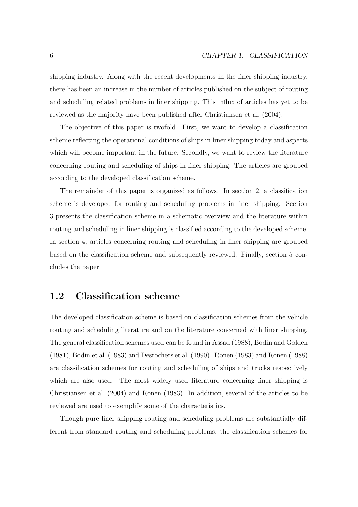shipping industry. Along with the recent developments in the liner shipping industry, there has been an increase in the number of articles published on the subject of routing and scheduling related problems in liner shipping. This influx of articles has yet to be reviewed as the majority have been published after Christiansen et al. (2004).

The objective of this paper is twofold. First, we want to develop a classification scheme reflecting the operational conditions of ships in liner shipping today and aspects which will become important in the future. Secondly, we want to review the literature concerning routing and scheduling of ships in liner shipping. The articles are grouped according to the developed classification scheme.

The remainder of this paper is organized as follows. In section 2, a classification scheme is developed for routing and scheduling problems in liner shipping. Section 3 presents the classification scheme in a schematic overview and the literature within routing and scheduling in liner shipping is classified according to the developed scheme. In section 4, articles concerning routing and scheduling in liner shipping are grouped based on the classification scheme and subsequently reviewed. Finally, section 5 concludes the paper.

### **1.2 Classification scheme**

The developed classification scheme is based on classification schemes from the vehicle routing and scheduling literature and on the literature concerned with liner shipping. The general classification schemes used can be found in Assad (1988), Bodin and Golden (1981), Bodin et al. (1983) and Desrochers et al. (1990). Ronen (1983) and Ronen (1988) are classification schemes for routing and scheduling of ships and trucks respectively which are also used. The most widely used literature concerning liner shipping is Christiansen et al. (2004) and Ronen (1983). In addition, several of the articles to be reviewed are used to exemplify some of the characteristics.

Though pure liner shipping routing and scheduling problems are substantially different from standard routing and scheduling problems, the classification schemes for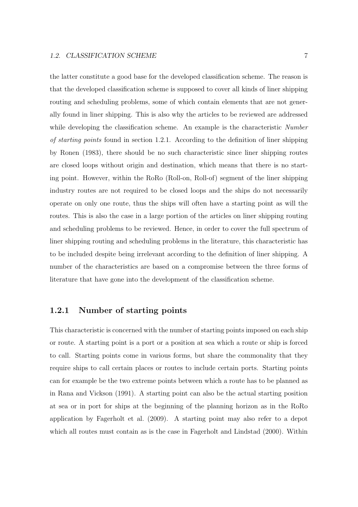the latter constitute a good base for the developed classification scheme. The reason is that the developed classification scheme is supposed to cover all kinds of liner shipping routing and scheduling problems, some of which contain elements that are not generally found in liner shipping. This is also why the articles to be reviewed are addressed while developing the classification scheme. An example is the characteristic Number of starting points found in section 1.2.1. According to the definition of liner shipping by Ronen (1983), there should be no such characteristic since liner shipping routes are closed loops without origin and destination, which means that there is no starting point. However, within the RoRo (Roll-on, Roll-of) segment of the liner shipping industry routes are not required to be closed loops and the ships do not necessarily operate on only one route, thus the ships will often have a starting point as will the routes. This is also the case in a large portion of the articles on liner shipping routing and scheduling problems to be reviewed. Hence, in order to cover the full spectrum of liner shipping routing and scheduling problems in the literature, this characteristic has to be included despite being irrelevant according to the definition of liner shipping. A number of the characteristics are based on a compromise between the three forms of literature that have gone into the development of the classification scheme.

#### **1.2.1 Number of starting points**

This characteristic is concerned with the number of starting points imposed on each ship or route. A starting point is a port or a position at sea which a route or ship is forced to call. Starting points come in various forms, but share the commonality that they require ships to call certain places or routes to include certain ports. Starting points can for example be the two extreme points between which a route has to be planned as in Rana and Vickson (1991). A starting point can also be the actual starting position at sea or in port for ships at the beginning of the planning horizon as in the RoRo application by Fagerholt et al. (2009). A starting point may also refer to a depot which all routes must contain as is the case in Fagerholt and Lindstad (2000). Within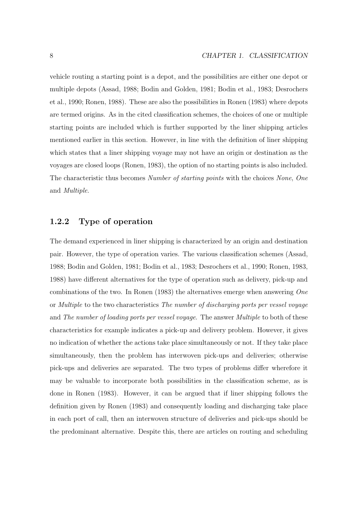vehicle routing a starting point is a depot, and the possibilities are either one depot or multiple depots (Assad, 1988; Bodin and Golden, 1981; Bodin et al., 1983; Desrochers et al., 1990; Ronen, 1988). These are also the possibilities in Ronen (1983) where depots are termed origins. As in the cited classification schemes, the choices of one or multiple starting points are included which is further supported by the liner shipping articles mentioned earlier in this section. However, in line with the definition of liner shipping which states that a liner shipping voyage may not have an origin or destination as the voyages are closed loops (Ronen, 1983), the option of no starting points is also included. The characteristic thus becomes Number of starting points with the choices None, One and Multiple.

#### **1.2.2 Type of operation**

The demand experienced in liner shipping is characterized by an origin and destination pair. However, the type of operation varies. The various classification schemes (Assad, 1988; Bodin and Golden, 1981; Bodin et al., 1983; Desrochers et al., 1990; Ronen, 1983, 1988) have different alternatives for the type of operation such as delivery, pick-up and combinations of the two. In Ronen (1983) the alternatives emerge when answering One or Multiple to the two characteristics The number of discharging ports per vessel voyage and The number of loading ports per vessel voyage. The answer Multiple to both of these characteristics for example indicates a pick-up and delivery problem. However, it gives no indication of whether the actions take place simultaneously or not. If they take place simultaneously, then the problem has interwoven pick-ups and deliveries; otherwise pick-ups and deliveries are separated. The two types of problems differ wherefore it may be valuable to incorporate both possibilities in the classification scheme, as is done in Ronen (1983). However, it can be argued that if liner shipping follows the definition given by Ronen (1983) and consequently loading and discharging take place in each port of call, then an interwoven structure of deliveries and pick-ups should be the predominant alternative. Despite this, there are articles on routing and scheduling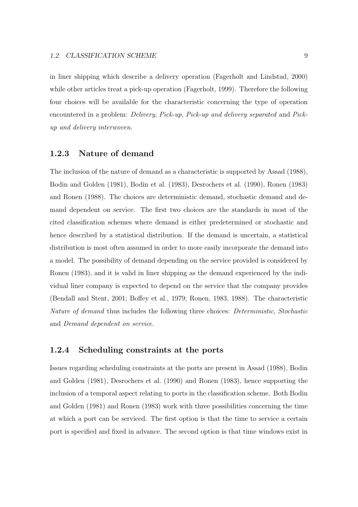in liner shipping which describe a delivery operation (Fagerholt and Lindstad, 2000) while other articles treat a pick-up operation (Fagerholt, 1999). Therefore the following four choices will be available for the characteristic concerning the type of operation encountered in a problem: Delivery, Pick-up, Pick-up and delivery separated and Pickup and delivery interwoven.

#### **1.2.3 Nature of demand**

The inclusion of the nature of demand as a characteristic is supported by Assad (1988), Bodin and Golden (1981), Bodin et al. (1983), Desrochers et al. (1990), Ronen (1983) and Ronen (1988). The choices are deterministic demand, stochastic demand and demand dependent on service. The first two choices are the standards in most of the cited classification schemes where demand is either predetermined or stochastic and hence described by a statistical distribution. If the demand is uncertain, a statistical distribution is most often assumed in order to more easily incorporate the demand into a model. The possibility of demand depending on the service provided is considered by Ronen (1983), and it is valid in liner shipping as the demand experienced by the individual liner company is expected to depend on the service that the company provides (Bendall and Stent, 2001; Boffey et al., 1979; Ronen, 1983, 1988). The characteristic Nature of demand thus includes the following three choices: Deterministic, Stochastic and Demand dependent on service.

#### **1.2.4 Scheduling constraints at the ports**

Issues regarding scheduling constraints at the ports are present in Assad (1988), Bodin and Golden (1981), Desrochers et al. (1990) and Ronen (1983), hence supporting the inclusion of a temporal aspect relating to ports in the classification scheme. Both Bodin and Golden (1981) and Ronen (1983) work with three possibilities concerning the time at which a port can be serviced. The first option is that the time to service a certain port is specified and fixed in advance. The second option is that time windows exist in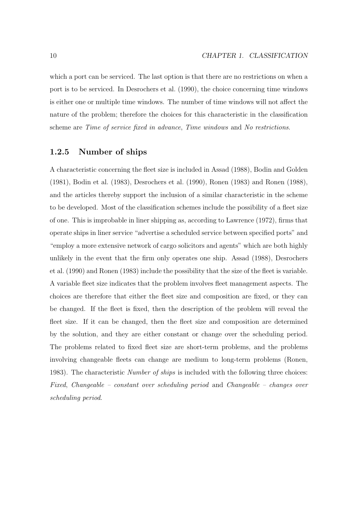which a port can be serviced. The last option is that there are no restrictions on when a port is to be serviced. In Desrochers et al. (1990), the choice concerning time windows is either one or multiple time windows. The number of time windows will not affect the nature of the problem; therefore the choices for this characteristic in the classification scheme are Time of service fixed in advance, Time windows and No restrictions.

## **1.2.5 Number of ships**

A characteristic concerning the fleet size is included in Assad (1988), Bodin and Golden (1981), Bodin et al. (1983), Desrochers et al. (1990), Ronen (1983) and Ronen (1988), and the articles thereby support the inclusion of a similar characteristic in the scheme to be developed. Most of the classification schemes include the possibility of a fleet size of one. This is improbable in liner shipping as, according to Lawrence (1972), firms that operate ships in liner service "advertise a scheduled service between specified ports" and "employ a more extensive network of cargo solicitors and agents" which are both highly unlikely in the event that the firm only operates one ship. Assad (1988), Desrochers et al. (1990) and Ronen (1983) include the possibility that the size of the fleet is variable. A variable fleet size indicates that the problem involves fleet management aspects. The choices are therefore that either the fleet size and composition are fixed, or they can be changed. If the fleet is fixed, then the description of the problem will reveal the fleet size. If it can be changed, then the fleet size and composition are determined by the solution, and they are either constant or change over the scheduling period. The problems related to fixed fleet size are short-term problems, and the problems involving changeable fleets can change are medium to long-term problems (Ronen, 1983). The characteristic *Number of ships* is included with the following three choices: Fixed, Changeable – constant over scheduling period and Changeable – changes over scheduling period.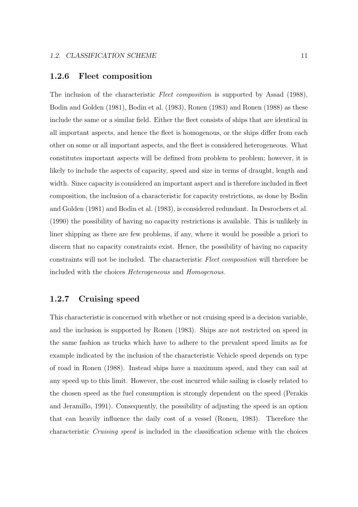## **1.2.6 Fleet composition**

The inclusion of the characteristic Fleet composition is supported by Assad (1988), Bodin and Golden (1981), Bodin et al. (1983), Ronen (1983) and Ronen (1988) as these include the same or a similar field. Either the fleet consists of ships that are identical in all important aspects, and hence the fleet is homogenous, or the ships differ from each other on some or all important aspects, and the fleet is considered heterogeneous. What constitutes important aspects will be defined from problem to problem; however, it is likely to include the aspects of capacity, speed and size in terms of draught, length and width. Since capacity is considered an important aspect and is therefore included in fleet composition, the inclusion of a characteristic for capacity restrictions, as done by Bodin and Golden (1981) and Bodin et al. (1983), is considered redundant. In Desrochers et al. (1990) the possibility of having no capacity restrictions is available. This is unlikely in liner shipping as there are few problems, if any, where it would be possible a priori to discern that no capacity constraints exist. Hence, the possibility of having no capacity constraints will not be included. The characteristic Fleet composition will therefore be included with the choices Heterogeneous and Homogenous.

## **1.2.7 Cruising speed**

This characteristic is concerned with whether or not cruising speed is a decision variable, and the inclusion is supported by Ronen (1983). Ships are not restricted on speed in the same fashion as trucks which have to adhere to the prevalent speed limits as for example indicated by the inclusion of the characteristic Vehicle speed depends on type of road in Ronen (1988). Instead ships have a maximum speed, and they can sail at any speed up to this limit. However, the cost incurred while sailing is closely related to the chosen speed as the fuel consumption is strongly dependent on the speed (Perakis and Jeramillo, 1991). Consequently, the possibility of adjusting the speed is an option that can heavily influence the daily cost of a vessel (Ronen, 1983). Therefore the characteristic Cruising speed is included in the classification scheme with the choices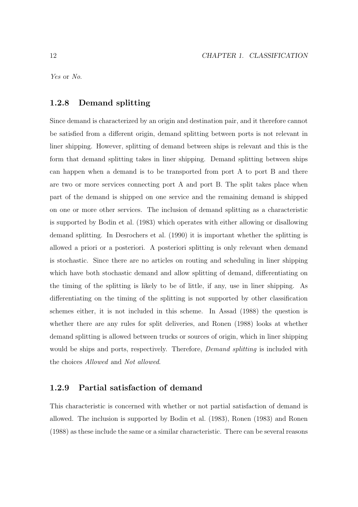Yes or No.

## **1.2.8 Demand splitting**

Since demand is characterized by an origin and destination pair, and it therefore cannot be satisfied from a different origin, demand splitting between ports is not relevant in liner shipping. However, splitting of demand between ships is relevant and this is the form that demand splitting takes in liner shipping. Demand splitting between ships can happen when a demand is to be transported from port A to port B and there are two or more services connecting port A and port B. The split takes place when part of the demand is shipped on one service and the remaining demand is shipped on one or more other services. The inclusion of demand splitting as a characteristic is supported by Bodin et al. (1983) which operates with either allowing or disallowing demand splitting. In Desrochers et al. (1990) it is important whether the splitting is allowed a priori or a posteriori. A posteriori splitting is only relevant when demand is stochastic. Since there are no articles on routing and scheduling in liner shipping which have both stochastic demand and allow splitting of demand, differentiating on the timing of the splitting is likely to be of little, if any, use in liner shipping. As differentiating on the timing of the splitting is not supported by other classification schemes either, it is not included in this scheme. In Assad (1988) the question is whether there are any rules for split deliveries, and Ronen (1988) looks at whether demand splitting is allowed between trucks or sources of origin, which in liner shipping would be ships and ports, respectively. Therefore, *Demand splitting* is included with the choices Allowed and Not allowed.

## **1.2.9 Partial satisfaction of demand**

This characteristic is concerned with whether or not partial satisfaction of demand is allowed. The inclusion is supported by Bodin et al. (1983), Ronen (1983) and Ronen (1988) as these include the same or a similar characteristic. There can be several reasons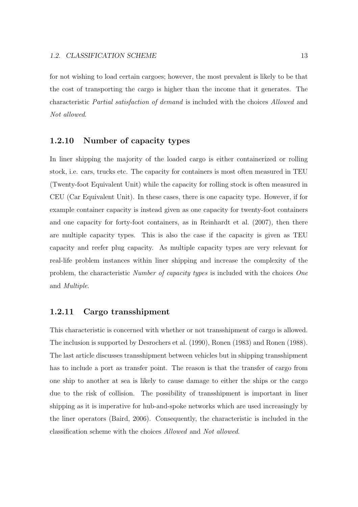for not wishing to load certain cargoes; however, the most prevalent is likely to be that the cost of transporting the cargo is higher than the income that it generates. The characteristic Partial satisfaction of demand is included with the choices Allowed and Not allowed.

## **1.2.10 Number of capacity types**

In liner shipping the majority of the loaded cargo is either containerized or rolling stock, i.e. cars, trucks etc. The capacity for containers is most often measured in TEU (Twenty-foot Equivalent Unit) while the capacity for rolling stock is often measured in CEU (Car Equivalent Unit). In these cases, there is one capacity type. However, if for example container capacity is instead given as one capacity for twenty-foot containers and one capacity for forty-foot containers, as in Reinhardt et al. (2007), then there are multiple capacity types. This is also the case if the capacity is given as TEU capacity and reefer plug capacity. As multiple capacity types are very relevant for real-life problem instances within liner shipping and increase the complexity of the problem, the characteristic Number of capacity types is included with the choices One and Multiple.

## **1.2.11 Cargo transshipment**

This characteristic is concerned with whether or not transshipment of cargo is allowed. The inclusion is supported by Desrochers et al. (1990), Ronen (1983) and Ronen (1988). The last article discusses transshipment between vehicles but in shipping transshipment has to include a port as transfer point. The reason is that the transfer of cargo from one ship to another at sea is likely to cause damage to either the ships or the cargo due to the risk of collision. The possibility of transshipment is important in liner shipping as it is imperative for hub-and-spoke networks which are used increasingly by the liner operators (Baird, 2006). Consequently, the characteristic is included in the classification scheme with the choices Allowed and Not allowed.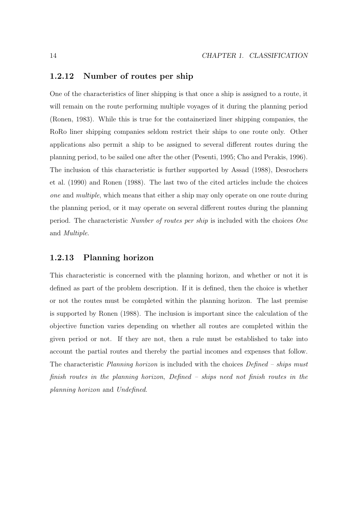## **1.2.12 Number of routes per ship**

One of the characteristics of liner shipping is that once a ship is assigned to a route, it will remain on the route performing multiple voyages of it during the planning period (Ronen, 1983). While this is true for the containerized liner shipping companies, the RoRo liner shipping companies seldom restrict their ships to one route only. Other applications also permit a ship to be assigned to several different routes during the planning period, to be sailed one after the other (Pesenti, 1995; Cho and Perakis, 1996). The inclusion of this characteristic is further supported by Assad (1988), Desrochers et al. (1990) and Ronen (1988). The last two of the cited articles include the choices one and multiple, which means that either a ship may only operate on one route during the planning period, or it may operate on several different routes during the planning period. The characteristic Number of routes per ship is included with the choices One and Multiple.

## **1.2.13 Planning horizon**

This characteristic is concerned with the planning horizon, and whether or not it is defined as part of the problem description. If it is defined, then the choice is whether or not the routes must be completed within the planning horizon. The last premise is supported by Ronen (1988). The inclusion is important since the calculation of the objective function varies depending on whether all routes are completed within the given period or not. If they are not, then a rule must be established to take into account the partial routes and thereby the partial incomes and expenses that follow. The characteristic Planning horizon is included with the choices Defined – ships must finish routes in the planning horizon, Defined – ships need not finish routes in the planning horizon and Undefined.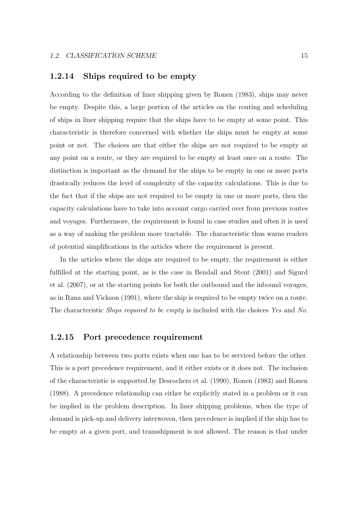## **1.2.14 Ships required to be empty**

According to the definition of liner shipping given by Ronen (1983), ships may never be empty. Despite this, a large portion of the articles on the routing and scheduling of ships in liner shipping require that the ships have to be empty at some point. This characteristic is therefore concerned with whether the ships must be empty at some point or not. The choices are that either the ships are not required to be empty at any point on a route, or they are required to be empty at least once on a route. The distinction is important as the demand for the ships to be empty in one or more ports drastically reduces the level of complexity of the capacity calculations. This is due to the fact that if the ships are not required to be empty in one or more ports, then the capacity calculations have to take into account cargo carried over from previous routes and voyages. Furthermore, the requirement is found in case studies and often it is used as a way of making the problem more tractable. The characteristic thus warns readers of potential simplifications in the articles where the requirement is present.

In the articles where the ships are required to be empty, the requirement is either fulfilled at the starting point, as is the case in Bendall and Stent (2001) and Sigurd et al. (2007), or at the starting points for both the outbound and the inbound voyages, as in Rana and Vickson (1991), where the ship is required to be empty twice on a route. The characteristic *Ships required to be empty* is included with the choices Yes and No.

#### **1.2.15 Port precedence requirement**

A relationship between two ports exists when one has to be serviced before the other. This is a port precedence requirement, and it either exists or it does not. The inclusion of the characteristic is supported by Desrochers et al. (1990), Ronen (1983) and Ronen (1988). A precedence relationship can either be explicitly stated in a problem or it can be implied in the problem description. In liner shipping problems, when the type of demand is pick-up and delivery interwoven, then precedence is implied if the ship has to be empty at a given port, and transshipment is not allowed. The reason is that under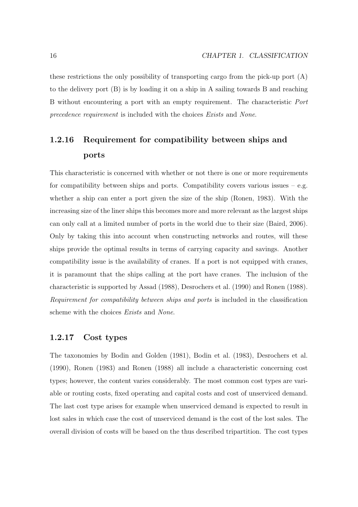these restrictions the only possibility of transporting cargo from the pick-up port  $(A)$ to the delivery port (B) is by loading it on a ship in A sailing towards B and reaching B without encountering a port with an empty requirement. The characteristic Port precedence requirement is included with the choices Exists and None.

## **1.2.16 Requirement for compatibility between ships and ports**

This characteristic is concerned with whether or not there is one or more requirements for compatibility between ships and ports. Compatibility covers various issues  $-$  e.g. whether a ship can enter a port given the size of the ship (Ronen, 1983). With the increasing size of the liner ships this becomes more and more relevant as the largest ships can only call at a limited number of ports in the world due to their size (Baird, 2006). Only by taking this into account when constructing networks and routes, will these ships provide the optimal results in terms of carrying capacity and savings. Another compatibility issue is the availability of cranes. If a port is not equipped with cranes, it is paramount that the ships calling at the port have cranes. The inclusion of the characteristic is supported by Assad (1988), Desrochers et al. (1990) and Ronen (1988). Requirement for compatibility between ships and ports is included in the classification scheme with the choices Exists and None.

#### **1.2.17 Cost types**

The taxonomies by Bodin and Golden (1981), Bodin et al. (1983), Desrochers et al. (1990), Ronen (1983) and Ronen (1988) all include a characteristic concerning cost types; however, the content varies considerably. The most common cost types are variable or routing costs, fixed operating and capital costs and cost of unserviced demand. The last cost type arises for example when unserviced demand is expected to result in lost sales in which case the cost of unserviced demand is the cost of the lost sales. The overall division of costs will be based on the thus described tripartition. The cost types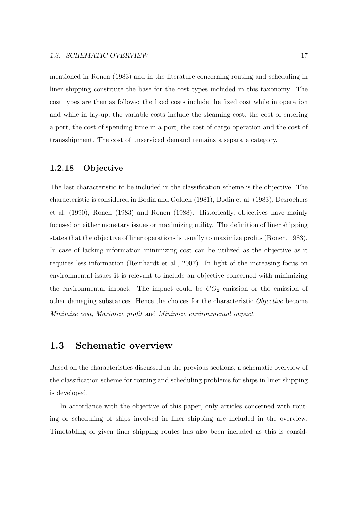mentioned in Ronen (1983) and in the literature concerning routing and scheduling in liner shipping constitute the base for the cost types included in this taxonomy. The cost types are then as follows: the fixed costs include the fixed cost while in operation and while in lay-up, the variable costs include the steaming cost, the cost of entering a port, the cost of spending time in a port, the cost of cargo operation and the cost of transshipment. The cost of unserviced demand remains a separate category.

#### **1.2.18 Objective**

The last characteristic to be included in the classification scheme is the objective. The characteristic is considered in Bodin and Golden (1981), Bodin et al. (1983), Desrochers et al. (1990), Ronen (1983) and Ronen (1988). Historically, objectives have mainly focused on either monetary issues or maximizing utility. The definition of liner shipping states that the objective of liner operations is usually to maximize profits (Ronen, 1983). In case of lacking information minimizing cost can be utilized as the objective as it requires less information (Reinhardt et al., 2007). In light of the increasing focus on environmental issues it is relevant to include an objective concerned with minimizing the environmental impact. The impact could be  $CO<sub>2</sub>$  emission or the emission of other damaging substances. Hence the choices for the characteristic Objective become Minimize cost, Maximize profit and Minimize environmental impact.

## **1.3 Schematic overview**

Based on the characteristics discussed in the previous sections, a schematic overview of the classification scheme for routing and scheduling problems for ships in liner shipping is developed.

In accordance with the objective of this paper, only articles concerned with routing or scheduling of ships involved in liner shipping are included in the overview. Timetabling of given liner shipping routes has also been included as this is consid-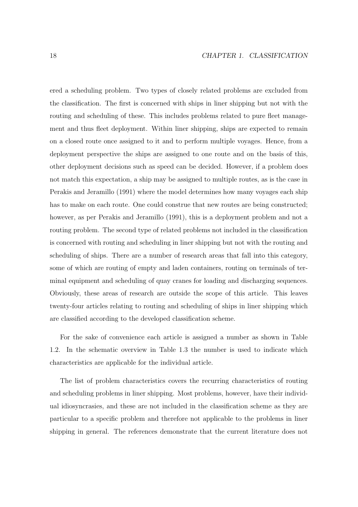ered a scheduling problem. Two types of closely related problems are excluded from the classification. The first is concerned with ships in liner shipping but not with the routing and scheduling of these. This includes problems related to pure fleet management and thus fleet deployment. Within liner shipping, ships are expected to remain on a closed route once assigned to it and to perform multiple voyages. Hence, from a deployment perspective the ships are assigned to one route and on the basis of this, other deployment decisions such as speed can be decided. However, if a problem does not match this expectation, a ship may be assigned to multiple routes, as is the case in Perakis and Jeramillo (1991) where the model determines how many voyages each ship has to make on each route. One could construe that new routes are being constructed; however, as per Perakis and Jeramillo (1991), this is a deployment problem and not a routing problem. The second type of related problems not included in the classification is concerned with routing and scheduling in liner shipping but not with the routing and scheduling of ships. There are a number of research areas that fall into this category, some of which are routing of empty and laden containers, routing on terminals of terminal equipment and scheduling of quay cranes for loading and discharging sequences. Obviously, these areas of research are outside the scope of this article. This leaves twenty-four articles relating to routing and scheduling of ships in liner shipping which are classified according to the developed classification scheme.

For the sake of convenience each article is assigned a number as shown in Table 1.2. In the schematic overview in Table 1.3 the number is used to indicate which characteristics are applicable for the individual article.

The list of problem characteristics covers the recurring characteristics of routing and scheduling problems in liner shipping. Most problems, however, have their individual idiosyncrasies, and these are not included in the classification scheme as they are particular to a specific problem and therefore not applicable to the problems in liner shipping in general. The references demonstrate that the current literature does not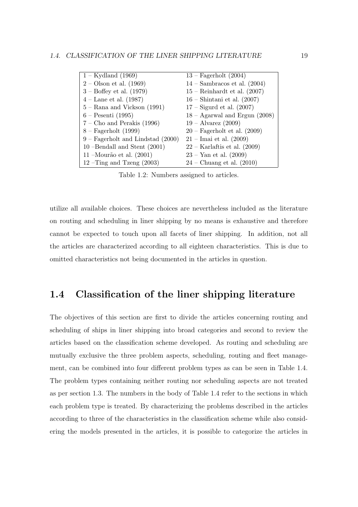| $1 -$ Kydland (1969)                | $13$ – Fagerholt $(2004)$          |
|-------------------------------------|------------------------------------|
| $2 -$ Olson et al. (1969)           | $14$ – Sambracos et al. (2004)     |
| $3 -$ Boffey et al. $(1979)$        | $15$ – Reinhardt et al. $(2007)$   |
| $4 -$ Lane et al. (1987)            | $16$ – Shintani et al. $(2007)$    |
| $5 -$ Rana and Vickson (1991)       | $17 -$ Sigurd et al. $(2007)$      |
| $6 -$ Pesenti (1995)                | $18 -$ Agarwal and Ergun (2008)    |
| $7$ – Cho and Perakis (1996)        | $19 - \text{Alvarez} (2009)$       |
| $8 - Fagerholt (1999)$              | $20$ – Fagerholt et al. $(2009)$   |
| $9$ – Fagerholt and Lindstad (2000) | $21 - \text{Imai}$ et al. $(2009)$ |
| 10 --Bendall and Stent $(2001)$     | $22 -$ Karlaftis et al. (2009)     |
| 11 – Mourão et al. $(2001)$         | $23 -$ Yan et al. $(2009)$         |
| 12 –Ting and Tzeng $(2003)$         | $24$ – Chuang et al. $(2010)$      |

Table 1.2: Numbers assigned to articles.

utilize all available choices. These choices are nevertheless included as the literature on routing and scheduling in liner shipping by no means is exhaustive and therefore cannot be expected to touch upon all facets of liner shipping. In addition, not all the articles are characterized according to all eighteen characteristics. This is due to omitted characteristics not being documented in the articles in question.

## **1.4 Classification of the liner shipping literature**

The objectives of this section are first to divide the articles concerning routing and scheduling of ships in liner shipping into broad categories and second to review the articles based on the classification scheme developed. As routing and scheduling are mutually exclusive the three problem aspects, scheduling, routing and fleet management, can be combined into four different problem types as can be seen in Table 1.4. The problem types containing neither routing nor scheduling aspects are not treated as per section 1.3. The numbers in the body of Table 1.4 refer to the sections in which each problem type is treated. By characterizing the problems described in the articles according to three of the characteristics in the classification scheme while also considering the models presented in the articles, it is possible to categorize the articles in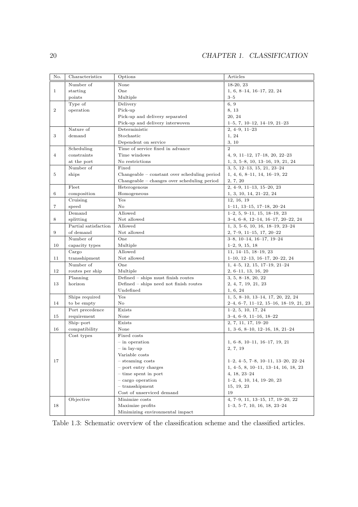| No.            | Characteristics            | Options                                        | Articles                                                          |
|----------------|----------------------------|------------------------------------------------|-------------------------------------------------------------------|
|                | Number of                  | None                                           | 18-20, 23                                                         |
| $\mathbf{1}$   | starting                   | One                                            | $1, 6, 8-14, 16-17, 22, 24$                                       |
|                | points                     | Multiple                                       | $3 - 5$                                                           |
|                | Type of                    | Delivery                                       | 6, 9                                                              |
| $\overline{2}$ | operation                  | Pick-up                                        | 8, 13                                                             |
|                |                            | Pick-up and delivery separated                 | 20, 24                                                            |
|                |                            | Pick-up and delivery interwoven                | $1-5, 7, 10-12, 14-19, 21-23$                                     |
|                | Nature of                  | Deterministic                                  | $2, 4-9, 11-23$                                                   |
| 3              | demand                     | Stochastic                                     | 1, 24                                                             |
|                |                            | Dependent on service                           | 3, 10                                                             |
|                | Scheduling                 | Time of service fixed in advance               | $\overline{2}$                                                    |
| $\overline{4}$ | constraints                | Time windows                                   | $4, 9, 11-12, 17-18, 20, 22-23$                                   |
|                | at the port                | No restrictions                                | $1, 3, 5-8, 10, 13-16, 19, 21, 24$                                |
|                | Number of                  | Fixed                                          | $3, 5, 12-13, 15, 21, 23-24$                                      |
| 5              | ships                      | $Changeable - constant over scheduling period$ | $1, 4, 6, 8-11, 14, 16-19, 22$                                    |
|                |                            | Changeable - changes over scheduling period    | 2, 7, 20                                                          |
|                | Fleet                      | Heterogenous                                   | $2, 4-9, 11-13, 15-20, 23$                                        |
| 6              | composition                | Homogeneous                                    | $1, 3, 10, 14, 21-22, 24$                                         |
|                | Cruising                   | Yes                                            | 12, 16, 19                                                        |
| 7              | speed                      | No                                             | $1-11, 13-15, 17-18, 20-24$                                       |
|                | Demand                     | Allowed                                        | $1-2, 5, 9-11, 15, 18-19, 23$                                     |
| 8              | splitting                  | Not allowed                                    | $3-4, 6-8, 12-14, 16-17, 20-22, 24$                               |
|                | Partial satisfaction       | Allowed                                        | $1, 3, 5-6, 10, 16, 18-19, 23-24$                                 |
| 9              | of demand                  | Not allowed                                    | $2, 7-9, 11-15, 17, 20-22$                                        |
|                | Number of                  | One                                            | $3-8, 10-14, 16-17, 19-24$                                        |
| 10             | capacity types             |                                                |                                                                   |
|                |                            | Multiple<br>Allowed                            | $1-2, 9, 15, 18$                                                  |
| 11             | Cargo<br>transshipment     | Not allowed                                    | $11, 14-15, 18-19, 23$                                            |
|                | Number of                  | One                                            | $1-10, 12-13, 16-17, 20-22, 24$<br>$1, 4-5, 12, 15, 17-19, 21-24$ |
| 12             | routes per ship            | Multiple                                       |                                                                   |
|                | Planning                   | Defined - ships must finish routes             | $2, 6-11, 13, 16, 20$<br>$3, 5, 8-18, 20, 22$                     |
| 13             | horizon                    | Defined - ships need not finish routes         |                                                                   |
|                |                            | Undefined                                      | 2, 4, 7, 19, 21, 23<br>1, 6, 24                                   |
|                | Ships required             | Yes                                            | $1, 5, 8-10, 13-14, 17, 20, 22, 24$                               |
| 14             | to be empty                | No                                             |                                                                   |
|                |                            |                                                | $2-4, 6-7, 11-12, 15-16, 18-19, 21, 23$                           |
|                | Port precedence            | Exists<br>None                                 | $1-2, 5, 10, 17, 24$                                              |
| 15             | requirement                | Exists                                         | $3-4, 6-9, 11-16, 18-22$                                          |
|                | Ship-port<br>compatibility | None                                           | 2, 7, 11, 17, 19-20                                               |
| 16             |                            |                                                | $1, 3-6, 8-10, 12-16, 18, 21-24$                                  |
|                | Cost types                 | Fixed costs                                    |                                                                   |
|                |                            | in operation                                   | $1, 6-8, 10-11, 16-17, 19, 21$                                    |
|                |                            | $-$ in lay-up                                  | 2, 7, 19                                                          |
|                |                            | Variable costs                                 |                                                                   |
| 17             |                            | $-$ steaming costs                             | $1-2, 4-5, 7-8, 10-11, 13-20, 22-24$                              |
|                |                            | $-$ port entry charges                         | $1, 4-5, 8, 10-11, 13-14, 16, 18, 23$                             |
|                |                            | $-$ time spent in port                         | $4, 18, 23 - 24$                                                  |
|                |                            | $-$ cargo operation                            | $1-2, 4, 10, 14, 19-20, 23$                                       |
|                |                            | $-$ transshipment                              | 15, 19, 23                                                        |
|                |                            | Cost of unserviced demand                      | 19                                                                |
|                | Objective                  | Minimize costs                                 | 4, 7-9, 11, 13-15, 17, 19-20, 22                                  |
| 18             |                            | Maximize profits                               | $1-3, 5-7, 10, 16, 18, 23-24$                                     |
|                |                            | Minimizing environmental impact                |                                                                   |

Table 1.3: Schematic overview of the classification scheme and the classified articles.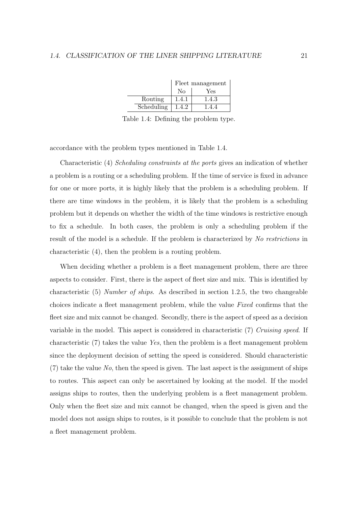|            | Fleet management |       |
|------------|------------------|-------|
|            | No               | Yes   |
| Routing    | 1.4.1            | 1.4.3 |
| Scheduling | 1.4.2            | 144   |

Table 1.4: Defining the problem type.

accordance with the problem types mentioned in Table 1.4.

Characteristic (4) Scheduling constraints at the ports gives an indication of whether a problem is a routing or a scheduling problem. If the time of service is fixed in advance for one or more ports, it is highly likely that the problem is a scheduling problem. If there are time windows in the problem, it is likely that the problem is a scheduling problem but it depends on whether the width of the time windows is restrictive enough to fix a schedule. In both cases, the problem is only a scheduling problem if the result of the model is a schedule. If the problem is characterized by No restrictions in characteristic (4), then the problem is a routing problem.

When deciding whether a problem is a fleet management problem, there are three aspects to consider. First, there is the aspect of fleet size and mix. This is identified by characteristic (5) Number of ships. As described in section 1.2.5, the two changeable choices indicate a fleet management problem, while the value Fixed confirms that the fleet size and mix cannot be changed. Secondly, there is the aspect of speed as a decision variable in the model. This aspect is considered in characteristic (7) Cruising speed. If characteristic (7) takes the value Yes, then the problem is a fleet management problem since the deployment decision of setting the speed is considered. Should characteristic  $(7)$  take the value No, then the speed is given. The last aspect is the assignment of ships to routes. This aspect can only be ascertained by looking at the model. If the model assigns ships to routes, then the underlying problem is a fleet management problem. Only when the fleet size and mix cannot be changed, when the speed is given and the model does not assign ships to routes, is it possible to conclude that the problem is not a fleet management problem.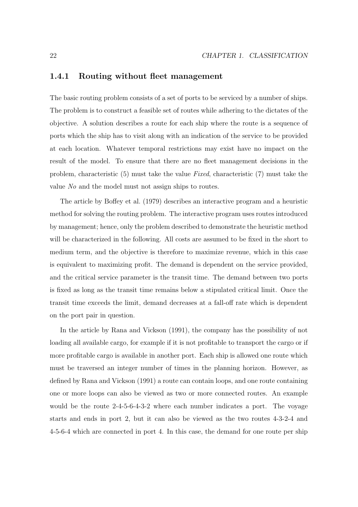#### **1.4.1 Routing without fleet management**

The basic routing problem consists of a set of ports to be serviced by a number of ships. The problem is to construct a feasible set of routes while adhering to the dictates of the objective. A solution describes a route for each ship where the route is a sequence of ports which the ship has to visit along with an indication of the service to be provided at each location. Whatever temporal restrictions may exist have no impact on the result of the model. To ensure that there are no fleet management decisions in the problem, characteristic (5) must take the value Fixed, characteristic (7) must take the value No and the model must not assign ships to routes.

The article by Boffey et al. (1979) describes an interactive program and a heuristic method for solving the routing problem. The interactive program uses routes introduced by management; hence, only the problem described to demonstrate the heuristic method will be characterized in the following. All costs are assumed to be fixed in the short to medium term, and the objective is therefore to maximize revenue, which in this case is equivalent to maximizing profit. The demand is dependent on the service provided, and the critical service parameter is the transit time. The demand between two ports is fixed as long as the transit time remains below a stipulated critical limit. Once the transit time exceeds the limit, demand decreases at a fall-off rate which is dependent on the port pair in question.

In the article by Rana and Vickson (1991), the company has the possibility of not loading all available cargo, for example if it is not profitable to transport the cargo or if more profitable cargo is available in another port. Each ship is allowed one route which must be traversed an integer number of times in the planning horizon. However, as defined by Rana and Vickson (1991) a route can contain loops, and one route containing one or more loops can also be viewed as two or more connected routes. An example would be the route 2-4-5-6-4-3-2 where each number indicates a port. The voyage starts and ends in port 2, but it can also be viewed as the two routes 4-3-2-4 and 4-5-6-4 which are connected in port 4. In this case, the demand for one route per ship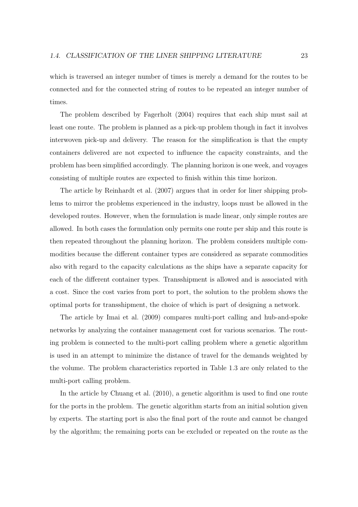which is traversed an integer number of times is merely a demand for the routes to be connected and for the connected string of routes to be repeated an integer number of times.

The problem described by Fagerholt (2004) requires that each ship must sail at least one route. The problem is planned as a pick-up problem though in fact it involves interwoven pick-up and delivery. The reason for the simplification is that the empty containers delivered are not expected to influence the capacity constraints, and the problem has been simplified accordingly. The planning horizon is one week, and voyages consisting of multiple routes are expected to finish within this time horizon.

The article by Reinhardt et al. (2007) argues that in order for liner shipping problems to mirror the problems experienced in the industry, loops must be allowed in the developed routes. However, when the formulation is made linear, only simple routes are allowed. In both cases the formulation only permits one route per ship and this route is then repeated throughout the planning horizon. The problem considers multiple commodities because the different container types are considered as separate commodities also with regard to the capacity calculations as the ships have a separate capacity for each of the different container types. Transshipment is allowed and is associated with a cost. Since the cost varies from port to port, the solution to the problem shows the optimal ports for transshipment, the choice of which is part of designing a network.

The article by Imai et al. (2009) compares multi-port calling and hub-and-spoke networks by analyzing the container management cost for various scenarios. The routing problem is connected to the multi-port calling problem where a genetic algorithm is used in an attempt to minimize the distance of travel for the demands weighted by the volume. The problem characteristics reported in Table 1.3 are only related to the multi-port calling problem.

In the article by Chuang et al. (2010), a genetic algorithm is used to find one route for the ports in the problem. The genetic algorithm starts from an initial solution given by experts. The starting port is also the final port of the route and cannot be changed by the algorithm; the remaining ports can be excluded or repeated on the route as the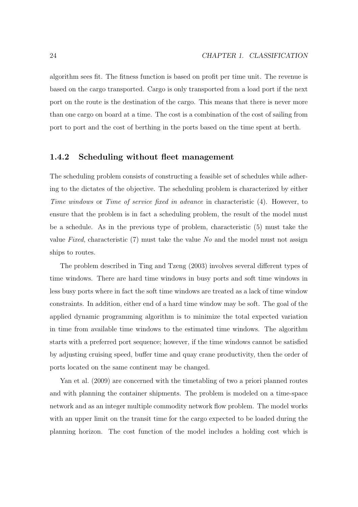algorithm sees fit. The fitness function is based on profit per time unit. The revenue is based on the cargo transported. Cargo is only transported from a load port if the next port on the route is the destination of the cargo. This means that there is never more than one cargo on board at a time. The cost is a combination of the cost of sailing from port to port and the cost of berthing in the ports based on the time spent at berth.

## **1.4.2 Scheduling without fleet management**

The scheduling problem consists of constructing a feasible set of schedules while adhering to the dictates of the objective. The scheduling problem is characterized by either Time windows or Time of service fixed in advance in characteristic (4). However, to ensure that the problem is in fact a scheduling problem, the result of the model must be a schedule. As in the previous type of problem, characteristic (5) must take the value Fixed, characteristic (7) must take the value No and the model must not assign ships to routes.

The problem described in Ting and Tzeng (2003) involves several different types of time windows. There are hard time windows in busy ports and soft time windows in less busy ports where in fact the soft time windows are treated as a lack of time window constraints. In addition, either end of a hard time window may be soft. The goal of the applied dynamic programming algorithm is to minimize the total expected variation in time from available time windows to the estimated time windows. The algorithm starts with a preferred port sequence; however, if the time windows cannot be satisfied by adjusting cruising speed, buffer time and quay crane productivity, then the order of ports located on the same continent may be changed.

Yan et al. (2009) are concerned with the timetabling of two a priori planned routes and with planning the container shipments. The problem is modeled on a time-space network and as an integer multiple commodity network flow problem. The model works with an upper limit on the transit time for the cargo expected to be loaded during the planning horizon. The cost function of the model includes a holding cost which is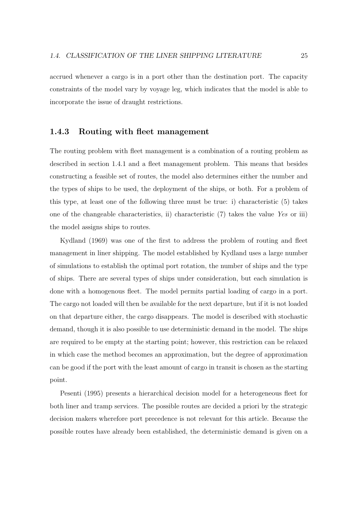accrued whenever a cargo is in a port other than the destination port. The capacity constraints of the model vary by voyage leg, which indicates that the model is able to incorporate the issue of draught restrictions.

#### **1.4.3 Routing with fleet management**

The routing problem with fleet management is a combination of a routing problem as described in section 1.4.1 and a fleet management problem. This means that besides constructing a feasible set of routes, the model also determines either the number and the types of ships to be used, the deployment of the ships, or both. For a problem of this type, at least one of the following three must be true: i) characteristic (5) takes one of the changeable characteristics, ii) characteristic (7) takes the value Yes or iii) the model assigns ships to routes.

Kydland (1969) was one of the first to address the problem of routing and fleet management in liner shipping. The model established by Kydland uses a large number of simulations to establish the optimal port rotation, the number of ships and the type of ships. There are several types of ships under consideration, but each simulation is done with a homogenous fleet. The model permits partial loading of cargo in a port. The cargo not loaded will then be available for the next departure, but if it is not loaded on that departure either, the cargo disappears. The model is described with stochastic demand, though it is also possible to use deterministic demand in the model. The ships are required to be empty at the starting point; however, this restriction can be relaxed in which case the method becomes an approximation, but the degree of approximation can be good if the port with the least amount of cargo in transit is chosen as the starting point.

Pesenti (1995) presents a hierarchical decision model for a heterogeneous fleet for both liner and tramp services. The possible routes are decided a priori by the strategic decision makers wherefore port precedence is not relevant for this article. Because the possible routes have already been established, the deterministic demand is given on a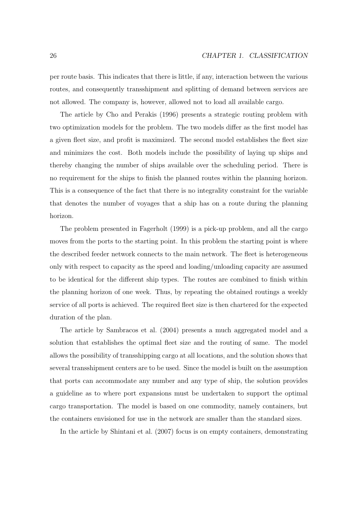per route basis. This indicates that there is little, if any, interaction between the various routes, and consequently transshipment and splitting of demand between services are not allowed. The company is, however, allowed not to load all available cargo.

The article by Cho and Perakis (1996) presents a strategic routing problem with two optimization models for the problem. The two models differ as the first model has a given fleet size, and profit is maximized. The second model establishes the fleet size and minimizes the cost. Both models include the possibility of laying up ships and thereby changing the number of ships available over the scheduling period. There is no requirement for the ships to finish the planned routes within the planning horizon. This is a consequence of the fact that there is no integrality constraint for the variable that denotes the number of voyages that a ship has on a route during the planning horizon.

The problem presented in Fagerholt (1999) is a pick-up problem, and all the cargo moves from the ports to the starting point. In this problem the starting point is where the described feeder network connects to the main network. The fleet is heterogeneous only with respect to capacity as the speed and loading/unloading capacity are assumed to be identical for the different ship types. The routes are combined to finish within the planning horizon of one week. Thus, by repeating the obtained routings a weekly service of all ports is achieved. The required fleet size is then chartered for the expected duration of the plan.

The article by Sambracos et al. (2004) presents a much aggregated model and a solution that establishes the optimal fleet size and the routing of same. The model allows the possibility of transshipping cargo at all locations, and the solution shows that several transshipment centers are to be used. Since the model is built on the assumption that ports can accommodate any number and any type of ship, the solution provides a guideline as to where port expansions must be undertaken to support the optimal cargo transportation. The model is based on one commodity, namely containers, but the containers envisioned for use in the network are smaller than the standard sizes.

In the article by Shintani et al. (2007) focus is on empty containers, demonstrating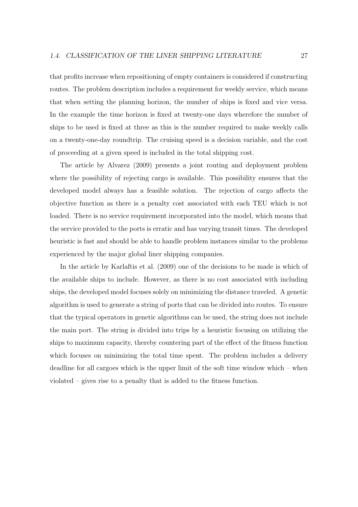that profits increase when repositioning of empty containers is considered if constructing routes. The problem description includes a requirement for weekly service, which means that when setting the planning horizon, the number of ships is fixed and vice versa. In the example the time horizon is fixed at twenty-one days wherefore the number of ships to be used is fixed at three as this is the number required to make weekly calls on a twenty-one-day roundtrip. The cruising speed is a decision variable, and the cost of proceeding at a given speed is included in the total shipping cost.

The article by Alvarez (2009) presents a joint routing and deployment problem where the possibility of rejecting cargo is available. This possibility ensures that the developed model always has a feasible solution. The rejection of cargo affects the objective function as there is a penalty cost associated with each TEU which is not loaded. There is no service requirement incorporated into the model, which means that the service provided to the ports is erratic and has varying transit times. The developed heuristic is fast and should be able to handle problem instances similar to the problems experienced by the major global liner shipping companies.

In the article by Karlaftis et al. (2009) one of the decisions to be made is which of the available ships to include. However, as there is no cost associated with including ships, the developed model focuses solely on minimizing the distance traveled. A genetic algorithm is used to generate a string of ports that can be divided into routes. To ensure that the typical operators in genetic algorithms can be used, the string does not include the main port. The string is divided into trips by a heuristic focusing on utilizing the ships to maximum capacity, thereby countering part of the effect of the fitness function which focuses on minimizing the total time spent. The problem includes a delivery deadline for all cargoes which is the upper limit of the soft time window which – when violated – gives rise to a penalty that is added to the fitness function.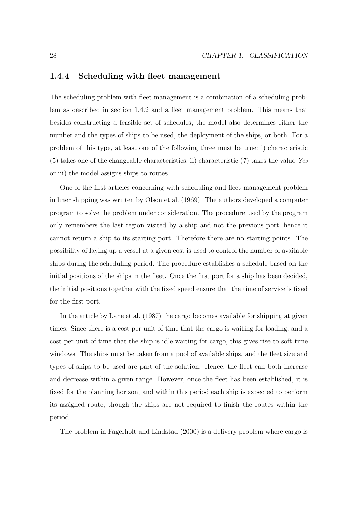## **1.4.4 Scheduling with fleet management**

The scheduling problem with fleet management is a combination of a scheduling problem as described in section 1.4.2 and a fleet management problem. This means that besides constructing a feasible set of schedules, the model also determines either the number and the types of ships to be used, the deployment of the ships, or both. For a problem of this type, at least one of the following three must be true: i) characteristic (5) takes one of the changeable characteristics, ii) characteristic (7) takes the value Yes or iii) the model assigns ships to routes.

One of the first articles concerning with scheduling and fleet management problem in liner shipping was written by Olson et al. (1969). The authors developed a computer program to solve the problem under consideration. The procedure used by the program only remembers the last region visited by a ship and not the previous port, hence it cannot return a ship to its starting port. Therefore there are no starting points. The possibility of laying up a vessel at a given cost is used to control the number of available ships during the scheduling period. The procedure establishes a schedule based on the initial positions of the ships in the fleet. Once the first port for a ship has been decided, the initial positions together with the fixed speed ensure that the time of service is fixed for the first port.

In the article by Lane et al. (1987) the cargo becomes available for shipping at given times. Since there is a cost per unit of time that the cargo is waiting for loading, and a cost per unit of time that the ship is idle waiting for cargo, this gives rise to soft time windows. The ships must be taken from a pool of available ships, and the fleet size and types of ships to be used are part of the solution. Hence, the fleet can both increase and decrease within a given range. However, once the fleet has been established, it is fixed for the planning horizon, and within this period each ship is expected to perform its assigned route, though the ships are not required to finish the routes within the period.

The problem in Fagerholt and Lindstad (2000) is a delivery problem where cargo is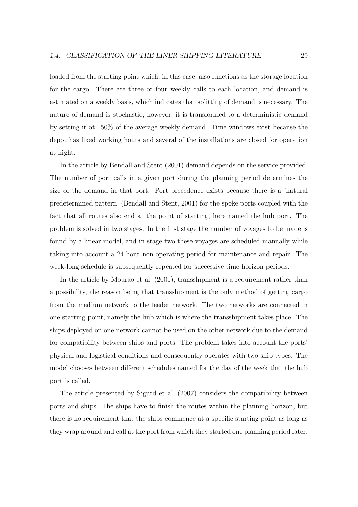loaded from the starting point which, in this case, also functions as the storage location for the cargo. There are three or four weekly calls to each location, and demand is estimated on a weekly basis, which indicates that splitting of demand is necessary. The nature of demand is stochastic; however, it is transformed to a deterministic demand by setting it at 150% of the average weekly demand. Time windows exist because the depot has fixed working hours and several of the installations are closed for operation at night.

In the article by Bendall and Stent (2001) demand depends on the service provided. The number of port calls in a given port during the planning period determines the size of the demand in that port. Port precedence exists because there is a 'natural predetermined pattern' (Bendall and Stent, 2001) for the spoke ports coupled with the fact that all routes also end at the point of starting, here named the hub port. The problem is solved in two stages. In the first stage the number of voyages to be made is found by a linear model, and in stage two these voyages are scheduled manually while taking into account a 24-hour non-operating period for maintenance and repair. The week-long schedule is subsequently repeated for successive time horizon periods.

In the article by Mourão et al. (2001), transshipment is a requirement rather than a possibility, the reason being that transshipment is the only method of getting cargo from the medium network to the feeder network. The two networks are connected in one starting point, namely the hub which is where the transshipment takes place. The ships deployed on one network cannot be used on the other network due to the demand for compatibility between ships and ports. The problem takes into account the ports' physical and logistical conditions and consequently operates with two ship types. The model chooses between different schedules named for the day of the week that the hub port is called.

The article presented by Sigurd et al. (2007) considers the compatibility between ports and ships. The ships have to finish the routes within the planning horizon, but there is no requirement that the ships commence at a specific starting point as long as they wrap around and call at the port from which they started one planning period later.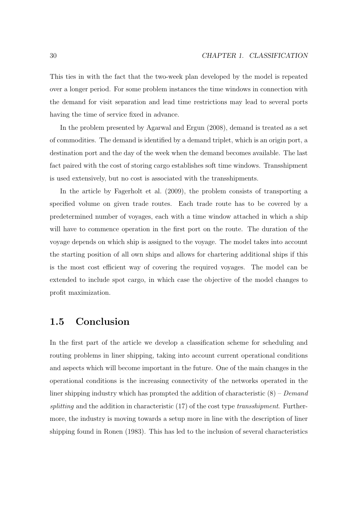This ties in with the fact that the two-week plan developed by the model is repeated over a longer period. For some problem instances the time windows in connection with the demand for visit separation and lead time restrictions may lead to several ports having the time of service fixed in advance.

In the problem presented by Agarwal and Ergun (2008), demand is treated as a set of commodities. The demand is identified by a demand triplet, which is an origin port, a destination port and the day of the week when the demand becomes available. The last fact paired with the cost of storing cargo establishes soft time windows. Transshipment is used extensively, but no cost is associated with the transshipments.

In the article by Fagerholt et al. (2009), the problem consists of transporting a specified volume on given trade routes. Each trade route has to be covered by a predetermined number of voyages, each with a time window attached in which a ship will have to commence operation in the first port on the route. The duration of the voyage depends on which ship is assigned to the voyage. The model takes into account the starting position of all own ships and allows for chartering additional ships if this is the most cost efficient way of covering the required voyages. The model can be extended to include spot cargo, in which case the objective of the model changes to profit maximization.

## **1.5 Conclusion**

In the first part of the article we develop a classification scheme for scheduling and routing problems in liner shipping, taking into account current operational conditions and aspects which will become important in the future. One of the main changes in the operational conditions is the increasing connectivity of the networks operated in the liner shipping industry which has prompted the addition of characteristic  $(8)$  – Demand splitting and the addition in characteristic  $(17)$  of the cost type transshipment. Furthermore, the industry is moving towards a setup more in line with the description of liner shipping found in Ronen (1983). This has led to the inclusion of several characteristics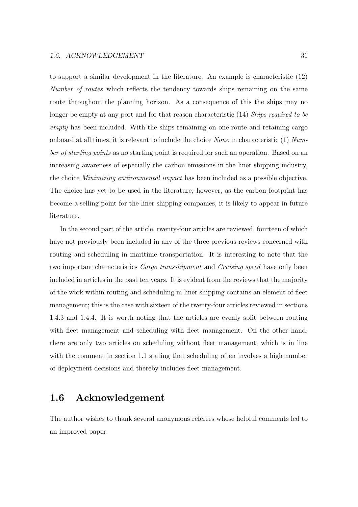to support a similar development in the literature. An example is characteristic (12) Number of routes which reflects the tendency towards ships remaining on the same route throughout the planning horizon. As a consequence of this the ships may no longer be empty at any port and for that reason characteristic (14) Ships required to be empty has been included. With the ships remaining on one route and retaining cargo onboard at all times, it is relevant to include the choice *None* in characteristic  $(1)$  Number of starting points as no starting point is required for such an operation. Based on an increasing awareness of especially the carbon emissions in the liner shipping industry, the choice Minimizing environmental impact has been included as a possible objective. The choice has yet to be used in the literature; however, as the carbon footprint has become a selling point for the liner shipping companies, it is likely to appear in future literature.

In the second part of the article, twenty-four articles are reviewed, fourteen of which have not previously been included in any of the three previous reviews concerned with routing and scheduling in maritime transportation. It is interesting to note that the two important characteristics Cargo transshipment and Cruising speed have only been included in articles in the past ten years. It is evident from the reviews that the majority of the work within routing and scheduling in liner shipping contains an element of fleet management; this is the case with sixteen of the twenty-four articles reviewed in sections 1.4.3 and 1.4.4. It is worth noting that the articles are evenly split between routing with fleet management and scheduling with fleet management. On the other hand, there are only two articles on scheduling without fleet management, which is in line with the comment in section 1.1 stating that scheduling often involves a high number of deployment decisions and thereby includes fleet management.

## **1.6 Acknowledgement**

The author wishes to thank several anonymous referees whose helpful comments led to an improved paper.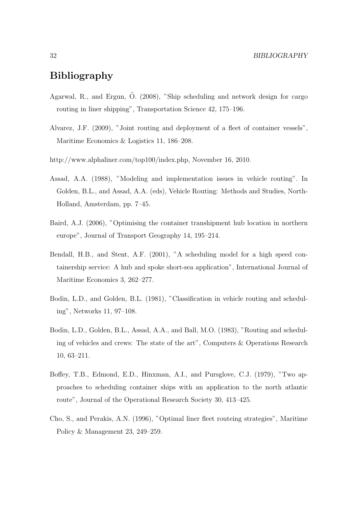## **Bibliography**

- Agarwal, R., and Ergun, Ö. (2008), "Ship scheduling and network design for cargo routing in liner shipping", Transportation Science 42, 175–196.
- Alvarez, J.F. (2009), "Joint routing and deployment of a fleet of container vessels", Maritime Economics & Logistics 11, 186–208.
- http://www.alphaliner.com/top100/index.php, November 16, 2010.
- Assad, A.A. (1988), "Modeling and implementation issues in vehicle routing". In Golden, B.L., and Assad, A.A. (eds), Vehicle Routing: Methods and Studies, North-Holland, Amsterdam, pp. 7–45.
- Baird, A.J. (2006), "Optimising the container transhipment hub location in northern europe", Journal of Transport Geography 14, 195–214.
- Bendall, H.B., and Stent, A.F. (2001), "A scheduling model for a high speed containership service: A hub and spoke short-sea application", International Journal of Maritime Economics 3, 262–277.
- Bodin, L.D., and Golden, B.L. (1981), "Classification in vehicle routing and scheduling", Networks 11, 97–108.
- Bodin, L.D., Golden, B.L., Assad, A.A., and Ball, M.O. (1983), "Routing and scheduling of vehicles and crews: The state of the art", Computers & Operations Research 10, 63–211.
- Boffey, T.B., Edmond, E.D., Hinxman, A.I., and Pursglove, C.J. (1979), "Two approaches to scheduling container ships with an application to the north atlantic route", Journal of the Operational Research Society 30, 413–425.
- Cho, S., and Perakis, A.N. (1996), "Optimal liner fleet routeing strategies", Maritime Policy & Management 23, 249–259.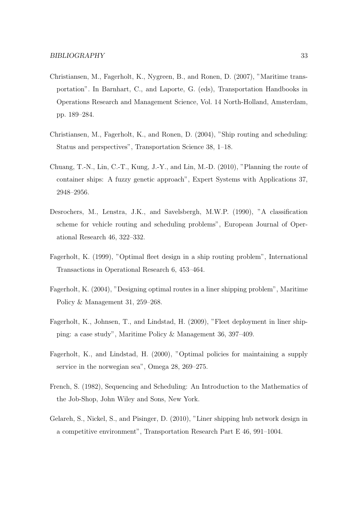- Christiansen, M., Fagerholt, K., Nygreen, B., and Ronen, D. (2007), "Maritime transportation". In Barnhart, C., and Laporte, G. (eds), Transportation Handbooks in Operations Research and Management Science, Vol. 14 North-Holland, Amsterdam, pp. 189–284.
- Christiansen, M., Fagerholt, K., and Ronen, D. (2004), "Ship routing and scheduling: Status and perspectives", Transportation Science 38, 1–18.
- Chuang, T.-N., Lin, C.-T., Kung, J.-Y., and Lin, M.-D. (2010), "Planning the route of container ships: A fuzzy genetic approach", Expert Systems with Applications 37, 2948–2956.
- Desrochers, M., Lenstra, J.K., and Savelsbergh, M.W.P. (1990), "A classification scheme for vehicle routing and scheduling problems", European Journal of Operational Research 46, 322–332.
- Fagerholt, K. (1999), "Optimal fleet design in a ship routing problem", International Transactions in Operational Research 6, 453–464.
- Fagerholt, K. (2004), "Designing optimal routes in a liner shipping problem", Maritime Policy & Management 31, 259–268.
- Fagerholt, K., Johnsen, T., and Lindstad, H. (2009), "Fleet deployment in liner shipping: a case study", Maritime Policy & Management 36, 397–409.
- Fagerholt, K., and Lindstad, H. (2000), "Optimal policies for maintaining a supply service in the norwegian sea", Omega 28, 269–275.
- French, S. (1982), Sequencing and Scheduling: An Introduction to the Mathematics of the Job-Shop, John Wiley and Sons, New York.
- Gelareh, S., Nickel, S., and Pisinger, D. (2010), "Liner shipping hub network design in a competitive environment", Transportation Research Part E 46, 991–1004.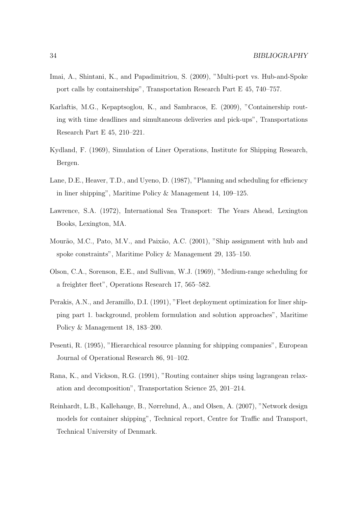- Imai, A., Shintani, K., and Papadimitriou, S. (2009), "Multi-port vs. Hub-and-Spoke port calls by containerships", Transportation Research Part E 45, 740–757.
- Karlaftis, M.G., Kepaptsoglou, K., and Sambracos, E. (2009), "Containership routing with time deadlines and simultaneous deliveries and pick-ups", Transportations Research Part E 45, 210–221.
- Kydland, F. (1969), Simulation of Liner Operations, Institute for Shipping Research, Bergen.
- Lane, D.E., Heaver, T.D., and Uyeno, D. (1987), "Planning and scheduling for efficiency in liner shipping", Maritime Policy & Management 14, 109–125.
- Lawrence, S.A. (1972), International Sea Transport: The Years Ahead, Lexington Books, Lexington, MA.
- Mourão, M.C., Pato, M.V., and Paixão, A.C. (2001), "Ship assignment with hub and spoke constraints", Maritime Policy & Management 29, 135–150.
- Olson, C.A., Sorenson, E.E., and Sullivan, W.J. (1969), "Medium-range scheduling for a freighter fleet", Operations Research 17, 565–582.
- Perakis, A.N., and Jeramillo, D.I. (1991), "Fleet deployment optimization for liner shipping part 1. background, problem formulation and solution approaches", Maritime Policy & Management 18, 183–200.
- Pesenti, R. (1995), "Hierarchical resource planning for shipping companies", European Journal of Operational Research 86, 91–102.
- Rana, K., and Vickson, R.G. (1991), "Routing container ships using lagrangean relaxation and decomposition", Transportation Science 25, 201–214.
- Reinhardt, L.B., Kallehauge, B., Nørrelund, A., and Olsen, A. (2007), "Network design models for container shipping", Technical report, Centre for Traffic and Transport, Technical University of Denmark.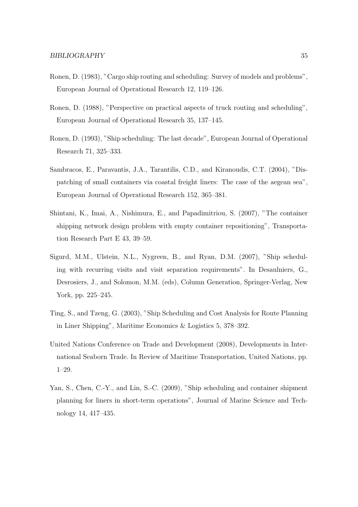- Ronen, D. (1983), "Cargo ship routing and scheduling: Survey of models and problems", European Journal of Operational Research 12, 119–126.
- Ronen, D. (1988), "Perspective on practical aspects of truck routing and scheduling", European Journal of Operational Research 35, 137–145.
- Ronen, D. (1993), "Ship scheduling: The last decade", European Journal of Operational Research 71, 325–333.
- Sambracos, E., Paravantis, J.A., Tarantilis, C.D., and Kiranoudis, C.T. (2004), "Dispatching of small containers via coastal freight liners: The case of the aegean sea", European Journal of Operational Research 152, 365–381.
- Shintani, K., Imai, A., Nishimura, E., and Papadimitriou, S. (2007), "The container shipping network design problem with empty container repositioning", Transportation Research Part E 43, 39–59.
- Sigurd, M.M., Ulstein, N.L., Nygreen, B., and Ryan, D.M. (2007), "Ship scheduling with recurring visits and visit separation requirements". In Desaulniers, G., Desrosiers, J., and Solomon, M.M. (eds), Column Generation, Springer-Verlag, New York, pp. 225–245.
- Ting, S., and Tzeng, G. (2003), "Ship Scheduling and Cost Analysis for Route Planning in Liner Shipping", Maritime Economics & Logistics 5, 378–392.
- United Nations Conference on Trade and Development (2008), Developments in International Seaborn Trade. In Review of Maritime Transportation, United Nations, pp. 1–29.
- Yan, S., Chen, C.-Y., and Lin, S.-C. (2009), "Ship scheduling and container shipment planning for liners in short-term operations", Journal of Marine Science and Technology 14, 417–435.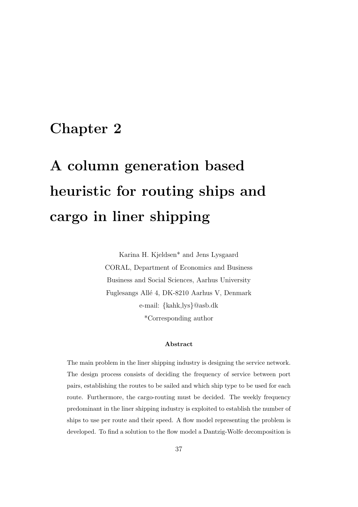## **Chapter 2**

# **A column generation based heuristic for routing ships and cargo in liner shipping**

Karina H. Kjeldsen\* and Jens Lysgaard CORAL, Department of Economics and Business Business and Social Sciences, Aarhus University Fuglesangs All´e 4, DK-8210 Aarhus V, Denmark e-mail: {kahk,lys}@asb.dk \*Corresponding author

#### **Abstract**

The main problem in the liner shipping industry is designing the service network. The design process consists of deciding the frequency of service between port pairs, establishing the routes to be sailed and which ship type to be used for each route. Furthermore, the cargo-routing must be decided. The weekly frequency predominant in the liner shipping industry is exploited to establish the number of ships to use per route and their speed. A flow model representing the problem is developed. To find a solution to the flow model a Dantzig-Wolfe decomposition is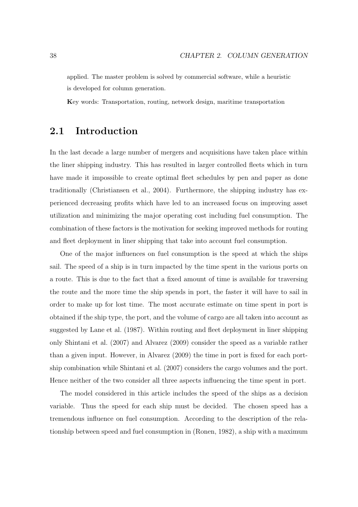applied. The master problem is solved by commercial software, while a heuristic is developed for column generation.

**K**ey words: Transportation, routing, network design, maritime transportation

## **2.1 Introduction**

In the last decade a large number of mergers and acquisitions have taken place within the liner shipping industry. This has resulted in larger controlled fleets which in turn have made it impossible to create optimal fleet schedules by pen and paper as done traditionally (Christiansen et al., 2004). Furthermore, the shipping industry has experienced decreasing profits which have led to an increased focus on improving asset utilization and minimizing the major operating cost including fuel consumption. The combination of these factors is the motivation for seeking improved methods for routing and fleet deployment in liner shipping that take into account fuel consumption.

One of the major influences on fuel consumption is the speed at which the ships sail. The speed of a ship is in turn impacted by the time spent in the various ports on a route. This is due to the fact that a fixed amount of time is available for traversing the route and the more time the ship spends in port, the faster it will have to sail in order to make up for lost time. The most accurate estimate on time spent in port is obtained if the ship type, the port, and the volume of cargo are all taken into account as suggested by Lane et al. (1987). Within routing and fleet deployment in liner shipping only Shintani et al. (2007) and Alvarez (2009) consider the speed as a variable rather than a given input. However, in Alvarez (2009) the time in port is fixed for each portship combination while Shintani et al. (2007) considers the cargo volumes and the port. Hence neither of the two consider all three aspects influencing the time spent in port.

The model considered in this article includes the speed of the ships as a decision variable. Thus the speed for each ship must be decided. The chosen speed has a tremendous influence on fuel consumption. According to the description of the relationship between speed and fuel consumption in (Ronen, 1982), a ship with a maximum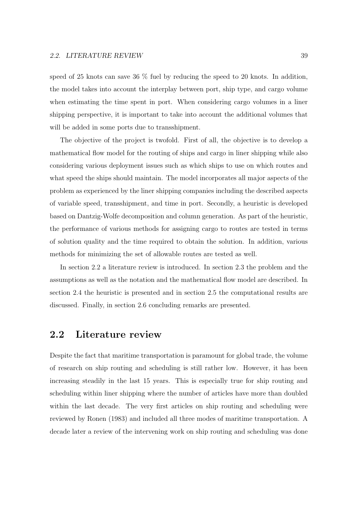speed of 25 knots can save 36 % fuel by reducing the speed to 20 knots. In addition, the model takes into account the interplay between port, ship type, and cargo volume when estimating the time spent in port. When considering cargo volumes in a liner shipping perspective, it is important to take into account the additional volumes that will be added in some ports due to transshipment.

The objective of the project is twofold. First of all, the objective is to develop a mathematical flow model for the routing of ships and cargo in liner shipping while also considering various deployment issues such as which ships to use on which routes and what speed the ships should maintain. The model incorporates all major aspects of the problem as experienced by the liner shipping companies including the described aspects of variable speed, transshipment, and time in port. Secondly, a heuristic is developed based on Dantzig-Wolfe decomposition and column generation. As part of the heuristic, the performance of various methods for assigning cargo to routes are tested in terms of solution quality and the time required to obtain the solution. In addition, various methods for minimizing the set of allowable routes are tested as well.

In section 2.2 a literature review is introduced. In section 2.3 the problem and the assumptions as well as the notation and the mathematical flow model are described. In section 2.4 the heuristic is presented and in section 2.5 the computational results are discussed. Finally, in section 2.6 concluding remarks are presented.

## **2.2 Literature review**

Despite the fact that maritime transportation is paramount for global trade, the volume of research on ship routing and scheduling is still rather low. However, it has been increasing steadily in the last 15 years. This is especially true for ship routing and scheduling within liner shipping where the number of articles have more than doubled within the last decade. The very first articles on ship routing and scheduling were reviewed by Ronen (1983) and included all three modes of maritime transportation. A decade later a review of the intervening work on ship routing and scheduling was done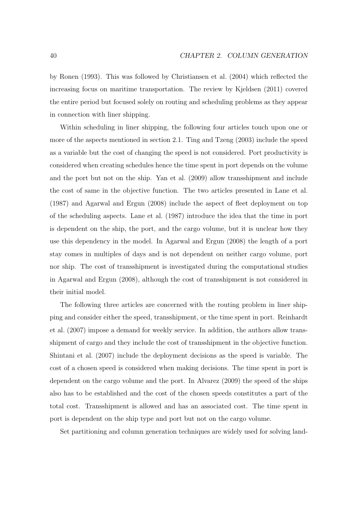by Ronen (1993). This was followed by Christiansen et al. (2004) which reflected the increasing focus on maritime transportation. The review by Kjeldsen (2011) covered the entire period but focused solely on routing and scheduling problems as they appear in connection with liner shipping.

Within scheduling in liner shipping, the following four articles touch upon one or more of the aspects mentioned in section 2.1. Ting and Tzeng (2003) include the speed as a variable but the cost of changing the speed is not considered. Port productivity is considered when creating schedules hence the time spent in port depends on the volume and the port but not on the ship. Yan et al. (2009) allow transshipment and include the cost of same in the objective function. The two articles presented in Lane et al. (1987) and Agarwal and Ergun (2008) include the aspect of fleet deployment on top of the scheduling aspects. Lane et al. (1987) introduce the idea that the time in port is dependent on the ship, the port, and the cargo volume, but it is unclear how they use this dependency in the model. In Agarwal and Ergun (2008) the length of a port stay comes in multiples of days and is not dependent on neither cargo volume, port nor ship. The cost of transshipment is investigated during the computational studies in Agarwal and Ergun (2008), although the cost of transshipment is not considered in their initial model.

The following three articles are concerned with the routing problem in liner shipping and consider either the speed, transshipment, or the time spent in port. Reinhardt et al. (2007) impose a demand for weekly service. In addition, the authors allow transshipment of cargo and they include the cost of transshipment in the objective function. Shintani et al. (2007) include the deployment decisions as the speed is variable. The cost of a chosen speed is considered when making decisions. The time spent in port is dependent on the cargo volume and the port. In Alvarez (2009) the speed of the ships also has to be established and the cost of the chosen speeds constitutes a part of the total cost. Transshipment is allowed and has an associated cost. The time spent in port is dependent on the ship type and port but not on the cargo volume.

Set partitioning and column generation techniques are widely used for solving land-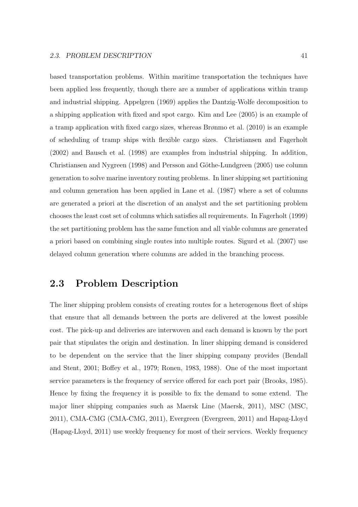based transportation problems. Within maritime transportation the techniques have been applied less frequently, though there are a number of applications within tramp and industrial shipping. Appelgren (1969) applies the Dantzig-Wolfe decomposition to a shipping application with fixed and spot cargo. Kim and Lee (2005) is an example of a tramp application with fixed cargo sizes, whereas Brønmo et al. (2010) is an example of scheduling of tramp ships with flexible cargo sizes. Christiansen and Fagerholt (2002) and Bausch et al. (1998) are examples from industrial shipping. In addition, Christiansen and Nygreen (1998) and Persson and Göthe-Lundgreen (2005) use column generation to solve marine inventory routing problems. In liner shipping set partitioning and column generation has been applied in Lane et al. (1987) where a set of columns are generated a priori at the discretion of an analyst and the set partitioning problem chooses the least cost set of columns which satisfies all requirements. In Fagerholt (1999) the set partitioning problem has the same function and all viable columns are generated a priori based on combining single routes into multiple routes. Sigurd et al. (2007) use delayed column generation where columns are added in the branching process.

## **2.3 Problem Description**

The liner shipping problem consists of creating routes for a heterogenous fleet of ships that ensure that all demands between the ports are delivered at the lowest possible cost. The pick-up and deliveries are interwoven and each demand is known by the port pair that stipulates the origin and destination. In liner shipping demand is considered to be dependent on the service that the liner shipping company provides (Bendall and Stent, 2001; Boffey et al., 1979; Ronen, 1983, 1988). One of the most important service parameters is the frequency of service offered for each port pair (Brooks, 1985). Hence by fixing the frequency it is possible to fix the demand to some extend. The major liner shipping companies such as Maersk Line (Maersk, 2011), MSC (MSC, 2011), CMA-CMG (CMA-CMG, 2011), Evergreen (Evergreen, 2011) and Hapag-Lloyd (Hapag-Lloyd, 2011) use weekly frequency for most of their services. Weekly frequency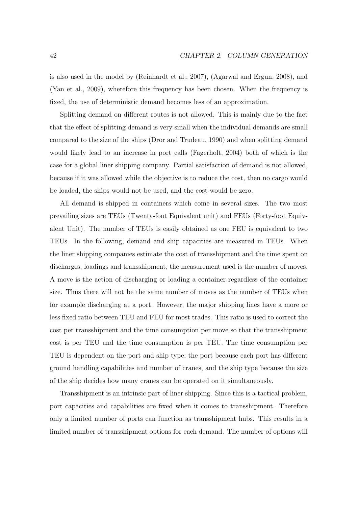is also used in the model by (Reinhardt et al., 2007), (Agarwal and Ergun, 2008), and (Yan et al., 2009), wherefore this frequency has been chosen. When the frequency is fixed, the use of deterministic demand becomes less of an approximation.

Splitting demand on different routes is not allowed. This is mainly due to the fact that the effect of splitting demand is very small when the individual demands are small compared to the size of the ships (Dror and Trudeau, 1990) and when splitting demand would likely lead to an increase in port calls (Fagerholt, 2004) both of which is the case for a global liner shipping company. Partial satisfaction of demand is not allowed, because if it was allowed while the objective is to reduce the cost, then no cargo would be loaded, the ships would not be used, and the cost would be zero.

All demand is shipped in containers which come in several sizes. The two most prevailing sizes are TEUs (Twenty-foot Equivalent unit) and FEUs (Forty-foot Equivalent Unit). The number of TEUs is easily obtained as one FEU is equivalent to two TEUs. In the following, demand and ship capacities are measured in TEUs. When the liner shipping companies estimate the cost of transshipment and the time spent on discharges, loadings and transshipment, the measurement used is the number of moves. A move is the action of discharging or loading a container regardless of the container size. Thus there will not be the same number of moves as the number of TEUs when for example discharging at a port. However, the major shipping lines have a more or less fixed ratio between TEU and FEU for most trades. This ratio is used to correct the cost per transshipment and the time consumption per move so that the transshipment cost is per TEU and the time consumption is per TEU. The time consumption per TEU is dependent on the port and ship type; the port because each port has different ground handling capabilities and number of cranes, and the ship type because the size of the ship decides how many cranes can be operated on it simultaneously.

Transshipment is an intrinsic part of liner shipping. Since this is a tactical problem, port capacities and capabilities are fixed when it comes to transshipment. Therefore only a limited number of ports can function as transshipment hubs. This results in a limited number of transshipment options for each demand. The number of options will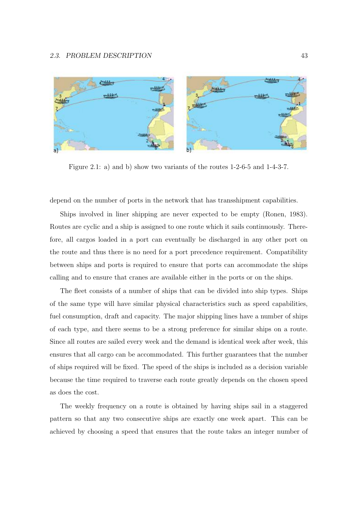

Figure 2.1: a) and b) show two variants of the routes 1-2-6-5 and 1-4-3-7.

depend on the number of ports in the network that has transshipment capabilities.

Ships involved in liner shipping are never expected to be empty (Ronen, 1983). Routes are cyclic and a ship is assigned to one route which it sails continuously. Therefore, all cargos loaded in a port can eventually be discharged in any other port on the route and thus there is no need for a port precedence requirement. Compatibility between ships and ports is required to ensure that ports can accommodate the ships calling and to ensure that cranes are available either in the ports or on the ships.

The fleet consists of a number of ships that can be divided into ship types. Ships of the same type will have similar physical characteristics such as speed capabilities, fuel consumption, draft and capacity. The major shipping lines have a number of ships of each type, and there seems to be a strong preference for similar ships on a route. Since all routes are sailed every week and the demand is identical week after week, this ensures that all cargo can be accommodated. This further guarantees that the number of ships required will be fixed. The speed of the ships is included as a decision variable because the time required to traverse each route greatly depends on the chosen speed as does the cost.

The weekly frequency on a route is obtained by having ships sail in a staggered pattern so that any two consecutive ships are exactly one week apart. This can be achieved by choosing a speed that ensures that the route takes an integer number of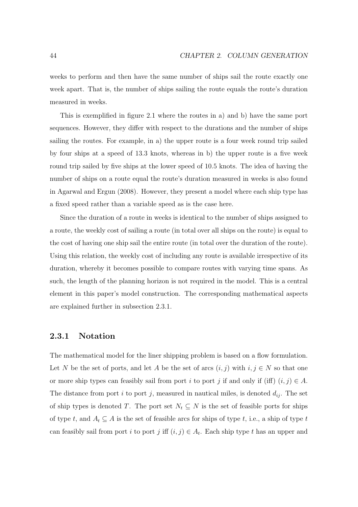weeks to perform and then have the same number of ships sail the route exactly one week apart. That is, the number of ships sailing the route equals the route's duration measured in weeks.

This is exemplified in figure 2.1 where the routes in a) and b) have the same port sequences. However, they differ with respect to the durations and the number of ships sailing the routes. For example, in a) the upper route is a four week round trip sailed by four ships at a speed of 13.3 knots, whereas in b) the upper route is a five week round trip sailed by five ships at the lower speed of 10.5 knots. The idea of having the number of ships on a route equal the route's duration measured in weeks is also found in Agarwal and Ergun (2008). However, they present a model where each ship type has a fixed speed rather than a variable speed as is the case here.

Since the duration of a route in weeks is identical to the number of ships assigned to a route, the weekly cost of sailing a route (in total over all ships on the route) is equal to the cost of having one ship sail the entire route (in total over the duration of the route). Using this relation, the weekly cost of including any route is available irrespective of its duration, whereby it becomes possible to compare routes with varying time spans. As such, the length of the planning horizon is not required in the model. This is a central element in this paper's model construction. The corresponding mathematical aspects are explained further in subsection 2.3.1.

#### **2.3.1 Notation**

The mathematical model for the liner shipping problem is based on a flow formulation. Let N be the set of ports, and let A be the set of arcs  $(i, j)$  with  $i, j \in N$  so that one or more ship types can feasibly sail from port i to port j if and only if (iff)  $(i, j) \in A$ . The distance from port i to port j, measured in nautical miles, is denoted  $d_{ij}$ . The set of ship types is denoted T. The port set  $N_t \subseteq N$  is the set of feasible ports for ships of type t, and  $A_t \subseteq A$  is the set of feasible arcs for ships of type t, i.e., a ship of type t can feasibly sail from port i to port j iff  $(i, j) \in A_t$ . Each ship type t has an upper and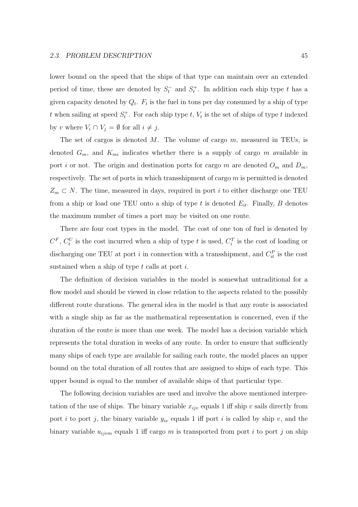lower bound on the speed that the ships of that type can maintain over an extended period of time, these are denoted by  $S_t^-$  and  $S_t^+$ . In addition each ship type t has a given capacity denoted by  $Q_t$ .  $F_t$  is the fuel in tons per day consumed by a ship of type t when sailing at speed  $S_t^+$ . For each ship type t,  $V_t$  is the set of ships of type t indexed by v where  $V_i \cap V_j = \emptyset$  for all  $i \neq j$ .

The set of cargos is denoted  $M$ . The volume of cargo  $m$ , measured in TEUs, is denoted  $G_m$ , and  $K_{mi}$  indicates whether there is a supply of cargo m available in port *i* or not. The origin and destination ports for cargo m are denoted  $O_m$  and  $D_m$ , respectively. The set of ports in which transshipment of cargo  $m$  is permitted is denoted  $Z_m \subset N$ . The time, measured in days, required in port i to either discharge one TEU from a ship or load one TEU onto a ship of type t is denoted  $E_{it}$ . Finally, B denotes the maximum number of times a port may be visited on one route.

There are four cost types in the model. The cost of one ton of fuel is denoted by  $C^F$ ,  $C_t^U$  is the cost incurred when a ship of type t is used,  $C_i^T$  is the cost of loading or discharging one TEU at port *i* in connection with a transshipment, and  $C_i^P$  is the cost sustained when a ship of type  $t$  calls at port  $i$ .

The definition of decision variables in the model is somewhat untraditional for a flow model and should be viewed in close relation to the aspects related to the possibly different route durations. The general idea in the model is that any route is associated with a single ship as far as the mathematical representation is concerned, even if the duration of the route is more than one week. The model has a decision variable which represents the total duration in weeks of any route. In order to ensure that sufficiently many ships of each type are available for sailing each route, the model places an upper bound on the total duration of all routes that are assigned to ships of each type. This upper bound is equal to the number of available ships of that particular type.

The following decision variables are used and involve the above mentioned interpretation of the use of ships. The binary variable  $x_{ijv}$  equals 1 iff ship v sails directly from port i to port j, the binary variable  $y_{iv}$  equals 1 iff port i is called by ship v, and the binary variable  $u_{ijvm}$  equals 1 iff cargo m is transported from port i to port j on ship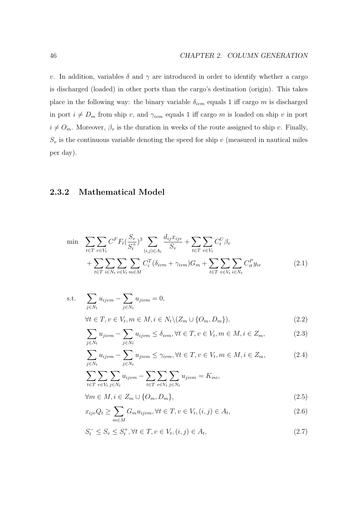v. In addition, variables  $\delta$  and  $\gamma$  are introduced in order to identify whether a cargo is discharged (loaded) in other ports than the cargo's destination (origin). This takes place in the following way: the binary variable  $\delta_{ivm}$  equals 1 iff cargo m is discharged in port  $i \neq D_m$  from ship v, and  $\gamma_{ivm}$  equals 1 iff cargo m is loaded on ship v in port  $i \neq O_m$ . Moreover,  $\beta_v$  is the duration in weeks of the route assigned to ship v. Finally,  $S_v$  is the continuous variable denoting the speed for ship v (measured in nautical miles per day).

## **2.3.2 Mathematical Model**

Ñ

$$
\min \sum_{t \in T} \sum_{v \in V_t} C^F F_t \left( \frac{S_v}{S_t^+} \right)^3 \sum_{(i,j) \in A_t} \frac{d_{ij} x_{ijv}}{S_v} + \sum_{t \in T} \sum_{v \in V_t} C_t^U \beta_v + \sum_{t \in T} \sum_{i \in N_t} \sum_{v \in V_t} \sum_{m \in M} C_i^T (\delta_{ivm} + \gamma_{ivm}) G_m + \sum_{t \in T} \sum_{v \in V_t} \sum_{i \in N_t} C_{it}^P y_{iv}
$$
\n(2.1)

s.t. 
$$
\sum_{j \in N_t} u_{ijvm} - \sum_{j \in N_t} u_{jivm} = 0,
$$
  
\n
$$
\forall t \in T, v \in V_t, m \in M, i \in N_t \setminus (Z_m \cup \{O_m, D_m\}),
$$
\n(2.2)

$$
\sum_{j \in N_t} u_{jivm} - \sum_{j \in N_t} u_{ijvm} \le \delta_{ivm}, \forall t \in T, v \in V_t, m \in M, i \in Z_m,
$$
\n(2.3)

$$
\sum_{j \in N_t} u_{ijvm} - \sum_{j \in N_t} u_{jivm} \le \gamma_{ivm}, \forall t \in T, v \in V_t, m \in M, i \in Z_m,
$$
\n(2.4)

$$
\sum_{t \in T} \sum_{v \in V_t} \sum_{j \in N_t} u_{ijvm} - \sum_{t \in T} \sum_{v \in V_t} \sum_{j \in N_t} u_{jvm} = K_{mi},
$$

$$
\forall m \in M, i \in Z_m \cup \{O_m, D_m\},\tag{2.5}
$$

$$
x_{ijv}Q_t \ge \sum_{m \in M} G_m u_{ijvm}, \forall t \in T, v \in V_t, (i, j) \in A_t,
$$
\n(2.6)

$$
S_t^- \le S_v \le S_t^+, \forall t \in T, v \in V_t, (i, j) \in A_t,
$$
\n(2.7)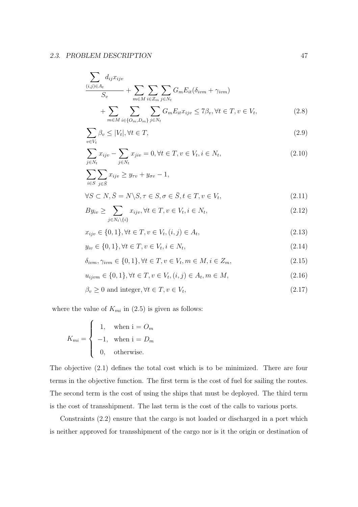$$
\frac{\sum_{(i,j)\in A_t} d_{ij}x_{ijv}}{S_v} + \sum_{m\in M} \sum_{i\in Z_m} \sum_{j\in N_t} G_m E_{it}(\delta_{ivm} + \gamma_{ivm}) + \sum_{m\in M} \sum_{i\in \{O_m, D_m\}} \sum_{j\in N_t} G_m E_{it} x_{ijv} \le 7\beta_v, \forall t \in T, v \in V_t,
$$
\n(2.8)

$$
\sum_{v \in V_t} \beta_v \le |V_t|, \forall t \in T,
$$
\n(2.9)

$$
\sum_{j \in N_t} x_{ijv} - \sum_{j \in N_t} x_{jiv} = 0, \forall t \in T, v \in V_t, i \in N_t,
$$
\n(2.10)

$$
\sum_{i \in S} \sum_{j \in \overline{S}} x_{ijv} \ge y_{\tau v} + y_{\sigma v} - 1,
$$
\n
$$
y_{\sigma} = \sum_{i \in \overline{S}} \sum_{j \in \overline{S}} x_{ijv} \ge y_{\tau v} + y_{\sigma v} - 1,
$$
\n
$$
(2.11)
$$

$$
\forall S \subset N, \bar{S} = N \backslash S, \tau \in S, \sigma \in \bar{S}, t \in T, v \in V_t,
$$
\n
$$
(2.11)
$$

$$
By_{iv} \ge \sum_{j \in N_t \setminus \{i\}} x_{ijv}, \forall t \in T, v \in V_t, i \in N_t,
$$
\n
$$
(2.12)
$$

$$
x_{ijv} \in \{0, 1\}, \forall t \in T, v \in V_t, (i, j) \in A_t,
$$
\n(2.13)

$$
y_{iv} \in \{0, 1\}, \forall t \in T, v \in V_t, i \in N_t,
$$
\n(2.14)

$$
\delta_{ivm}, \gamma_{ivm} \in \{0, 1\}, \forall t \in T, v \in V_t, m \in M, i \in Z_m,
$$
\n
$$
(2.15)
$$

$$
u_{ijvm} \in \{0, 1\}, \forall t \in T, v \in V_t, (i, j) \in A_t, m \in M,
$$
\n(2.16)

$$
\beta_v \ge 0 \text{ and integer}, \forall t \in T, v \in V_t,
$$
\n(2.17)

where the value of  $K_{mi}$  in (2.5) is given as follows:

$$
K_{mi} = \begin{cases} 1, & \text{when } i = O_m \\ -1, & \text{when } i = D_m \\ 0, & \text{otherwise.} \end{cases}
$$

The objective (2.1) defines the total cost which is to be minimized. There are four terms in the objective function. The first term is the cost of fuel for sailing the routes. The second term is the cost of using the ships that must be deployed. The third term is the cost of transshipment. The last term is the cost of the calls to various ports.

Constraints (2.2) ensure that the cargo is not loaded or discharged in a port which is neither approved for transshipment of the cargo nor is it the origin or destination of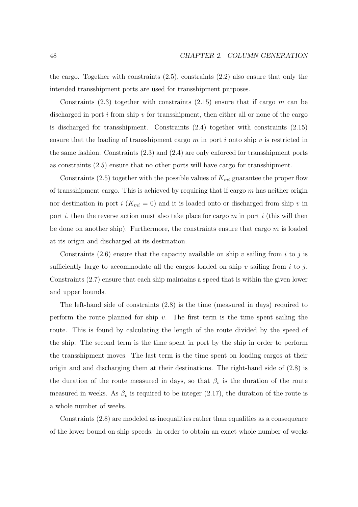the cargo. Together with constraints (2.5), constraints (2.2) also ensure that only the intended transshipment ports are used for transshipment purposes.

Constraints  $(2.3)$  together with constraints  $(2.15)$  ensure that if cargo m can be discharged in port  $i$  from ship  $v$  for transshipment, then either all or none of the cargo is discharged for transshipment. Constraints (2.4) together with constraints (2.15) ensure that the loading of transshipment cargo  $m$  in port i onto ship v is restricted in the same fashion. Constraints (2.3) and (2.4) are only enforced for transshipment ports as constraints (2.5) ensure that no other ports will have cargo for transshipment.

Constraints (2.5) together with the possible values of  $K_{mi}$  guarantee the proper flow of transshipment cargo. This is achieved by requiring that if cargo  $m$  has neither origin nor destination in port  $i$  ( $K_{mi} = 0$ ) and it is loaded onto or discharged from ship v in port i, then the reverse action must also take place for cargo  $m$  in port i (this will then be done on another ship). Furthermore, the constraints ensure that cargo  $m$  is loaded at its origin and discharged at its destination.

Constraints (2.6) ensure that the capacity available on ship v sailing from i to j is sufficiently large to accommodate all the cargos loaded on ship v sailing from i to j. Constraints (2.7) ensure that each ship maintains a speed that is within the given lower and upper bounds.

The left-hand side of constraints (2.8) is the time (measured in days) required to perform the route planned for ship  $v$ . The first term is the time spent sailing the route. This is found by calculating the length of the route divided by the speed of the ship. The second term is the time spent in port by the ship in order to perform the transshipment moves. The last term is the time spent on loading cargos at their origin and and discharging them at their destinations. The right-hand side of (2.8) is the duration of the route measured in days, so that  $\beta_v$  is the duration of the route measured in weeks. As  $\beta_v$  is required to be integer (2.17), the duration of the route is a whole number of weeks.

Constraints (2.8) are modeled as inequalities rather than equalities as a consequence of the lower bound on ship speeds. In order to obtain an exact whole number of weeks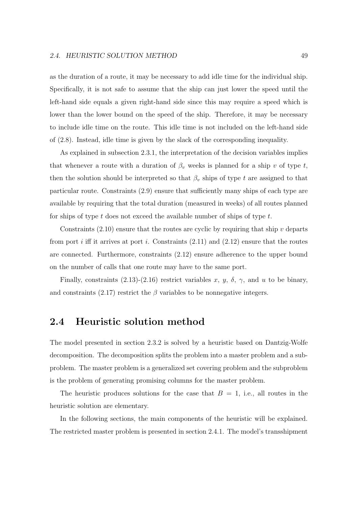as the duration of a route, it may be necessary to add idle time for the individual ship. Specifically, it is not safe to assume that the ship can just lower the speed until the left-hand side equals a given right-hand side since this may require a speed which is lower than the lower bound on the speed of the ship. Therefore, it may be necessary to include idle time on the route. This idle time is not included on the left-hand side of (2.8). Instead, idle time is given by the slack of the corresponding inequality.

As explained in subsection 2.3.1, the interpretation of the decision variables implies that whenever a route with a duration of  $\beta_v$  weeks is planned for a ship v of type t, then the solution should be interpreted so that  $\beta_v$  ships of type t are assigned to that particular route. Constraints (2.9) ensure that sufficiently many ships of each type are available by requiring that the total duration (measured in weeks) of all routes planned for ships of type  $t$  does not exceed the available number of ships of type  $t$ .

Constraints  $(2.10)$  ensure that the routes are cyclic by requiring that ship v departs from port i iff it arrives at port i. Constraints  $(2.11)$  and  $(2.12)$  ensure that the routes are connected. Furthermore, constraints (2.12) ensure adherence to the upper bound on the number of calls that one route may have to the same port.

Finally, constraints (2.13)-(2.16) restrict variables x, y,  $\delta$ ,  $\gamma$ , and u to be binary, and constraints (2.17) restrict the  $\beta$  variables to be nonnegative integers.

# **2.4 Heuristic solution method**

The model presented in section 2.3.2 is solved by a heuristic based on Dantzig-Wolfe decomposition. The decomposition splits the problem into a master problem and a subproblem. The master problem is a generalized set covering problem and the subproblem is the problem of generating promising columns for the master problem.

The heuristic produces solutions for the case that  $B = 1$ , i.e., all routes in the heuristic solution are elementary.

In the following sections, the main components of the heuristic will be explained. The restricted master problem is presented in section 2.4.1. The model's transshipment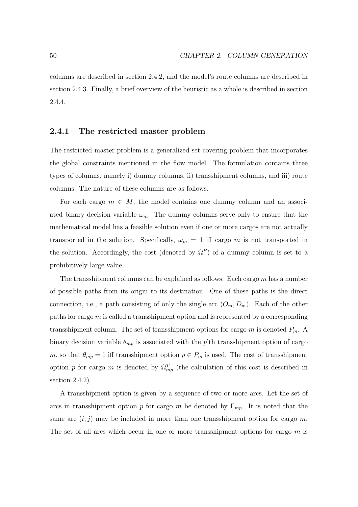columns are described in section 2.4.2, and the model's route columns are described in section 2.4.3. Finally, a brief overview of the heuristic as a whole is described in section 2.4.4.

## **2.4.1 The restricted master problem**

The restricted master problem is a generalized set covering problem that incorporates the global constraints mentioned in the flow model. The formulation contains three types of columns, namely i) dummy columns, ii) transshipment columns, and iii) route columns. The nature of these columns are as follows.

For each cargo  $m \in M$ , the model contains one dummy column and an associated binary decision variable  $\omega_m$ . The dummy columns serve only to ensure that the mathematical model has a feasible solution even if one or more cargos are not actually transported in the solution. Specifically,  $\omega_m = 1$  iff cargo m is not transported in the solution. Accordingly, the cost (denoted by  $\Omega^P$ ) of a dummy column is set to a prohibitively large value.

The transshipment columns can be explained as follows. Each cargo m has a number of possible paths from its origin to its destination. One of these paths is the direct connection, i.e., a path consisting of only the single arc  $(O_m, D_m)$ . Each of the other paths for cargo m is called a transshipment option and is represented by a corresponding transshipment column. The set of transshipment options for cargo  $m$  is denoted  $P_m$ . A binary decision variable  $\theta_{mp}$  is associated with the p'th transshipment option of cargo m, so that  $\theta_{mp} = 1$  iff transshipment option  $p \in P_m$  is used. The cost of transshipment option p for cargo m is denoted by  $\Omega_{mp}^T$  (the calculation of this cost is described in section 2.4.2).

A transshipment option is given by a sequence of two or more arcs. Let the set of arcs in transshipment option p for cargo m be denoted by  $\Gamma_{mp}$ . It is noted that the same arc  $(i, j)$  may be included in more than one transshipment option for cargo m. The set of all arcs which occur in one or more transshipment options for cargo  $m$  is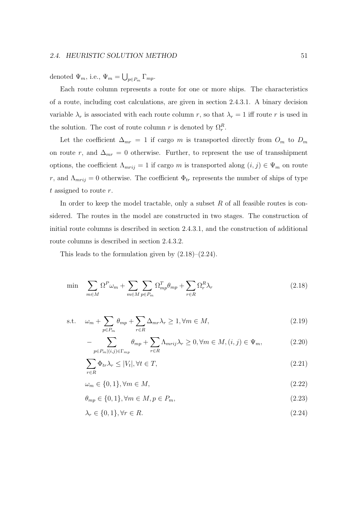denoted  $\Psi_m$ , i.e.,  $\Psi_m = \bigcup_{p \in P_m} \Gamma_{mp}$ .

Each route column represents a route for one or more ships. The characteristics of a route, including cost calculations, are given in section 2.4.3.1. A binary decision variable  $\lambda_r$  is associated with each route column r, so that  $\lambda_r = 1$  iff route r is used in the solution. The cost of route column r is denoted by  $\Omega_r^R$ .

Let the coefficient  $\Delta_{mr} = 1$  if cargo m is transported directly from  $O_m$  to  $D_m$ on route r, and  $\Delta_{mr} = 0$  otherwise. Further, to represent the use of transshipment options, the coefficient  $\Lambda_{mrij} = 1$  if cargo m is transported along  $(i, j) \in \Psi_m$  on route r, and  $\Lambda_{mrij} = 0$  otherwise. The coefficient  $\Phi_{tr}$  represents the number of ships of type t assigned to route  $r$ .

In order to keep the model tractable, only a subset  $R$  of all feasible routes is considered. The routes in the model are constructed in two stages. The construction of initial route columns is described in section 2.4.3.1, and the construction of additional route columns is described in section 2.4.3.2.

This leads to the formulation given by  $(2.18)$ – $(2.24)$ .

$$
\min \quad \sum_{m \in M} \Omega^P \omega_m + \sum_{m \in M} \sum_{p \in P_m} \Omega_{mp}^T \theta_{mp} + \sum_{r \in R} \Omega_r^R \lambda_r \tag{2.18}
$$

s.t. 
$$
\omega_m + \sum_{p \in P_m} \theta_{mp} + \sum_{r \in R} \Delta_{mr} \lambda_r \ge 1, \forall m \in M,
$$
 (2.19)

$$
-\sum_{p \in P_m|(i,j) \in \Gamma_{mp}} \theta_{mp} + \sum_{r \in R} \Lambda_{mrij} \lambda_r \ge 0, \forall m \in M, (i,j) \in \Psi_m,
$$
\n(2.20)

$$
\sum_{r \in R} \Phi_{tr} \lambda_r \le |V_t|, \forall t \in T,
$$
\n(2.21)

$$
\omega_m \in \{0, 1\}, \forall m \in M,\tag{2.22}
$$

 $\theta_{mn} \in \{0, 1\}, \forall m \in M, p \in P_m,$  (2.23)

$$
\lambda_r \in \{0, 1\}, \forall r \in R. \tag{2.24}
$$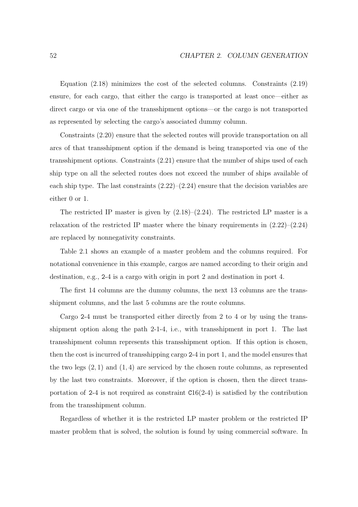Equation (2.18) minimizes the cost of the selected columns. Constraints (2.19) ensure, for each cargo, that either the cargo is transported at least once—either as direct cargo or via one of the transshipment options—or the cargo is not transported as represented by selecting the cargo's associated dummy column.

Constraints (2.20) ensure that the selected routes will provide transportation on all arcs of that transshipment option if the demand is being transported via one of the transshipment options. Constraints (2.21) ensure that the number of ships used of each ship type on all the selected routes does not exceed the number of ships available of each ship type. The last constraints  $(2.22)$ – $(2.24)$  ensure that the decision variables are either 0 or 1.

The restricted IP master is given by  $(2.18)$ – $(2.24)$ . The restricted LP master is a relaxation of the restricted IP master where the binary requirements in  $(2.22)$ – $(2.24)$ are replaced by nonnegativity constraints.

Table 2.1 shows an example of a master problem and the columns required. For notational convenience in this example, cargos are named according to their origin and destination, e.g., 2-4 is a cargo with origin in port 2 and destination in port 4.

The first 14 columns are the dummy columns, the next 13 columns are the transshipment columns, and the last 5 columns are the route columns.

Cargo 2-4 must be transported either directly from 2 to 4 or by using the transshipment option along the path 2-1-4, i.e., with transshipment in port 1. The last transshipment column represents this transshipment option. If this option is chosen, then the cost is incurred of transshipping cargo 2-4 in port 1, and the model ensures that the two legs  $(2, 1)$  and  $(1, 4)$  are serviced by the chosen route columns, as represented by the last two constraints. Moreover, if the option is chosen, then the direct transportation of 2-4 is not required as constraint  $C16(2-4)$  is satisfied by the contribution from the transshipment column.

Regardless of whether it is the restricted LP master problem or the restricted IP master problem that is solved, the solution is found by using commercial software. In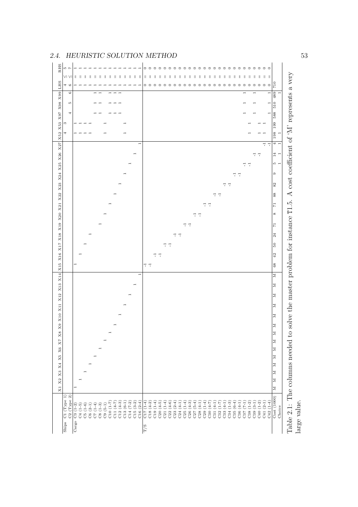| RHS<br>LO.<br>$\overline{1}$                                                     |                                                                                                                                                                                                                                                       | $\circ \circ \circ \circ$<br>$\circ$ $\circ$ $\circ$<br>$\circ$<br>$\circ$<br>$\circ$<br>$\circ$ $\circ$<br>$\circ$<br>$\circ$<br>$\circ$<br>$\circ$<br>$\circ$<br>$\circ$<br>$\circ$<br>$\circ$<br>$\circ$<br>$\circ$ $\circ$<br>$\circ$<br>$\circ$<br>$\circ$                                                                                                |                                                                                         |
|----------------------------------------------------------------------------------|-------------------------------------------------------------------------------------------------------------------------------------------------------------------------------------------------------------------------------------------------------|----------------------------------------------------------------------------------------------------------------------------------------------------------------------------------------------------------------------------------------------------------------------------------------------------------------------------------------------------------------|-----------------------------------------------------------------------------------------|
| VI VI<br>$\mathbb{I}$<br>$\mathbb{I}$<br>$\mathbb{I}$                            | $\parallel$<br>$\begin{array}{c} \hline \end{array}$<br>$\lvert \rvert$<br>$\mathbb{I}$<br>$\mathbb{I}$<br>$\mathbb{I}$<br>$\mathbb{I}$<br>Ш<br>$\mathbb{I}$<br>$\mathbb{I}$<br>$\parallel$                                                           | $\parallel$ $\parallel$<br>$\parallel$<br>$\parallel$<br>$\parallel$<br>$\parallel$<br>$\mathbb{I}$<br>$\mathbb{I}$<br>$\parallel$<br>$\parallel$<br>$\parallel$<br>$\mathbf{I}$<br>$\ $<br>$   \cdot   $<br>Ш<br>$\mathbb{I}$<br>$\mathbb{I}$<br>$\mathbb{I}$<br>$\mathbb{I}$<br>$\mathbb{I}$<br>$\mathbb{I}$<br>$\mathbb{I}$<br>$\mathbb{I}$<br>$\mathbb{I}$ |                                                                                         |
| 46                                                                               |                                                                                                                                                                                                                                                       | $\overline{710}$<br>$\circ\circ\circ\circ$<br>$\circ$ $\circ$<br>$\circ$<br>$\circ$                                                                                                                                                                                                                                                                            |                                                                                         |
| $\circ$                                                                          |                                                                                                                                                                                                                                                       | 489<br>$\overline{\phantom{a}}$                                                                                                                                                                                                                                                                                                                                | $\blacksquare$                                                                          |
| <b>LO</b>                                                                        |                                                                                                                                                                                                                                                       | $\overline{510}$<br>$\overline{ }$                                                                                                                                                                                                                                                                                                                             |                                                                                         |
| 4                                                                                |                                                                                                                                                                                                                                                       | 588                                                                                                                                                                                                                                                                                                                                                            |                                                                                         |
| S                                                                                |                                                                                                                                                                                                                                                       | 199                                                                                                                                                                                                                                                                                                                                                            |                                                                                         |
| X52 X53 X97 X98 X99 LHS<br>4                                                     |                                                                                                                                                                                                                                                       |                                                                                                                                                                                                                                                                                                                                                                | $\overline{\phantom{a}}$                                                                |
|                                                                                  |                                                                                                                                                                                                                                                       | $\frac{198}{1}$                                                                                                                                                                                                                                                                                                                                                | $\frac{4}{5}$                                                                           |
|                                                                                  |                                                                                                                                                                                                                                                       | $\overline{\tau}$ $\overline{\tau}$                                                                                                                                                                                                                                                                                                                            |                                                                                         |
|                                                                                  |                                                                                                                                                                                                                                                       | $7 - 7$<br>$14\,$                                                                                                                                                                                                                                                                                                                                              | Ξ                                                                                       |
|                                                                                  |                                                                                                                                                                                                                                                       | $10 -$<br>$7\,$ $7\,$                                                                                                                                                                                                                                                                                                                                          |                                                                                         |
|                                                                                  |                                                                                                                                                                                                                                                       | $\circ$<br>$\overline{1}$ $\overline{1}$                                                                                                                                                                                                                                                                                                                       |                                                                                         |
|                                                                                  |                                                                                                                                                                                                                                                       | 82<br>$\overline{u}$ $\overline{u}$                                                                                                                                                                                                                                                                                                                            |                                                                                         |
|                                                                                  |                                                                                                                                                                                                                                                       | $\overline{\phantom{a}}$ .<br>88                                                                                                                                                                                                                                                                                                                               |                                                                                         |
|                                                                                  |                                                                                                                                                                                                                                                       | $\overline{\phantom{a}}$ .<br>$\overline{5}$                                                                                                                                                                                                                                                                                                                   |                                                                                         |
|                                                                                  |                                                                                                                                                                                                                                                       | ${}^{\circ}$<br>$\overline{\phantom{a}}$ .                                                                                                                                                                                                                                                                                                                     |                                                                                         |
|                                                                                  |                                                                                                                                                                                                                                                       | $\overline{\mathbb{R}}$ . $\overline{\mathbb{R}}$<br>$\frac{1}{2}$                                                                                                                                                                                                                                                                                             |                                                                                         |
|                                                                                  |                                                                                                                                                                                                                                                       | $\overline{\phantom{a}}$ .                                                                                                                                                                                                                                                                                                                                     |                                                                                         |
|                                                                                  |                                                                                                                                                                                                                                                       | $\overline{24}$                                                                                                                                                                                                                                                                                                                                                |                                                                                         |
|                                                                                  |                                                                                                                                                                                                                                                       | $\overline{\phantom{a}}$ .<br>$\frac{6}{3}$                                                                                                                                                                                                                                                                                                                    |                                                                                         |
|                                                                                  |                                                                                                                                                                                                                                                       | $\overline{42}$<br>$\overline{u}$ .                                                                                                                                                                                                                                                                                                                            |                                                                                         |
|                                                                                  |                                                                                                                                                                                                                                                       |                                                                                                                                                                                                                                                                                                                                                                |                                                                                         |
|                                                                                  |                                                                                                                                                                                                                                                       | H H<br>68                                                                                                                                                                                                                                                                                                                                                      |                                                                                         |
| X15 X16 X17 X18 X19 X20 X21 X22 X23 X24 X25 X26 X27                              | $\overline{\phantom{0}}$                                                                                                                                                                                                                              | $\vert$ $\vert$                                                                                                                                                                                                                                                                                                                                                |                                                                                         |
|                                                                                  |                                                                                                                                                                                                                                                       | $\mathbb{Z}$                                                                                                                                                                                                                                                                                                                                                   |                                                                                         |
|                                                                                  |                                                                                                                                                                                                                                                       | $\mathbb{Z}$                                                                                                                                                                                                                                                                                                                                                   |                                                                                         |
|                                                                                  |                                                                                                                                                                                                                                                       | $\mathbb{Z}$                                                                                                                                                                                                                                                                                                                                                   |                                                                                         |
|                                                                                  |                                                                                                                                                                                                                                                       |                                                                                                                                                                                                                                                                                                                                                                |                                                                                         |
|                                                                                  |                                                                                                                                                                                                                                                       | $\mathbb{Z}$                                                                                                                                                                                                                                                                                                                                                   |                                                                                         |
|                                                                                  |                                                                                                                                                                                                                                                       | $\mathbb{Z}$                                                                                                                                                                                                                                                                                                                                                   | solve the master problem for instance T1.5. A cost coefficient of 'M' represents a very |
| X8 X9 X10 X11 X12 X13 X14                                                        |                                                                                                                                                                                                                                                       | $\geq$<br>$\vert$ $\vert$                                                                                                                                                                                                                                                                                                                                      |                                                                                         |
| X7                                                                               |                                                                                                                                                                                                                                                       | $\mathbb{Z}$                                                                                                                                                                                                                                                                                                                                                   |                                                                                         |
| $_{\rm X6}$<br>X5                                                                |                                                                                                                                                                                                                                                       | $\mathbb{Z}$                                                                                                                                                                                                                                                                                                                                                   |                                                                                         |
| X4                                                                               |                                                                                                                                                                                                                                                       | $\mathbb{Z}$                                                                                                                                                                                                                                                                                                                                                   |                                                                                         |
| $_{\rm X3}$                                                                      |                                                                                                                                                                                                                                                       | Σ                                                                                                                                                                                                                                                                                                                                                              |                                                                                         |
| X <sub>2</sub>                                                                   |                                                                                                                                                                                                                                                       | $\mathbb{Z}$                                                                                                                                                                                                                                                                                                                                                   |                                                                                         |
| $_{\rm X1}$                                                                      |                                                                                                                                                                                                                                                       | $\mathbb{Z}$                                                                                                                                                                                                                                                                                                                                                   |                                                                                         |
| $\widehat{\mathcal{C}}$                                                          |                                                                                                                                                                                                                                                       |                                                                                                                                                                                                                                                                                                                                                                |                                                                                         |
| (Type 1)<br>$(Typ$ e<br>$\left(1-5\right)$<br>$(1-2)$                            |                                                                                                                                                                                                                                                       | $(4-2)$<br>$(1-4)$<br>$(1-4)$<br>$(6-4)$<br>$(4-5)$<br>$(4-6)$<br>$(2-4)$<br>$(5-4)$<br>$(1-3)$<br>$(4-1)$<br>$(1-1)$<br>$(1-2)$<br>$(3-1)$<br>$(1-4)$<br>$(4-3)$<br>$(1-4)$<br>$(4-1)$<br>$(1 - 7)$<br>$(4-1)$<br>$(2-1)$<br>$(4-1)$<br>$\left(4-1\right)$<br>$(4 - 7)$                                                                                       |                                                                                         |
| C <sub>4</sub><br>$\mathcal{C}^2$<br>5<br>$_{\rm C3}$<br>$_{\rm Cargo}$<br>Ships | $C12(4-3)$<br>$C14(7-2)$<br>$C15(3-2)$<br>$C16(2-4)$<br>$C13(6-1)$<br>$\begin{array}{l} \text{C5 (1-6)} \\ \text{C6 (2-1)} \\ \text{C7 (1-4)} \\ \text{C8 (1-3)} \\ \text{C9 (5-1)} \\ \text{C1 (1-7)} \\ \text{C10 (1-7)} \\ \end{array}$<br>C11(47) | $\overline{\text{Cost}}(1000)$<br>$C40(1-2)$<br>$C42(1-4)$<br>$\overline{CI7(1-4)}$<br>C19<br>C20<br>$\frac{0.35}{0.36}$<br>C39<br>$_{\rm C18}$<br>C <sub>23</sub><br>C38<br>$\frac{\text{C}24}{\text{C}25}$<br>$\mathbf{C}37$<br>C41<br>T/5                                                                                                                   | Table 2.1: The columns needed to<br>Choice                                              |

# 2.4. HEURISTIC SOLUTION METHOD 53

large value.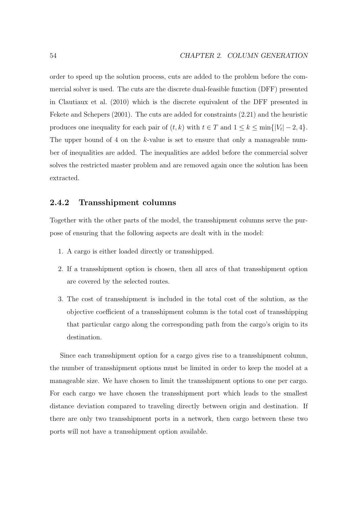order to speed up the solution process, cuts are added to the problem before the commercial solver is used. The cuts are the discrete dual-feasible function (DFF) presented in Clautiaux et al. (2010) which is the discrete equivalent of the DFF presented in Fekete and Schepers (2001). The cuts are added for constraints (2.21) and the heuristic produces one inequality for each pair of  $(t, k)$  with  $t \in T$  and  $1 \leq k \leq \min\{|V_t| - 2, 4\}.$ The upper bound of 4 on the k-value is set to ensure that only a manageable number of inequalities are added. The inequalities are added before the commercial solver solves the restricted master problem and are removed again once the solution has been extracted.

## **2.4.2 Transshipment columns**

Together with the other parts of the model, the transshipment columns serve the purpose of ensuring that the following aspects are dealt with in the model:

- 1. A cargo is either loaded directly or transshipped.
- 2. If a transshipment option is chosen, then all arcs of that transshipment option are covered by the selected routes.
- 3. The cost of transshipment is included in the total cost of the solution, as the objective coefficient of a transshipment column is the total cost of transshipping that particular cargo along the corresponding path from the cargo's origin to its destination.

Since each transshipment option for a cargo gives rise to a transshipment column, the number of transshipment options must be limited in order to keep the model at a manageable size. We have chosen to limit the transshipment options to one per cargo. For each cargo we have chosen the transshipment port which leads to the smallest distance deviation compared to traveling directly between origin and destination. If there are only two transshipment ports in a network, then cargo between these two ports will not have a transshipment option available.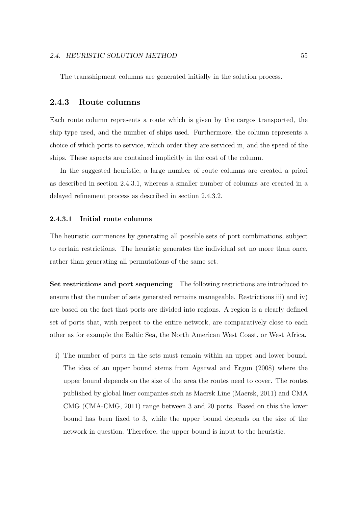The transshipment columns are generated initially in the solution process.

## **2.4.3 Route columns**

Each route column represents a route which is given by the cargos transported, the ship type used, and the number of ships used. Furthermore, the column represents a choice of which ports to service, which order they are serviced in, and the speed of the ships. These aspects are contained implicitly in the cost of the column.

In the suggested heuristic, a large number of route columns are created a priori as described in section 2.4.3.1, whereas a smaller number of columns are created in a delayed refinement process as described in section 2.4.3.2.

#### **2.4.3.1 Initial route columns**

The heuristic commences by generating all possible sets of port combinations, subject to certain restrictions. The heuristic generates the individual set no more than once, rather than generating all permutations of the same set.

**Set restrictions and port sequencing** The following restrictions are introduced to ensure that the number of sets generated remains manageable. Restrictions iii) and iv) are based on the fact that ports are divided into regions. A region is a clearly defined set of ports that, with respect to the entire network, are comparatively close to each other as for example the Baltic Sea, the North American West Coast, or West Africa.

i) The number of ports in the sets must remain within an upper and lower bound. The idea of an upper bound stems from Agarwal and Ergun (2008) where the upper bound depends on the size of the area the routes need to cover. The routes published by global liner companies such as Maersk Line (Maersk, 2011) and CMA CMG (CMA-CMG, 2011) range between 3 and 20 ports. Based on this the lower bound has been fixed to 3, while the upper bound depends on the size of the network in question. Therefore, the upper bound is input to the heuristic.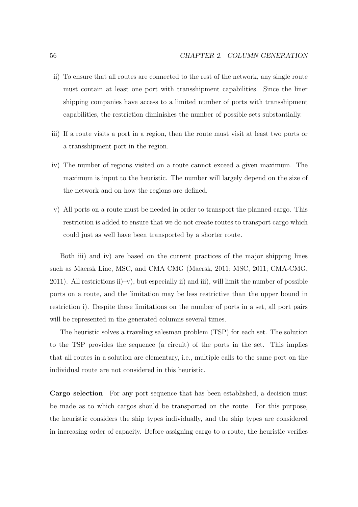- ii) To ensure that all routes are connected to the rest of the network, any single route must contain at least one port with transshipment capabilities. Since the liner shipping companies have access to a limited number of ports with transshipment capabilities, the restriction diminishes the number of possible sets substantially.
- iii) If a route visits a port in a region, then the route must visit at least two ports or a transshipment port in the region.
- iv) The number of regions visited on a route cannot exceed a given maximum. The maximum is input to the heuristic. The number will largely depend on the size of the network and on how the regions are defined.
- v) All ports on a route must be needed in order to transport the planned cargo. This restriction is added to ensure that we do not create routes to transport cargo which could just as well have been transported by a shorter route.

Both iii) and iv) are based on the current practices of the major shipping lines such as Maersk Line, MSC, and CMA CMG (Maersk, 2011; MSC, 2011; CMA-CMG,  $2011$ ). All restrictions ii)–v), but especially ii) and iii), will limit the number of possible ports on a route, and the limitation may be less restrictive than the upper bound in restriction i). Despite these limitations on the number of ports in a set, all port pairs will be represented in the generated columns several times.

The heuristic solves a traveling salesman problem (TSP) for each set. The solution to the TSP provides the sequence (a circuit) of the ports in the set. This implies that all routes in a solution are elementary, i.e., multiple calls to the same port on the individual route are not considered in this heuristic.

**Cargo selection** For any port sequence that has been established, a decision must be made as to which cargos should be transported on the route. For this purpose, the heuristic considers the ship types individually, and the ship types are considered in increasing order of capacity. Before assigning cargo to a route, the heuristic verifies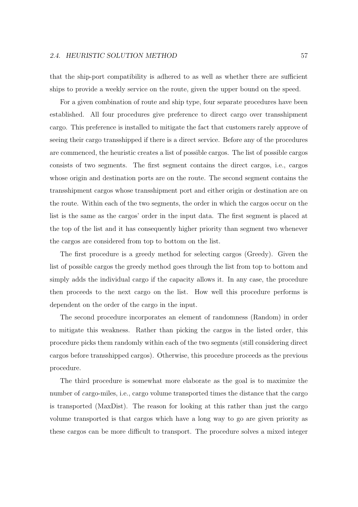that the ship-port compatibility is adhered to as well as whether there are sufficient ships to provide a weekly service on the route, given the upper bound on the speed.

For a given combination of route and ship type, four separate procedures have been established. All four procedures give preference to direct cargo over transshipment cargo. This preference is installed to mitigate the fact that customers rarely approve of seeing their cargo transshipped if there is a direct service. Before any of the procedures are commenced, the heuristic creates a list of possible cargos. The list of possible cargos consists of two segments. The first segment contains the direct cargos, i.e., cargos whose origin and destination ports are on the route. The second segment contains the transshipment cargos whose transshipment port and either origin or destination are on the route. Within each of the two segments, the order in which the cargos occur on the list is the same as the cargos' order in the input data. The first segment is placed at the top of the list and it has consequently higher priority than segment two whenever the cargos are considered from top to bottom on the list.

The first procedure is a greedy method for selecting cargos (Greedy). Given the list of possible cargos the greedy method goes through the list from top to bottom and simply adds the individual cargo if the capacity allows it. In any case, the procedure then proceeds to the next cargo on the list. How well this procedure performs is dependent on the order of the cargo in the input.

The second procedure incorporates an element of randomness (Random) in order to mitigate this weakness. Rather than picking the cargos in the listed order, this procedure picks them randomly within each of the two segments (still considering direct cargos before transshipped cargos). Otherwise, this procedure proceeds as the previous procedure.

The third procedure is somewhat more elaborate as the goal is to maximize the number of cargo-miles, i.e., cargo volume transported times the distance that the cargo is transported (MaxDist). The reason for looking at this rather than just the cargo volume transported is that cargos which have a long way to go are given priority as these cargos can be more difficult to transport. The procedure solves a mixed integer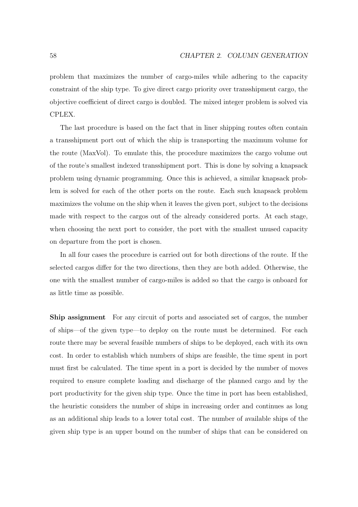problem that maximizes the number of cargo-miles while adhering to the capacity constraint of the ship type. To give direct cargo priority over transshipment cargo, the objective coefficient of direct cargo is doubled. The mixed integer problem is solved via CPLEX.

The last procedure is based on the fact that in liner shipping routes often contain a transshipment port out of which the ship is transporting the maximum volume for the route (MaxVol). To emulate this, the procedure maximizes the cargo volume out of the route's smallest indexed transshipment port. This is done by solving a knapsack problem using dynamic programming. Once this is achieved, a similar knapsack problem is solved for each of the other ports on the route. Each such knapsack problem maximizes the volume on the ship when it leaves the given port, subject to the decisions made with respect to the cargos out of the already considered ports. At each stage, when choosing the next port to consider, the port with the smallest unused capacity on departure from the port is chosen.

In all four cases the procedure is carried out for both directions of the route. If the selected cargos differ for the two directions, then they are both added. Otherwise, the one with the smallest number of cargo-miles is added so that the cargo is onboard for as little time as possible.

**Ship assignment** For any circuit of ports and associated set of cargos, the number of ships—of the given type—to deploy on the route must be determined. For each route there may be several feasible numbers of ships to be deployed, each with its own cost. In order to establish which numbers of ships are feasible, the time spent in port must first be calculated. The time spent in a port is decided by the number of moves required to ensure complete loading and discharge of the planned cargo and by the port productivity for the given ship type. Once the time in port has been established, the heuristic considers the number of ships in increasing order and continues as long as an additional ship leads to a lower total cost. The number of available ships of the given ship type is an upper bound on the number of ships that can be considered on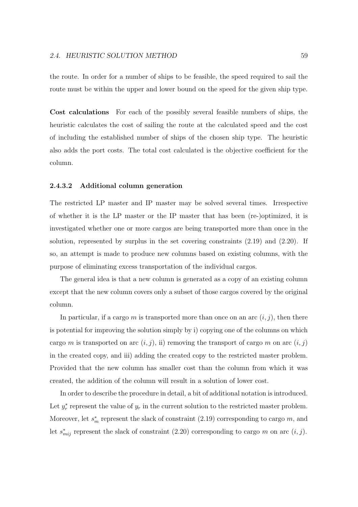the route. In order for a number of ships to be feasible, the speed required to sail the route must be within the upper and lower bound on the speed for the given ship type.

**Cost calculations** For each of the possibly several feasible numbers of ships, the heuristic calculates the cost of sailing the route at the calculated speed and the cost of including the established number of ships of the chosen ship type. The heuristic also adds the port costs. The total cost calculated is the objective coefficient for the column.

#### **2.4.3.2 Additional column generation**

The restricted LP master and IP master may be solved several times. Irrespective of whether it is the LP master or the IP master that has been (re-)optimized, it is investigated whether one or more cargos are being transported more than once in the solution, represented by surplus in the set covering constraints (2.19) and (2.20). If so, an attempt is made to produce new columns based on existing columns, with the purpose of eliminating excess transportation of the individual cargos.

The general idea is that a new column is generated as a copy of an existing column except that the new column covers only a subset of those cargos covered by the original column.

In particular, if a cargo m is transported more than once on an arc  $(i, j)$ , then there is potential for improving the solution simply by i) copying one of the columns on which cargo m is transported on arc  $(i, j)$ , ii) removing the transport of cargo m on arc  $(i, j)$ in the created copy, and iii) adding the created copy to the restricted master problem. Provided that the new column has smaller cost than the column from which it was created, the addition of the column will result in a solution of lower cost.

In order to describe the procedure in detail, a bit of additional notation is introduced. Let  $y_r^*$  represent the value of  $y_r$  in the current solution to the restricted master problem. Moreover, let  $s_m^*$  represent the slack of constraint  $(2.19)$  corresponding to cargo m, and let  $s_{mij}^*$  represent the slack of constraint (2.20) corresponding to cargo m on arc  $(i, j)$ .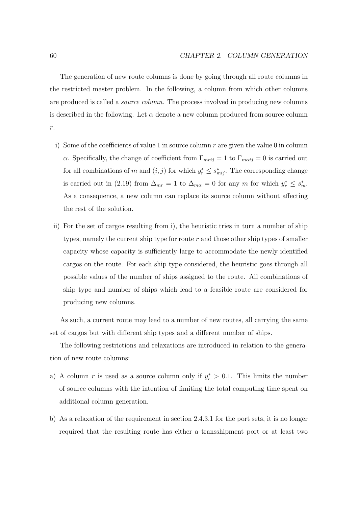The generation of new route columns is done by going through all route columns in the restricted master problem. In the following, a column from which other columns are produced is called a *source column*. The process involved in producing new columns is described in the following. Let  $\alpha$  denote a new column produced from source column r.

- i) Some of the coefficients of value 1 in source column  $r$  are given the value 0 in column α. Specifically, the change of coefficient from  $\Gamma_{mrij} = 1$  to  $\Gamma_{m\alpha ij} = 0$  is carried out for all combinations of m and  $(i, j)$  for which  $y_r^* \leq s_{mij}^*$ . The corresponding change is carried out in (2.19) from  $\Delta_{mr} = 1$  to  $\Delta_{m\alpha} = 0$  for any m for which  $y_r^* \leq s_m^*$ . As a consequence, a new column can replace its source column without affecting the rest of the solution.
- ii) For the set of cargos resulting from i), the heuristic tries in turn a number of ship types, namely the current ship type for route  $r$  and those other ship types of smaller capacity whose capacity is sufficiently large to accommodate the newly identified cargos on the route. For each ship type considered, the heuristic goes through all possible values of the number of ships assigned to the route. All combinations of ship type and number of ships which lead to a feasible route are considered for producing new columns.

As such, a current route may lead to a number of new routes, all carrying the same set of cargos but with different ship types and a different number of ships.

The following restrictions and relaxations are introduced in relation to the generation of new route columns:

- a) A column r is used as a source column only if  $y_r^* > 0.1$ . This limits the number of source columns with the intention of limiting the total computing time spent on additional column generation.
- b) As a relaxation of the requirement in section 2.4.3.1 for the port sets, it is no longer required that the resulting route has either a transshipment port or at least two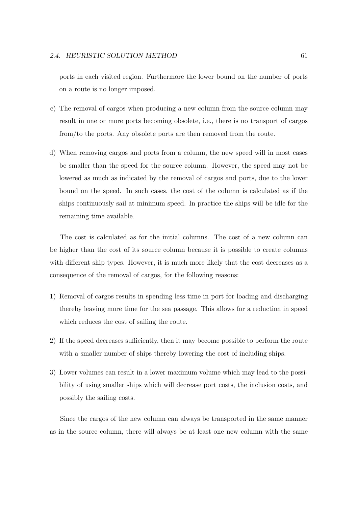ports in each visited region. Furthermore the lower bound on the number of ports on a route is no longer imposed.

- c) The removal of cargos when producing a new column from the source column may result in one or more ports becoming obsolete, i.e., there is no transport of cargos from/to the ports. Any obsolete ports are then removed from the route.
- d) When removing cargos and ports from a column, the new speed will in most cases be smaller than the speed for the source column. However, the speed may not be lowered as much as indicated by the removal of cargos and ports, due to the lower bound on the speed. In such cases, the cost of the column is calculated as if the ships continuously sail at minimum speed. In practice the ships will be idle for the remaining time available.

The cost is calculated as for the initial columns. The cost of a new column can be higher than the cost of its source column because it is possible to create columns with different ship types. However, it is much more likely that the cost decreases as a consequence of the removal of cargos, for the following reasons:

- 1) Removal of cargos results in spending less time in port for loading and discharging thereby leaving more time for the sea passage. This allows for a reduction in speed which reduces the cost of sailing the route.
- 2) If the speed decreases sufficiently, then it may become possible to perform the route with a smaller number of ships thereby lowering the cost of including ships.
- 3) Lower volumes can result in a lower maximum volume which may lead to the possibility of using smaller ships which will decrease port costs, the inclusion costs, and possibly the sailing costs.

Since the cargos of the new column can always be transported in the same manner as in the source column, there will always be at least one new column with the same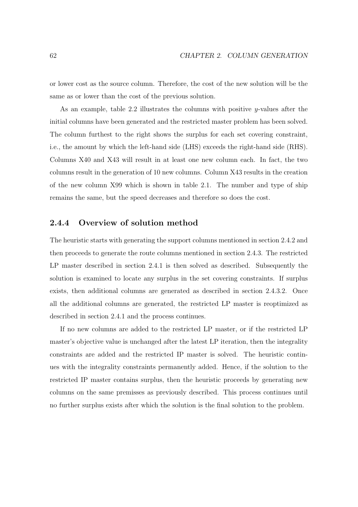or lower cost as the source column. Therefore, the cost of the new solution will be the same as or lower than the cost of the previous solution.

As an example, table 2.2 illustrates the columns with positive  $\eta$ -values after the initial columns have been generated and the restricted master problem has been solved. The column furthest to the right shows the surplus for each set covering constraint, i.e., the amount by which the left-hand side (LHS) exceeds the right-hand side (RHS). Columns X40 and X43 will result in at least one new column each. In fact, the two columns result in the generation of 10 new columns. Column X43 results in the creation of the new column X99 which is shown in table 2.1. The number and type of ship remains the same, but the speed decreases and therefore so does the cost.

## **2.4.4 Overview of solution method**

The heuristic starts with generating the support columns mentioned in section 2.4.2 and then proceeds to generate the route columns mentioned in section 2.4.3. The restricted LP master described in section 2.4.1 is then solved as described. Subsequently the solution is examined to locate any surplus in the set covering constraints. If surplus exists, then additional columns are generated as described in section 2.4.3.2. Once all the additional columns are generated, the restricted LP master is reoptimized as described in section 2.4.1 and the process continues.

If no new columns are added to the restricted LP master, or if the restricted LP master's objective value is unchanged after the latest LP iteration, then the integrality constraints are added and the restricted IP master is solved. The heuristic continues with the integrality constraints permanently added. Hence, if the solution to the restricted IP master contains surplus, then the heuristic proceeds by generating new columns on the same premisses as previously described. This process continues until no further surplus exists after which the solution is the final solution to the problem.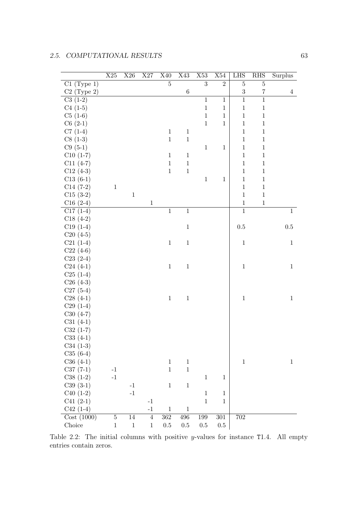|               | $\rm X25$   | $\rm X26$ | $\rm X27$ | X40            | $\rm X43$      | $\rm X53$      | X54            | LHS            | $\mathbf{R}\mathbf{H}\mathbf{S}$ | Surplus        |
|---------------|-------------|-----------|-----------|----------------|----------------|----------------|----------------|----------------|----------------------------------|----------------|
| $C1$ (Type 1) |             |           |           | $\overline{5}$ |                | $\overline{3}$ | $\overline{2}$ | $\bf 5$        | $\bf 5$                          |                |
| $C2$ (Type 2) |             |           |           |                | $\,6\,$        |                |                | $\sqrt{3}$     | $\,7$                            | $\overline{4}$ |
| $C3(1-2)$     |             |           |           |                |                | $\,1\,$        | $\mathbf{1}$   | $\overline{1}$ | $\,1\,$                          |                |
| $C4(1-5)$     |             |           |           |                |                | $\,1$          | $\,1$          | $\,1\,$        | $\,1$                            |                |
| $C5(1-6)$     |             |           |           |                |                | $\,1\,$        | $\,1$          | $\mathbf{1}$   | $\,1\,$                          |                |
| $C6(2-1)$     |             |           |           |                |                | $\mathbf{1}$   | $\,1$          | $\mathbf{1}$   | $\,1\,$                          |                |
| $C7(1-4)$     |             |           |           | $\,1\,$        | $\,1$          |                |                | $\mathbf{1}$   | $\,1\,$                          |                |
| $C8(1-3)$     |             |           |           | $\,1\,$        | $\,1\,$        |                |                | $\mathbf{1}$   | $\,1$                            |                |
| $C9(5-1)$     |             |           |           |                |                | $\,1\,$        | $\mathbf{1}$   | $\,1\,$        | $\mathbf{1}$                     |                |
| $C10(1-7)$    |             |           |           | $\,1\,$        | $\,1$          |                |                | $\,1$          | $\,1\,$                          |                |
| $C11(4-7)$    |             |           |           | $\,1\,$        | $\,1\,$        |                |                | $\mathbf 1$    | $\,1\,$                          |                |
| $C12(4-3)$    |             |           |           | $\,1\,$        | $\,1$          |                |                | $\,1\,$        | $\,1\,$                          |                |
| $C13(6-1)$    |             |           |           |                |                | $\,1\,$        | $\mathbf 1$    | $\,1\,$        | $\,1\,$                          |                |
| $C14(7-2)$    | $\,1$       |           |           |                |                |                |                | $\,1\,$        | $1\,$                            |                |
| $C15(3-2)$    |             | $\,1$     |           |                |                |                |                | $\mathbf{1}$   | $\,1\,$                          |                |
| $C16(2-4)$    |             |           | $\,1$     |                |                |                |                | $\,1$          | $\,1\,$                          |                |
| $C17(1-4)$    |             |           |           | $\overline{1}$ | $\overline{1}$ |                |                | $\overline{1}$ |                                  | $\mathbf{1}$   |
| $C18(4-2)$    |             |           |           |                |                |                |                |                |                                  |                |
| $C19(1-4)$    |             |           |           |                | $\,1$          |                |                | $0.5\,$        |                                  | $0.5\,$        |
| $C20(4-5)$    |             |           |           |                |                |                |                |                |                                  |                |
| $C21(1-4)$    |             |           |           | $\,1\,$        | $\,1$          |                |                | $\,1\,$        |                                  | $\,1$          |
| $C22(4-6)$    |             |           |           |                |                |                |                |                |                                  |                |
| $C23(2-4)$    |             |           |           |                |                |                |                |                |                                  |                |
| $C24(4-1)$    |             |           |           | $\,1$          | $\,1$          |                |                | $\,1\,$        |                                  | $\mathbf{1}$   |
| $C25(1-4)$    |             |           |           |                |                |                |                |                |                                  |                |
| $C26(4-3)$    |             |           |           |                |                |                |                |                |                                  |                |
| $C27(5-4)$    |             |           |           |                |                |                |                |                |                                  |                |
| $C28(4-1)$    |             |           |           | $\,1$          | $\,1$          |                |                | $\,1\,$        |                                  | $\mathbf{1}$   |
| $C29(1-4)$    |             |           |           |                |                |                |                |                |                                  |                |
| $C30(4-7)$    |             |           |           |                |                |                |                |                |                                  |                |
| $C31(4-1)$    |             |           |           |                |                |                |                |                |                                  |                |
| $C32(1-7)$    |             |           |           |                |                |                |                |                |                                  |                |
| $C33(4-1)$    |             |           |           |                |                |                |                |                |                                  |                |
| $C34(1-3)$    |             |           |           |                |                |                |                |                |                                  |                |
| $C35(6-4)$    |             |           |           |                |                |                |                |                |                                  |                |
| $C36(4-1)$    |             |           |           | $\mathbf{1}$   | $\mathbf{1}$   |                |                | $\,1$          |                                  | $\mathbf{1}$   |
| $C37(7-1)$    | $-1$        |           |           | $\,1\,$        | $\,1$          |                |                |                |                                  |                |
| $C38(1-2)$    | $^{\rm -1}$ |           |           |                |                | $\mathbf{1}$   | $\mathbf{1}$   |                |                                  |                |
| $C39(3-1)$    |             | $-1$      |           | $\mathbf{1}$   | $\,1$          |                |                |                |                                  |                |
| $C40(1-2)$    |             | $-1$      |           |                |                | $\,1$          | $\mathbf 1$    |                |                                  |                |
| $C41(2-1)$    |             |           | $-1$      |                |                | $\,1$          | $\mathbf{1}$   |                |                                  |                |
| $C42(1-4)$    |             |           | $-1$      | $\,1\,$        | $\,1\,$        |                |                |                |                                  |                |
| Cost(1000)    | $\bf 5$     | 14        | $\,4\,$   | $362\,$        | $\!96$         | $199\,$        | $301\,$        | $702\,$        |                                  |                |
| Choice        | $\,1$       | $\,1$     | $\,1$     | 0.5            | $0.5\,$        | $0.5\,$        | $0.5\,$        |                |                                  |                |

Table 2.2: The initial columns with positive *y*-values for instance T1.4. All empty entries contain zeros.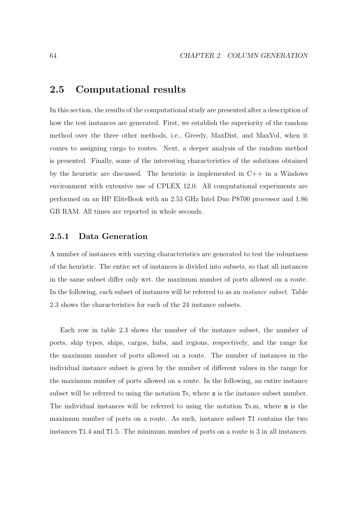# **2.5 Computational results**

In this section, the results of the computational study are presented after a description of how the test instances are generated. First, we establish the superiority of the random method over the three other methods, i.e., Greedy, MaxDist, and MaxVol, when it comes to assigning cargo to routes. Next, a deeper analysis of the random method is presented. Finally, some of the interesting characteristics of the solutions obtained by the heuristic are discussed. The heuristic is implemented in C++ in a Windows environment with extensive use of CPLEX 12.0. All computational experiments are performed on an HP EliteBook with an 2.53 GHz Intel Duo P8700 processor and 1.86 GB RAM. All times are reported in whole seconds.

## **2.5.1 Data Generation**

A number of instances with varying characteristics are generated to test the robustness of the heuristic. The entire set of instances is divided into subsets, so that all instances in the same subset differ only wrt. the maximum number of ports allowed on a route. In the following, each subset of instances will be referred to as an instance subset. Table 2.3 shows the characteristics for each of the 24 instance subsets.

Each row in table 2.3 shows the number of the instance subset, the number of ports, ship types, ships, cargos, hubs, and regions, respectively, and the range for the maximum number of ports allowed on a route. The number of instances in the individual instance subset is given by the number of different values in the range for the maximum number of ports allowed on a route. In the following, an entire instance subset will be referred to using the notation Ts, where s is the instance subset number. The individual instances will be referred to using the notation Ts.m, where m is the maximum number of ports on a route. As such, instance subset T1 contains the two instances T1.4 and T1.5. The minimum number of ports on a route is 3 in all instances.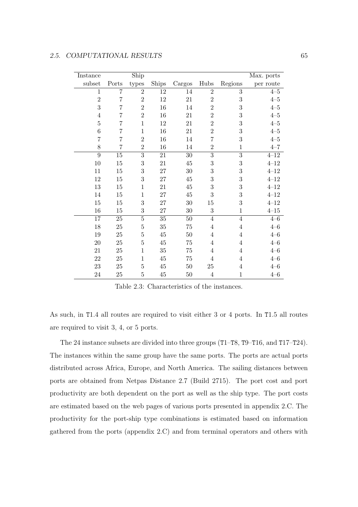| Instance       |                | $\overline{\text{Ship}}$ |          |          |                |                  | Max. ports |
|----------------|----------------|--------------------------|----------|----------|----------------|------------------|------------|
| subset         | Ports          | types                    | Ships    | Cargos   | Hubs           | Regions          | per route  |
| 1              | $\overline{7}$ | $\overline{2}$           | $12\,$   | 14       | $\overline{2}$ | 3                | $4 - 5$    |
| $\overline{2}$ | $\overline{7}$ | $\overline{2}$           | 12       | 21       | $\overline{2}$ | 3                | $4 - 5$    |
| 3              | $\overline{7}$ | $\overline{2}$           | 16       | 14       | $\overline{2}$ | 3                | $4 - 5$    |
| $\overline{4}$ | $\overline{7}$ | $\overline{2}$           | 16       | 21       | $\overline{2}$ | 3                | $4 - 5$    |
| $\overline{5}$ | $\overline{7}$ | $\mathbf{1}$             | 12       | 21       | $\overline{2}$ | 3                | $4 - 5$    |
| 6              | 7              | $\mathbf 1$              | 16       | 21       | $\overline{2}$ | 3                | $4 - 5$    |
| $\overline{7}$ | $\overline{7}$ | $\overline{2}$           | 16       | 14       | $\overline{7}$ | 3                | $4 - 5$    |
| 8              | $\overline{7}$ | $\overline{2}$           | 16       | 14       | $\overline{2}$ | $\mathbf{1}$     | $4 - 7$    |
| 9              | $15\,$         | $\overline{3}$           | $21\,$   | $30\,$   | $\overline{3}$ | $\overline{3}$   | $4 - 12$   |
| 10             | 15             | 3                        | $21\,$   | $\rm 45$ | 3              | 3                | $4 - 12$   |
| 11             | 15             | 3                        | $27\,$   | 30       | 3              | 3                | $4 - 12$   |
| 12             | $15\,$         | 3                        | $27\,$   | $\rm 45$ | 3              | 3                | $4 - 12$   |
| 13             | $15\,$         | $\mathbf{1}$             | 21       | 45       | 3              | 3                | $4 - 12$   |
| 14             | $15\,$         | $\mathbf{1}$             | $27\,$   | $\rm 45$ | 3              | 3                | $4 - 12$   |
| $15\,$         | $15\,$         | 3                        | $27\,$   | 30       | 15             | $\boldsymbol{3}$ | $4 - 12$   |
| 16             | $15\,$         | 3                        | 27       | 30       | 3              | $\mathbf{1}$     | $4 - 15$   |
| 17             | $25\,$         | $\overline{5}$           | $35\,$   | $50\,$   | $\overline{4}$ | $\overline{4}$   | $4 - 6$    |
| 18             | 25             | $\overline{5}$           | $35\,$   | 75       | $\overline{4}$ | $\overline{4}$   | $4 - 6$    |
| 19             | 25             | $\overline{5}$           | $45\,$   | 50       | $\overline{4}$ | $\overline{4}$   | $4 - 6$    |
| $20\,$         | 25             | 5                        | $45\,$   | 75       | 4              | $\overline{4}$   | $4 - 6$    |
| 21             | 25             | $\mathbf{1}$             | $35\,$   | $75\,$   | 4              | 4                | $4 - 6$    |
| $22\,$         | 25             | $\mathbf{1}$             | $\rm 45$ | 75       | $\overline{4}$ | $\overline{4}$   | $4 - 6$    |
| $23\,$         | 25             | $\overline{5}$           | $\rm 45$ | $50\,$   | 25             | 4                | $4 - 6$    |
| $24\,$         | 25             | $\overline{5}$           | $45\,$   | 50       | $\overline{4}$ | $\mathbf{1}$     | $4 - 6$    |

Table 2.3: Characteristics of the instances.

As such, in T1.4 all routes are required to visit either 3 or 4 ports. In T1.5 all routes are required to visit 3, 4, or 5 ports.

The 24 instance subsets are divided into three groups (T1–T8, T9–T16, and T17–T24). The instances within the same group have the same ports. The ports are actual ports distributed across Africa, Europe, and North America. The sailing distances between ports are obtained from Netpas Distance 2.7 (Build 2715). The port cost and port productivity are both dependent on the port as well as the ship type. The port costs are estimated based on the web pages of various ports presented in appendix 2.C. The productivity for the port-ship type combinations is estimated based on information gathered from the ports (appendix 2.C) and from terminal operators and others with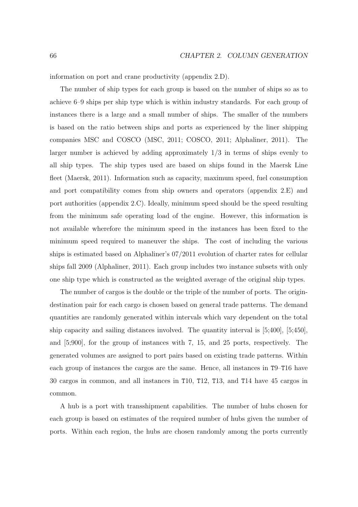information on port and crane productivity (appendix 2.D).

The number of ship types for each group is based on the number of ships so as to achieve 6–9 ships per ship type which is within industry standards. For each group of instances there is a large and a small number of ships. The smaller of the numbers is based on the ratio between ships and ports as experienced by the liner shipping companies MSC and COSCO (MSC, 2011; COSCO, 2011; Alphaliner, 2011). The larger number is achieved by adding approximately 1/3 in terms of ships evenly to all ship types. The ship types used are based on ships found in the Maersk Line fleet (Maersk, 2011). Information such as capacity, maximum speed, fuel consumption and port compatibility comes from ship owners and operators (appendix 2.E) and port authorities (appendix 2.C). Ideally, minimum speed should be the speed resulting from the minimum safe operating load of the engine. However, this information is not available wherefore the minimum speed in the instances has been fixed to the minimum speed required to maneuver the ships. The cost of including the various ships is estimated based on Alphaliner's 07/2011 evolution of charter rates for cellular ships fall 2009 (Alphaliner, 2011). Each group includes two instance subsets with only one ship type which is constructed as the weighted average of the original ship types.

The number of cargos is the double or the triple of the number of ports. The origindestination pair for each cargo is chosen based on general trade patterns. The demand quantities are randomly generated within intervals which vary dependent on the total ship capacity and sailing distances involved. The quantity interval is [5;400], [5;450], and [5;900], for the group of instances with 7, 15, and 25 ports, respectively. The generated volumes are assigned to port pairs based on existing trade patterns. Within each group of instances the cargos are the same. Hence, all instances in T9–T16 have 30 cargos in common, and all instances in T10, T12, T13, and T14 have 45 cargos in common.

A hub is a port with transshipment capabilities. The number of hubs chosen for each group is based on estimates of the required number of hubs given the number of ports. Within each region, the hubs are chosen randomly among the ports currently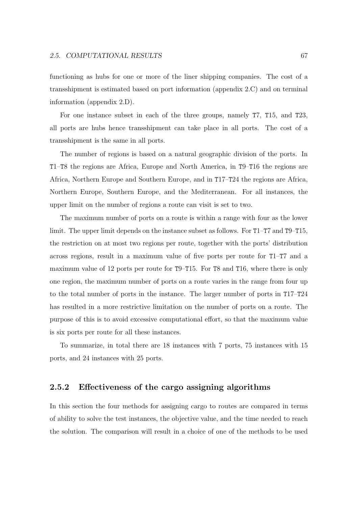functioning as hubs for one or more of the liner shipping companies. The cost of a transshipment is estimated based on port information (appendix 2.C) and on terminal information (appendix 2.D).

For one instance subset in each of the three groups, namely T7, T15, and T23, all ports are hubs hence transshipment can take place in all ports. The cost of a transshipment is the same in all ports.

The number of regions is based on a natural geographic division of the ports. In T1–T8 the regions are Africa, Europe and North America, in T9–T16 the regions are Africa, Northern Europe and Southern Europe, and in T17–T24 the regions are Africa, Northern Europe, Southern Europe, and the Mediterranean. For all instances, the upper limit on the number of regions a route can visit is set to two.

The maximum number of ports on a route is within a range with four as the lower limit. The upper limit depends on the instance subset as follows. For T1–T7 and T9–T15, the restriction on at most two regions per route, together with the ports' distribution across regions, result in a maximum value of five ports per route for T1–T7 and a maximum value of 12 ports per route for T9–T15. For T8 and T16, where there is only one region, the maximum number of ports on a route varies in the range from four up to the total number of ports in the instance. The larger number of ports in T17–T24 has resulted in a more restrictive limitation on the number of ports on a route. The purpose of this is to avoid excessive computational effort, so that the maximum value is six ports per route for all these instances.

To summarize, in total there are 18 instances with 7 ports, 75 instances with 15 ports, and 24 instances with 25 ports.

## **2.5.2 Effectiveness of the cargo assigning algorithms**

In this section the four methods for assigning cargo to routes are compared in terms of ability to solve the test instances, the objective value, and the time needed to reach the solution. The comparison will result in a choice of one of the methods to be used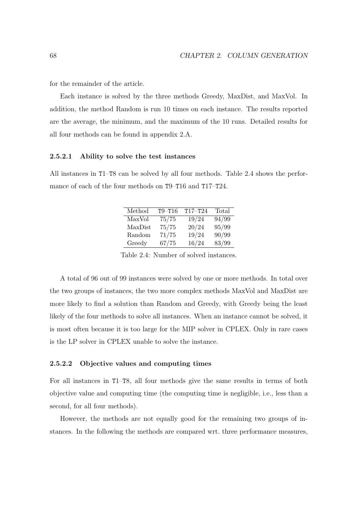for the remainder of the article.

Each instance is solved by the three methods Greedy, MaxDist, and MaxVol. In addition, the method Random is run 10 times on each instance. The results reported are the average, the minimum, and the maximum of the 10 runs. Detailed results for all four methods can be found in appendix 2.A.

#### **2.5.2.1 Ability to solve the test instances**

All instances in T1–T8 can be solved by all four methods. Table 2.4 shows the performance of each of the four methods on T9–T16 and T17–T24.

| Method  | $T9 - T16$ | $T17 - T24$ | Total |
|---------|------------|-------------|-------|
| MaxVol  | 75/75      | 19/24       | 94/99 |
| MaxDist | 75/75      | 20/24       | 95/99 |
| Random  | 71/75      | 19/24       | 90/99 |
| Greedy  | 67/75      | 16/24       | 83/99 |

Table 2.4: Number of solved instances.

A total of 96 out of 99 instances were solved by one or more methods. In total over the two groups of instances, the two more complex methods MaxVol and MaxDist are more likely to find a solution than Random and Greedy, with Greedy being the least likely of the four methods to solve all instances. When an instance cannot be solved, it is most often because it is too large for the MIP solver in CPLEX. Only in rare cases is the LP solver in CPLEX unable to solve the instance.

#### **2.5.2.2 Objective values and computing times**

For all instances in T1–T8, all four methods give the same results in terms of both objective value and computing time (the computing time is negligible, i.e., less than a second, for all four methods).

However, the methods are not equally good for the remaining two groups of instances. In the following the methods are compared wrt. three performance measures,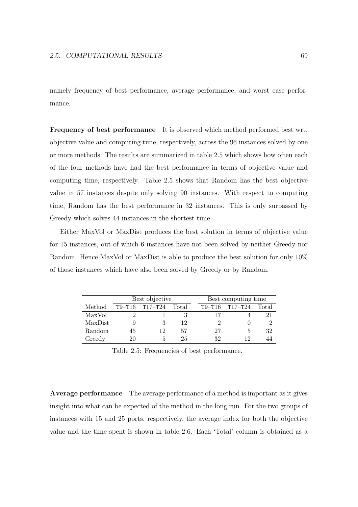namely frequency of best performance, average performance, and worst case performance.

**Frequency of best performance** It is observed which method performed best wrt. objective value and computing time, respectively, across the 96 instances solved by one or more methods. The results are summarized in table 2.5 which shows how often each of the four methods have had the best performance in terms of objective value and computing time, respectively. Table 2.5 shows that Random has the best objective value in 57 instances despite only solving 90 instances. With respect to computing time, Random has the best performance in 32 instances. This is only surpassed by Greedy which solves 44 instances in the shortest time.

Either MaxVol or MaxDist produces the best solution in terms of objective value for 15 instances, out of which 6 instances have not been solved by neither Greedy nor Random. Hence MaxVol or MaxDist is able to produce the best solution for only 10% of those instances which have also been solved by Greedy or by Random.

|         | Best objective |             |       |  | Best computing time |             |       |  |
|---------|----------------|-------------|-------|--|---------------------|-------------|-------|--|
| Method  | $T9 - T16$     | $T17 - T24$ | Total |  | $T9-T16$            | $T17 - T24$ | Total |  |
| MaxVol  | 9              |             |       |  | 17                  |             | 21    |  |
| MaxDist | 9              |             | 12    |  |                     |             |       |  |
| Random  | 45             | 19          | 57    |  | 27                  |             | 32    |  |
| Greedy  | 20             |             | 25    |  | 32                  | 19          | 44    |  |

Table 2.5: Frequencies of best performance.

**Average performance** The average performance of a method is important as it gives insight into what can be expected of the method in the long run. For the two groups of instances with 15 and 25 ports, respectively, the average index for both the objective value and the time spent is shown in table 2.6. Each 'Total' column is obtained as a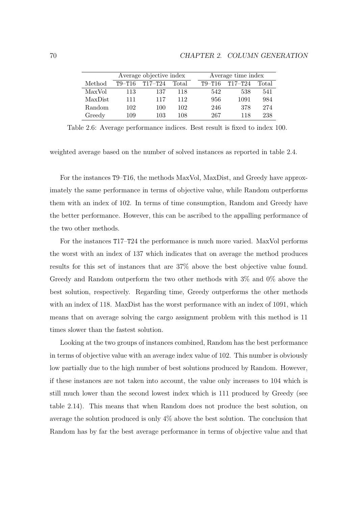|         |            | Average objective index |       | Average time index |          |             |       |
|---------|------------|-------------------------|-------|--------------------|----------|-------------|-------|
| Method  | $T9 - T16$ | $T17 - T24$             | Total |                    | $T9-T16$ | $T17 - T24$ | Total |
| MaxVol  | 113        | 137                     | 118   |                    | 542      | 538         | 541   |
| MaxDist | 111        | 117                     | 112   |                    | 956      | 1091        | 984   |
| Random  | 102        | 100                     | 102   |                    | 246      | 378         | 274   |
| Greedy  | 109        | 103                     | 108   |                    | 267      | 118         | 238   |

Table 2.6: Average performance indices. Best result is fixed to index 100.

weighted average based on the number of solved instances as reported in table 2.4.

For the instances T9–T16, the methods MaxVol, MaxDist, and Greedy have approximately the same performance in terms of objective value, while Random outperforms them with an index of 102. In terms of time consumption, Random and Greedy have the better performance. However, this can be ascribed to the appalling performance of the two other methods.

For the instances T17–T24 the performance is much more varied. MaxVol performs the worst with an index of 137 which indicates that on average the method produces results for this set of instances that are 37% above the best objective value found. Greedy and Random outperform the two other methods with 3% and 0% above the best solution, respectively. Regarding time, Greedy outperforms the other methods with an index of 118. MaxDist has the worst performance with an index of 1091, which means that on average solving the cargo assignment problem with this method is 11 times slower than the fastest solution.

Looking at the two groups of instances combined, Random has the best performance in terms of objective value with an average index value of 102. This number is obviously low partially due to the high number of best solutions produced by Random. However, if these instances are not taken into account, the value only increases to 104 which is still much lower than the second lowest index which is 111 produced by Greedy (see table 2.14). This means that when Random does not produce the best solution, on average the solution produced is only 4% above the best solution. The conclusion that Random has by far the best average performance in terms of objective value and that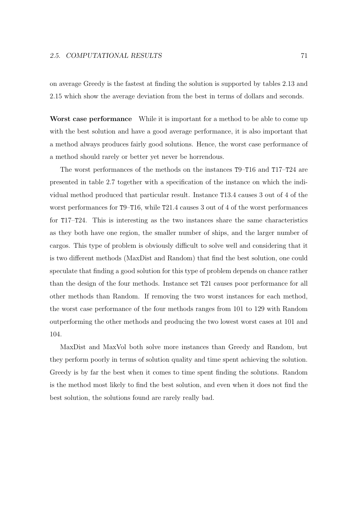on average Greedy is the fastest at finding the solution is supported by tables 2.13 and 2.15 which show the average deviation from the best in terms of dollars and seconds.

**Worst case performance** While it is important for a method to be able to come up with the best solution and have a good average performance, it is also important that a method always produces fairly good solutions. Hence, the worst case performance of a method should rarely or better yet never be horrendous.

The worst performances of the methods on the instances T9–T16 and T17–T24 are presented in table 2.7 together with a specification of the instance on which the individual method produced that particular result. Instance T13.4 causes 3 out of 4 of the worst performances for T9–T16, while T21.4 causes 3 out of 4 of the worst performances for T17–T24. This is interesting as the two instances share the same characteristics as they both have one region, the smaller number of ships, and the larger number of cargos. This type of problem is obviously difficult to solve well and considering that it is two different methods (MaxDist and Random) that find the best solution, one could speculate that finding a good solution for this type of problem depends on chance rather than the design of the four methods. Instance set T21 causes poor performance for all other methods than Random. If removing the two worst instances for each method, the worst case performance of the four methods ranges from 101 to 129 with Random outperforming the other methods and producing the two lowest worst cases at 101 and 104.

MaxDist and MaxVol both solve more instances than Greedy and Random, but they perform poorly in terms of solution quality and time spent achieving the solution. Greedy is by far the best when it comes to time spent finding the solutions. Random is the method most likely to find the best solution, and even when it does not find the best solution, the solutions found are rarely really bad.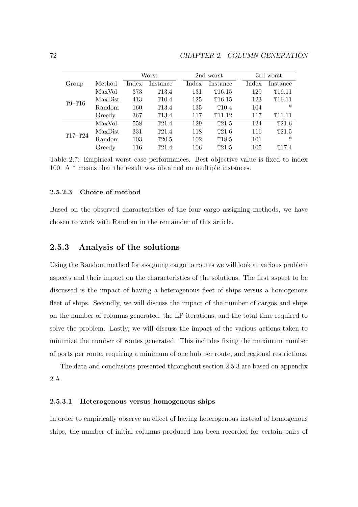|             |         | Worst          |                   |       | 2nd worst          | 3rd worst |                    |
|-------------|---------|----------------|-------------------|-------|--------------------|-----------|--------------------|
| Group       | Method  | $_{\rm Index}$ | Instance          | Index | Instance           | Index     | Instance           |
|             | MaxVol  | 373            | T <sub>13.4</sub> | 131   | T16.15             | 129       | T16.11             |
| $T9 - T16$  | MaxDist | 413            | T10.4             | 125   | T16.15             | 123       | T16.11             |
|             | Random  | 160            | T <sub>13.4</sub> | 135   | T10.4              | 104       | $\ast$             |
|             | Greedy  | 367            | T <sub>13.4</sub> | 117   | T <sub>11.12</sub> | 117       | T <sub>11.11</sub> |
|             | MaxVol  | 558            | T21.4             | 129   | T21.5              | 124       | T21.6              |
|             | MaxDist | 331            | T21.4             | 118   | T21.6              | 116       | T21.5              |
| $T17 - T24$ | Random  | 103            | T20.5             | 102   | T <sub>18.5</sub>  | 101       | $\ast$             |
|             | Greedy  | 116            | T21.4             | 106   | T21.5              | 105       | T <sub>17.4</sub>  |

Table 2.7: Empirical worst case performances. Best objective value is fixed to index 100. A \* means that the result was obtained on multiple instances.

## **2.5.2.3 Choice of method**

Based on the observed characteristics of the four cargo assigning methods, we have chosen to work with Random in the remainder of this article.

## **2.5.3 Analysis of the solutions**

Using the Random method for assigning cargo to routes we will look at various problem aspects and their impact on the characteristics of the solutions. The first aspect to be discussed is the impact of having a heterogenous fleet of ships versus a homogenous fleet of ships. Secondly, we will discuss the impact of the number of cargos and ships on the number of columns generated, the LP iterations, and the total time required to solve the problem. Lastly, we will discuss the impact of the various actions taken to minimize the number of routes generated. This includes fixing the maximum number of ports per route, requiring a minimum of one hub per route, and regional restrictions.

The data and conclusions presented throughout section 2.5.3 are based on appendix 2.A.

## **2.5.3.1 Heterogenous versus homogenous ships**

In order to empirically observe an effect of having heterogenous instead of homogenous ships, the number of initial columns produced has been recorded for certain pairs of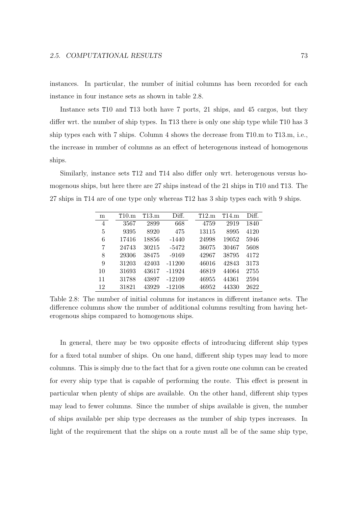instances. In particular, the number of initial columns has been recorded for each instance in four instance sets as shown in table 2.8.

Instance sets T10 and T13 both have 7 ports, 21 ships, and 45 cargos, but they differ wrt. the number of ship types. In T13 there is only one ship type while T10 has 3 ship types each with 7 ships. Column 4 shows the decrease from T10.m to T13.m, i.e., the increase in number of columns as an effect of heterogenous instead of homogenous ships.

Similarly, instance sets T12 and T14 also differ only wrt. heterogenous versus homogenous ships, but here there are 27 ships instead of the 21 ships in T10 and T13. The 27 ships in T14 are of one type only whereas T12 has 3 ship types each with 9 ships.

| m              | T10.m | T13.m | Diff.    | T12.m | T14.m | Diff. |
|----------------|-------|-------|----------|-------|-------|-------|
| $\overline{4}$ | 3567  | 2899  | 668      | 4759  | 2919  | 1840  |
| 5              | 9395  | 8920  | 475      | 13115 | 8995  | 4120  |
| 6              | 17416 | 18856 | $-1440$  | 24998 | 19052 | 5946  |
| 7              | 24743 | 30215 | $-5472$  | 36075 | 30467 | 5608  |
| 8              | 29306 | 38475 | $-9169$  | 42967 | 38795 | 4172  |
| 9              | 31203 | 42403 | $-11200$ | 46016 | 42843 | 3173  |
| 10             | 31693 | 43617 | $-11924$ | 46819 | 44064 | 2755  |
| 11             | 31788 | 43897 | $-12109$ | 46955 | 44361 | 2594  |
| 12             | 31821 | 43929 | $-12108$ | 46952 | 44330 | 2622  |

Table 2.8: The number of initial columns for instances in different instance sets. The difference columns show the number of additional columns resulting from having heterogenous ships compared to homogenous ships.

In general, there may be two opposite effects of introducing different ship types for a fixed total number of ships. On one hand, different ship types may lead to more columns. This is simply due to the fact that for a given route one column can be created for every ship type that is capable of performing the route. This effect is present in particular when plenty of ships are available. On the other hand, different ship types may lead to fewer columns. Since the number of ships available is given, the number of ships available per ship type decreases as the number of ship types increases. In light of the requirement that the ships on a route must all be of the same ship type,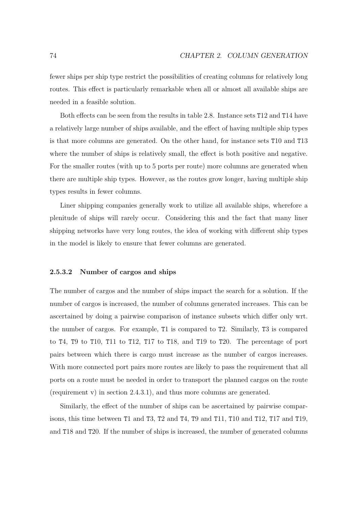fewer ships per ship type restrict the possibilities of creating columns for relatively long routes. This effect is particularly remarkable when all or almost all available ships are needed in a feasible solution.

Both effects can be seen from the results in table 2.8. Instance sets T12 and T14 have a relatively large number of ships available, and the effect of having multiple ship types is that more columns are generated. On the other hand, for instance sets T10 and T13 where the number of ships is relatively small, the effect is both positive and negative. For the smaller routes (with up to 5 ports per route) more columns are generated when there are multiple ship types. However, as the routes grow longer, having multiple ship types results in fewer columns.

Liner shipping companies generally work to utilize all available ships, wherefore a plenitude of ships will rarely occur. Considering this and the fact that many liner shipping networks have very long routes, the idea of working with different ship types in the model is likely to ensure that fewer columns are generated.

#### **2.5.3.2 Number of cargos and ships**

The number of cargos and the number of ships impact the search for a solution. If the number of cargos is increased, the number of columns generated increases. This can be ascertained by doing a pairwise comparison of instance subsets which differ only wrt. the number of cargos. For example, T1 is compared to T2. Similarly, T3 is compared to T4, T9 to T10, T11 to T12, T17 to T18, and T19 to T20. The percentage of port pairs between which there is cargo must increase as the number of cargos increases. With more connected port pairs more routes are likely to pass the requirement that all ports on a route must be needed in order to transport the planned cargos on the route (requirement v) in section 2.4.3.1), and thus more columns are generated.

Similarly, the effect of the number of ships can be ascertained by pairwise comparisons, this time between T1 and T3, T2 and T4, T9 and T11, T10 and T12, T17 and T19, and T18 and T20. If the number of ships is increased, the number of generated columns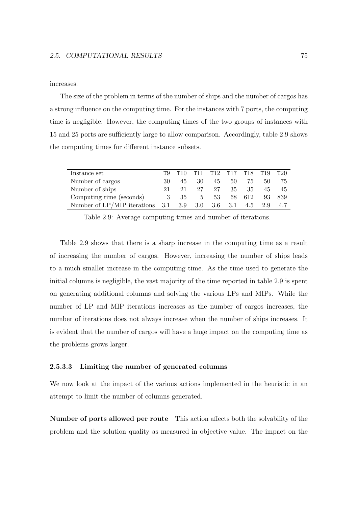#### increases.

The size of the problem in terms of the number of ships and the number of cargos has a strong influence on the computing time. For the instances with 7 ports, the computing time is negligible. However, the computing times of the two groups of instances with 15 and 25 ports are sufficiently large to allow comparison. Accordingly, table 2.9 shows the computing times for different instance subsets.

| Instance set                      | TQ. | T10 |       | T11 T12 T17 T18 T19       |      |        |     | T20  |
|-----------------------------------|-----|-----|-------|---------------------------|------|--------|-----|------|
| Number of cargos                  | 30  | 45  | 30    | 45                        | 50 — | 75     | 50  | 75   |
| Number of ships                   | 21. | 21  | 27    | 27                        | 35   | 35     | 45  | 45   |
| Computing time (seconds)          | -3  | -35 | $5 -$ | 53                        |      | 68 612 | 93  | -839 |
| Number of $LP/MIP$ iterations 3.1 |     | 3.9 |       | $3.0 \quad 3.6 \quad 3.1$ |      | 4.5    | 2.9 |      |

Table 2.9: Average computing times and number of iterations.

Table 2.9 shows that there is a sharp increase in the computing time as a result of increasing the number of cargos. However, increasing the number of ships leads to a much smaller increase in the computing time. As the time used to generate the initial columns is negligible, the vast majority of the time reported in table 2.9 is spent on generating additional columns and solving the various LPs and MIPs. While the number of LP and MIP iterations increases as the number of cargos increases, the number of iterations does not always increase when the number of ships increases. It is evident that the number of cargos will have a huge impact on the computing time as the problems grows larger.

#### **2.5.3.3 Limiting the number of generated columns**

We now look at the impact of the various actions implemented in the heuristic in an attempt to limit the number of columns generated.

**Number of ports allowed per route** This action affects both the solvability of the problem and the solution quality as measured in objective value. The impact on the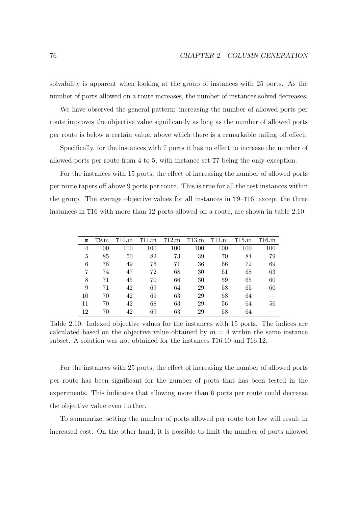solvability is apparent when looking at the group of instances with 25 ports. As the number of ports allowed on a route increases, the number of instances solved decreases.

We have observed the general pattern: increasing the number of allowed ports per route improves the objective value significantly as long as the number of allowed ports per route is below a certain value, above which there is a remarkable tailing off effect.

Specifically, for the instances with 7 ports it has no effect to increase the number of allowed ports per route from 4 to 5, with instance set T7 being the only exception.

For the instances with 15 ports, the effect of increasing the number of allowed ports per route tapers off above 9 ports per route. This is true for all the test instances within the group. The average objective values for all instances in T9–T16, except the three instances in T16 with more than 12 ports allowed on a route, are shown in table 2.10.

| m  | T9.m | T10.m | T11.m | T12.m | T13.m | T14.m | T15.m | T16.m |
|----|------|-------|-------|-------|-------|-------|-------|-------|
| 4  | 100  | 100   | 100   | 100   | 100   | 100   | 100   | 100   |
| 5  | 85   | 50    | 82    | 73    | 39    | 70    | 84    | 79    |
| 6  | 78   | 49    | 76    | 71    | 36    | 66    | 72    | 69    |
| 7  | 74   | 47    | 72    | 68    | 30    | 61    | 68    | 63    |
| 8  | 71   | 45    | 70    | 66    | 30    | 59    | 65    | 60    |
| 9  | 71   | 42    | 69    | 64    | 29    | 58    | 65    | 60    |
| 10 | 70   | 42    | 69    | 63    | 29    | 58    | 64    |       |
| 11 | 70   | 42    | 68    | 63    | 29    | 56    | 64    | 56    |
| 12 | 70   | 42    | 69    | 63    | 29    | 58    | 64    |       |

Table 2.10: Indexed objective values for the instances with 15 ports. The indices are calculated based on the objective value obtained by  $m = 4$  within the same instance subset. A solution was not obtained for the instances T16.10 and T16.12.

For the instances with 25 ports, the effect of increasing the number of allowed ports per route has been significant for the number of ports that has been tested in the experiments. This indicates that allowing more than 6 ports per route could decrease the objective value even further.

To summarize, setting the number of ports allowed per route too low will result in increased cost. On the other hand, it is possible to limit the number of ports allowed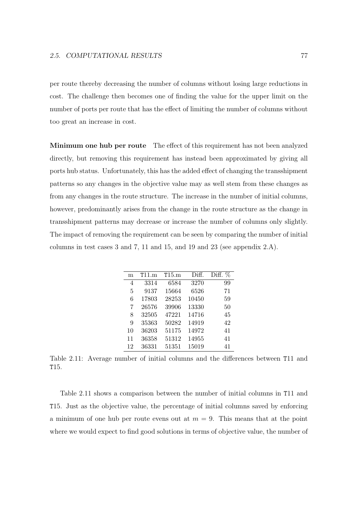per route thereby decreasing the number of columns without losing large reductions in cost. The challenge then becomes one of finding the value for the upper limit on the number of ports per route that has the effect of limiting the number of columns without too great an increase in cost.

**Minimum one hub per route** The effect of this requirement has not been analyzed directly, but removing this requirement has instead been approximated by giving all ports hub status. Unfortunately, this has the added effect of changing the transshipment patterns so any changes in the objective value may as well stem from these changes as from any changes in the route structure. The increase in the number of initial columns, however, predominantly arises from the change in the route structure as the change in transshipment patterns may decrease or increase the number of columns only slightly. The impact of removing the requirement can be seen by comparing the number of initial columns in test cases 3 and 7, 11 and 15, and 19 and 23 (see appendix 2.A).

| m  | T11.m | T15.m | Diff. | Diff. $%$ |
|----|-------|-------|-------|-----------|
| 4  | 3314  | 6584  | 3270  | 99        |
| 5  | 9137  | 15664 | 6526  | 71        |
| 6  | 17803 | 28253 | 10450 | 59        |
| 7  | 26576 | 39906 | 13330 | 50        |
| 8  | 32505 | 47221 | 14716 | 45        |
| 9  | 35363 | 50282 | 14919 | 42        |
| 10 | 36203 | 51175 | 14972 | 41        |
| 11 | 36358 | 51312 | 14955 | 41        |
| 12 | 36331 | 51351 | 15019 | 41        |

Table 2.11: Average number of initial columns and the differences between T11 and T15.

Table 2.11 shows a comparison between the number of initial columns in T11 and T15. Just as the objective value, the percentage of initial columns saved by enforcing a minimum of one hub per route evens out at  $m = 9$ . This means that at the point where we would expect to find good solutions in terms of objective value, the number of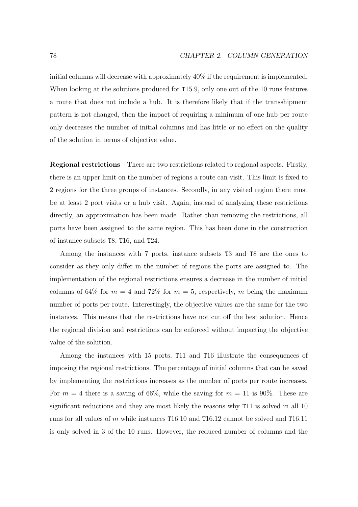initial columns will decrease with approximately 40% if the requirement is implemented. When looking at the solutions produced for T15.9, only one out of the 10 runs features a route that does not include a hub. It is therefore likely that if the transshipment pattern is not changed, then the impact of requiring a minimum of one hub per route only decreases the number of initial columns and has little or no effect on the quality of the solution in terms of objective value.

**Regional restrictions** There are two restrictions related to regional aspects. Firstly, there is an upper limit on the number of regions a route can visit. This limit is fixed to 2 regions for the three groups of instances. Secondly, in any visited region there must be at least 2 port visits or a hub visit. Again, instead of analyzing these restrictions directly, an approximation has been made. Rather than removing the restrictions, all ports have been assigned to the same region. This has been done in the construction of instance subsets T8, T16, and T24.

Among the instances with 7 ports, instance subsets T3 and T8 are the ones to consider as they only differ in the number of regions the ports are assigned to. The implementation of the regional restrictions ensures a decrease in the number of initial columns of 64% for  $m = 4$  and 72% for  $m = 5$ , respectively, m being the maximum number of ports per route. Interestingly, the objective values are the same for the two instances. This means that the restrictions have not cut off the best solution. Hence the regional division and restrictions can be enforced without impacting the objective value of the solution.

Among the instances with 15 ports, T11 and T16 illustrate the consequences of imposing the regional restrictions. The percentage of initial columns that can be saved by implementing the restrictions increases as the number of ports per route increases. For  $m = 4$  there is a saving of 66%, while the saving for  $m = 11$  is 90%. These are significant reductions and they are most likely the reasons why T11 is solved in all 10 runs for all values of m while instances T16.10 and T16.12 cannot be solved and T16.11 is only solved in 3 of the 10 runs. However, the reduced number of columns and the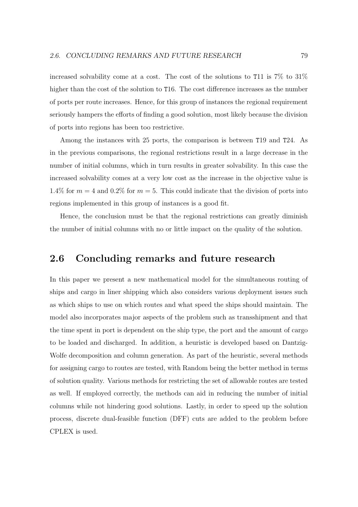increased solvability come at a cost. The cost of the solutions to T11 is 7% to 31% higher than the cost of the solution to T16. The cost difference increases as the number of ports per route increases. Hence, for this group of instances the regional requirement seriously hampers the efforts of finding a good solution, most likely because the division of ports into regions has been too restrictive.

Among the instances with 25 ports, the comparison is between T19 and T24. As in the previous comparisons, the regional restrictions result in a large decrease in the number of initial columns, which in turn results in greater solvability. In this case the increased solvability comes at a very low cost as the increase in the objective value is 1.4% for  $m = 4$  and 0.2% for  $m = 5$ . This could indicate that the division of ports into regions implemented in this group of instances is a good fit.

Hence, the conclusion must be that the regional restrictions can greatly diminish the number of initial columns with no or little impact on the quality of the solution.

# **2.6 Concluding remarks and future research**

In this paper we present a new mathematical model for the simultaneous routing of ships and cargo in liner shipping which also considers various deployment issues such as which ships to use on which routes and what speed the ships should maintain. The model also incorporates major aspects of the problem such as transshipment and that the time spent in port is dependent on the ship type, the port and the amount of cargo to be loaded and discharged. In addition, a heuristic is developed based on Dantzig-Wolfe decomposition and column generation. As part of the heuristic, several methods for assigning cargo to routes are tested, with Random being the better method in terms of solution quality. Various methods for restricting the set of allowable routes are tested as well. If employed correctly, the methods can aid in reducing the number of initial columns while not hindering good solutions. Lastly, in order to speed up the solution process, discrete dual-feasible function (DFF) cuts are added to the problem before CPLEX is used.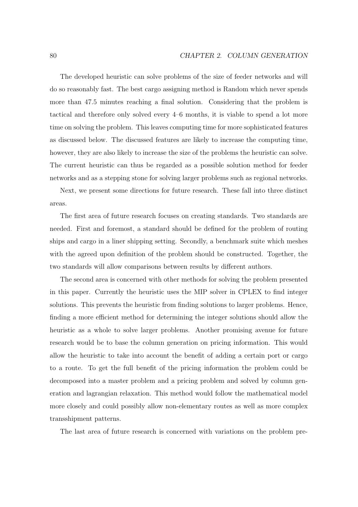The developed heuristic can solve problems of the size of feeder networks and will do so reasonably fast. The best cargo assigning method is Random which never spends more than 47.5 minutes reaching a final solution. Considering that the problem is tactical and therefore only solved every 4–6 months, it is viable to spend a lot more time on solving the problem. This leaves computing time for more sophisticated features as discussed below. The discussed features are likely to increase the computing time, however, they are also likely to increase the size of the problems the heuristic can solve. The current heuristic can thus be regarded as a possible solution method for feeder networks and as a stepping stone for solving larger problems such as regional networks.

Next, we present some directions for future research. These fall into three distinct areas.

The first area of future research focuses on creating standards. Two standards are needed. First and foremost, a standard should be defined for the problem of routing ships and cargo in a liner shipping setting. Secondly, a benchmark suite which meshes with the agreed upon definition of the problem should be constructed. Together, the two standards will allow comparisons between results by different authors.

The second area is concerned with other methods for solving the problem presented in this paper. Currently the heuristic uses the MIP solver in CPLEX to find integer solutions. This prevents the heuristic from finding solutions to larger problems. Hence, finding a more efficient method for determining the integer solutions should allow the heuristic as a whole to solve larger problems. Another promising avenue for future research would be to base the column generation on pricing information. This would allow the heuristic to take into account the benefit of adding a certain port or cargo to a route. To get the full benefit of the pricing information the problem could be decomposed into a master problem and a pricing problem and solved by column generation and lagrangian relaxation. This method would follow the mathematical model more closely and could possibly allow non-elementary routes as well as more complex transshipment patterns.

The last area of future research is concerned with variations on the problem pre-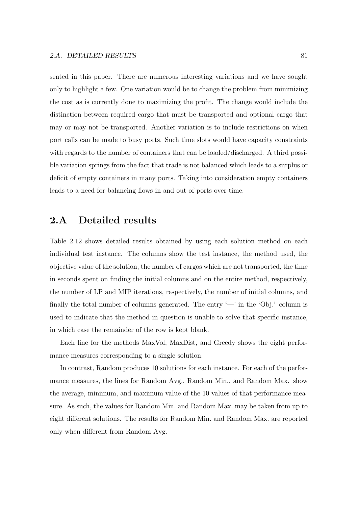sented in this paper. There are numerous interesting variations and we have sought only to highlight a few. One variation would be to change the problem from minimizing the cost as is currently done to maximizing the profit. The change would include the distinction between required cargo that must be transported and optional cargo that may or may not be transported. Another variation is to include restrictions on when port calls can be made to busy ports. Such time slots would have capacity constraints with regards to the number of containers that can be loaded/discharged. A third possible variation springs from the fact that trade is not balanced which leads to a surplus or deficit of empty containers in many ports. Taking into consideration empty containers leads to a need for balancing flows in and out of ports over time.

### **2.A Detailed results**

Table 2.12 shows detailed results obtained by using each solution method on each individual test instance. The columns show the test instance, the method used, the objective value of the solution, the number of cargos which are not transported, the time in seconds spent on finding the initial columns and on the entire method, respectively, the number of LP and MIP iterations, respectively, the number of initial columns, and finally the total number of columns generated. The entry  $\leftarrow$  in the 'Obj.' column is used to indicate that the method in question is unable to solve that specific instance, in which case the remainder of the row is kept blank.

Each line for the methods MaxVol, MaxDist, and Greedy shows the eight performance measures corresponding to a single solution.

In contrast, Random produces 10 solutions for each instance. For each of the performance measures, the lines for Random Avg., Random Min., and Random Max. show the average, minimum, and maximum value of the 10 values of that performance measure. As such, the values for Random Min. and Random Max. may be taken from up to eight different solutions. The results for Random Min. and Random Max. are reported only when different from Random Avg.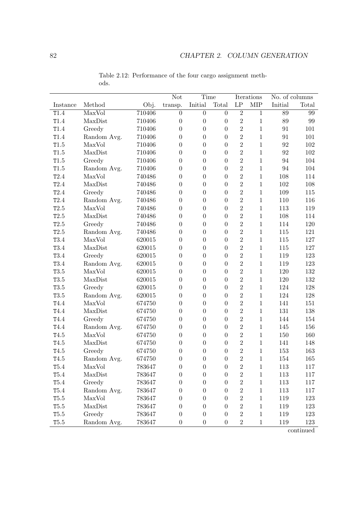|                  |             |        | Not              | Time             |                  |                     | Iterations   | No. of columns |         |
|------------------|-------------|--------|------------------|------------------|------------------|---------------------|--------------|----------------|---------|
| Instance         | Method      | Obj.   | transp.          | Initial          | Total            | $\operatorname{LP}$ | <b>MIP</b>   | Initial        | Total   |
| T1.4             | MaxVol      | 710406 | $\boldsymbol{0}$ | $\boldsymbol{0}$ | $\overline{0}$   | $\overline{2}$      | $\,1\,$      | 89             | 99      |
| T1.4             | MaxDist     | 710406 | $\boldsymbol{0}$ | $\boldsymbol{0}$ | $\boldsymbol{0}$ | $\overline{2}$      | $\,1\,$      | 89             | 99      |
| T1.4             | Greedy      | 710406 | $\overline{0}$   | $\overline{0}$   | $\overline{0}$   | $\overline{2}$      | $\mathbf 1$  | 91             | 101     |
| T1.4             | Random Avg. | 710406 | $\boldsymbol{0}$ | $\boldsymbol{0}$ | $\boldsymbol{0}$ | $\overline{2}$      | $\mathbf 1$  | 91             | 101     |
| T1.5             | MaxVol      | 710406 | $\overline{0}$   | $\overline{0}$   | $\overline{0}$   | $\overline{2}$      | $\mathbf 1$  | 92             | $102\,$ |
| T1.5             | MaxDist     | 710406 | $\overline{0}$   | $\boldsymbol{0}$ | $\overline{0}$   | $\overline{2}$      | $\mathbf{1}$ | 92             | 102     |
| T1.5             | Greedy      | 710406 | $\overline{0}$   | $\boldsymbol{0}$ | $\overline{0}$   | $\overline{2}$      | $\,1\,$      | 94             | 104     |
| T1.5             | Random Avg. | 710406 | $\boldsymbol{0}$ | $\boldsymbol{0}$ | $\overline{0}$   | $\overline{2}$      | $\mathbf 1$  | 94             | 104     |
| T2.4             | MaxVol      | 740486 | $\boldsymbol{0}$ | $\overline{0}$   | $\boldsymbol{0}$ | $\overline{2}$      | $\mathbf 1$  | 108            | 114     |
| T2.4             | MaxDist     | 740486 | $\boldsymbol{0}$ | $\overline{0}$   | $\boldsymbol{0}$ | $\overline{2}$      | $\mathbf 1$  | 102            | 108     |
| T2.4             | Greedy      | 740486 | $\overline{0}$   | $\boldsymbol{0}$ | $\boldsymbol{0}$ | $\overline{2}$      | $1\,$        | 109            | 115     |
| T2.4             | Random Avg. | 740486 | $\overline{0}$   | $\boldsymbol{0}$ | $\overline{0}$   | $\overline{2}$      | $\mathbf{1}$ | 110            | 116     |
| T2.5             | MaxVol      | 740486 | $\overline{0}$   | $\boldsymbol{0}$ | $\overline{0}$   | $\overline{2}$      | $\mathbf 1$  | 113            | 119     |
| T2.5             | MaxDist     | 740486 | $\boldsymbol{0}$ | $\overline{0}$   | $\boldsymbol{0}$ | $\overline{2}$      | $\mathbf 1$  | 108            | 114     |
| T2.5             | Greedy      | 740486 | $\boldsymbol{0}$ | $\boldsymbol{0}$ | $\overline{0}$   | $\overline{2}$      | $\mathbf 1$  | 114            | 120     |
| T2.5             | Random Avg. | 740486 | $\overline{0}$   | $\overline{0}$   | $\overline{0}$   | $\overline{2}$      | $\mathbf 1$  | 115            | 121     |
| T3.4             | MaxVol      | 620015 | $\overline{0}$   | $\boldsymbol{0}$ | $\overline{0}$   | $\overline{2}$      | $\mathbf{1}$ | 115            | 127     |
| T3.4             | MaxDist     | 620015 | $\overline{0}$   | $\boldsymbol{0}$ | $\overline{0}$   | $\overline{2}$      | $\mathbf 1$  | 115            | 127     |
| T3.4             | Greedy      | 620015 | $\boldsymbol{0}$ | $\overline{0}$   | $\overline{0}$   | $\overline{2}$      | $\mathbf 1$  | 119            | 123     |
| T3.4             | Random Avg. | 620015 | $\boldsymbol{0}$ | $\boldsymbol{0}$ | $\boldsymbol{0}$ | $\overline{2}$      | $\mathbf 1$  | 119            | 123     |
| T3.5             | MaxVol      | 620015 | $\overline{0}$   | $\boldsymbol{0}$ | $\overline{0}$   | $\overline{2}$      | $\mathbf 1$  | 120            | $132\,$ |
| T3.5             | MaxDist     | 620015 | $\overline{0}$   | $\boldsymbol{0}$ | $\overline{0}$   | $\overline{2}$      | $\,1\,$      | 120            | 132     |
| T3.5             | Greedy      | 620015 | $\overline{0}$   | $\boldsymbol{0}$ | $\overline{0}$   | $\overline{2}$      | $\mathbf 1$  | 124            | 128     |
| T3.5             | Random Avg. | 620015 | $\boldsymbol{0}$ | $\overline{0}$   | $\boldsymbol{0}$ | $\overline{2}$      | $\mathbf 1$  | 124            | 128     |
| T4.4             | MaxVol      | 674750 | $\boldsymbol{0}$ | $\boldsymbol{0}$ | $\boldsymbol{0}$ | $\overline{2}$      | $\mathbf 1$  | 141            | 151     |
| T4.4             | MaxDist     | 674750 | $\overline{0}$   | $\overline{0}$   | $\overline{0}$   | $\overline{2}$      | $\mathbf{1}$ | 131            | 138     |
| T4.4             | Greedy      | 674750 | $\overline{0}$   | $\boldsymbol{0}$ | $\boldsymbol{0}$ | $\overline{2}$      | $\mathbf{1}$ | 144            | 154     |
| T4.4             | Random Avg. | 674750 | $\overline{0}$   | $\boldsymbol{0}$ | $\overline{0}$   | $\overline{2}$      | $\mathbf 1$  | 145            | 156     |
| T4.5             | MaxVol      | 674750 | $\boldsymbol{0}$ | $\overline{0}$   | $\overline{0}$   | $\overline{2}$      | $\mathbf 1$  | 150            | 160     |
| T4.5             | MaxDist     | 674750 | $\boldsymbol{0}$ | $\overline{0}$   | $\boldsymbol{0}$ | $\overline{2}$      | $\mathbf 1$  | 141            | 148     |
| T4.5             | Greedy      | 674750 | $\boldsymbol{0}$ | $\overline{0}$   | $\overline{0}$   | $\overline{2}$      | $\mathbf 1$  | 153            | 163     |
| T4.5             | Random Avg. | 674750 | $\theta$         | $\overline{0}$   | $\theta$         | $\overline{2}$      | 1            | 154            | 165     |
| T <sub>5.4</sub> | MaxVol      | 783647 | $\boldsymbol{0}$ | $\overline{0}$   | $\boldsymbol{0}$ | $\sqrt{2}$          | $\mathbf{1}$ | 113            | 117     |
| $\mathtt{T}5.4$  | MaxDist     | 783647 | $\boldsymbol{0}$ | $\overline{0}$   | $\boldsymbol{0}$ | $\sqrt{2}$          | $\,1\,$      | 113            | 117     |
| T5.4             | Greedy      | 783647 | $\boldsymbol{0}$ | $\boldsymbol{0}$ | $\boldsymbol{0}$ | $\overline{2}$      | $\,1\,$      | 113            | 117     |
| T5.4             | Random Avg. | 783647 | 0                | $\overline{0}$   | $\boldsymbol{0}$ | $\overline{2}$      | $\mathbf{1}$ | 113            | 117     |
| $\mathtt{T}5.5$  | MaxVol      | 783647 | 0                | $\overline{0}$   | $\overline{0}$   | $\overline{2}$      | $\mathbf{1}$ | 119            | 123     |
| $\mathtt{T}5.5$  | MaxDist     | 783647 | $\theta$         | $\overline{0}$   | $\overline{0}$   | $\overline{2}$      | $\mathbf{1}$ | 119            | 123     |
| $\mathtt{T}5.5$  | Greedy      | 783647 | $\boldsymbol{0}$ | $\overline{0}$   | 0                | $\sqrt{2}$          | $\,1\,$      | 119            | 123     |
| $\mathtt{T}5.5$  | Random Avg. | 783647 | $\boldsymbol{0}$ | $\boldsymbol{0}$ | $\boldsymbol{0}$ | $\boldsymbol{2}$    | $\mathbf{1}$ | 119            | 123     |

Table 2.12: Performance of the four cargo assignment methods.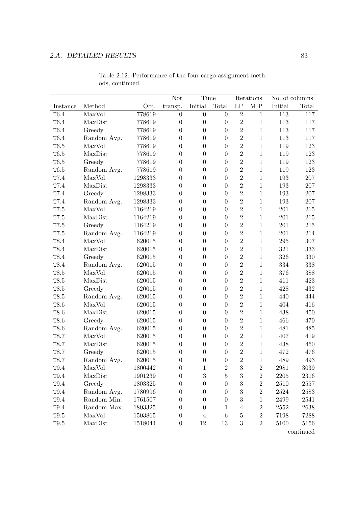|                  |                            |         | Not              | Time             |                  |                     | Iterations     | No. of columns |         |
|------------------|----------------------------|---------|------------------|------------------|------------------|---------------------|----------------|----------------|---------|
| Instance         | Method                     | Obj.    | transp.          | Initial          | Total            | $\operatorname{LP}$ | <b>MIP</b>     | Initial        | Total   |
| T <sub>6.4</sub> | $\overline{\text{MaxVol}}$ | 778619  | $\overline{0}$   | $\overline{0}$   | $\overline{0}$   | $\overline{2}$      | $\mathbf{1}$   | 113            | 117     |
| T <sub>6.4</sub> | MaxDist                    | 778619  | $\overline{0}$   | $\boldsymbol{0}$ | $\boldsymbol{0}$ | $\overline{2}$      | $\mathbf{1}$   | 113            | 117     |
| T6.4             | Greedy                     | 778619  | $\overline{0}$   | $\boldsymbol{0}$ | $\boldsymbol{0}$ | $\overline{2}$      | $\mathbf{1}$   | 113            | 117     |
| T6.4             | Random Avg.                | 778619  | $\overline{0}$   | $\boldsymbol{0}$ | $\boldsymbol{0}$ | $\overline{2}$      | $\mathbf{1}$   | 113            | 117     |
| T6.5             | MaxVol                     | 778619  | $\theta$         | $\overline{0}$   | $\overline{0}$   | $\overline{2}$      | $\mathbf{1}$   | 119            | 123     |
| T6.5             | MaxDist                    | 778619  | $\overline{0}$   | $\boldsymbol{0}$ | $\overline{0}$   | $\overline{2}$      | $\mathbf{1}$   | 119            | 123     |
| T6.5             | Greedy                     | 778619  | $\overline{0}$   | $\boldsymbol{0}$ | $\overline{0}$   | $\overline{2}$      | $\mathbf{1}$   | 119            | 123     |
| T6.5             | Random Avg.                | 778619  | $\boldsymbol{0}$ | $\boldsymbol{0}$ | $\boldsymbol{0}$ | $\overline{2}$      | $\mathbf{1}$   | 119            | 123     |
| T7.4             | MaxVol                     | 1298333 | $\boldsymbol{0}$ | $\boldsymbol{0}$ | $\boldsymbol{0}$ | $\overline{2}$      | $\mathbf{1}$   | 193            | $207\,$ |
| T7.4             | MaxDist                    | 1298333 | $\overline{0}$   | $\boldsymbol{0}$ | $\overline{0}$   | $\overline{2}$      | $\mathbf{1}$   | 193            | 207     |
| T7.4             | Greedy                     | 1298333 | $\overline{0}$   | $\boldsymbol{0}$ | $\boldsymbol{0}$ | $\overline{2}$      | $\mathbf{1}$   | 193            | 207     |
| T7.4             | Random Avg.                | 1298333 | $\theta$         | $\boldsymbol{0}$ | $\overline{0}$   | $\overline{2}$      | $\mathbf{1}$   | 193            | 207     |
| T7.5             | MaxVol                     | 1164219 | $\overline{0}$   | $\boldsymbol{0}$ | $\boldsymbol{0}$ | $\overline{2}$      | $\mathbf{1}$   | 201            | $215\,$ |
| T7.5             | MaxDist                    | 1164219 | $\boldsymbol{0}$ | $\boldsymbol{0}$ | $\boldsymbol{0}$ | $\overline{2}$      | $\mathbf{1}$   | 201            | $215\,$ |
| T7.5             | Greedy                     | 1164219 | $\overline{0}$   | $\boldsymbol{0}$ | $\overline{0}$   | $\overline{2}$      | $\mathbf{1}$   | 201            | $215\,$ |
| T7.5             | Random Avg.                | 1164219 | $\theta$         | $\overline{0}$   | $\overline{0}$   | $\overline{2}$      | $\mathbf{1}$   | 201            | 214     |
| T8.4             | MaxVol                     | 620015  | $\overline{0}$   | $\boldsymbol{0}$ | $\overline{0}$   | $\overline{2}$      | $\mathbf{1}$   | $\,295$        | 307     |
| T8.4             | MaxDist                    | 620015  | $\boldsymbol{0}$ | $\boldsymbol{0}$ | $\boldsymbol{0}$ | $\overline{2}$      | $\mathbf{1}$   | 321            | 333     |
| T8.4             | Greedy                     | 620015  | $\boldsymbol{0}$ | $\boldsymbol{0}$ | $\boldsymbol{0}$ | $\overline{2}$      | $\mathbf 1$    | 326            | 330     |
| T8.4             | Random Avg.                | 620015  | $\overline{0}$   | $\boldsymbol{0}$ | $\boldsymbol{0}$ | $\overline{2}$      | $\,1$          | 334            | 338     |
| T8.5             | MaxVol                     | 620015  | $\theta$         | $\boldsymbol{0}$ | $\boldsymbol{0}$ | $\overline{2}$      | $\mathbf{1}$   | 376            | 388     |
| T8.5             | MaxDist                    | 620015  | $\overline{0}$   | $\boldsymbol{0}$ | $\overline{0}$   | $\overline{2}$      | $\mathbf{1}$   | 411            | 423     |
| T8.5             | Greedy                     | 620015  | $\overline{0}$   | $\boldsymbol{0}$ | $\overline{0}$   | $\overline{2}$      | $\mathbf{1}$   | 428            | 432     |
| T8.5             | Random Avg.                | 620015  | $\boldsymbol{0}$ | $\boldsymbol{0}$ | $\boldsymbol{0}$ | $\overline{2}$      | $\mathbf{1}$   | 440            | 444     |
| T8.6             | MaxVol                     | 620015  | $\overline{0}$   | $\boldsymbol{0}$ | $\boldsymbol{0}$ | $\overline{2}$      | $\mathbf{1}$   | 404            | 416     |
| T8.6             | MaxDist                    | 620015  | $\overline{0}$   | $\overline{0}$   | $\overline{0}$   | $\overline{2}$      | $\mathbf{1}$   | 438            | 450     |
| T8.6             | Greedy                     | 620015  | $\overline{0}$   | $\boldsymbol{0}$ | $\overline{0}$   | $\overline{2}$      | $\mathbf{1}$   | 466            | 470     |
| T8.6             | Random Avg.                | 620015  | $\overline{0}$   | $\boldsymbol{0}$ | $\boldsymbol{0}$ | $\overline{2}$      | $\mathbf{1}$   | 481            | 485     |
| T8.7             | MaxVol                     | 620015  | $\boldsymbol{0}$ | $\boldsymbol{0}$ | $\boldsymbol{0}$ | $\overline{2}$      | $\mathbf 1$    | 407            | 419     |
| T8.7             | MaxDist                    | 620015  | $\boldsymbol{0}$ | $\boldsymbol{0}$ | $\boldsymbol{0}$ | $\overline{2}$      | $\mathbf{1}$   | 438            | 450     |
| T8.7             | Greedy                     | 620015  | $\overline{0}$   | $\boldsymbol{0}$ | $\overline{0}$   | $\overline{2}$      | $\mathbf{1}$   | 472            | 476     |
| T8.7             | Random Avg.                | 620015  | 0                | $\Omega$         | $\Omega$         | $\overline{2}$      | 1              | 489            | 493     |
| T <sub>9.4</sub> | MaxVol                     | 1800442 | 0                | 1                | 2                | 3                   | $\sqrt{2}$     | 2981           | 3039    |
| T9.4             | MaxDist                    | 1901239 | 0                | 3                | 5                | 3                   | $\sqrt{2}$     | 2205           | 2316    |
| $\mathtt{T}9.4$  | Greedy                     | 1803325 | 0                | $\boldsymbol{0}$ | $\overline{0}$   | 3                   | $\sqrt{2}$     | 2510           | 2557    |
| T9.4             | Random Avg.                | 1780996 | 0                | $\overline{0}$   | 0                | 3                   | $\sqrt{2}$     | 2524           | 2583    |
| T9.4             | Random Min.                | 1761507 | 0                | $\boldsymbol{0}$ | 0                | 3                   | $\mathbf 1$    | 2499           | 2541    |
| T9.4             | Random Max.                | 1803325 | 0                | 0                | 1                | 4                   | $\overline{2}$ | 2552           | 2638    |
| $\mathtt{T}9.5$  | MaxVol                     | 1503865 | 0                | $\overline{4}$   | 6                | 5                   | $\sqrt{2}$     | 7198           | 7288    |
| T9.5             | MaxDist                    | 1518044 | $\boldsymbol{0}$ | 12               | 13               | $\boldsymbol{3}$    | $\,2$          | 5100           | 5156    |

Table 2.12: Performance of the four cargo assignment methods, continued.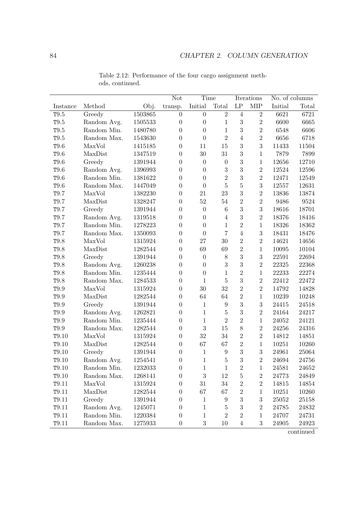|                   |             |         | <b>Not</b>       | Time             |                  |                     | Iterations       |         | No. of columns |
|-------------------|-------------|---------|------------------|------------------|------------------|---------------------|------------------|---------|----------------|
| Instance          | Method      | Obj.    | transp.          | $\it Initial$    | Total            | $\operatorname{LP}$ | <b>MIP</b>       | Initial | Total          |
| T9.5              | Greedy      | 1503865 | $\overline{0}$   | $\boldsymbol{0}$ | $\overline{2}$   | $\overline{4}$      | $\overline{2}$   | 6621    | 6721           |
| $\mathtt{T}9.5$   | Random Avg. | 1505533 | $\overline{0}$   | $\overline{0}$   | $\mathbf{1}$     | $\sqrt{3}$          | $\overline{2}$   | 6600    | 6665           |
| $\mathtt{T}9.5$   | Random Min. | 1480780 | $\overline{0}$   | $\overline{0}$   | $\mathbf{1}$     | 3                   | $\overline{2}$   | 6548    | 6606           |
| $\mathtt{T}9.5$   | Random Max. | 1543630 | $\boldsymbol{0}$ | $\boldsymbol{0}$ | $\overline{2}$   | $\overline{4}$      | $\overline{2}$   | 6656    | 6718           |
| T9.6              | MaxVol      | 1415185 | $\overline{0}$   | 11               | $15\,$           | 3                   | 3                | 11433   | 11504          |
| T9.6              | MaxDist     | 1347519 | $\theta$         | 30               | 31               | 3                   | $\mathbf{1}$     | 7879    | 7899           |
| T9.6              | Greedy      | 1391944 | $\theta$         | $\boldsymbol{0}$ | $\boldsymbol{0}$ | 3                   | $\mathbf{1}$     | 12656   | 12710          |
| T9.6              | Random Avg. | 1396993 | $\overline{0}$   | $\boldsymbol{0}$ | 3                | 3                   | $\overline{2}$   | 12524   | 12596          |
| T9.6              | Random Min. | 1381622 | $\boldsymbol{0}$ | $\boldsymbol{0}$ | $\overline{2}$   | 3                   | $\overline{2}$   | 12471   | 12549          |
| T9.6              | Random Max. | 1447049 | $\boldsymbol{0}$ | $\boldsymbol{0}$ | $\bf 5$          | $\overline{5}$      | $\sqrt{3}$       | 12557   | 12631          |
| $\mathtt{T}9.7$   | MaxVol      | 1382230 | $\theta$         | 21               | $23\,$           | 3                   | $\overline{2}$   | 13836   | 13874          |
| $\mathtt{T}9.7$   | MaxDist     | 1328247 | $\boldsymbol{0}$ | $52\,$           | $54\,$           | $\overline{2}$      | $\overline{2}$   | 9486    | 9524           |
| $\mathtt{T}9.7$   | Greedy      | 1391944 | $\overline{0}$   | $\overline{0}$   | $\,6\,$          | 3                   | 3                | 18616   | 18701          |
| $\mathtt{T}9.7$   | Random Avg. | 1319518 | $\boldsymbol{0}$ | $\overline{0}$   | $\overline{4}$   | $\overline{3}$      | $\overline{2}$   | 18376   | 18416          |
| $\mathtt{T}9.7$   | Random Min. | 1278223 | $\boldsymbol{0}$ | $\boldsymbol{0}$ | $\mathbf{1}$     | $\overline{2}$      | $\,1$            | 18326   | 18362          |
| T9.7              | Random Max. | 1350093 | $\overline{0}$   | $\boldsymbol{0}$ | $\overline{7}$   | $\overline{4}$      | 3                | 18431   | 18476          |
| T9.8              | MaxVol      | 1315924 | $\theta$         | 27               | 30               | $\overline{2}$      | $\overline{2}$   | 14621   | 14656          |
| T9.8              | MaxDist     | 1282544 | $\overline{0}$   | 69               | 69               | $\overline{2}$      | $\mathbf{1}$     | 10095   | 10104          |
| $\mathtt{T}9.8$   | Greedy      | 1391944 | $\boldsymbol{0}$ | $\boldsymbol{0}$ | $8\,$            | 3                   | $\boldsymbol{3}$ | 22591   | 22694          |
| $\mathtt{T}9.8$   | Random Avg. | 1260238 | $\boldsymbol{0}$ | $\boldsymbol{0}$ | $\sqrt{3}$       | 3                   | $\overline{2}$   | 22325   | 22368          |
| T9.8              | Random Min. | 1235444 | $\theta$         | $\boldsymbol{0}$ | $\mathbf{1}$     | $\overline{2}$      | $\mathbf{1}$     | 22233   | 22274          |
| T9.8              | Random Max. | 1284533 | $\theta$         | $\mathbf{1}$     | $\overline{5}$   | 3                   | $\overline{2}$   | 22412   | 22472          |
| $\mathtt{T}9.9$   | MaxVol      | 1315924 | $\theta$         | 30               | 32               | $\overline{2}$      | $\overline{2}$   | 14792   | 14828          |
| $\mathtt{T}9.9$   | MaxDist     | 1282544 | $\boldsymbol{0}$ | 64               | 64               | $\overline{2}$      | $\mathbf{1}$     | 10239   | 10248          |
| $\mathtt{T}9.9$   | Greedy      | 1391944 | $\boldsymbol{0}$ | $\mathbf{1}$     | $\boldsymbol{9}$ | 3                   | $\sqrt{3}$       | 24415   | 24518          |
| $\mathtt{T}9.9$   | Random Avg. | 1262821 | $\overline{0}$   | $\mathbf{1}$     | $\bf 5$          | 3                   | $\sqrt{2}$       | 24164   | 24217          |
| T9.9              | Random Min. | 1235444 | $\overline{0}$   | $\mathbf{1}$     | $\overline{2}$   | $\overline{2}$      | $\mathbf{1}$     | 24052   | 24121          |
| $\mathtt{T}9.9$   | Random Max. | 1282544 | $\overline{0}$   | 3                | 15               | 8                   | $\overline{2}$   | 24256   | 24316          |
| T9.10             | MaxVol      | 1315924 | $\boldsymbol{0}$ | 32               | 34               | $\overline{2}$      | $\overline{2}$   | 14812   | 14851          |
| T9.10             | MaxDist     | 1282544 | $\boldsymbol{0}$ | 67               | 67               | $\overline{2}$      | $\mathbf{1}$     | 10251   | 10260          |
| T9.10             | Greedy      | 1391944 | $\boldsymbol{0}$ | $\mathbf{1}$     | $\boldsymbol{9}$ | 3                   | $\sqrt{3}$       | 24961   | 25064          |
| T9.10             | Random Avg. | 1254541 | $\boldsymbol{0}$ | 1                | $\overline{5}$   | 3                   | $\overline{2}$   | 24694   | 24756          |
| T9.10             | Random Min. | 1232033 | $\boldsymbol{0}$ | 1                | 1                | $\boldsymbol{2}$    | 1                | 24581   | 24652          |
| T9.10             | Random Max. | 1268141 | 0                | $\boldsymbol{3}$ | $12\,$           | $\overline{5}$      | $\sqrt{2}$       | 24773   | 24849          |
| T <sub>9.11</sub> | MaxVol      | 1315924 | $\boldsymbol{0}$ | 31               | 34               | $\overline{2}$      | $\sqrt{2}$       | 14815   | 14854          |
| T9.11             | MaxDist     | 1282544 | 0                | 67               | 67               | $\overline{2}$      | 1                | 10251   | 10260          |
| T9.11             | Greedy      | 1391944 | 0                | $\mathbf 1$      | 9                | 3                   | $\sqrt{3}$       | 25052   | 25158          |
| T9.11             | Random Avg. | 1245071 | 0                | 1                | $\overline{5}$   | 3                   | $\overline{2}$   | 24785   | 24832          |
| T9.11             | Random Min. | 1220384 | 0                | 1                | $\overline{2}$   | $\overline{2}$      | $\mathbf 1$      | 24707   | 24731          |
| T9.11             | Random Max. | 1275933 | $\boldsymbol{0}$ | $\sqrt{3}$       | 10               | $\overline{4}$      | $\boldsymbol{3}$ | 24905   | 24923          |

Table 2.12: Performance of the four cargo assignment methods, continued.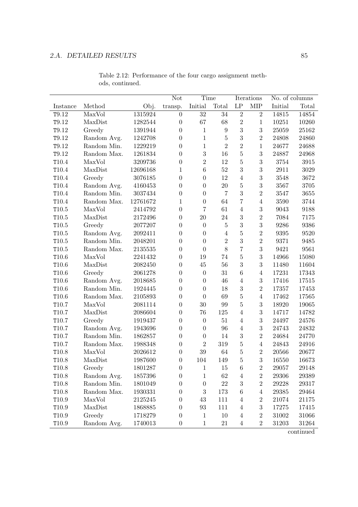|                   |             |             | Not              | Time             |                  |                | Iterations       | No. of columns |           |
|-------------------|-------------|-------------|------------------|------------------|------------------|----------------|------------------|----------------|-----------|
| Instance          | Method      | Obj.        | transp.          | Initial          | Total            | LP             | ${\rm MIP}$      | Initial        | Total     |
| T9.12             | MaxVol      | 1315924     | $\overline{0}$   | 32               | 34               | $\overline{2}$ | $\overline{2}$   | 14815          | 14854     |
| T9.12             | MaxDist     | 1282544     | $\overline{0}$   | 67               | 68               | $\overline{2}$ | $\mathbf{1}$     | 10251          | 10260     |
| T9.12             | Greedy      | 1391944     | $\boldsymbol{0}$ | $\mathbf{1}$     | $\boldsymbol{9}$ | 3              | $\overline{3}$   | 25059          | 25162     |
| T9.12             | Random Avg. | 1242708     | $\boldsymbol{0}$ | $\mathbf{1}$     | $\overline{5}$   | 3              | $\overline{2}$   | 24808          | 24860     |
| T9.12             | Random Min. | 1229219     | $\overline{0}$   | $\mathbf{1}$     | $\overline{2}$   | $\overline{2}$ | $\mathbf{1}$     | 24677          | 24688     |
| T9.12             | Random Max. | 1261834     | $\overline{0}$   | 3                | 16               | $\overline{5}$ | 3                | 24887          | 24968     |
| T10.4             | MaxVol      | 3209736     | $\overline{0}$   | $\overline{2}$   | 12               | $\overline{5}$ | 3                | 3754           | 3915      |
| T10.4             | MaxDist     | 12696168    | $\mathbf{1}$     | $\,6$            | $52\,$           | 3              | $\overline{3}$   | 2911           | 3029      |
| T10.4             | Greedy      | 3076185     | $\boldsymbol{0}$ | $\overline{0}$   | 12               | $\overline{4}$ | 3                | 3548           | 3672      |
| T10.4             | Random Avg. | 4160453     | $\overline{0}$   | $\overline{0}$   | 20               | $\overline{5}$ | 3                | 3567           | 3705      |
| T10.4             | Random Min. | 3037434     | $\overline{0}$   | $\boldsymbol{0}$ | $\overline{7}$   | 3              | $\overline{2}$   | 3547           | 3655      |
| T10.4             | Random Max. | 12761672    | 1                | $\boldsymbol{0}$ | 64               | $\overline{7}$ | $\overline{4}$   | 3590           | 3744      |
| $\mathtt{T}10.5$  | MaxVol      | 2414792     | $\boldsymbol{0}$ | $\overline{7}$   | 61               | $\overline{4}$ | 3                | 9043           | 9188      |
| $\mathtt{T}10.5$  | MaxDist     | 2172496     | $\boldsymbol{0}$ | 20               | 24               | 3              | $\overline{2}$   | 7084           | 7175      |
| $\mathtt{T}10.5$  | Greedy      | 2077207     | $\overline{0}$   | $\overline{0}$   | $\bf 5$          | 3              | 3                | 9286           | 9386      |
| $\mathtt{T}10.5$  | Random Avg. | 2092411     | $\overline{0}$   | $\overline{0}$   | $\overline{4}$   | $\overline{5}$ | $\overline{2}$   | 9395           | 9520      |
| $\mathtt{T}10.5$  | Random Min. | 2048201     | $\overline{0}$   | $\overline{0}$   | $\overline{2}$   | 3              | $\overline{2}$   | 9371           | 9485      |
| $\mathtt{T}10.5$  | Random Max. | $2135535\,$ | $\boldsymbol{0}$ | $\overline{0}$   | 8                | $\overline{7}$ | 3                | 9421           | 9561      |
| T10.6             | MaxVol      | 2241432     | $\boldsymbol{0}$ | 19               | 74               | $\overline{5}$ | 3                | 14966          | 15080     |
| T10.6             | MaxDist     | 2082450     | $\overline{0}$   | $45\,$           | 56               | 3              | 3                | 11480          | 11604     |
| T10.6             | Greedy      | 2061278     | $\overline{0}$   | $\boldsymbol{0}$ | 31               | $\overline{6}$ | $\overline{4}$   | 17231          | 17343     |
| T10.6             | Random Avg. | 2018685     | $\boldsymbol{0}$ | $\overline{0}$   | 46               | $\overline{4}$ | 3                | 17416          | 17515     |
| T10.6             | Random Min. | 1924445     | $\boldsymbol{0}$ | $\overline{0}$   | 18               | 3              | $\overline{2}$   | 17357          | 17453     |
| T10.6             | Random Max. | 2105893     | $\boldsymbol{0}$ | $\boldsymbol{0}$ | 69               | $\overline{5}$ | $\overline{4}$   | 17462          | 17565     |
| T10.7             | MaxVol      | 2081114     | $\boldsymbol{0}$ | 30               | 99               | $\overline{5}$ | $\boldsymbol{3}$ | 18920          | 19065     |
| T10.7             | MaxDist     | 2086604     | $\overline{0}$   | 76               | 125              | $\overline{4}$ | 3                | 14717          | 14782     |
| T10.7             | Greedy      | 1919437     | $\overline{0}$   | $\theta$         | 51               | $\overline{4}$ | 3                | 24497          | 24576     |
| T10.7             | Random Avg. | 1943696     | $\boldsymbol{0}$ | $\boldsymbol{0}$ | 96               | $\overline{4}$ | 3                | 24743          | 24832     |
| T10.7             | Random Min. | 1862857     | $\boldsymbol{0}$ | $\boldsymbol{0}$ | 14               | 3              | $\overline{2}$   | 24684          | 24770     |
| T10.7             | Random Max. | 1988348     | $\boldsymbol{0}$ | $\overline{2}$   | 319              | $\overline{5}$ | $\overline{4}$   | 24843          | 24916     |
| T10.8             | MaxVol      | 2026612     | $\boldsymbol{0}$ | $39\,$           | 64               | $\overline{5}$ | $\overline{2}$   | 20566          | 20677     |
| T10.8             | MaxDist     | 1987600     | $\Omega$         | 104              | 149              | 5              | 3                | 16550          | 16673     |
| T10.8             | Greedy      | 1801287     | $\boldsymbol{0}$ | $\mathbf{1}$     | 15               | 6              | $\boldsymbol{2}$ | 29057          | 29148     |
| T10.8             | Random Avg. | 1857396     | $\boldsymbol{0}$ | $\mathbf 1$      | 62               | $\overline{4}$ | $\boldsymbol{2}$ | 29306          | 29389     |
| T10.8             | Random Min. | 1801049     | 0                | $\boldsymbol{0}$ | 22               | 3              | $\boldsymbol{2}$ | 29228          | $29317\,$ |
| T10.8             | Random Max. | 1930331     | 0                | 3                | 173              | 6              | 4                | 29385          | 29464     |
| T10.9             | MaxVol      | 2125245     | 0                | 43               | 111              | $\overline{4}$ | $\boldsymbol{2}$ | 21074          | 21175     |
| T10.9             | MaxDist     | 1868885     | 0                | 93               | 111              | $\overline{4}$ | 3                | 17275          | 17415     |
| T10.9             | Greedy      | 1718279     | $\boldsymbol{0}$ | $\mathbf 1$      | 10               | $\overline{4}$ | $\boldsymbol{2}$ | 31002          | 31066     |
| T <sub>10.9</sub> | Random Avg. | 1740013     | $\boldsymbol{0}$ | $\mathbf{1}$     | 21               | $\overline{4}$ | $\overline{2}$   | 31203          | 31264     |

Table 2.12: Performance of the four cargo assignment methods, continued.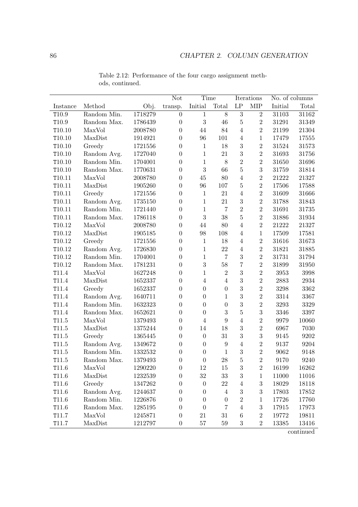|                   |             |         | Not              | Time             |                  |                  | Iterations       |         | No. of columns |
|-------------------|-------------|---------|------------------|------------------|------------------|------------------|------------------|---------|----------------|
| Instance          | Method      | Obj.    | transp.          | Initial          | Total            | LP               | <b>MIP</b>       | Initial | Total          |
| T10.9             | Random Min. | 1718279 | $\boldsymbol{0}$ | $\mathbf{1}$     | $8\,$            | $\overline{3}$   | $\overline{2}$   | 31103   | 31162          |
| T10.9             | Random Max. | 1786439 | $\boldsymbol{0}$ | 3                | 46               | $\overline{5}$   | $\overline{2}$   | 31291   | 31349          |
| $\mathtt{T}10.10$ | MaxVol      | 2008780 | $\overline{0}$   | 44               | 84               | $\overline{4}$   | $\overline{2}$   | 21199   | 21304          |
| T10.10            | MaxDist     | 1914921 | $\boldsymbol{0}$ | 96               | 101              | $\overline{4}$   | $\mathbf{1}$     | 17479   | 17555          |
| T10.10            | Greedy      | 1721556 | $\boldsymbol{0}$ | $\mathbf 1$      | 18               | $\sqrt{3}$       | $\,2$            | 31524   | 31573          |
| T10.10            | Random Avg. | 1727040 | $\overline{0}$   | $\mathbf{1}$     | 21               | 3                | $\overline{2}$   | 31693   | 31756          |
| T10.10            | Random Min. | 1704001 | $\boldsymbol{0}$ | $\mathbf{1}$     | $8\,$            | $\overline{2}$   | $\overline{2}$   | 31650   | 31696          |
| T10.10            | Random Max. | 1770631 | $\boldsymbol{0}$ | 3                | 66               | $\overline{5}$   | 3                | 31759   | 31814          |
| T10.11            | MaxVol      | 2008780 | $\boldsymbol{0}$ | $45\,$           | 80               | $\overline{4}$   | $\overline{2}$   | 21222   | 21327          |
| T10.11            | MaxDist     | 1905260 | $\boldsymbol{0}$ | 96               | 107              | $\overline{5}$   | $\overline{2}$   | 17506   | 17588          |
| T10.11            | Greedy      | 1721556 | $\overline{0}$   | 1                | 21               | $\overline{4}$   | $\sqrt{2}$       | 31609   | 31666          |
| T10.11            | Random Avg. | 1735150 | $\boldsymbol{0}$ | $\mathbf{1}$     | 21               | 3                | $\overline{2}$   | 31788   | 31843          |
| T10.11            | Random Min. | 1721440 | $\boldsymbol{0}$ | $\mathbf{1}$     | $\overline{7}$   | $\overline{2}$   | $\overline{2}$   | 31691   | 31735          |
| T10.11            | Random Max. | 1786118 | $\boldsymbol{0}$ | 3                | 38               | $\overline{5}$   | $\overline{2}$   | 31886   | 31934          |
| T10.12            | MaxVol      | 2008780 | $\boldsymbol{0}$ | 44               | $80\,$           | $\overline{4}$   | $\sqrt{2}$       | 21222   | 21327          |
| T10.12            | MaxDist     | 1905185 | $\overline{0}$   | 98               | 108              | $\overline{4}$   | $\mathbf{1}$     | 17509   | 17581          |
| T10.12            | Greedy      | 1721556 | $\boldsymbol{0}$ | $\mathbf{1}$     | 18               | $\overline{4}$   | $\overline{2}$   | 31616   | 31673          |
| T10.12            | Random Avg. | 1726830 | $\boldsymbol{0}$ | $\mathbf 1$      | 22               | $\overline{4}$   | $\overline{2}$   | 31821   | 31885          |
| T10.12            | Random Min. | 1704001 | $\boldsymbol{0}$ | $\mathbf{1}$     | $\overline{7}$   | 3                | $\overline{2}$   | 31731   | 31794          |
| T10.12            | Random Max. | 1781231 | $\boldsymbol{0}$ | 3                | $58\,$           | $\overline{7}$   | $\overline{2}$   | 31899   | 31950          |
| T11.4             | MaxVol      | 1627248 | $\overline{0}$   | $\mathbf{1}$     | $\overline{2}$   | 3                | $\overline{2}$   | 3953    | 3998           |
| T11.4             | MaxDist     | 1652337 | $\boldsymbol{0}$ | $\overline{4}$   | $\overline{4}$   | 3                | $\overline{2}$   | 2883    | 2934           |
| T11.4             | Greedy      | 1652337 | $\boldsymbol{0}$ | $\boldsymbol{0}$ | $\boldsymbol{0}$ | 3                | $\overline{2}$   | 3298    | 3362           |
| T11.4             | Random Avg. | 1640711 | $\boldsymbol{0}$ | $\boldsymbol{0}$ | $\mathbf{1}$     | 3                | $\overline{2}$   | 3314    | 3367           |
| T11.4             | Random Min. | 1632323 | $\boldsymbol{0}$ | $\overline{0}$   | $\boldsymbol{0}$ | 3                | $\overline{2}$   | 3293    | 3329           |
| T11.4             | Random Max. | 1652621 | $\boldsymbol{0}$ | $\overline{0}$   | 3                | $\overline{5}$   | 3                | 3346    | 3397           |
| T11.5             | MaxVol      | 1379493 | $\boldsymbol{0}$ | $\overline{4}$   | 9                | $\overline{4}$   | $\overline{2}$   | 9979    | 10060          |
| T11.5             | MaxDist     | 1375244 | $\boldsymbol{0}$ | 14               | 18               | 3                | $\overline{2}$   | 6967    | 7030           |
| T11.5             | Greedy      | 1365445 | $\boldsymbol{0}$ | $\boldsymbol{0}$ | 31               | 3                | $\boldsymbol{3}$ | 9145    | 9202           |
| T11.5             | Random Avg. | 1349672 | $\boldsymbol{0}$ | $\boldsymbol{0}$ | 9                | $\overline{4}$   | $\sqrt{2}$       | 9137    | 9204           |
| T11.5             | Random Min. | 1332532 | $\boldsymbol{0}$ | $\boldsymbol{0}$ | $\mathbf{1}$     | 3                | $\overline{2}$   | 9062    | 9148           |
| T11.5             | Random Max. | 1379493 | $\overline{0}$   | $\overline{0}$   | 28               | $\overline{5}$   | $\overline{2}$   | 9170    | 9240           |
| T11.6             | MaxVol      | 1290220 | $\boldsymbol{0}$ | 12               | 15               | $\sqrt{3}$       | $\sqrt{2}$       | 16199   | 16262          |
| T11.6             | MaxDist     | 1232539 | $\boldsymbol{0}$ | $32\,$           | $33\,$           | $\sqrt{3}$       | $\mathbf{1}$     | 11000   | 11016          |
| T11.6             | Greedy      | 1347262 | $\boldsymbol{0}$ | $\boldsymbol{0}$ | 22               | $\overline{4}$   | $\sqrt{3}$       | 18029   | 18118          |
| T11.6             | Random Avg. | 1244637 | $\boldsymbol{0}$ | $\boldsymbol{0}$ | $\overline{4}$   | $\sqrt{3}$       | $\boldsymbol{3}$ | 17803   | 17852          |
| T11.6             | Random Min. | 1226876 | $\boldsymbol{0}$ | $\boldsymbol{0}$ | $\boldsymbol{0}$ | $\sqrt{2}$       | 1                | 17726   | 17760          |
| T11.6             | Random Max. | 1285195 | $\overline{0}$   | $\boldsymbol{0}$ | $\overline{7}$   | 4                | $\sqrt{3}$       | 17915   | 17973          |
| T11.7             | MaxVol      | 1245871 | $\boldsymbol{0}$ | $21\,$           | $31\,$           | $\boldsymbol{6}$ | $\sqrt{2}$       | 19772   | 19811          |
| T11.7             | MaxDist     | 1212797 | $\boldsymbol{0}$ | $57\,$           | $59\,$           | $\sqrt{3}$       | $\sqrt{2}$       | 13385   | 13416          |

Table 2.12: Performance of the four cargo assignment methods, continued.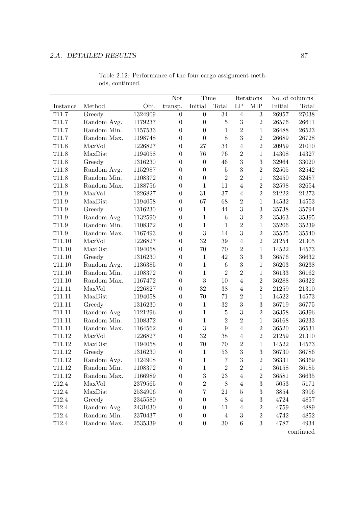|                   |             |         | Not              | Time             |                  |                  | Iterations       | No. of columns |       |
|-------------------|-------------|---------|------------------|------------------|------------------|------------------|------------------|----------------|-------|
| Instance          | Method      | Obj.    | transp.          | Initial          | Total            | $\mathrm{LP}$    | <b>MIP</b>       | Initial        | Total |
| T11.7             | Greedy      | 1324909 | $\overline{0}$   | $\overline{0}$   | 34               | $\overline{4}$   | 3                | 26957          | 27038 |
| T11.7             | Random Avg. | 1179237 | $\boldsymbol{0}$ | $\overline{0}$   | $5\,$            | $\sqrt{3}$       | $\overline{2}$   | 26576          | 26611 |
| T11.7             | Random Min. | 1157533 | $\boldsymbol{0}$ | $\overline{0}$   | $\mathbf{1}$     | $\overline{2}$   | $\mathbf{1}$     | 26488          | 26523 |
| T11.7             | Random Max. | 1198748 | $\boldsymbol{0}$ | $\boldsymbol{0}$ | 8                | 3                | $\overline{2}$   | 26689          | 26728 |
| T11.8             | MaxVol      | 1226827 | $\overline{0}$   | 27               | 34               | $\overline{4}$   | $\overline{2}$   | 20959          | 21010 |
| T11.8             | MaxDist     | 1194058 | $\boldsymbol{0}$ | 76               | 76               | $\overline{2}$   | $\mathbf{1}$     | 14308          | 14327 |
| T11.8             | Greedy      | 1316230 | $\boldsymbol{0}$ | $\boldsymbol{0}$ | 46               | 3                | 3                | 32964          | 33020 |
| T11.8             | Random Avg. | 1152987 | $\boldsymbol{0}$ | $\overline{0}$   | $\bf 5$          | 3                | $\overline{2}$   | 32505          | 32542 |
| T11.8             | Random Min. | 1108372 | $\boldsymbol{0}$ | $\boldsymbol{0}$ | $\overline{2}$   | $\overline{2}$   | $\mathbf{1}$     | 32450          | 32487 |
| T11.8             | Random Max. | 1188756 | $\boldsymbol{0}$ | $\mathbf{1}$     | 11               | $\overline{4}$   | $\,2$            | 32598          | 32654 |
| T11.9             | MaxVol      | 1226827 | $\boldsymbol{0}$ | 31               | 37               | $\overline{4}$   | $\overline{2}$   | 21222          | 21273 |
| T11.9             | MaxDist     | 1194058 | $\boldsymbol{0}$ | 67               | 68               | $\overline{2}$   | $\mathbf{1}$     | 14532          | 14553 |
| T11.9             | Greedy      | 1316230 | $\boldsymbol{0}$ | $\mathbf 1$      | 44               | 3                | $\overline{3}$   | 35738          | 35794 |
| T11.9             | Random Avg. | 1132590 | $\boldsymbol{0}$ | $\mathbf{1}$     | $\boldsymbol{6}$ | 3                | $\sqrt{2}$       | 35363          | 35395 |
| T11.9             | Random Min. | 1108372 | $\boldsymbol{0}$ | $\mathbf{1}$     | $\mathbf{1}$     | $\overline{2}$   | $\mathbf{1}$     | 35206          | 35239 |
| T11.9             | Random Max. | 1167493 | $\overline{0}$   | 3                | 14               | 3                | $\overline{2}$   | 35525          | 35540 |
| T11.10            | MaxVol      | 1226827 | $\boldsymbol{0}$ | 32               | 39               | $\overline{4}$   | $\overline{2}$   | 21254          | 21305 |
| T11.10            | MaxDist     | 1194058 | $\boldsymbol{0}$ | 70               | 70               | $\overline{2}$   | $\mathbf{1}$     | 14522          | 14573 |
| T11.10            | Greedy      | 1316230 | $\boldsymbol{0}$ | $\mathbf{1}$     | 42               | 3                | 3                | 36576          | 36632 |
| T11.10            | Random Avg. | 1136385 | $\boldsymbol{0}$ | $\mathbf{1}$     | $\boldsymbol{6}$ | 3                | $\mathbf{1}$     | 36203          | 36238 |
| T11.10            | Random Min. | 1108372 | $\boldsymbol{0}$ | $\mathbf{1}$     | $\overline{2}$   | $\overline{2}$   | $\mathbf{1}$     | 36133          | 36162 |
| T11.10            | Random Max. | 1167472 | $\boldsymbol{0}$ | 3                | 10               | $\overline{4}$   | $\overline{2}$   | 36288          | 36322 |
| T11.11            | MaxVol      | 1226827 | $\boldsymbol{0}$ | 32               | 38               | $\overline{4}$   | $\overline{2}$   | 21259          | 21310 |
| T11.11            | MaxDist     | 1194058 | $\boldsymbol{0}$ | 70               | $71\,$           | $\overline{2}$   | $\mathbf{1}$     | 14522          | 14573 |
| T11.11            | Greedy      | 1316230 | $\boldsymbol{0}$ | $\mathbf{1}$     | 32               | 3                | 3                | 36719          | 36775 |
| T11.11            | Random Avg. | 1121296 | $\overline{0}$   | $\mathbf{1}$     | $5\,$            | 3                | $\overline{2}$   | 36358          | 36396 |
| T11.11            | Random Min. | 1108372 | $\boldsymbol{0}$ | $\mathbf{1}$     | $\overline{2}$   | $\overline{2}$   | 1                | 36168          | 36233 |
| T11.11            | Random Max. | 1164562 | $\boldsymbol{0}$ | 3                | 9                | $\overline{4}$   | $\overline{2}$   | 36520          | 36531 |
| T11.12            | MaxVol      | 1226827 | $\boldsymbol{0}$ | 32               | 38               | $\overline{4}$   | $\overline{2}$   | 21259          | 21310 |
| T11.12            | MaxDist     | 1194058 | $\boldsymbol{0}$ | 70               | 70               | $\overline{2}$   | $\mathbf{1}$     | 14522          | 14573 |
| T11.12            | Greedy      | 1316230 | $\boldsymbol{0}$ | $\mathbf{1}$     | 53               | 3                | 3                | 36730          | 36786 |
| T11.12            | Random Avg. | 1124908 | 0                | 1                | $\overline{7}$   | 3                | $\overline{2}$   | 36331          | 36369 |
| T11.12            | Random Min. | 1108372 | $\boldsymbol{0}$ | 1                | $\boldsymbol{2}$ | $\sqrt{2}$       | 1                | 36158          | 36185 |
| T11.12            | Random Max. | 1166989 | $\boldsymbol{0}$ | 3                | 23               | $\overline{4}$   | $\boldsymbol{2}$ | 36581          | 36635 |
| T12.4             | MaxVol      | 2379565 | 0                | $\overline{2}$   | 8                | $\,4\,$          | $\boldsymbol{3}$ | 5053           | 5171  |
| T12.4             | MaxDist     | 2534906 | 0                | 7                | 21               | 5                | $\boldsymbol{3}$ | 3854           | 3996  |
| T12.4             | Greedy      | 2345580 | 0                | $\overline{0}$   | 8                | 4                | 3                | 4724           | 4857  |
| T12.4             | Random Avg. | 2431030 | 0                | $\overline{0}$   | 11               | 4                | $\overline{2}$   | 4759           | 4889  |
| T12.4             | Random Min. | 2370437 | $\boldsymbol{0}$ | $\boldsymbol{0}$ | $\overline{4}$   | $\boldsymbol{3}$ | $\overline{2}$   | 4742           | 4852  |
| T <sub>12.4</sub> | Random Max. | 2535339 | $\boldsymbol{0}$ | $\theta$         | 30               | $\,6$            | 3                | 4787           | 4934  |

Table 2.12: Performance of the four cargo assignment methods, continued.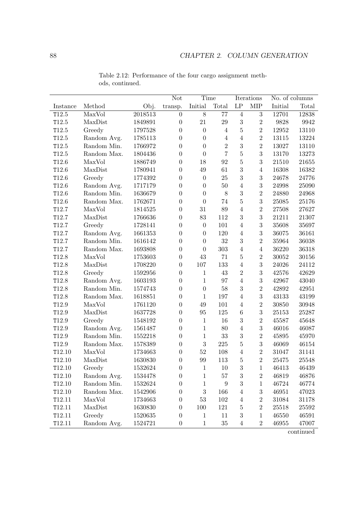|          |             |         | <b>Not</b>       | Time             |                  |                     | Iterations       |           | No. of columns |
|----------|-------------|---------|------------------|------------------|------------------|---------------------|------------------|-----------|----------------|
| Instance | Method      | Obj.    | transp.          | Initial          | Total            | $\operatorname{LP}$ | <b>MIP</b>       | Initial   | Total          |
| T12.5    | MaxVol      | 2018513 | $\boldsymbol{0}$ | $\overline{8}$   | 77               | $\,4\,$             | $\sqrt{3}$       | 12701     | 12838          |
| T12.5    | MaxDist     | 1849891 | $\theta$         | 21               | $\,29$           | $\sqrt{3}$          | $\overline{2}$   | 9828      | 9942           |
| T12.5    | Greedy      | 1797528 | $\overline{0}$   | $\overline{0}$   | $\overline{4}$   | $\overline{5}$      | $\overline{2}$   | 12952     | 13110          |
| T12.5    | Random Avg. | 1785113 | $\boldsymbol{0}$ | $\boldsymbol{0}$ | $\overline{4}$   | $\overline{4}$      | $\overline{2}$   | 13115     | 13224          |
| T12.5    | Random Min. | 1766972 | $\overline{0}$   | $\boldsymbol{0}$ | $\overline{2}$   | 3                   | $\overline{2}$   | 13027     | 13110          |
| T12.5    | Random Max. | 1804436 | $\overline{0}$   | $\boldsymbol{0}$ | $\overline{7}$   | $\overline{5}$      | 3                | 13170     | 13273          |
| T12.6    | MaxVol      | 1886749 | $\overline{0}$   | 18               | 92               | $\overline{5}$      | 3                | 21510     | 21655          |
| T12.6    | MaxDist     | 1780941 | $\boldsymbol{0}$ | 49               | 61               | 3                   | $\overline{4}$   | 16308     | 16382          |
| T12.6    | Greedy      | 1774392 | $\boldsymbol{0}$ | $\boldsymbol{0}$ | 25               | 3                   | $\boldsymbol{3}$ | $24678\,$ | 24776          |
| T12.6    | Random Avg. | 1717179 | $\boldsymbol{0}$ | $\boldsymbol{0}$ | $50\,$           | $\overline{4}$      | $\sqrt{3}$       | 24998     | 25090          |
| T12.6    | Random Min. | 1636679 | $\overline{0}$   | $\boldsymbol{0}$ | $8\,$            | 3                   | $\overline{2}$   | 24880     | 24968          |
| T12.6    | Random Max. | 1762671 | $\overline{0}$   | $\boldsymbol{0}$ | 74               | $\overline{5}$      | 3                | 25085     | 25176          |
| T12.7    | MaxVol      | 1814525 | $\overline{0}$   | 31               | $89\,$           | $\overline{4}$      | $\sqrt{2}$       | 27508     | 27627          |
| T12.7    | MaxDist     | 1766636 | $\boldsymbol{0}$ | 83               | $112\,$          | 3                   | 3                | 21211     | 21307          |
| T12.7    | Greedy      | 1728141 | $\boldsymbol{0}$ | $\boldsymbol{0}$ | 101              | $\overline{4}$      | $\boldsymbol{3}$ | 35608     | 35697          |
| T12.7    | Random Avg. | 1661353 | $\overline{0}$   | $\boldsymbol{0}$ | 120              | $\overline{4}$      | 3                | 36075     | 36161          |
| T12.7    | Random Min. | 1616142 | $\overline{0}$   | $\boldsymbol{0}$ | 32               | 3                   | $\overline{2}$   | 35964     | 36038          |
| T12.7    | Random Max. | 1693808 | $\overline{0}$   | $\overline{0}$   | 303              | $\overline{4}$      | $\overline{4}$   | 36220     | 36318          |
| T12.8    | MaxVol      | 1753603 | $\boldsymbol{0}$ | $43\,$           | 71               | $\bf 5$             | $\overline{2}$   | $30052\,$ | 30156          |
| T12.8    | MaxDist     | 1708220 | $\boldsymbol{0}$ | 107              | 133              | $\overline{4}$      | $\sqrt{3}$       | 24026     | 24112          |
| T12.8    | Greedy      | 1592956 | $\theta$         | $\mathbf{1}$     | 43               | $\sqrt{2}$          | 3                | 42576     | 42629          |
| T12.8    | Random Avg. | 1603193 | $\boldsymbol{0}$ | $\mathbf{1}$     | 97               | $\overline{4}$      | 3                | 42967     | 43040          |
| T12.8    | Random Min. | 1574743 | $\overline{0}$   | $\boldsymbol{0}$ | $58\,$           | $\boldsymbol{3}$    | $\overline{2}$   | 42892     | 42951          |
| T12.8    | Random Max. | 1618851 | $\boldsymbol{0}$ | $\mathbf{1}$     | 197              | $\overline{4}$      | $\boldsymbol{3}$ | 43133     | 43199          |
| T12.9    | MaxVol      | 1761120 | $\boldsymbol{0}$ | 49               | 101              | $\overline{4}$      | $\overline{2}$   | 30850     | 30948          |
| T12.9    | MaxDist     | 1637728 | $\overline{0}$   | 95               | $125\,$          | $\,6\,$             | 3                | 25153     | 25287          |
| T12.9    | Greedy      | 1548192 | $\overline{0}$   | $\mathbf{1}$     | 16               | 3                   | $\overline{2}$   | 45587     | 45648          |
| T12.9    | Random Avg. | 1561487 | $\overline{0}$   | $\mathbf{1}$     | 80               | $\overline{4}$      | $\boldsymbol{3}$ | 46016     | 46087          |
| T12.9    | Random Min. | 1552218 | $\boldsymbol{0}$ | $\mathbf{1}$     | $33\,$           | 3                   | $\sqrt{2}$       | 45895     | 45970          |
| T12.9    | Random Max. | 1578389 | $\boldsymbol{0}$ | 3                | $225\,$          | $\bf 5$             | $\boldsymbol{3}$ | 46069     | 46154          |
| T12.10   | MaxVol      | 1734663 | $\boldsymbol{0}$ | $52\,$           | 108              | $\overline{4}$      | $\overline{2}$   | 31047     | $31141\,$      |
| T12.10   | MaxDist     | 1630830 | $\boldsymbol{0}$ | 99               | 113              | $\overline{5}$      | $\overline{2}$   | 25475     | 25548          |
| T12.10   | Greedy      | 1532624 | $\boldsymbol{0}$ | 1                | 10               | $\boldsymbol{3}$    | $\mathbf{1}$     | 46413     | 46439          |
| T12.10   | Random Avg. | 1534478 | 0                | $\mathbf{1}$     | $57\,$           | $\boldsymbol{3}$    | $\boldsymbol{2}$ | 46819     | 46876          |
| T12.10   | Random Min. | 1532624 | $\boldsymbol{0}$ | $\mathbf 1$      | $\boldsymbol{9}$ | $\overline{3}$      | $\mathbf{1}$     | 46724     | 46774          |
| T12.10   | Random Max. | 1542906 | 0                | $\sqrt{3}$       | 166              | $\overline{4}$      | $\sqrt{3}$       | 46951     | 47023          |
| T12.11   | MaxVol      | 1734663 | 0                | $53\,$           | 102              | $\overline{4}$      | $\sqrt{2}$       | 31084     | 31178          |
| T12.11   | MaxDist     | 1630830 | 0                | 100              | 121              | $\overline{5}$      | $\sqrt{2}$       | 25518     | 25592          |
| T12.11   | Greedy      | 1520635 | $\overline{0}$   | 1                | 11               | 3                   | $\mathbf{1}$     | 46550     | 46591          |
| T12.11   | Random Avg. | 1524721 | $\boldsymbol{0}$ | $\mathbf{1}$     | $35\,$           | $\overline{4}$      | $\sqrt{2}$       | 46955     | 47007          |

Table 2.12: Performance of the four cargo assignment methods, continued.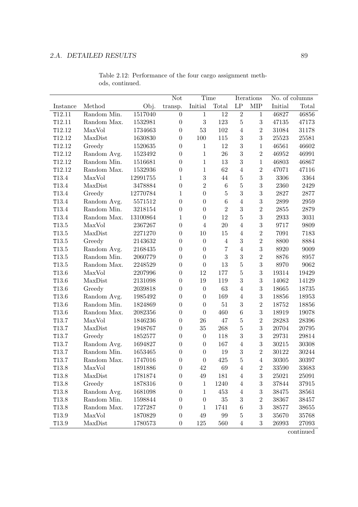|                   |             |          | Not              | Time             |                |                     | Iterations       | No. of columns |          |
|-------------------|-------------|----------|------------------|------------------|----------------|---------------------|------------------|----------------|----------|
| Instance          | Method      | Obj.     | transp.          | Initial          | Total          | $\operatorname{LP}$ | <b>MIP</b>       | Initial        | Total    |
| T12.11            | Random Min. | 1517040  | $\overline{0}$   | $\mathbf{1}$     | 12             | $\sqrt{2}$          | $\mathbf{1}$     | 46827          | 46856    |
| T12.11            | Random Max. | 1532981  | $\overline{0}$   | 3                | 123            | $\bf 5$             | 3                | 47135          | 47173    |
| T12.12            | MaxVol      | 1734663  | $\boldsymbol{0}$ | $53\,$           | 102            | $\overline{4}$      | $\,2$            | 31084          | 31178    |
| T12.12            | MaxDist     | 1630830  | $\boldsymbol{0}$ | 100              | $115\,$        | $\sqrt{3}$          | $\sqrt{3}$       | 25523          | 25581    |
| T12.12            | Greedy      | 1520635  | $\overline{0}$   | $\mathbf{1}$     | 12             | 3                   | $\mathbf{1}$     | 46561          | 46602    |
| T12.12            | Random Avg. | 1523492  | $\overline{0}$   | $\mathbf{1}$     | 26             | 3                   | $\overline{2}$   | 46952          | 46991    |
| T12.12            | Random Min. | 1516681  | $\overline{0}$   | $\mathbf{1}$     | 13             | 3                   | $\mathbf{1}$     | 46803          | 46867    |
| T12.12            | Random Max. | 1532936  | $\boldsymbol{0}$ | $\mathbf{1}$     | 62             | $\overline{4}$      | $\overline{2}$   | 47071          | 47116    |
| T13.4             | MaxVol      | 12991755 | $\mathbf 1$      | $\sqrt{3}$       | 44             | $\bf 5$             | $\sqrt{3}$       | 3306           | 3364     |
| T13.4             | MaxDist     | 3478884  | $\overline{0}$   | $\overline{2}$   | $\,6\,$        | $\overline{5}$      | $\boldsymbol{3}$ | 2360           | 2429     |
| T13.4             | Greedy      | 12770784 | 1                | $\boldsymbol{0}$ | $\bf 5$        | 3                   | 3                | 2827           | 2877     |
| T13.4             | Random Avg. | 5571512  | $\overline{0}$   | $\boldsymbol{0}$ | $\overline{6}$ | $\overline{4}$      | 3                | 2899           | $\,2959$ |
| T13.4             | Random Min. | 3218154  | $\boldsymbol{0}$ | $\boldsymbol{0}$ | $\overline{2}$ | $\sqrt{3}$          | $\sqrt{2}$       | $2855\,$       | 2879     |
| T13.4             | Random Max. | 13100864 | 1                | $\boldsymbol{0}$ | 12             | $\bf 5$             | $\boldsymbol{3}$ | 2933           | 3031     |
| T13.5             | MaxVol      | 2367267  | $\overline{0}$   | $\overline{4}$   | 20             | $\overline{4}$      | 3                | 9717           | 9809     |
| T13.5             | MaxDist     | 2271270  | $\theta$         | 10               | 15             | $\sqrt{4}$          | $\overline{2}$   | 7091           | 7183     |
| T13.5             | Greedy      | 2143632  | $\overline{0}$   | $\overline{0}$   | $\overline{4}$ | 3                   | $\overline{2}$   | 8800           | 8884     |
| T13.5             | Random Avg. | 2168435  | $\boldsymbol{0}$ | $\boldsymbol{0}$ | $\overline{7}$ | $\overline{4}$      | $\boldsymbol{3}$ | 8920           | 9009     |
| T13.5             | Random Min. | 2060779  | $\boldsymbol{0}$ | $\boldsymbol{0}$ | 3              | $\sqrt{3}$          | $\sqrt{2}$       | 8876           | 8957     |
| T13.5             | Random Max. | 2248529  | $\overline{0}$   | $\boldsymbol{0}$ | $13\,$         | $\overline{5}$      | 3                | 8970           | 9062     |
| T13.6             | MaxVol      | 2207996  | $\theta$         | 12               | 177            | $\overline{5}$      | $\boldsymbol{3}$ | 19314          | 19429    |
| T13.6             | MaxDist     | 2131098  | $\overline{0}$   | 19               | 119            | $\sqrt{3}$          | 3                | 14062          | 14129    |
| T13.6             | Greedy      | 2039818  | $\overline{0}$   | $\boldsymbol{0}$ | 63             | $\overline{4}$      | 3                | 18665          | 18735    |
| T13.6             | Random Avg. | 1985492  | $\boldsymbol{0}$ | $\boldsymbol{0}$ | 169            | $\sqrt{4}$          | $\boldsymbol{3}$ | 18856          | 18953    |
| T13.6             | Random Min. | 1824869  | $\overline{0}$   | $\boldsymbol{0}$ | $51\,$         | $\sqrt{3}$          | $\sqrt{2}$       | 18752          | 18856    |
| T13.6             | Random Max. | 2082356  | $\overline{0}$   | $\boldsymbol{0}$ | 460            | $\,6\,$             | 3                | 18919          | 19078    |
| T13.7             | MaxVol      | 1846236  | $\theta$         | 26               | 47             | $\bf 5$             | $\overline{2}$   | 28283          | 28396    |
| T13.7             | MaxDist     | 1948767  | $\overline{0}$   | 35               | 268            | $\mathbf 5$         | 3                | 20704          | 20795    |
| T13.7             | Greedy      | 1852577  | $\boldsymbol{0}$ | $\boldsymbol{0}$ | 118            | 3                   | $\sqrt{3}$       | $\bf 29731$    | 29814    |
| T13.7             | Random Avg. | 1694827  | $\boldsymbol{0}$ | $\boldsymbol{0}$ | 167            | $\sqrt{4}$          | $\boldsymbol{3}$ | 30215          | 30308    |
| T13.7             | Random Min. | 1653465  | $\boldsymbol{0}$ | $\boldsymbol{0}$ | 19             | 3                   | $\overline{2}$   | 30122          | 30244    |
| T13.7             | Random Max. | 1747016  | 0                | $\overline{0}$   | 425            | 5                   | 4                | 30305          | 30397    |
| T <sub>13.8</sub> | MaxVol      | 1891886  | 0                | 42               | 69             | 4                   | $\sqrt{2}$       | 33590          | 33683    |
| T13.8             | MaxDist     | 1781874  | $\boldsymbol{0}$ | 49               | 181            | $\overline{4}$      | $\sqrt{3}$       | 25021          | 25091    |
| T <sub>13.8</sub> | Greedy      | 1878316  | 0                | $\mathbf 1$      | 1240           | $\overline{4}$      | $\sqrt{3}$       | 37844          | 37915    |
| T13.8             | Random Avg. | 1681098  | 0                | 1                | 453            | $\overline{4}$      | $\boldsymbol{3}$ | 38475          | 38561    |
| T13.8             | Random Min. | 1598844  | 0                | $\boldsymbol{0}$ | 35             | 3                   | $\sqrt{2}$       | 38367          | 38457    |
| T13.8             | Random Max. | 1727287  | 0                | 1                | 1741           | 6                   | $\boldsymbol{3}$ | 38577          | 38655    |
| T13.9             | MaxVol      | 1870829  | 0                | 49               | 99             | 5                   | $\sqrt{3}$       | 35670          | 35768    |
| T13.9             | MaxDist     | 1780573  | $\boldsymbol{0}$ | $125\,$          | 560            | 4                   | 3                | 26993          | 27093    |

Table 2.12: Performance of the four cargo assignment methods, continued.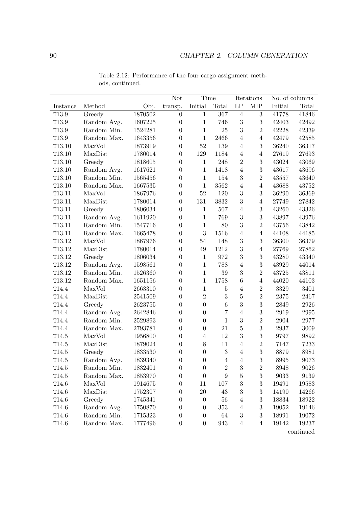|                   |             |             | <b>Not</b>       | Time             |                    |                     | Iterations       |         | No. of columns |
|-------------------|-------------|-------------|------------------|------------------|--------------------|---------------------|------------------|---------|----------------|
| Instance          | Method      | Obj.        | transp.          | Initial          | Total              | $\operatorname{LP}$ | <b>MIP</b>       | Initial | Total          |
| T13.9             | Greedy      | 1870502     | $\boldsymbol{0}$ | $\mathbf{1}$     | 367                | $\,4\,$             | $\sqrt{3}$       | 41778   | 41846          |
| T13.9             | Random Avg. | 1607225     | $\overline{0}$   | $\mathbf{1}$     | 746                | $\sqrt{3}$          | 3                | 42403   | 42492          |
| T13.9             | Random Min. | 1524281     | $\overline{0}$   | $\mathbf{1}$     | $25\,$             | 3                   | $\overline{2}$   | 42228   | 42339          |
| T13.9             | Random Max. | 1643356     | $\boldsymbol{0}$ | $\mathbf{1}$     | 2466               | $\overline{4}$      | $\overline{4}$   | 42479   | 42585          |
| T13.10            | MaxVol      | 1873919     | $\overline{0}$   | $52\,$           | 139                | $\overline{4}$      | $\boldsymbol{3}$ | 36240   | 36317          |
| T13.10            | MaxDist     | 1780014     | $\theta$         | 129              | 1184               | $\overline{4}$      | $\overline{4}$   | 27619   | 27693          |
| T13.10            | Greedy      | 1818605     | $\overline{0}$   | $\mathbf{1}$     | $248\,$            | $\overline{2}$      | 3                | 43024   | 43069          |
| T13.10            | Random Avg. | 1617621     | $\overline{0}$   | $\mathbf 1$      | 1418               | $\overline{4}$      | $\sqrt{3}$       | 43617   | 43696          |
| T13.10            | Random Min. | 1565456     | $\boldsymbol{0}$ | $\mathbf{1}$     | 154                | $\boldsymbol{3}$    | $\overline{2}$   | 43557   | 43640          |
| T13.10            | Random Max. | 1667535     | $\boldsymbol{0}$ | $\mathbf 1$      | 3562               | $\overline{4}$      | $\overline{4}$   | 43688   | 43752          |
| T13.11            | MaxVol      | 1867976     | $\boldsymbol{0}$ | $52\,$           | 120                | 3                   | $\sqrt{3}$       | 36290   | 36369          |
| T13.11            | MaxDist     | 1780014     | $\boldsymbol{0}$ | 131              | 3832               | $\overline{3}$      | $\overline{4}$   | 27749   | 27842          |
| T13.11            | Greedy      | 1806034     | $\overline{0}$   | $\mathbf{1}$     | 507                | $\overline{4}$      | 3                | 43260   | 43326          |
| T13.11            | Random Avg. | 1611920     | $\boldsymbol{0}$ | $\mathbf{1}$     | 769                | 3                   | $\boldsymbol{3}$ | 43897   | 43976          |
| T13.11            | Random Min. | 1547716     | $\boldsymbol{0}$ | $\mathbf{1}$     | 80                 | 3                   | $\,2$            | 43756   | 43842          |
| T13.11            | Random Max. | 1665478     | $\overline{0}$   | 3                | 1516               | $\overline{4}$      | $\overline{4}$   | 44108   | 44185          |
| T13.12            | MaxVol      | 1867976     | $\overline{0}$   | $54\,$           | 148                | 3                   | 3                | 36300   | 36379          |
| T13.12            | MaxDist     | 1780014     | $\overline{0}$   | 49               | 1212               | 3                   | $\overline{4}$   | 27769   | 27862          |
| T13.12            | Greedy      | 1806034     | $\boldsymbol{0}$ | $\mathbf{1}$     | $\boldsymbol{972}$ | 3                   | $\boldsymbol{3}$ | 43280   | 43340          |
| T13.12            | Random Avg. | 1598561     | $\boldsymbol{0}$ | $\mathbf 1$      | 788                | $\overline{4}$      | $\sqrt{3}$       | 43929   | 44014          |
| T13.12            | Random Min. | 1526360     | $\overline{0}$   | $\mathbf{1}$     | $39\,$             | 3                   | $\,2$            | 43725   | 43811          |
| T13.12            | Random Max. | 1651156     | $\boldsymbol{0}$ | $\mathbf{1}$     | 1758               | $\,6$               | $\overline{4}$   | 44020   | 44103          |
| T14.4             | MaxVol      | 2663310     | $\overline{0}$   | $\mathbf{1}$     | $\bf 5$            | $\overline{4}$      | $\sqrt{2}$       | 3329    | 3401           |
| T14.4             | MaxDist     | $2541509\,$ | $\boldsymbol{0}$ | $\overline{2}$   | 3                  | $\bf 5$             | $\overline{2}$   | 2375    | 2467           |
| T14.4             | Greedy      | 2623755     | $\boldsymbol{0}$ | $\overline{0}$   | $\,6\,$            | 3                   | 3                | 2849    | 2926           |
| T14.4             | Random Avg. | 2642846     | $\overline{0}$   | $\boldsymbol{0}$ | $\overline{7}$     | $\overline{4}$      | $\sqrt{3}$       | 2919    | 2995           |
| T14.4             | Random Min. | 2529893     | $\overline{0}$   | $\boldsymbol{0}$ | $\mathbf{1}$       | 3                   | $\overline{2}$   | 2904    | 2977           |
| T14.4             | Random Max. | 2793781     | $\overline{0}$   | $\boldsymbol{0}$ | 21                 | $\overline{5}$      | 3                | 2937    | 3009           |
| T14.5             | MaxVol      | 1956800     | $\boldsymbol{0}$ | $\overline{4}$   | 12                 | 3                   | 3                | 9797    | 9892           |
| T14.5             | MaxDist     | 1879024     | $\boldsymbol{0}$ | $8\,$            | $11\,$             | $\overline{4}$      | $\overline{2}$   | 7147    | 7233           |
| T14.5             | Greedy      | 1833530     | $\boldsymbol{0}$ | $\overline{0}$   | 3                  | $\overline{4}$      | 3                | 8879    | 8981           |
| T14.5             | Random Avg. | 1839340     | $\boldsymbol{0}$ | $\boldsymbol{0}$ | 4                  | $\overline{4}$      | 3                | 8995    | 9073           |
| T <sub>14.5</sub> | Random Min. | 1832401     | $\boldsymbol{0}$ | $\boldsymbol{0}$ | $\sqrt{2}$         | $\,3$               | $\sqrt{2}$       | 8948    | 9026           |
| $\texttt{T}14.5$  | Random Max. | 1853970     | 0                | $\boldsymbol{0}$ | $\boldsymbol{9}$   | 5                   | $\sqrt{3}$       | 9033    | 9139           |
| T14.6             | MaxVol      | 1914675     | $\boldsymbol{0}$ | 11               | 107                | 3                   | $\sqrt{3}$       | 19491   | 19583          |
| T14.6             | MaxDist     | 1752307     | 0                | 20               | 43                 | 3                   | $\sqrt{3}$       | 14190   | 14266          |
| T14.6             | Greedy      | 1745341     | 0                | $\boldsymbol{0}$ | 56                 | 4                   | 3                | 18834   | 18922          |
| T <sub>14.6</sub> | Random Avg. | 1750870     | 0                | $\theta$         | 353                | 4                   | $\sqrt{3}$       | 19052   | 19146          |
| T14.6             | Random Min. | 1715323     | 0                | $\boldsymbol{0}$ | 64                 | 3                   | $\boldsymbol{3}$ | 18991   | 19072          |
| T <sub>14.6</sub> | Random Max. | 1777496     | $\boldsymbol{0}$ | $\boldsymbol{0}$ | 943                | $\overline{4}$      | $\overline{4}$   | 19142   | 19237          |

Table 2.12: Performance of the four cargo assignment methods, continued.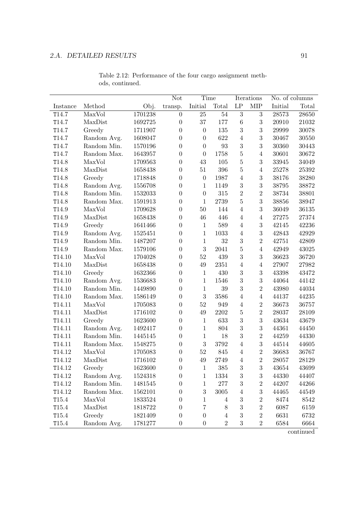|                    |             |         | Not              | Time             |                   |                     | Iterations       |         | No. of columns |
|--------------------|-------------|---------|------------------|------------------|-------------------|---------------------|------------------|---------|----------------|
| Instance           | Method      | Obj.    | transp.          | Initial          | Total             | $\operatorname{LP}$ | <b>MIP</b>       | Initial | Total          |
| T14.7              | MaxVol      | 1701238 | $\overline{0}$   | 25               | $54\,$            | 3                   | 3                | 28573   | 28650          |
| T14.7              | MaxDist     | 1692725 | $\overline{0}$   | 37               | 177               | 6                   | 3                | 20910   | 21032          |
| T14.7              | Greedy      | 1711907 | $\boldsymbol{0}$ | $\boldsymbol{0}$ | 135               | 3                   | $\boldsymbol{3}$ | 29999   | 30078          |
| T14.7              | Random Avg. | 1608047 | $\boldsymbol{0}$ | $\overline{0}$   | 622               | $\overline{4}$      | $\boldsymbol{3}$ | 30467   | $30550\,$      |
| T14.7              | Random Min. | 1570196 | $\overline{0}$   | $\overline{0}$   | $\boldsymbol{93}$ | 3                   | 3                | 30360   | 30443          |
| T14.7              | Random Max. | 1643957 | $\overline{0}$   | $\overline{0}$   | 1758              | $\overline{5}$      | $\overline{4}$   | 30601   | 30672          |
| T14.8              | MaxVol      | 1709563 | $\boldsymbol{0}$ | 43               | $105\,$           | $\overline{5}$      | 3                | 33945   | 34049          |
| T14.8              | MaxDist     | 1658438 | $\overline{0}$   | 51               | 396               | $\overline{5}$      | $\overline{4}$   | 25278   | 25392          |
| T14.8              | Greedy      | 1718848 | $\boldsymbol{0}$ | $\boldsymbol{0}$ | 1987              | $\overline{4}$      | $\sqrt{3}$       | 38176   | 38280          |
| T14.8              | Random Avg. | 1556708 | $\boldsymbol{0}$ | $\mathbf{1}$     | 1149              | 3                   | 3                | 38795   | 38872          |
| T14.8              | Random Min. | 1532033 | $\overline{0}$   | $\boldsymbol{0}$ | 315               | $\sqrt{2}$          | $\overline{2}$   | 38734   | 38801          |
| T14.8              | Random Max. | 1591913 | $\boldsymbol{0}$ | $\mathbf{1}$     | 2739              | $\overline{5}$      | 3                | 38856   | 38947          |
| T14.9              | MaxVol      | 1709628 | $\boldsymbol{0}$ | $50\,$           | 144               | $\overline{4}$      | 3                | 36049   | 36135          |
| T14.9              | MaxDist     | 1658438 | $\boldsymbol{0}$ | 46               | 446               | $\overline{4}$      | $\overline{4}$   | 27275   | 27374          |
| T14.9              | Greedy      | 1641466 | $\boldsymbol{0}$ | $\mathbf{1}$     | 589               | $\overline{4}$      | 3                | 42145   | 42236          |
| T14.9              | Random Avg. | 1525451 | $\boldsymbol{0}$ | $\mathbf{1}$     | 1033              | $\overline{4}$      | 3                | 42843   | 42929          |
| T14.9              | Random Min. | 1487207 | $\boldsymbol{0}$ | $\mathbf{1}$     | $32\,$            | $\sqrt{3}$          | $\overline{2}$   | 42751   | 42809          |
| T14.9              | Random Max. | 1579106 | $\boldsymbol{0}$ | 3                | 2041              | $\mathbf 5$         | $\overline{4}$   | 42949   | 43025          |
| T14.10             | MaxVol      | 1704028 | $\boldsymbol{0}$ | $52\,$           | 439               | 3                   | $\sqrt{3}$       | 36623   | 36720          |
| T14.10             | MaxDist     | 1658438 | $\boldsymbol{0}$ | $49\,$           | 2351              | $\overline{4}$      | $\overline{4}$   | 27907   | 27982          |
| T14.10             | Greedy      | 1632366 | $\overline{0}$   | $\mathbf{1}$     | 430               | 3                   | $\sqrt{3}$       | 43398   | 43472          |
| T14.10             | Random Avg. | 1536683 | $\overline{0}$   | $\mathbf 1$      | 1546              | 3                   | 3                | 44064   | 44142          |
| T14.10             | Random Min. | 1449890 | $\boldsymbol{0}$ | $\mathbf{1}$     | $39\,$            | 3                   | $\overline{2}$   | 43980   | 44034          |
| T14.10             | Random Max. | 1586149 | $\boldsymbol{0}$ | 3                | 3586              | $\overline{4}$      | $\overline{4}$   | 44137   | 44235          |
| T14.11             | MaxVol      | 1705083 | $\boldsymbol{0}$ | $52\,$           | 949               | $\overline{4}$      | $\,2$            | 36673   | 36757          |
| T14.11             | MaxDist     | 1716102 | $\overline{0}$   | 49               | 2202              | $\overline{5}$      | $\overline{2}$   | 28037   | 28109          |
| T14.11             | Greedy      | 1623600 | $\boldsymbol{0}$ | $\mathbf{1}$     | 633               | 3                   | 3                | 43634   | 43679          |
| T14.11             | Random Avg. | 1492417 | $\boldsymbol{0}$ | $\mathbf{1}$     | 804               | 3                   | 3                | 44361   | 44450          |
| T14.11             | Random Min. | 1445145 | $\boldsymbol{0}$ | $\mathbf{1}$     | 18                | 3                   | $\,2$            | 44259   | 44330          |
| T14.11             | Random Max. | 1548275 | $\boldsymbol{0}$ | 3                | 3792              | $\overline{4}$      | $\sqrt{3}$       | 44514   | 44605          |
| T14.12             | MaxVol      | 1705083 | $\boldsymbol{0}$ | $52\,$           | 845               | $\overline{4}$      | $\overline{2}$   | 36683   | 36767          |
| T14.12             | MaxDist     | 1716102 | $\Omega$         | 49               | 2749              | $\overline{4}$      | $\overline{2}$   | 28057   | 28129          |
| T <sub>14.12</sub> | Greedy      | 1623600 | $\boldsymbol{0}$ | 1                | 385               | $\sqrt{3}$          | 3                | 43654   | 43699          |
| T14.12             | Random Avg. | 1524318 | $\boldsymbol{0}$ | $\mathbf{1}$     | 1334              | $\sqrt{3}$          | $\boldsymbol{3}$ | 44330   | 44407          |
| T14.12             | Random Min. | 1481545 | $\overline{0}$   | 1                | $277\,$           | 3                   | $\sqrt{2}$       | 44207   | 44266          |
| T14.12             | Random Max. | 1562101 | $\theta$         | 3                | $3005\,$          | $\overline{4}$      | $\boldsymbol{3}$ | 44465   | 44549          |
| T15.4              | MaxVol      | 1833524 | $\theta$         | 1                | 4                 | 3                   | $\sqrt{2}$       | 8474    | 8542           |
| T15.4              | MaxDist     | 1818722 | $\overline{0}$   | 7                | 8                 | 3                   | $\overline{2}$   | 6087    | 6159           |
| T15.4              | Greedy      | 1821409 | $\boldsymbol{0}$ | $\boldsymbol{0}$ | $\overline{4}$    | 3                   | $\sqrt{2}$       | 6631    | 6732           |
| T <sub>15.4</sub>  | Random Avg. | 1781277 | $\boldsymbol{0}$ | $\boldsymbol{0}$ | $\overline{2}$    | 3                   | $\,2$            | 6584    | 6664           |

Table 2.12: Performance of the four cargo assignment methods, continued.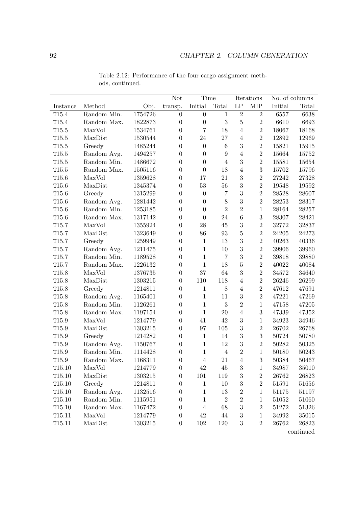|                    |             |         | Not              | Time             |                 |                  | Iterations     |         | No. of columns |
|--------------------|-------------|---------|------------------|------------------|-----------------|------------------|----------------|---------|----------------|
| Instance           | Method      | Obj.    | transp.          | Initial          | Total           | LP               | <b>MIP</b>     | Initial | Total          |
| T15.4              | Random Min. | 1754726 | $\overline{0}$   | $\boldsymbol{0}$ | $\mathbf{1}$    | $\overline{2}$   | $\overline{2}$ | 6557    | 6638           |
| T15.4              | Random Max. | 1822873 | $\boldsymbol{0}$ | $\boldsymbol{0}$ | $\sqrt{3}$      | $\overline{5}$   | $\overline{2}$ | 6610    | 6693           |
| T15.5              | MaxVol      | 1534761 | $\overline{0}$   | $\overline{7}$   | 18              | $\overline{4}$   | $\overline{2}$ | 18067   | 18168          |
| T15.5              | MaxDist     | 1530544 | $\boldsymbol{0}$ | 24               | 27              | $\overline{4}$   | $\overline{2}$ | 12892   | 12969          |
| T15.5              | Greedy      | 1485244 | $\boldsymbol{0}$ | $\boldsymbol{0}$ | $6\phantom{.}6$ | 3                | $\sqrt{2}$     | 15821   | 15915          |
| T15.5              | Random Avg. | 1494257 | $\overline{0}$   | $\overline{0}$   | 9               | $\overline{4}$   | $\overline{2}$ | 15664   | 15752          |
| T15.5              | Random Min. | 1486672 | $\boldsymbol{0}$ | $\overline{0}$   | $\overline{4}$  | 3                | $\overline{2}$ | 15581   | 15654          |
| T15.5              | Random Max. | 1505116 | $\boldsymbol{0}$ | $\overline{0}$   | 18              | $\overline{4}$   | 3              | 15702   | 15796          |
| T15.6              | MaxVol      | 1359628 | $\boldsymbol{0}$ | 17               | 21              | 3                | $\overline{2}$ | 27242   | 27328          |
| T15.6              | MaxDist     | 1345374 | $\boldsymbol{0}$ | $53\,$           | $56\,$          | 3                | $\sqrt{2}$     | 19548   | 19592          |
| T15.6              | Greedy      | 1315299 | $\overline{0}$   | $\boldsymbol{0}$ | $\overline{7}$  | 3                | $\overline{2}$ | 28528   | 28607          |
| T15.6              | Random Avg. | 1281442 | $\boldsymbol{0}$ | $\boldsymbol{0}$ | 8               | 3                | $\overline{2}$ | 28253   | 28317          |
| T15.6              | Random Min. | 1253185 | $\boldsymbol{0}$ | $\boldsymbol{0}$ | $\overline{2}$  | $\overline{2}$   | $\mathbf{1}$   | 28164   | 28257          |
| T <sub>15.6</sub>  | Random Max. | 1317142 | $\boldsymbol{0}$ | $\boldsymbol{0}$ | 24              | $\,6$            | 3              | 28307   | 28421          |
| T15.7              | MaxVol      | 1355924 | $\boldsymbol{0}$ | ${\bf 28}$       | 45              | $\sqrt{3}$       | $\overline{2}$ | 32772   | 32837          |
| T15.7              | MaxDist     | 1323649 | $\overline{0}$   | 86               | 93              | $\overline{5}$   | $\sqrt{2}$     | 24205   | 24273          |
| T15.7              | Greedy      | 1259949 | $\boldsymbol{0}$ | $\mathbf{1}$     | 13              | 3                | $\overline{2}$ | 40263   | 40336          |
| T15.7              | Random Avg. | 1211475 | $\boldsymbol{0}$ | $\mathbf 1$      | 10              | 3                | $\overline{2}$ | 39906   | 39960          |
| T15.7              | Random Min. | 1189528 | $\boldsymbol{0}$ | $\mathbf{1}$     | $\overline{7}$  | 3                | $\overline{2}$ | 39818   | 39880          |
| T15.7              | Random Max. | 1226132 | $\boldsymbol{0}$ | $\mathbf{1}$     | 18              | $\overline{5}$   | $\overline{2}$ | 40022   | 40084          |
| T15.8              | MaxVol      | 1376735 | $\boldsymbol{0}$ | $37\,$           | 64              | 3                | $\sqrt{2}$     | 34572   | 34640          |
| T15.8              | MaxDist     | 1303215 | $\boldsymbol{0}$ | 110              | 118             | $\overline{4}$   | $\overline{2}$ | 26246   | 26299          |
| T15.8              | Greedy      | 1214811 | $\boldsymbol{0}$ | $\mathbf{1}$     | $8\,$           | $\overline{4}$   | $\overline{2}$ | 47612   | 47691          |
| T15.8              | Random Avg. | 1165401 | $\boldsymbol{0}$ | $\mathbf{1}$     | 11              | $\sqrt{3}$       | $\overline{2}$ | 47221   | 47269          |
| T15.8              | Random Min. | 1126261 | $\boldsymbol{0}$ | $\mathbf{1}$     | 3               | $\overline{2}$   | $\mathbf{1}$   | 47158   | 47205          |
| T15.8              | Random Max. | 1197154 | $\boldsymbol{0}$ | $\mathbf{1}$     | 20              | $\overline{4}$   | $\sqrt{3}$     | 47339   | 47352          |
| T15.9              | MaxVol      | 1214779 | $\boldsymbol{0}$ | 41               | 42              | 3                | $\mathbf{1}$   | 34923   | 34946          |
| T15.9              | MaxDist     | 1303215 | $\boldsymbol{0}$ | 97               | 105             | 3                | $\overline{2}$ | 26702   | 26768          |
| T15.9              | Greedy      | 1214282 | $\boldsymbol{0}$ | $\mathbf{1}$     | 14              | 3                | 3              | 50724   | 50780          |
| T15.9              | Random Avg. | 1150767 | $\boldsymbol{0}$ | $\mathbf{1}$     | 12              | 3                | $\overline{2}$ | 50282   | $50325\,$      |
| T15.9              | Random Min. | 1114428 | $\boldsymbol{0}$ | $\mathbf{1}$     | $\overline{4}$  | $\overline{2}$   | $\mathbf{1}$   | 50180   | 50243          |
| T15.9              | Random Max. | 1168311 | $\boldsymbol{0}$ | 4                | 21              | 4                | 3              | 50384   | 50467          |
| T15.10             | MaxVol      | 1214779 | $\boldsymbol{0}$ | 42               | 45              | $\sqrt{3}$       | $\mathbf{1}$   | 34987   | 35010          |
| T <sub>15.10</sub> | MaxDist     | 1303215 | $\boldsymbol{0}$ | $101\,$          | $119\,$         | $\sqrt{3}$       | $\sqrt{2}$     | 26762   | 26823          |
| $\mathtt{T}15.10$  | Greedy      | 1214811 | $\boldsymbol{0}$ | 1                | 10              | $\sqrt{3}$       | $\sqrt{2}$     | 51591   | 51656          |
| T15.10             | Random Avg. | 1132516 | $\boldsymbol{0}$ | 1                | 13              | $\sqrt{2}$       | $\mathbf{1}$   | 51175   | 51197          |
| T <sub>15.10</sub> | Random Min. | 1115951 | $\boldsymbol{0}$ | $\mathbf{1}$     | $\sqrt{2}$      | $\sqrt{2}$       | $\mathbf{1}$   | 51052   | 51060          |
| T <sub>15.10</sub> | Random Max. | 1167472 | $\overline{0}$   | $\,4\,$          | 68              | 3                | $\overline{2}$ | 51272   | 51326          |
| T <sub>15.11</sub> | MaxVol      | 1214779 | $\boldsymbol{0}$ | 42               | 44              | 3                | $\mathbf{1}$   | 34992   | 35015          |
| T <sub>15.11</sub> | MaxDist     | 1303215 | $\boldsymbol{0}$ | 102              | 120             | $\boldsymbol{3}$ | $\sqrt{2}$     | 26762   | 26823          |

Table 2.12: Performance of the four cargo assignment methods, continued.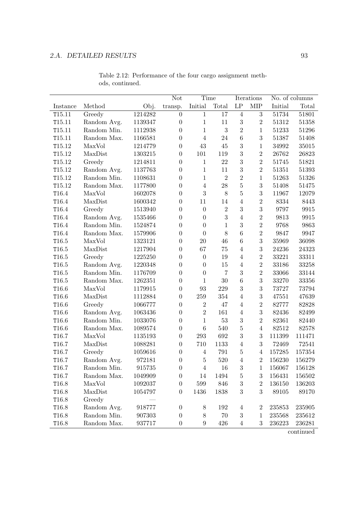|                   |             |         | Not              | Time             |                |                | Iterations              |            | No. of columns |
|-------------------|-------------|---------|------------------|------------------|----------------|----------------|-------------------------|------------|----------------|
| Instance          | Method      | Obj.    | transp.          | Initial          | Total          | LP             | ${\rm MIP}$             | Initial    | Total          |
| T15.11            | Greedy      | 1214282 | $\overline{0}$   | $\mathbf{1}$     | 17             | $\overline{4}$ | 3                       | 51734      | 51801          |
| T15.11            | Random Avg. | 1139347 | $\boldsymbol{0}$ | $\mathbf{1}$     | 11             | 3              | $\overline{2}$          | 51312      | 51358          |
| T15.11            | Random Min. | 1112938 | $\boldsymbol{0}$ | $\mathbf{1}$     | $\sqrt{3}$     | $\overline{2}$ | $\mathbf{1}$            | 51233      | 51296          |
| T15.11            | Random Max. | 1166581 | $\boldsymbol{0}$ | $\overline{4}$   | 24             | 6              | $\boldsymbol{3}$        | 51387      | 51408          |
| T15.12            | MaxVol      | 1214779 | $\boldsymbol{0}$ | 43               | 45             | 3              | $\mathbf{1}$            | 34992      | 35015          |
| T15.12            | MaxDist     | 1303215 | $\boldsymbol{0}$ | 101              | 119            | 3              | $\overline{2}$          | 26762      | 26823          |
| T15.12            | Greedy      | 1214811 | $\overline{0}$   | $\mathbf{1}$     | 22             | 3              | $\overline{2}$          | 51745      | 51821          |
| T15.12            | Random Avg. | 1137763 | $\boldsymbol{0}$ | $\mathbf{1}$     | 11             | 3              | $\overline{2}$          | 51351      | 51393          |
| T15.12            | Random Min. | 1108631 | $\boldsymbol{0}$ | $\mathbf{1}$     | $\overline{2}$ | $\overline{2}$ | $\mathbf{1}$            | 51263      | 51326          |
| T15.12            | Random Max. | 1177800 | $\overline{0}$   | $\overline{4}$   | 28             | $\overline{5}$ | 3                       | 51408      | 51475          |
| T16.4             | MaxVol      | 1602078 | $\overline{0}$   | 3                | 8              | $\overline{5}$ | 3                       | 11967      | 12079          |
| T16.4             | MaxDist     | 1600342 | $\overline{0}$   | 11               | 14             | $\overline{4}$ | $\overline{2}$          | 8334       | 8443           |
| T16.4             | Greedy      | 1513940 | $\boldsymbol{0}$ | $\overline{0}$   | $\overline{2}$ | 3              | 3                       | 9797       | 9915           |
| T16.4             | Random Avg. | 1535466 | $\boldsymbol{0}$ | $\overline{0}$   | 3              | $\overline{4}$ | $\overline{2}$          | 9813       | 9915           |
| T16.4             | Random Min. | 1524874 | $\overline{0}$   | $\overline{0}$   | $\mathbf{1}$   | 3              | $\overline{2}$          | 9768       | 9863           |
| T16.4             | Random Max. | 1579906 | $\overline{0}$   | $\overline{0}$   | 8              | 6              | $\overline{2}$          | 9847       | 9947           |
| T16.5             | MaxVol      | 1323121 | $\overline{0}$   | 20               | 46             | 6              | 3                       | 35969      | 36098          |
| T16.5             | MaxDist     | 1217904 | $\overline{0}$   | 67               | 75             | $\overline{4}$ | 3                       | 24236      | 24323          |
| T16.5             | Greedy      | 1225250 | $\boldsymbol{0}$ | $\boldsymbol{0}$ | 19             | $\overline{4}$ | $\sqrt{2}$              | 33221      | 33311          |
| T16.5             | Random Avg. | 1220348 | $\overline{0}$   | $\overline{0}$   | 15             | $\overline{4}$ | $\overline{2}$          | 33186      | 33258          |
| T16.5             | Random Min. | 1176709 | $\overline{0}$   | $\boldsymbol{0}$ | $\overline{7}$ | 3              | $\overline{2}$          | 33066      | 33144          |
| T16.5             | Random Max. | 1262351 | $\boldsymbol{0}$ | $\mathbf 1$      | 30             | $\overline{6}$ | 3                       | 33270      | 33356          |
| T16.6             | MaxVol      | 1179915 | $\boldsymbol{0}$ | 93               | 229            | 3              | 3                       | 73727      | 73794          |
| T16.6             | MaxDist     | 1112884 | $\boldsymbol{0}$ | 259              | $354\,$        | $\overline{4}$ | 3                       | 47551      | 47639          |
| T16.6             | Greedy      | 1066777 | $\boldsymbol{0}$ | $\,2$            | 47             | $\overline{4}$ | $\overline{2}$          | 82777      | 82828          |
| T16.6             | Random Avg. | 1063436 | $\overline{0}$   | $\overline{2}$   | 161            | $\overline{4}$ | 3                       | 82436      | 82499          |
| T16.6             | Random Min. | 1033076 | $\overline{0}$   | $\mathbf{1}$     | 53             | $\sqrt{3}$     | $\overline{2}$          | 82361      | 82440          |
| T16.6             | Random Max. | 1089574 | $\overline{0}$   | $\overline{6}$   | 540            | $\overline{5}$ | $\overline{4}$          | 82512      | 82578          |
| T16.7             | MaxVol      | 1135193 | $\boldsymbol{0}$ | $\,293$          | 692            | 3              | 3                       | 111399     | 111471         |
| T16.7             | MaxDist     | 1088281 | $\boldsymbol{0}$ | 710              | 1133           | $\overline{4}$ | 3                       | 72469      | 72541          |
| T16.7             | Greedy      | 1059616 | $\overline{0}$   | $\overline{4}$   | 791            | $\overline{5}$ | $\overline{4}$          | 157285     | 157354         |
| T <sub>16.7</sub> | Random Avg. | 972181  | $\Omega$         | $\overline{5}$   | 520            | $\overline{4}$ | $\overline{2}$          | 156230     | 156279         |
| T <sub>16.7</sub> | Random Min. | 915735  | $\boldsymbol{0}$ | 4                | 16             | 3              | 1                       | 156067     | 156128         |
| T16.7             | Random Max. | 1049909 | $\boldsymbol{0}$ | 14               | 1494           | 5              | 3                       | $156431\,$ | 156502         |
| T <sub>16.8</sub> | MaxVol      | 1092037 | $\boldsymbol{0}$ | 599              | 846            | 3              | $\overline{2}$          | 136150     | 136203         |
| T16.8             | MaxDist     | 1054797 | $\overline{0}$   | 1436             | 1838           | 3              | 3                       | 89105      | 89170          |
| T16.8             | Greedy      |         |                  |                  |                |                |                         |            |                |
| T16.8             | Random Avg. | 918777  | $\boldsymbol{0}$ | 8                | 192            | $\overline{4}$ | $\overline{\mathbf{2}}$ | 235853     | 235905         |
| T16.8             | Random Min. | 907303  | $\boldsymbol{0}$ | 8                | 70             | 3              | 1                       | 235568     | 235612         |
| T <sub>16.8</sub> | Random Max. | 937717  | $\boldsymbol{0}$ | $9\phantom{.0}$  | 426            | 4              | 3                       | 236223     | 236281         |

Table 2.12: Performance of the four cargo assignment methods, continued.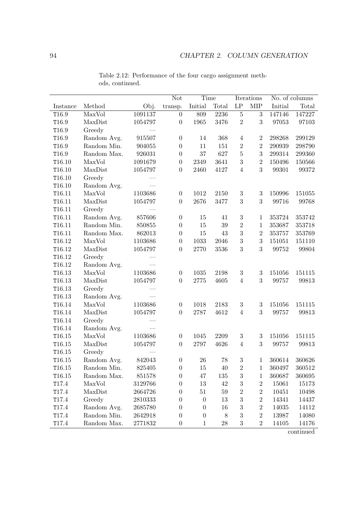|                    |             |         | <b>Not</b>       | Time             |        |                     | Iterations       |         | No. of columns |
|--------------------|-------------|---------|------------------|------------------|--------|---------------------|------------------|---------|----------------|
| Instance           | Method      | Obj.    | transp.          | Initial          | Total  | $\operatorname{LP}$ | <b>MIP</b>       | Initial | Total          |
| T16.9              | MaxVol      | 1091137 | $\boldsymbol{0}$ | 809              | 2236   | $\bf 5$             | $\sqrt{3}$       | 147146  | 147227         |
| T16.9              | MaxDist     | 1054797 | $\boldsymbol{0}$ | 1965             | 3476   | $\overline{2}$      | 3                | 97053   | 97103          |
| T16.9              | Greedy      |         |                  |                  |        |                     |                  |         |                |
| T16.9              | Random Avg. | 915507  | $\boldsymbol{0}$ | 14               | 368    | $\,4\,$             | $\,2$            | 298268  | 299129         |
| T16.9              | Random Min. | 904055  | $\boldsymbol{0}$ | 11               | 151    | $\overline{2}$      | $\sqrt{2}$       | 290939  | 298790         |
| T16.9              | Random Max. | 926031  | $\boldsymbol{0}$ | $37\,$           | 627    | $\bf 5$             | 3                | 299314  | 299360         |
| T16.10             | MaxVol      | 1091679 | $\boldsymbol{0}$ | 2349             | 3641   | $\boldsymbol{3}$    | $\overline{2}$   | 150496  | 150566         |
| T16.10             | MaxDist     | 1054797 | $\boldsymbol{0}$ | 2460             | 4127   | $\overline{4}$      | 3                | 99301   | 99372          |
| T16.10             | Greedy      |         |                  |                  |        |                     |                  |         |                |
| T16.10             | Random Avg. |         |                  |                  |        |                     |                  |         |                |
| T16.11             | MaxVol      | 1103686 | $\boldsymbol{0}$ | 1012             | 2150   | $\sqrt{3}$          | $\sqrt{3}$       | 150996  | 151055         |
| T16.11             | MaxDist     | 1054797 | $\boldsymbol{0}$ | 2676             | 3477   | 3                   | 3                | 99716   | 99768          |
| T16.11             | Greedy      |         |                  |                  |        |                     |                  |         |                |
| T16.11             | Random Avg. | 857606  | $\boldsymbol{0}$ | $15\,$           | $41\,$ | $\sqrt{3}$          | $\mathbf{1}$     | 353724  | 353742         |
| T16.11             | Random Min. | 850855  | $\boldsymbol{0}$ | 15               | $39\,$ | $\overline{2}$      | $\mathbf{1}$     | 353687  | 353718         |
| T16.11             | Random Max. | 862013  | $\boldsymbol{0}$ | 15               | 43     | 3                   | $\,2$            | 353757  | 353769         |
| T16.12             | MaxVol      | 1103686 | $\boldsymbol{0}$ | 1033             | 2046   | $\boldsymbol{3}$    | $\sqrt{3}$       | 151051  | 151110         |
| T16.12             | MaxDist     | 1054797 | $\boldsymbol{0}$ | 2770             | 3536   | 3                   | 3                | 99752   | 99804          |
| T16.12             | Greedy      |         |                  |                  |        |                     |                  |         |                |
| T16.12             | Random Avg. |         |                  |                  |        |                     |                  |         |                |
| T16.13             | MaxVol      | 1103686 | $\boldsymbol{0}$ | 1035             | 2198   | $\sqrt{3}$          | $\boldsymbol{3}$ | 151056  | 151115         |
| T16.13             | MaxDist     | 1054797 | $\boldsymbol{0}$ | 2775             | 4605   | $\overline{4}$      | 3                | 99757   | 99813          |
| T16.13             | Greedy      |         |                  |                  |        |                     |                  |         |                |
| T16.13             | Random Avg. |         |                  |                  |        |                     |                  |         |                |
| T16.14             | MaxVol      | 1103686 | $\boldsymbol{0}$ | 1018             | 2183   | $\sqrt{3}$          | $\sqrt{3}$       | 151056  | 151115         |
| T16.14             | MaxDist     | 1054797 | $\boldsymbol{0}$ | 2787             | 4612   | $\overline{4}$      | 3                | 99757   | 99813          |
| T16.14             | Greedy      |         |                  |                  |        |                     |                  |         |                |
| T16.14             | Random Avg. |         |                  |                  |        |                     |                  |         |                |
| T16.15             | MaxVol      | 1103686 | $\overline{0}$   | 1045             | 2209   | $\sqrt{3}$          | $\sqrt{3}$       | 151056  | 151115         |
| $\mathtt{T}16.15$  | MaxDist     | 1054797 | $\boldsymbol{0}$ | 2797             | 4626   | $\overline{4}$      | 3                | 99757   | 99813          |
| $\mathtt{T}16.15$  | Greedy      |         |                  |                  |        |                     |                  |         |                |
| T16.15             | Random Avg. | 842043  | $\overline{0}$   | 26               | 78     | 3                   | 1                | 360614  | 360626         |
| T <sub>16.15</sub> | Random Min. | 825405  | $\boldsymbol{0}$ | 15               | 40     | $\sqrt{2}$          | $\mathbf{1}$     | 360497  | 360512         |
| $\mathtt{T}16.15$  | Random Max. | 851578  | 0                | 47               | 135    | $\boldsymbol{3}$    | $\mathbf{1}$     | 360687  | 360695         |
| T <sub>17.4</sub>  | MaxVol      | 3129766 | $\boldsymbol{0}$ | 13               | 42     | $\boldsymbol{3}$    | $\boldsymbol{2}$ | 15061   | 15173          |
| T <sub>17.4</sub>  | MaxDist     | 2664726 | 0                | 51               | $59\,$ | $\sqrt{2}$          | $\sqrt{2}$       | 10451   | 10498          |
| T17.4              | Greedy      | 2810333 | 0                | $\boldsymbol{0}$ | 13     | 3                   | $\sqrt{2}$       | 14341   | 14437          |
| T17.4              | Random Avg. | 2685780 | 0                | 0                | 16     | 3                   | $\overline{2}$   | 14035   | 14112          |
| T <sub>17.4</sub>  | Random Min. | 2642918 | 0                | 0                | $8\,$  | 3                   | $\overline{2}$   | 13987   | 14080          |
| T17.4              | Random Max. | 2771832 | $\boldsymbol{0}$ | $\mathbf{1}$     | 28     | $\,3$               | $\sqrt{2}$       | 14105   | 14176          |

Table 2.12: Performance of the four cargo assignment methods, continued.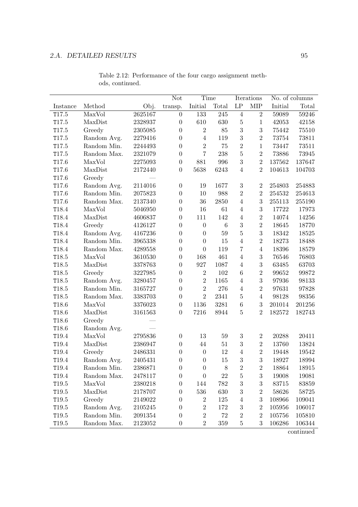|                   |             |         | Not              | Time             |                  |                     | Iterations       |         | No. of columns |
|-------------------|-------------|---------|------------------|------------------|------------------|---------------------|------------------|---------|----------------|
| Instance          | Method      | Obj.    | transp.          | Initial          | Total            | $\operatorname{LP}$ | ${\rm MIP}$      | Initial | Total          |
| T17.5             | MaxVol      | 2625167 | $\overline{0}$   | 133              | 245              | $\overline{4}$      | $\overline{2}$   | 59089   | 59246          |
| T17.5             | MaxDist     | 2328937 | $\boldsymbol{0}$ | 610              | 630              | $\bf 5$             | $\mathbf{1}$     | 42053   | 42158          |
| T17.5             | Greedy      | 2305085 | $\boldsymbol{0}$ | $\,2$            | 85               | 3                   | $\overline{3}$   | 75442   | 75510          |
| T17.5             | Random Avg. | 2279416 | $\boldsymbol{0}$ | $\overline{4}$   | 119              | 3                   | $\overline{2}$   | 73754   | 73811          |
| T17.5             | Random Min. | 2244493 | $\boldsymbol{0}$ | $\overline{2}$   | 75               | $\overline{2}$      | $\mathbf{1}$     | 73447   | 73511          |
| T17.5             | Random Max. | 2321079 | $\boldsymbol{0}$ | $\overline{7}$   | 238              | $\overline{5}$      | $\overline{2}$   | 73886   | 73945          |
| T17.6             | MaxVol      | 2275093 | $\boldsymbol{0}$ | 881              | 996              | 3                   | $\overline{2}$   | 137562  | 137647         |
| T17.6             | MaxDist     | 2172440 | $\boldsymbol{0}$ | 5638             | 6243             | $\overline{4}$      | $\overline{2}$   | 104613  | 104703         |
| T17.6             | Greedy      |         |                  |                  |                  |                     |                  |         |                |
| T17.6             | Random Avg. | 2114016 | $\boldsymbol{0}$ | 19               | 1677             | $\sqrt{3}$          | $\overline{2}$   | 254803  | 254883         |
| T17.6             | Random Min. | 2075823 | $\boldsymbol{0}$ | 10               | 988              | $\sqrt{2}$          | $\overline{2}$   | 254532  | 254613         |
| T17.6             | Random Max. | 2137340 | $\boldsymbol{0}$ | 36               | 2850             | $\overline{4}$      | 3                | 255113  | 255190         |
| T18.4             | MaxVol      | 5046950 | $\boldsymbol{0}$ | 16               | 61               | $\,4\,$             | $\overline{3}$   | 17722   | 17973          |
| T18.4             | MaxDist     | 4606837 | $\boldsymbol{0}$ | 111              | 142              | $\overline{4}$      | $\overline{2}$   | 14074   | 14256          |
| T18.4             | Greedy      | 4126127 | $\boldsymbol{0}$ | $\boldsymbol{0}$ | $\boldsymbol{6}$ | 3                   | $\overline{2}$   | 18645   | 18770          |
| T18.4             | Random Avg. | 4167236 | $\boldsymbol{0}$ | $\overline{0}$   | 59               | $\overline{5}$      | 3                | 18342   | 18525          |
| T18.4             | Random Min. | 3965338 | $\boldsymbol{0}$ | $\overline{0}$   | 15               | $\overline{4}$      | $\overline{2}$   | 18273   | 18488          |
| T18.4             | Random Max. | 4289558 | $\boldsymbol{0}$ | $\overline{0}$   | 119              | $\overline{7}$      | $\overline{4}$   | 18396   | 18579          |
| T18.5             | MaxVol      | 3610530 | $\boldsymbol{0}$ | 168              | 461              | $\overline{4}$      | 3                | 76546   | 76803          |
| T18.5             | MaxDist     | 3378763 | $\boldsymbol{0}$ | 927              | 1087             | $\overline{4}$      | $\sqrt{3}$       | 63485   | 63703          |
| T18.5             | Greedy      | 3227985 | $\boldsymbol{0}$ | $\,2$            | 102              | $\,6$               | $\overline{2}$   | 99652   | 99872          |
| T18.5             | Random Avg. | 3280457 | $\boldsymbol{0}$ | $\overline{2}$   | 1165             | $\overline{4}$      | 3                | 97936   | 98133          |
| T18.5             | Random Min. | 3165727 | $\boldsymbol{0}$ | $\overline{2}$   | 276              | $\overline{4}$      | $\overline{2}$   | 97631   | 97828          |
| T18.5             | Random Max. | 3383703 | $\boldsymbol{0}$ | $\overline{2}$   | 2341             | $\bf 5$             | $\overline{4}$   | 98128   | 98356          |
| T18.6             | MaxVol      | 3376023 | $\boldsymbol{0}$ | 1136             | 3281             | $\,6$               | 3                | 201014  | 201256         |
| T18.6             | MaxDist     | 3161563 | $\boldsymbol{0}$ | 7216             | 8944             | $\overline{5}$      | $\overline{2}$   | 182572  | 182743         |
| T18.6             | Greedy      |         |                  |                  |                  |                     |                  |         |                |
| T18.6             | Random Avg. |         |                  |                  |                  |                     |                  |         |                |
| T19.4             | MaxVol      | 2795836 | $\boldsymbol{0}$ | $13\,$           | 59               | $\sqrt{3}$          | $\sqrt{2}$       | 20288   | 20411          |
| T19.4             | MaxDist     | 2386947 | $\boldsymbol{0}$ | 44               | $51\,$           | $\sqrt{3}$          | $\,2$            | 13760   | 13824          |
| T19.4             | Greedy      | 2486331 | $\boldsymbol{0}$ | $\boldsymbol{0}$ | 12               | $\overline{4}$      | $\overline{2}$   | 19448   | 19542          |
| T19.4             | Random Avg. | 2405431 | 0                | $\theta$         | 15               | 3                   | 3                | 18927   | 18994          |
| T <sub>19.4</sub> | Random Min. | 2386871 | $\boldsymbol{0}$ | $\boldsymbol{0}$ | 8                | $\overline{2}$      | 2                | 18864   | 18915          |
| T <sub>19.4</sub> | Random Max. | 2478117 | $\boldsymbol{0}$ | $\overline{0}$   | 22               | 5                   | 3                | 19008   | 19081          |
| T <sub>19.5</sub> | MaxVol      | 2380218 | 0                | 144              | 782              | 3                   | 3                | 83715   | 83859          |
| T19.5             | MaxDist     | 2178707 | 0                | 536              | 630              | 3                   | $\overline{2}$   | 58626   | 58725          |
| T <sub>19.5</sub> | Greedy      | 2149022 | 0                | $\boldsymbol{2}$ | 125              | $\overline{4}$      | 3                | 108966  | 109041         |
| $\mathtt{T}19.5$  | Random Avg. | 2105245 | 0                | $\overline{2}$   | 172              | 3                   | $\boldsymbol{2}$ | 105956  | 106017         |
| T <sub>19.5</sub> | Random Min. | 2091354 | $\boldsymbol{0}$ | $\overline{2}$   | 72               | $\overline{2}$      | $\overline{2}$   | 105756  | 105810         |
| T <sub>19.5</sub> | Random Max. | 2123052 | $\boldsymbol{0}$ | $\overline{2}$   | 359              | 5                   | 3                | 106286  | 106344         |

Table 2.12: Performance of the four cargo assignment methods, continued.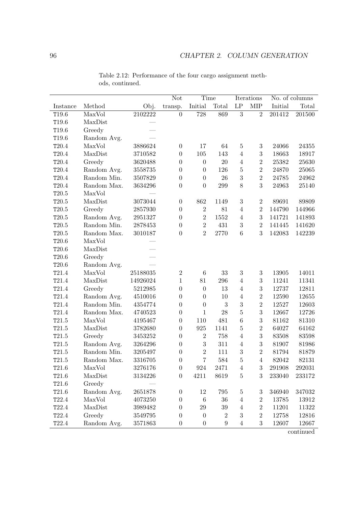|                  |             |          | Not              | Time             |                  | Iterations          |                  | No. of columns |        |
|------------------|-------------|----------|------------------|------------------|------------------|---------------------|------------------|----------------|--------|
| Instance         | Method      | Obj.     | transp.          | Initial          | Total            | $\operatorname{LP}$ | <b>MIP</b>       | Initial        | Total  |
| T19.6            | MaxVol      | 2102222  | $\boldsymbol{0}$ | 728              | 869              | $\overline{3}$      | $\overline{2}$   | 201412         | 201500 |
| T19.6            | MaxDist     |          |                  |                  |                  |                     |                  |                |        |
| T19.6            | Greedy      |          |                  |                  |                  |                     |                  |                |        |
| T19.6            | Random Avg. |          |                  |                  |                  |                     |                  |                |        |
| T20.4            | MaxVol      | 3886624  | $\boldsymbol{0}$ | 17               | 64               | $\bf 5$             | $\sqrt{3}$       | 24066          | 24355  |
| T20.4            | MaxDist     | 3710582  | $\boldsymbol{0}$ | 105              | 143              | $\overline{4}$      | $\boldsymbol{3}$ | 18663          | 18917  |
| T20.4            | Greedy      | 3620488  | $\boldsymbol{0}$ | $\boldsymbol{0}$ | 20               | $\overline{4}$      | $\overline{2}$   | 25382          | 25630  |
| T20.4            | Random Avg. | 3558735  | $\boldsymbol{0}$ | $\boldsymbol{0}$ | 126              | $\bf 5$             | $\overline{2}$   | 24870          | 25065  |
| T20.4            | Random Min. | 3507829  | $\boldsymbol{0}$ | $\overline{0}$   | $26\,$           | 3                   | $\overline{2}$   | $24785\,$      | 24962  |
| T20.4            | Random Max. | 3634296  | $\boldsymbol{0}$ | $\boldsymbol{0}$ | 299              | 8                   | 3                | 24963          | 25140  |
| $\mathtt{T}20.5$ | MaxVol      |          |                  |                  |                  |                     |                  |                |        |
| $\mathtt{T}20.5$ | MaxDist     | 3073044  | $\boldsymbol{0}$ | 862              | 1149             | $\sqrt{3}$          | $\overline{2}$   | 89691          | 89809  |
| $\mathtt{T}20.5$ | Greedy      | 2857930  | $\boldsymbol{0}$ | $\overline{2}$   | $81\,$           | $\overline{4}$      | $\overline{2}$   | 144790         | 144966 |
| $\mathtt{T}20.5$ | Random Avg. | 2951327  | $\boldsymbol{0}$ | $\overline{2}$   | $1552\,$         | $\overline{4}$      | 3                | 141721         | 141893 |
| $\mathtt{T}20.5$ | Random Min. | 2878453  | $\boldsymbol{0}$ | $\overline{2}$   | 431              | $\sqrt{3}$          | $\overline{2}$   | 141445         | 141620 |
| $\mathtt{T}20.5$ | Random Max. | 3010187  | $\overline{0}$   | $\overline{2}$   | 2770             | $6\phantom{.}6$     | 3                | 142083         | 142239 |
| T20.6            | MaxVol      |          |                  |                  |                  |                     |                  |                |        |
| T20.6            | MaxDist     |          |                  |                  |                  |                     |                  |                |        |
| T20.6            | Greedy      |          |                  |                  |                  |                     |                  |                |        |
| $\mathtt{T}20.6$ | Random Avg. |          |                  |                  |                  |                     |                  |                |        |
| T21.4            | MaxVol      | 25188035 | $\,2$            | $\,6$            | $33\,$           | $\sqrt{3}$          | $\sqrt{3}$       | 13905          | 14011  |
| T21.4            | MaxDist     | 14926024 | $\mathbf{1}$     | 81               | 296              | $\overline{4}$      | 3                | 11241          | 11341  |
| T21.4            | Greedy      | 5212985  | $\boldsymbol{0}$ | $\boldsymbol{0}$ | 13               | $\,4\,$             | 3                | 12737          | 12811  |
| T21.4            | Random Avg. | 4510016  | $\boldsymbol{0}$ | $\boldsymbol{0}$ | $10\,$           | $\,4\,$             | $\overline{2}$   | 12590          | 12655  |
| T21.4            | Random Min. | 4354774  | $\boldsymbol{0}$ | $\overline{0}$   | 3                | 3                   | $\sqrt{2}$       | 12527          | 12603  |
| T21.4            | Random Max. | 4740523  | $\boldsymbol{0}$ | $\mathbf 1$      | 28               | $\overline{5}$      | 3                | 12667          | 12726  |
| T21.5            | MaxVol      | 4195467  | $\boldsymbol{0}$ | 110              | 481              | $\boldsymbol{6}$    | 3                | 81162          | 81310  |
| T21.5            | MaxDist     | 3782680  | $\boldsymbol{0}$ | 925              | 1141             | $\bf 5$             | $\overline{2}$   | 64027          | 64162  |
| T21.5            | Greedy      | 3453252  | $\boldsymbol{0}$ | $\overline{2}$   | 758              | $\overline{4}$      | 3                | 83508          | 83598  |
| $\mathtt{T}21.5$ | Random Avg. | 3264296  | $\boldsymbol{0}$ | $\boldsymbol{3}$ | 311              | $\overline{4}$      | $\sqrt{3}$       | 81907          | 81986  |
| T21.5            | Random Min. | 3205497  | $\boldsymbol{0}$ | $\overline{2}$   | 111              | 3                   | $\overline{2}$   | 81794          | 81879  |
| T21.5            | Random Max. | 3316705  | $\boldsymbol{0}$ | $\overline{7}$   | 584              | $\overline{5}$      | 4                | 82042          | 82131  |
| T21.6            | MaxVol      | 3276176  | $\boldsymbol{0}$ | 924              | 2471             | $\overline{4}$      | $\sqrt{3}$       | 291908         | 292031 |
| $\mathtt{T}21.6$ | MaxDist     | 3134226  | $\boldsymbol{0}$ | 4211             | 8619             | $\bf 5$             | 3                | 233040         | 233172 |
| T21.6            | Greedy      |          |                  |                  |                  |                     |                  |                |        |
| T21.6            | Random Avg. | 2651878  | $\boldsymbol{0}$ | 12               | $795\,$          | $\bf 5$             | 3                | 346940         | 347032 |
| T22.4            | MaxVol      | 4073250  | $\boldsymbol{0}$ | $\,6$            | 36               | $\overline{4}$      | $\sqrt{2}$       | 13785          | 13912  |
| $\mathtt{T}22.4$ | MaxDist     | 3989482  | $\boldsymbol{0}$ | 29               | 39               | $\overline{4}$      | $\overline{2}$   | 11201          | 11322  |
| $\mathtt{T}22.4$ | Greedy      | 3549795  | $\overline{0}$   | $\boldsymbol{0}$ | $\overline{2}$   | $\boldsymbol{3}$    | $\sqrt{2}$       | 12758          | 12816  |
| T22.4            | Random Avg. | 3571863  | $\boldsymbol{0}$ | $\boldsymbol{0}$ | $\boldsymbol{9}$ | $\overline{4}$      | $\sqrt{3}$       | 12607          | 12667  |

Table 2.12: Performance of the four cargo assignment methods, continued.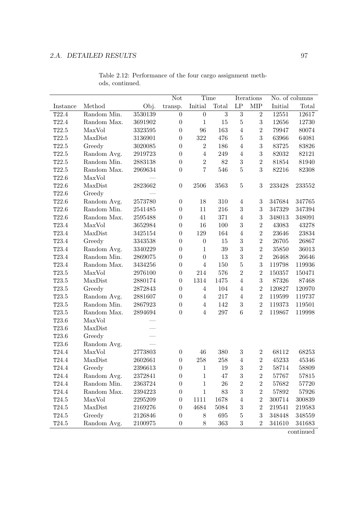|                  |             |             | <b>Not</b>       |                  | Time           |                     | Iterations       | No. of columns |        |
|------------------|-------------|-------------|------------------|------------------|----------------|---------------------|------------------|----------------|--------|
| Instance         | Method      | Obj.        | transp.          | Initial          | Total          | $\operatorname{LP}$ | <b>MIP</b>       | Initial        | Total  |
| T22.4            | Random Min. | 3530139     | $\overline{0}$   | $\boldsymbol{0}$ | $\overline{3}$ | $\overline{3}$      | $\overline{2}$   | 12551          | 12617  |
| T22.4            | Random Max. | 3691902     | $\boldsymbol{0}$ | $\mathbf{1}$     | 15             | $\mathbf 5$         | 3                | 12656          | 12730  |
| T22.5            | MaxVol      | 3323595     | $\boldsymbol{0}$ | 96               | 163            | $\overline{4}$      | $\,2$            | 79947          | 80074  |
| T22.5            | MaxDist     | 3136901     | $\boldsymbol{0}$ | $322\,$          | 476            | $\bf 5$             | $\sqrt{3}$       | 63966          | 64081  |
| T22.5            | Greedy      | 3020085     | $\theta$         | $\,2$            | 186            | $\overline{4}$      | $\sqrt{3}$       | 83725          | 83826  |
| T22.5            | Random Avg. | 2919723     | $\overline{0}$   | $\overline{4}$   | 249            | $\overline{4}$      | 3                | 82032          | 82121  |
| T22.5            | Random Min. | 2883138     | $\theta$         | $\overline{2}$   | $82\,$         | $\sqrt{3}$          | $\overline{2}$   | 81854          | 81940  |
| T22.5            | Random Max. | 2969634     | $\boldsymbol{0}$ | $\overline{7}$   | 546            | $\bf 5$             | 3                | 82216          | 82308  |
| T22.6            | MaxVol      |             |                  |                  |                |                     |                  |                |        |
| T22.6            | MaxDist     | 2823662     | $\boldsymbol{0}$ | 2506             | 3563           | $\bf 5$             | 3                | 233428         | 233552 |
| T22.6            | Greedy      |             |                  |                  |                |                     |                  |                |        |
| T22.6            | Random Avg. | 2573780     | $\boldsymbol{0}$ | 18               | 310            | $\overline{4}$      | 3                | 347684         | 347765 |
| T22.6            | Random Min. | 2541485     | $\boldsymbol{0}$ | 11               | 216            | $\sqrt{3}$          | $\sqrt{3}$       | 347329         | 347394 |
| T22.6            | Random Max. | 2595488     | $\boldsymbol{0}$ | $41\,$           | 371            | $\overline{4}$      | $\sqrt{3}$       | 348013         | 348091 |
| T23.4            | MaxVol      | 3652984     | $\boldsymbol{0}$ | 16               | 100            | $\sqrt{3}$          | $\sqrt{2}$       | 43083          | 43278  |
| T23.4            | MaxDist     | 3425154     | $\boldsymbol{0}$ | 129              | 164            | $\overline{4}$      | $\,2$            | 23646          | 23834  |
| T23.4            | Greedy      | 3343538     | $\boldsymbol{0}$ | $\boldsymbol{0}$ | $15\,$         | $\sqrt{3}$          | $\overline{2}$   | 26705          | 26867  |
| $\mathtt{T}23.4$ | Random Avg. | 3340229     | $\boldsymbol{0}$ | $\mathbf{1}$     | $39\,$         | $\sqrt{3}$          | $\sqrt{2}$       | 35850          | 36013  |
| T23.4            | Random Min. | 2869075     | $\boldsymbol{0}$ | $\boldsymbol{0}$ | 13             | $\sqrt{3}$          | $\sqrt{2}$       | 26468          | 26646  |
| T23.4            | Random Max. | 3434256     | $\boldsymbol{0}$ | $\overline{4}$   | 150            | $\mathbf 5$         | $\boldsymbol{3}$ | 119798         | 119936 |
| T23.5            | MaxVol      | 2976100     | $\boldsymbol{0}$ | 214              | 576            | $\sqrt{2}$          | $\,2$            | 150357         | 150471 |
| T23.5            | MaxDist     | 2880174     | $\boldsymbol{0}$ | 1314             | 1475           | $\overline{4}$      | 3                | 87326          | 87468  |
| T23.5            | Greedy      | 2872843     | $\overline{0}$   | $\overline{4}$   | 104            | $\overline{4}$      | $\overline{2}$   | 120827         | 120970 |
| T23.5            | Random Avg. | 2881607     | $\boldsymbol{0}$ | $\overline{4}$   | $217\,$        | $\overline{4}$      | $\,2$            | 119599         | 119737 |
| T23.5            | Random Min. | 2867923     | $\boldsymbol{0}$ | $\overline{4}$   | 142            | $\sqrt{3}$          | $\,2$            | 119373         | 119501 |
| T23.5            | Random Max. | 2894694     | $\overline{0}$   | $\overline{4}$   | $297\,$        | $\,6\,$             | $\overline{2}$   | 119867         | 119998 |
| T23.6            | MaxVol      |             |                  |                  |                |                     |                  |                |        |
| T23.6            | MaxDist     |             |                  |                  |                |                     |                  |                |        |
| T23.6            | Greedy      |             |                  |                  |                |                     |                  |                |        |
| T23.6            | Random Avg. |             |                  |                  |                |                     |                  |                |        |
| T24.4            | MaxVol      | 2773803     | $\boldsymbol{0}$ | $46\,$           | 380            | $\sqrt{3}$          | $\overline{2}$   | 68112          | 68253  |
| T24.4            | MaxDist     | 2602661     | 0                | $258\,$          | $258\,$        | $\overline{4}$      | $\overline{2}$   | 45233          | 45346  |
| T24.4            | Greedy      | 2396613     | 0                | 1                | 19             | $\sqrt{3}$          | $\boldsymbol{2}$ | 58714          | 58809  |
| T24.4            | Random Avg. | 2372841     | 0                | $\mathbf{1}$     | 47             | 3                   | $\sqrt{2}$       | 57767          | 57815  |
| T24.4            | Random Min. | 2363724     | 0                | 1                | 26             | $\overline{2}$      | $\sqrt{2}$       | 57682          | 57720  |
| T24.4            | Random Max. | 2394223     | 0                | 1                | 83             | 3                   | $\sqrt{2}$       | 57892          | 57926  |
| $\mathtt{T}24.5$ | MaxVol      | 2295209     | $\boldsymbol{0}$ | 1111             | 1678           | 4                   | $\sqrt{2}$       | 300714         | 300839 |
| T24.5            | MaxDist     | 2169276     | 0                | 4684             | 5084           | 3                   | $\sqrt{2}$       | 219541         | 219583 |
| T24.5            | Greedy      | 2126846     | 0                | 8                | 695            | 5                   | $\sqrt{3}$       | 348448         | 348559 |
| T24.5            | Random Avg. | $2100975\,$ | $\boldsymbol{0}$ | 8                | 363            | $\boldsymbol{3}$    | 2                | 341610         | 341683 |

Table 2.12: Performance of the four cargo assignment methods, continued.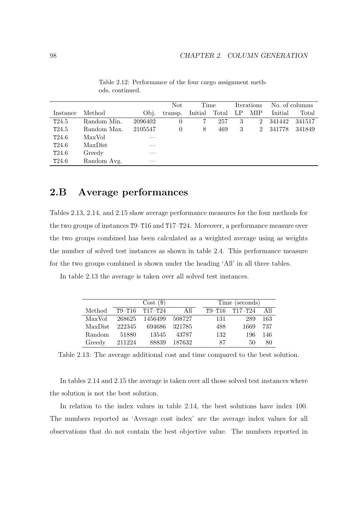|          |             |         | Not      | Time    |       | Iterations |             | No. of columns |        |
|----------|-------------|---------|----------|---------|-------|------------|-------------|----------------|--------|
| Instance | Method      | Obi.    | transp.  | Initial | Total | LP         | MIP         | Initial        | Total  |
| T24.5    | Random Min. | 2096402 |          |         | 257   | 3          | $2^{\circ}$ | 341442         | 341517 |
| T24.5    | Random Max. | 2105547 | $\theta$ | 8       | 469   | 3          | $^{2}$      | 341778         | 341849 |
| T24.6    | MaxVol      |         |          |         |       |            |             |                |        |
| T24.6    | MaxDist     |         |          |         |       |            |             |                |        |
| T24.6    | Greedy      |         |          |         |       |            |             |                |        |
| T24.6    | Random Avg. |         |          |         |       |            |             |                |        |

Table 2.12: Performance of the four cargo assignment methods, continued.

## **2.B Average performances**

Tables 2.13, 2.14, and 2.15 show average performance measures for the four methods for the two groups of instances T9–T16 and T17–T24. Moreover, a performance measure over the two groups combined has been calculated as a weighted average using as weights the number of solved test instances as shown in table 2.4. This performance measure for the two groups combined is shown under the heading 'All' in all three tables.

In table 2.13 the average is taken over all solved test instances.

|         |        | $Cost($ \$)            |          | Time (seconds) |                        |     |  |  |
|---------|--------|------------------------|----------|----------------|------------------------|-----|--|--|
| Method  |        | $T9 - T16$ $T17 - T24$ | All      |                | $T9 - T16$ $T17 - T24$ | All |  |  |
| MaxVol  | 268625 | 1456499                | 508727   | 131            | 289                    | 163 |  |  |
| MaxDist | 222345 | 694686                 | - 321785 | 488            | 1669                   | 737 |  |  |
| Random  | 51880  | 13545                  | 43787    | 132            | 196                    | 146 |  |  |
| Greedy  | 211224 | 88839                  | 187632   | 87             | 50                     | 80  |  |  |

Table 2.13: The average additional cost and time compared to the best solution.

In tables 2.14 and 2.15 the average is taken over all those solved test instances where the solution is not the best solution.

In relation to the index values in table 2.14, the best solutions have index 100. The numbers reported as 'Average cost index' are the average index values for all observations that do not contain the best objective value. The numbers reported in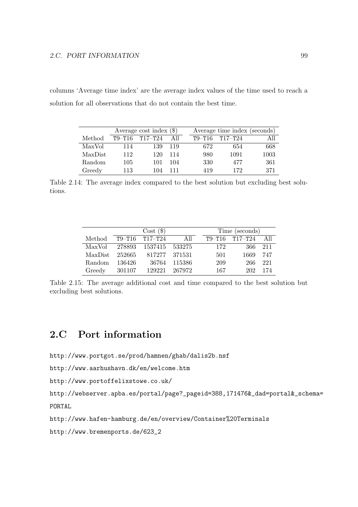columns 'Average time index' are the average index values of the time used to reach a solution for all observations that do not contain the best time.

|                | Average cost index $(\$)$ |             |      |  | Average time index (seconds) |             |      |  |
|----------------|---------------------------|-------------|------|--|------------------------------|-------------|------|--|
| Method         | $T9 - T16$                | $T17 - T24$ | A 11 |  | $T9 - T16$                   | $T17 - T24$ |      |  |
| MaxVol         | 114                       | 139         | 119  |  | 672                          | 654         | 668  |  |
| <b>MaxDist</b> | 112                       | 120         | 114  |  | 980                          | 1091        | 1003 |  |
| Random         | 105                       | 101         | 104  |  | 330                          | 477         | 361  |  |
| Greedy         | 113                       | 104         | 111  |  | 419                          | 172         | 371  |  |

Table 2.14: The average index compared to the best solution but excluding best solutions.

| $Cost($ \$) |            |                |          |  |            | Time (seconds) |      |
|-------------|------------|----------------|----------|--|------------|----------------|------|
| Method      | $T9 - T16$ | $T17 - T24$    | All      |  | $T9 - T16$ | $T17- T24$     | -A11 |
| MaxVol      | 278893     | 1537415 533275 |          |  | 172        | 366            | 211  |
| MaxDist     | 252665     | 817277         | - 371531 |  | 501        | 1669           | 747  |
| Random      | 136426     | 36764          | 115386   |  | 209        | 266            | 221  |
| Greedy      | 301107     | 129221         | 267972   |  | 167        | 202            | 174  |

Table 2.15: The average additional cost and time compared to the best solution but excluding best solutions.

## **2.C Port information**

```
http://www.portgot.se/prod/hamnen/ghab/dalis2b.nsf
```

```
http://www.aarhushavn.dk/en/welcome.htm
```

```
http://www.portoffelixstowe.co.uk/
```

```
http://webserver.apba.es/portal/page?_pageid=388,171476&_dad=portal&_schema=
PORTAL
```
http://www.hafen-hamburg.de/en/overview/Container%20Terminals

http://www.bremenports.de/623\_2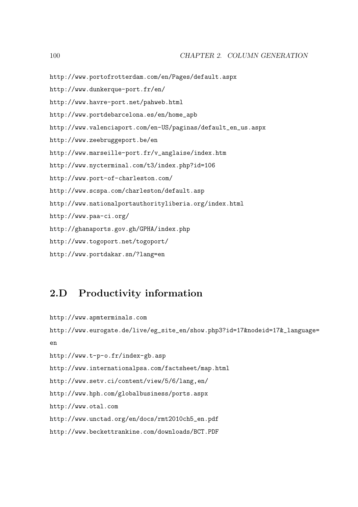http://www.dunkerque-port.fr/en/ http://www.havre-port.net/pahweb.html http://www.portdebarcelona.es/en/home\_apb http://www.valenciaport.com/en-US/paginas/default\_en\_us.aspx http://www.zeebruggeport.be/en http://www.marseille-port.fr/v\_anglaise/index.htm http://www.nycterminal.com/t3/index.php?id=106 http://www.port-of-charleston.com/ http://www.scspa.com/charleston/default.asp http://www.nationalportauthorityliberia.org/index.html http://www.paa-ci.org/ http://ghanaports.gov.gh/GPHA/index.php http://www.togoport.net/togoport/ http://www.portdakar.sn/?lang=en

http://www.portofrotterdam.com/en/Pages/default.aspx

## **2.D Productivity information**

http://www.apmterminals.com http://www.eurogate.de/live/eg\_site\_en/show.php3?id=17&nodeid=17&\_language= en http://www.t-p-o.fr/index-gb.asp http://www.internationalpsa.com/factsheet/map.html http://www.setv.ci/content/view/5/6/lang,en/ http://www.hph.com/globalbusiness/ports.aspx http://www.otal.com http://www.unctad.org/en/docs/rmt2010ch5\_en.pdf http://www.beckettrankine.com/downloads/BCT.PDF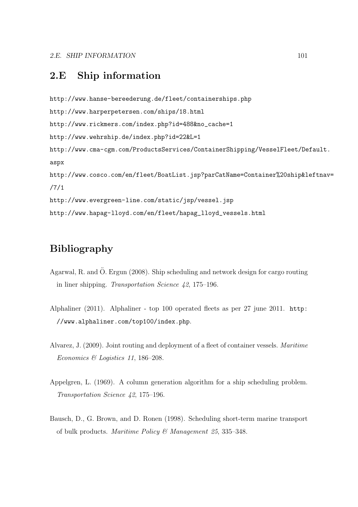## **2.E Ship information**

```
http://www.hanse-bereederung.de/fleet/containerships.php
http://www.harperpetersen.com/ships/18.html
http://www.rickmers.com/index.php?id=488&no_cache=1
http://www.wehrship.de/index.php?id=22&L=1
http://www.cma-cgm.com/ProductsServices/ContainerShipping/VesselFleet/Default.
aspx
http://www.cosco.com/en/fleet/BoatList.jsp?parCatName=Container%20ship&leftnav=
/7/1
http://www.evergreen-line.com/static/jsp/vessel.jsp
http://www.hapag-lloyd.com/en/fleet/hapag_lloyd_vessels.html
```
## **Bibliography**

- Agarwal, R. and Ö. Ergun  $(2008)$ . Ship scheduling and network design for cargo routing in liner shipping. Transportation Science 42, 175–196.
- Alphaliner (2011). Alphaliner top 100 operated fleets as per 27 june 2011. http: //www.alphaliner.com/top100/index.php.
- Alvarez, J. (2009). Joint routing and deployment of a fleet of container vessels. Maritime Economics & Logistics 11, 186–208.
- Appelgren, L. (1969). A column generation algorithm for a ship scheduling problem. Transportation Science 42, 175–196.
- Bausch, D., G. Brown, and D. Ronen (1998). Scheduling short-term marine transport of bulk products. Maritime Policy & Management 25, 335–348.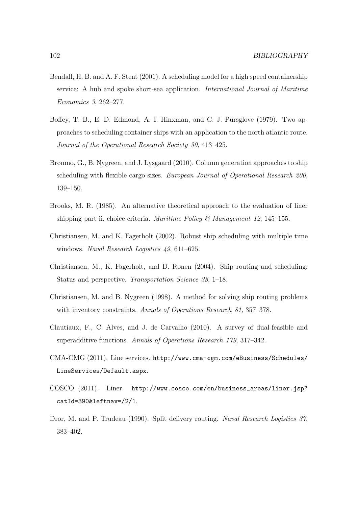- Bendall, H. B. and A. F. Stent (2001). A scheduling model for a high speed containership service: A hub and spoke short-sea application. International Journal of Maritime Economics 3, 262–277.
- Boffey, T. B., E. D. Edmond, A. I. Hinxman, and C. J. Pursglove (1979). Two approaches to scheduling container ships with an application to the north atlantic route. Journal of the Operational Research Society 30, 413–425.
- Brønmo, G., B. Nygreen, and J. Lysgaard (2010). Column generation approaches to ship scheduling with flexible cargo sizes. European Journal of Operational Research 200, 139–150.
- Brooks, M. R. (1985). An alternative theoretical approach to the evaluation of liner shipping part ii. choice criteria. *Maritime Policy* & *Management 12*, 145–155.
- Christiansen, M. and K. Fagerholt (2002). Robust ship scheduling with multiple time windows. Naval Research Logistics 49, 611–625.
- Christiansen, M., K. Fagerholt, and D. Ronen (2004). Ship routing and scheduling: Status and perspective. Transportation Science 38, 1–18.
- Christiansen, M. and B. Nygreen (1998). A method for solving ship routing problems with inventory constraints. Annals of Operations Research 81, 357–378.
- Clautiaux, F., C. Alves, and J. de Carvalho (2010). A survey of dual-feasible and superadditive functions. Annals of Operations Research 179, 317–342.
- CMA-CMG (2011). Line services. http://www.cma-cgm.com/eBusiness/Schedules/ LineServices/Default.aspx.
- COSCO (2011). Liner. http://www.cosco.com/en/business\_areas/liner.jsp? catId=390&leftnav=/2/1.
- Dror, M. and P. Trudeau (1990). Split delivery routing. Naval Research Logistics 37, 383–402.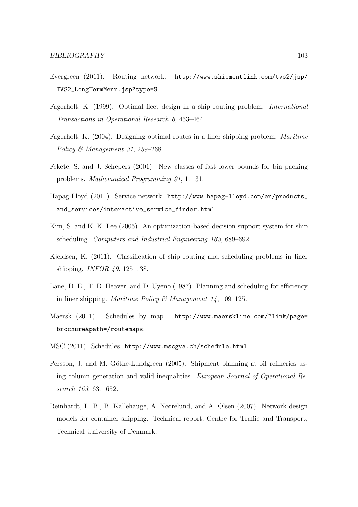- Evergreen (2011). Routing network. http://www.shipmentlink.com/tvs2/jsp/ TVS2\_LongTermMenu.jsp?type=S.
- Fagerholt, K. (1999). Optimal fleet design in a ship routing problem. International Transactions in Operational Research 6, 453–464.
- Fagerholt, K. (2004). Designing optimal routes in a liner shipping problem. Maritime Policy & Management 31, 259-268.
- Fekete, S. and J. Schepers (2001). New classes of fast lower bounds for bin packing problems. Mathematical Programming 91, 11–31.
- Hapag-Lloyd (2011). Service network. http://www.hapag-lloyd.com/en/products\_ and\_services/interactive\_service\_finder.html.
- Kim, S. and K. K. Lee (2005). An optimization-based decision support system for ship scheduling. Computers and Industrial Engineering 163, 689–692.
- Kjeldsen, K. (2011). Classification of ship routing and scheduling problems in liner shipping. INFOR 49, 125–138.
- Lane, D. E., T. D. Heaver, and D. Uyeno (1987). Planning and scheduling for efficiency in liner shipping. Maritime Policy & Management  $14$ , 109–125.
- Maersk (2011). Schedules by map. http://www.maerskline.com/?link/page= brochure&path=/routemaps.
- MSC (2011). Schedules. http://www.mscgva.ch/schedule.html.
- Persson, J. and M. Göthe-Lundgreen (2005). Shipment planning at oil refineries using column generation and valid inequalities. European Journal of Operational Research 163, 631–652.
- Reinhardt, L. B., B. Kallehauge, A. Nørrelund, and A. Olsen (2007). Network design models for container shipping. Technical report, Centre for Traffic and Transport, Technical University of Denmark.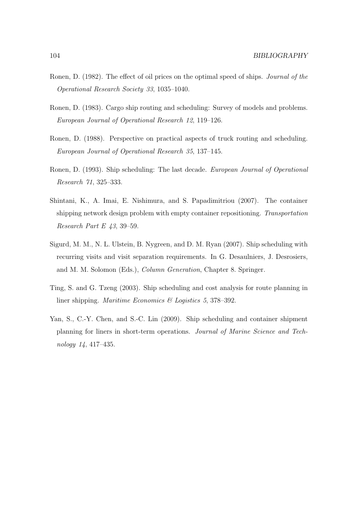- Ronen, D. (1982). The effect of oil prices on the optimal speed of ships. Journal of the Operational Research Society 33, 1035–1040.
- Ronen, D. (1983). Cargo ship routing and scheduling: Survey of models and problems. European Journal of Operational Research 12, 119–126.
- Ronen, D. (1988). Perspective on practical aspects of truck routing and scheduling. European Journal of Operational Research 35, 137–145.
- Ronen, D. (1993). Ship scheduling: The last decade. European Journal of Operational Research 71, 325–333.
- Shintani, K., A. Imai, E. Nishimura, and S. Papadimitriou (2007). The container shipping network design problem with empty container repositioning. Transportation Research Part E 43, 39–59.
- Sigurd, M. M., N. L. Ulstein, B. Nygreen, and D. M. Ryan (2007). Ship scheduling with recurring visits and visit separation requirements. In G. Desaulniers, J. Desrosiers, and M. M. Solomon (Eds.), Column Generation, Chapter 8. Springer.
- Ting, S. and G. Tzeng (2003). Ship scheduling and cost analysis for route planning in liner shipping. Maritime Economics & Logistics 5, 378–392.
- Yan, S., C.-Y. Chen, and S.-C. Lin (2009). Ship scheduling and container shipment planning for liners in short-term operations. Journal of Marine Science and Technology 14, 417–435.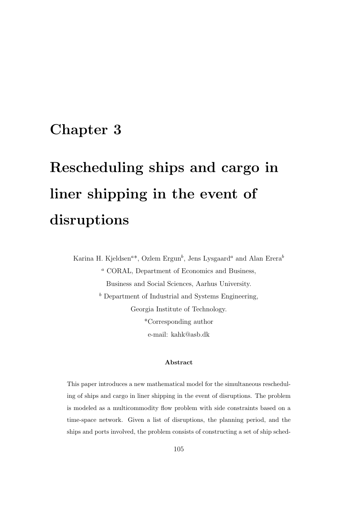## **Chapter 3**

# **Rescheduling ships and cargo in liner shipping in the event of disruptions**

Karina H. Kjeldsen<sup>a\*</sup>, Ozlem Ergun<sup>b</sup>, Jens Lysgaard<sup>a</sup> and Alan Erera<sup>b</sup> <sup>a</sup> CORAL, Department of Economics and Business, Business and Social Sciences, Aarhus University.  $<sup>b</sup>$  Department of Industrial and Systems Engineering,</sup> Georgia Institute of Technology. \*Corresponding author e-mail: kahk@asb.dk

#### **Abstract**

This paper introduces a new mathematical model for the simultaneous rescheduling of ships and cargo in liner shipping in the event of disruptions. The problem is modeled as a multicommodity flow problem with side constraints based on a time-space network. Given a list of disruptions, the planning period, and the ships and ports involved, the problem consists of constructing a set of ship sched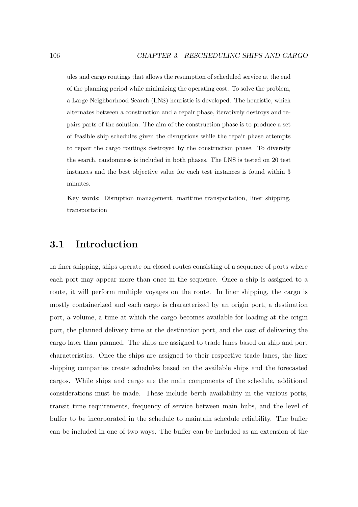ules and cargo routings that allows the resumption of scheduled service at the end of the planning period while minimizing the operating cost. To solve the problem, a Large Neighborhood Search (LNS) heuristic is developed. The heuristic, which alternates between a construction and a repair phase, iteratively destroys and repairs parts of the solution. The aim of the construction phase is to produce a set of feasible ship schedules given the disruptions while the repair phase attempts to repair the cargo routings destroyed by the construction phase. To diversify the search, randomness is included in both phases. The LNS is tested on 20 test instances and the best objective value for each test instances is found within 3 minutes.

**K**ey words: Disruption management, maritime transportation, liner shipping, transportation

## **3.1 Introduction**

In liner shipping, ships operate on closed routes consisting of a sequence of ports where each port may appear more than once in the sequence. Once a ship is assigned to a route, it will perform multiple voyages on the route. In liner shipping, the cargo is mostly containerized and each cargo is characterized by an origin port, a destination port, a volume, a time at which the cargo becomes available for loading at the origin port, the planned delivery time at the destination port, and the cost of delivering the cargo later than planned. The ships are assigned to trade lanes based on ship and port characteristics. Once the ships are assigned to their respective trade lanes, the liner shipping companies create schedules based on the available ships and the forecasted cargos. While ships and cargo are the main components of the schedule, additional considerations must be made. These include berth availability in the various ports, transit time requirements, frequency of service between main hubs, and the level of buffer to be incorporated in the schedule to maintain schedule reliability. The buffer can be included in one of two ways. The buffer can be included as an extension of the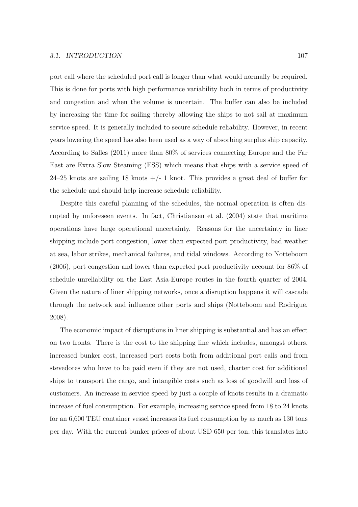port call where the scheduled port call is longer than what would normally be required. This is done for ports with high performance variability both in terms of productivity and congestion and when the volume is uncertain. The buffer can also be included by increasing the time for sailing thereby allowing the ships to not sail at maximum service speed. It is generally included to secure schedule reliability. However, in recent years lowering the speed has also been used as a way of absorbing surplus ship capacity. According to Salles (2011) more than 80% of services connecting Europe and the Far East are Extra Slow Steaming (ESS) which means that ships with a service speed of 24–25 knots are sailing 18 knots  $+/- 1$  knot. This provides a great deal of buffer for the schedule and should help increase schedule reliability.

Despite this careful planning of the schedules, the normal operation is often disrupted by unforeseen events. In fact, Christiansen et al. (2004) state that maritime operations have large operational uncertainty. Reasons for the uncertainty in liner shipping include port congestion, lower than expected port productivity, bad weather at sea, labor strikes, mechanical failures, and tidal windows. According to Notteboom (2006), port congestion and lower than expected port productivity account for 86% of schedule unreliability on the East Asia-Europe routes in the fourth quarter of 2004. Given the nature of liner shipping networks, once a disruption happens it will cascade through the network and influence other ports and ships (Notteboom and Rodrigue, 2008).

The economic impact of disruptions in liner shipping is substantial and has an effect on two fronts. There is the cost to the shipping line which includes, amongst others, increased bunker cost, increased port costs both from additional port calls and from stevedores who have to be paid even if they are not used, charter cost for additional ships to transport the cargo, and intangible costs such as loss of goodwill and loss of customers. An increase in service speed by just a couple of knots results in a dramatic increase of fuel consumption. For example, increasing service speed from 18 to 24 knots for an 6,600 TEU container vessel increases its fuel consumption by as much as 130 tons per day. With the current bunker prices of about USD 650 per ton, this translates into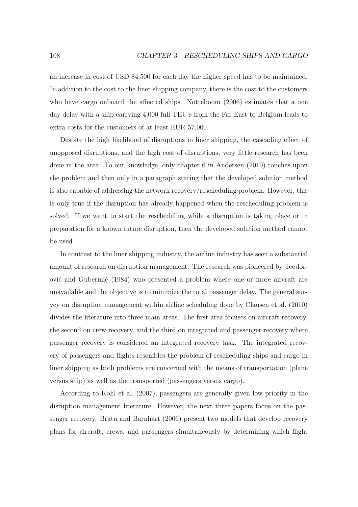an increase in cost of USD 84.500 for each day the higher speed has to be maintained. In addition to the cost to the liner shipping company, there is the cost to the customers who have cargo onboard the affected ships. Notteboom (2006) estimates that a one day delay with a ship carrying 4,000 full TEU's from the Far East to Belgium leads to extra costs for the customers of at least EUR 57,000.

Despite the high likelihood of disruptions in liner shipping, the cascading effect of unopposed disruptions, and the high cost of disruptions, very little research has been done in the area. To our knowledge, only chapter 6 in Andersen (2010) touches upon the problem and then only in a paragraph stating that the developed solution method is also capable of addressing the network recovery/rescheduling problem. However, this is only true if the disruption has already happened when the rescheduling problem is solved. If we want to start the rescheduling while a disruption is taking place or in preparation for a known future disruption, then the developed solution method cannot be used.

In contrast to the liner shipping industry, the airline industry has seen a substantial amount of research on disruption management. The research was pioneered by Teodorović and Guberinić (1984) who presented a problem where one or more aircraft are unavailable and the objective is to minimize the total passenger delay. The general survey on disruption management within airline scheduling done by Clausen et al. (2010) divides the literature into three main areas. The first area focuses on aircraft recovery, the second on crew recovery, and the third on integrated and passenger recovery where passenger recovery is considered an integrated recovery task. The integrated recovery of passengers and flights resembles the problem of rescheduling ships and cargo in liner shipping as both problems are concerned with the means of transportation (plane versus ship) as well as the transported (passengers versus cargo).

According to Kohl et al. (2007), passengers are generally given low priority in the disruption management literature. However, the next three papers focus on the passenger recovery. Bratu and Barnhart (2006) present two models that develop recovery plans for aircraft, crews, and passengers simultaneously by determining which flight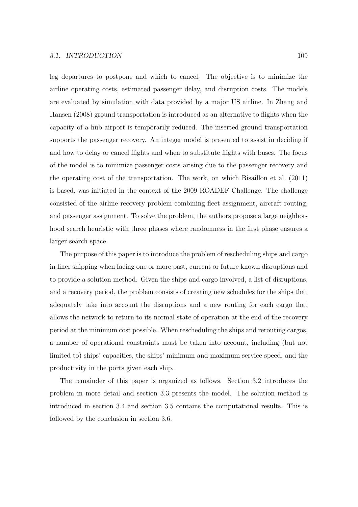leg departures to postpone and which to cancel. The objective is to minimize the airline operating costs, estimated passenger delay, and disruption costs. The models are evaluated by simulation with data provided by a major US airline. In Zhang and Hansen (2008) ground transportation is introduced as an alternative to flights when the capacity of a hub airport is temporarily reduced. The inserted ground transportation supports the passenger recovery. An integer model is presented to assist in deciding if and how to delay or cancel flights and when to substitute flights with buses. The focus of the model is to minimize passenger costs arising due to the passenger recovery and the operating cost of the transportation. The work, on which Bisaillon et al. (2011) is based, was initiated in the context of the 2009 ROADEF Challenge. The challenge consisted of the airline recovery problem combining fleet assignment, aircraft routing, and passenger assignment. To solve the problem, the authors propose a large neighborhood search heuristic with three phases where randomness in the first phase ensures a larger search space.

The purpose of this paper is to introduce the problem of rescheduling ships and cargo in liner shipping when facing one or more past, current or future known disruptions and to provide a solution method. Given the ships and cargo involved, a list of disruptions, and a recovery period, the problem consists of creating new schedules for the ships that adequately take into account the disruptions and a new routing for each cargo that allows the network to return to its normal state of operation at the end of the recovery period at the minimum cost possible. When rescheduling the ships and rerouting cargos, a number of operational constraints must be taken into account, including (but not limited to) ships' capacities, the ships' minimum and maximum service speed, and the productivity in the ports given each ship.

The remainder of this paper is organized as follows. Section 3.2 introduces the problem in more detail and section 3.3 presents the model. The solution method is introduced in section 3.4 and section 3.5 contains the computational results. This is followed by the conclusion in section 3.6.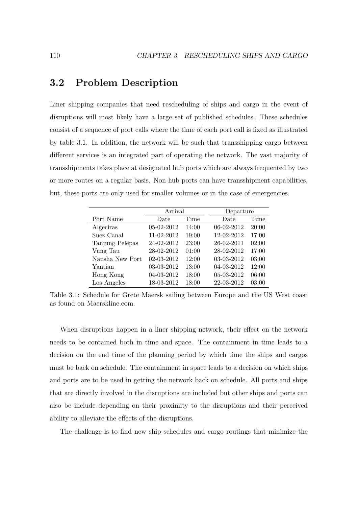## **3.2 Problem Description**

Liner shipping companies that need rescheduling of ships and cargo in the event of disruptions will most likely have a large set of published schedules. These schedules consist of a sequence of port calls where the time of each port call is fixed as illustrated by table 3.1. In addition, the network will be such that transshipping cargo between different services is an integrated part of operating the network. The vast majority of transshipments takes place at designated hub ports which are always frequented by two or more routes on a regular basis. Non-hub ports can have transshipment capabilities, but, these ports are only used for smaller volumes or in the case of emergencies.

|                 | Arrival    |       | Departure  |       |
|-----------------|------------|-------|------------|-------|
| Port Name       | Date       | Time  | Date       | Time  |
| Algeciras       | 05-02-2012 | 14:00 | 06-02-2012 | 20:00 |
| Suez Canal      | 11-02-2012 | 19:00 | 12-02-2012 | 17:00 |
| Tanjung Pelepas | 24-02-2012 | 23:00 | 26-02-2011 | 02:00 |
| Vung Tau        | 28-02-2012 | 01:00 | 28-02-2012 | 17:00 |
| Nansha New Port | 02-03-2012 | 12:00 | 03-03-2012 | 03:00 |
| Yantian         | 03-03-2012 | 13:00 | 04-03-2012 | 12:00 |
| Hong Kong       | 04-03-2012 | 18:00 | 05-03-2012 | 06:00 |
| Los Angeles     | 18-03-2012 | 18:00 | 22-03-2012 | 03:00 |

Table 3.1: Schedule for Grete Maersk sailing between Europe and the US West coast as found on Maerskline.com.

When disruptions happen in a liner shipping network, their effect on the network needs to be contained both in time and space. The containment in time leads to a decision on the end time of the planning period by which time the ships and cargos must be back on schedule. The containment in space leads to a decision on which ships and ports are to be used in getting the network back on schedule. All ports and ships that are directly involved in the disruptions are included but other ships and ports can also be include depending on their proximity to the disruptions and their perceived ability to alleviate the effects of the disruptions.

The challenge is to find new ship schedules and cargo routings that minimize the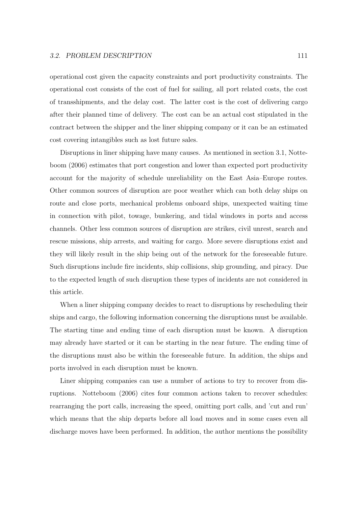operational cost given the capacity constraints and port productivity constraints. The operational cost consists of the cost of fuel for sailing, all port related costs, the cost of transshipments, and the delay cost. The latter cost is the cost of delivering cargo after their planned time of delivery. The cost can be an actual cost stipulated in the contract between the shipper and the liner shipping company or it can be an estimated cost covering intangibles such as lost future sales.

Disruptions in liner shipping have many causes. As mentioned in section 3.1, Notteboom (2006) estimates that port congestion and lower than expected port productivity account for the majority of schedule unreliability on the East Asia–Europe routes. Other common sources of disruption are poor weather which can both delay ships on route and close ports, mechanical problems onboard ships, unexpected waiting time in connection with pilot, towage, bunkering, and tidal windows in ports and access channels. Other less common sources of disruption are strikes, civil unrest, search and rescue missions, ship arrests, and waiting for cargo. More severe disruptions exist and they will likely result in the ship being out of the network for the foreseeable future. Such disruptions include fire incidents, ship collisions, ship grounding, and piracy. Due to the expected length of such disruption these types of incidents are not considered in this article.

When a liner shipping company decides to react to disruptions by rescheduling their ships and cargo, the following information concerning the disruptions must be available. The starting time and ending time of each disruption must be known. A disruption may already have started or it can be starting in the near future. The ending time of the disruptions must also be within the foreseeable future. In addition, the ships and ports involved in each disruption must be known.

Liner shipping companies can use a number of actions to try to recover from disruptions. Notteboom (2006) cites four common actions taken to recover schedules: rearranging the port calls, increasing the speed, omitting port calls, and 'cut and run' which means that the ship departs before all load moves and in some cases even all discharge moves have been performed. In addition, the author mentions the possibility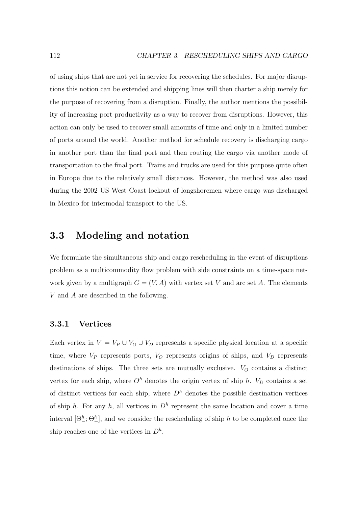of using ships that are not yet in service for recovering the schedules. For major disruptions this notion can be extended and shipping lines will then charter a ship merely for the purpose of recovering from a disruption. Finally, the author mentions the possibility of increasing port productivity as a way to recover from disruptions. However, this action can only be used to recover small amounts of time and only in a limited number of ports around the world. Another method for schedule recovery is discharging cargo in another port than the final port and then routing the cargo via another mode of transportation to the final port. Trains and trucks are used for this purpose quite often in Europe due to the relatively small distances. However, the method was also used during the 2002 US West Coast lockout of longshoremen where cargo was discharged in Mexico for intermodal transport to the US.

## **3.3 Modeling and notation**

We formulate the simultaneous ship and cargo rescheduling in the event of disruptions problem as a multicommodity flow problem with side constraints on a time-space network given by a multigraph  $G = (V, A)$  with vertex set V and arc set A. The elements V and A are described in the following.

#### **3.3.1 Vertices**

Each vertex in  $V = V_P \cup V_O \cup V_D$  represents a specific physical location at a specific time, where  $V_P$  represents ports,  $V_O$  represents origins of ships, and  $V_D$  represents destinations of ships. The three sets are mutually exclusive.  $V_O$  contains a distinct vertex for each ship, where  $O<sup>h</sup>$  denotes the origin vertex of ship h.  $V<sub>D</sub>$  contains a set of distinct vertices for each ship, where  $D<sup>h</sup>$  denotes the possible destination vertices of ship h. For any h, all vertices in  $D<sup>h</sup>$  represent the same location and cover a time interval  $[\Theta^h_-\,;\Theta^h_+]$ , and we consider the rescheduling of ship h to be completed once the ship reaches one of the vertices in  $D^h$ .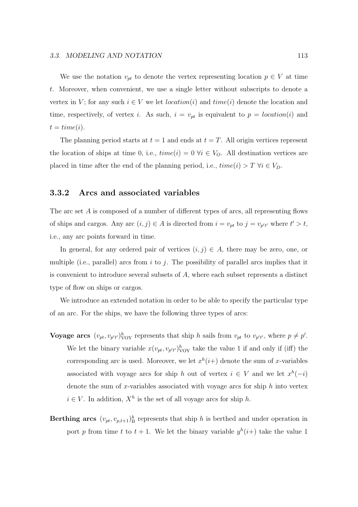We use the notation  $v_{pt}$  to denote the vertex representing location  $p \in V$  at time t. Moreover, when convenient, we use a single letter without subscripts to denote a vertex in V; for any such  $i \in V$  we let *location*(i) and  $time(i)$  denote the location and time, respectively, of vertex i. As such,  $i = v_{pt}$  is equivalent to  $p = location(i)$  and  $t = time(i).$ 

The planning period starts at  $t = 1$  and ends at  $t = T$ . All origin vertices represent the location of ships at time 0, i.e.,  $time(i)=0 \ \forall i \in V_O$ . All destination vertices are placed in time after the end of the planning period, i.e.,  $time(i) > T \ \forall i \in V_D$ .

#### **3.3.2 Arcs and associated variables**

The arc set A is composed of a number of different types of arcs, all representing flows of ships and cargos. Any arc  $(i, j) \in A$  is directed from  $i = v_{pt}$  to  $j = v_{p't'}$  where  $t' > t$ , i.e., any arc points forward in time.

In general, for any ordered pair of vertices  $(i, j) \in A$ , there may be zero, one, or multiple (i.e., parallel) arcs from i to j. The possibility of parallel arcs implies that it is convenient to introduce several subsets of  $A$ , where each subset represents a distinct type of flow on ships or cargos.

We introduce an extended notation in order to be able to specify the particular type of an arc. For the ships, we have the following three types of arcs:

- **Voyage arcs**  $(v_{pt}, v_{p't'})_{\text{VOY}}^h$  represents that ship h sails from  $v_{pt}$  to  $v_{p't'}$ , where  $p \neq p'$ . We let the binary variable  $x(v_{pt}, v_{p't'})_{\text{VOY}}^h$  take the value 1 if and only if (iff) the corresponding arc is used. Moreover, we let  $x^h(i+)$  denote the sum of x-variables associated with voyage arcs for ship h out of vertex  $i \in V$  and we let  $x^h(-i)$ denote the sum of x-variables associated with voyage arcs for ship  $h$  into vertex  $i \in V$ . In addition,  $X^h$  is the set of all voyage arcs for ship h.
- **Berthing arcs**  $(v_{pt}, v_{p,t+1})^h_B$  represents that ship h is berthed and under operation in port p from time t to  $t + 1$ . We let the binary variable  $y^h(i+)$  take the value 1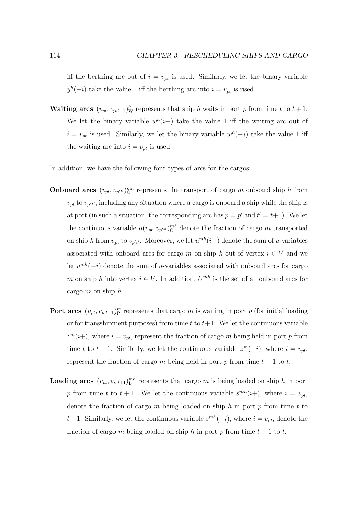iff the berthing arc out of  $i = v_{pt}$  is used. Similarly, we let the binary variable  $y^h(-i)$  take the value 1 iff the berthing arc into  $i = v_{pt}$  is used.

**Waiting arcs**  $(v_{pt}, v_{p,t+1})_W^h$  represents that ship h waits in port p from time t to  $t + 1$ . We let the binary variable  $w^h(i+)$  take the value 1 iff the waiting arc out of  $i = v_{pt}$  is used. Similarly, we let the binary variable  $w^{h}(-i)$  take the value 1 iff the waiting arc into  $i = v_{pt}$  is used.

In addition, we have the following four types of arcs for the cargos:

- **Onboard arcs**  $(v_{pt}, v_{p't'})_0^{mh}$  represents the transport of cargo m onboard ship h from  $v_{pt}$  to  $v_{p't'}$ , including any situation where a cargo is onboard a ship while the ship is at port (in such a situation, the corresponding arc has  $p = p'$  and  $t' = t+1$ ). We let the continuous variable  $u(v_{pt}, v_{p't'})_O^{mh}$  denote the fraction of cargo m transported on ship h from  $v_{pt}$  to  $v_{p't'}$ . Moreover, we let  $u^{mh}(i+)$  denote the sum of u-variables associated with onboard arcs for cargo m on ship h out of vertex  $i \in V$  and we let  $u^{mh}(-i)$  denote the sum of u-variables associated with onboard arcs for cargo m on ship h into vertex  $i \in V$ . In addition,  $U^{mh}$  is the set of all onboard arcs for cargo  $m$  on ship  $h$ .
- **Port arcs**  $(v_{pt}, v_{p,t+1})^m$  represents that cargo m is waiting in port p (for initial loading or for transshipment purposes) from time t to  $t+1$ . We let the continuous variable  $z^m(i+)$ , where  $i = v_{pt}$ , represent the fraction of cargo m being held in port p from time t to  $t + 1$ . Similarly, we let the continuous variable  $z^m(-i)$ , where  $i = v_{pt}$ , represent the fraction of cargo m being held in port p from time  $t - 1$  to t.
- **Loading arcs**  $(v_{pt}, v_{p,t+1})$ <sup>th</sup> represents that cargo m is being loaded on ship h in port p from time t to  $t + 1$ . We let the continuous variable  $s^{mh}(i+)$ , where  $i = v_{pt}$ , denote the fraction of cargo  $m$  being loaded on ship  $h$  in port  $p$  from time  $t$  to t+1. Similarly, we let the continuous variable  $s^{mh}(-i)$ , where  $i = v_{pt}$ , denote the fraction of cargo m being loaded on ship h in port p from time  $t - 1$  to t.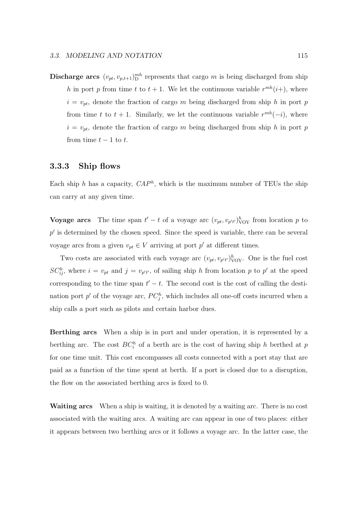**Discharge arcs**  $(v_{pt}, v_{p,t+1})_{D}^{mh}$  represents that cargo m is being discharged from ship h in port p from time t to  $t + 1$ . We let the continuous variable  $r^{mh}(i+)$ , where  $i = v_{pt}$ , denote the fraction of cargo m being discharged from ship h in port p from time t to  $t + 1$ . Similarly, we let the continuous variable  $r^{mh}(-i)$ , where  $i = v_{pt}$ , denote the fraction of cargo m being discharged from ship h in port p from time  $t-1$  to  $t$ .

#### **3.3.3 Ship flows**

Each ship h has a capacity,  $CAP<sup>h</sup>$ , which is the maximum number of TEUs the ship can carry at any given time.

**Voyage arcs** The time span  $t' - t$  of a voyage arc  $(v_{pt}, v_{p't'})^h_{VOY}$  from location p to  $p'$  is determined by the chosen speed. Since the speed is variable, there can be several voyage arcs from a given  $v_{pt} \in V$  arriving at port p' at different times.

Two costs are associated with each voyage arc  $(v_{pt}, v_{p't'})^h_{\text{VOY}}$ . One is the fuel cost  $SC_{ij}^h$ , where  $i = v_{pt}$  and  $j = v_{p't'}$ , of sailing ship h from location p to p' at the speed corresponding to the time span  $t' - t$ . The second cost is the cost of calling the destination port  $p'$  of the voyage arc,  $PC_j^h$ , which includes all one-off costs incurred when a ship calls a port such as pilots and certain harbor dues.

**Berthing arcs** When a ship is in port and under operation, it is represented by a berthing arc. The cost  $BC_i^h$  of a berth arc is the cost of having ship h berthed at p for one time unit. This cost encompasses all costs connected with a port stay that are paid as a function of the time spent at berth. If a port is closed due to a disruption, the flow on the associated berthing arcs is fixed to 0.

**Waiting arcs** When a ship is waiting, it is denoted by a waiting arc. There is no cost associated with the waiting arcs. A waiting arc can appear in one of two places: either it appears between two berthing arcs or it follows a voyage arc. In the latter case, the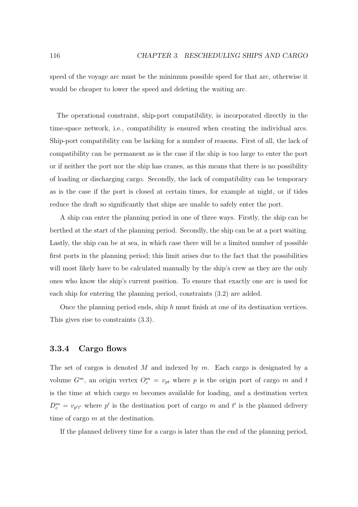speed of the voyage arc must be the minimum possible speed for that arc, otherwise it would be cheaper to lower the speed and deleting the waiting arc.

The operational constraint, ship-port compatibility, is incorporated directly in the time-space network, i.e., compatibility is ensured when creating the individual arcs. Ship-port compatibility can be lacking for a number of reasons. First of all, the lack of compatibility can be permanent as is the case if the ship is too large to enter the port or if neither the port nor the ship has cranes, as this means that there is no possibility of loading or discharging cargo. Secondly, the lack of compatibility can be temporary as is the case if the port is closed at certain times, for example at night, or if tides reduce the draft so significantly that ships are unable to safely enter the port.

A ship can enter the planning period in one of three ways. Firstly, the ship can be berthed at the start of the planning period. Secondly, the ship can be at a port waiting. Lastly, the ship can be at sea, in which case there will be a limited number of possible first ports in the planning period; this limit arises due to the fact that the possibilities will most likely have to be calculated manually by the ship's crew as they are the only ones who know the ship's current position. To ensure that exactly one arc is used for each ship for entering the planning period, constraints (3.2) are added.

Once the planning period ends, ship  $h$  must finish at one of its destination vertices. This gives rise to constraints (3.3).

#### **3.3.4 Cargo flows**

The set of cargos is denoted M and indexed by  $m$ . Each cargo is designated by a volume  $G^m$ , an origin vertex  $O_c^m = v_{pt}$  where p is the origin port of cargo m and t is the time at which cargo  $m$  becomes available for loading, and a destination vertex  $D_c^m = v_{p't'}$  where p' is the destination port of cargo m and t' is the planned delivery time of cargo m at the destination.

If the planned delivery time for a cargo is later than the end of the planning period,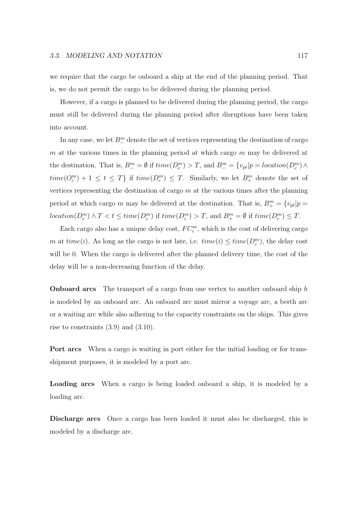we require that the cargo be onboard a ship at the end of the planning period. That is, we do not permit the cargo to be delivered during the planning period.

However, if a cargo is planned to be delivered during the planning period, the cargo must still be delivered during the planning period after disruptions have been taken into account.

In any case, we let  $B_{-}^{m}$  denote the set of vertices representing the destination of cargo m at the various times in the planning period at which cargo  $m$  may be delivered at the destination. That is,  $B_-^m = \emptyset$  if  $time(D_c^m) > T$ , and  $B_-^m = \{v_{pt}|p = location(D_c^m) \wedge \emptyset\}$  $time(Q_c^m) + 1 \le t \le T\}$  if  $time(D_c^m) \le T$ . Similarly, we let  $B_+^m$  denote the set of vertices representing the destination of cargo  $m$  at the various times after the planning period at which cargo m may be delivered at the destination. That is,  $B^m_+ = \{v_{pt}|p =$  $location(D_c^m) \wedge T < t \leq time(D_c^m)$  if  $time(D_c^m) > T$ , and  $B_+^m = \emptyset$  if  $time(D_c^m) \leq T$ .

Each cargo also has a unique delay cost,  $FC_i^m$ , which is the cost of delivering cargo m at  $time(i)$ . As long as the cargo is not late, i.e.  $time(i) \leq time(D_c^m)$ , the delay cost will be 0. When the cargo is delivered after the planned delivery time, the cost of the delay will be a non-decreasing function of the delay.

**Onboard arcs** The transport of a cargo from one vertex to another onboard ship h is modeled by an onboard arc. An onboard arc must mirror a voyage arc, a berth arc or a waiting arc while also adhering to the capacity constraints on the ships. This gives rise to constraints (3.9) and (3.10).

**Port arcs** When a cargo is waiting in port either for the initial loading or for transshipment purposes, it is modeled by a port arc.

**Loading arcs** When a cargo is being loaded onboard a ship, it is modeled by a loading arc.

**Discharge arcs** Once a cargo has been loaded it must also be discharged, this is modeled by a discharge arc.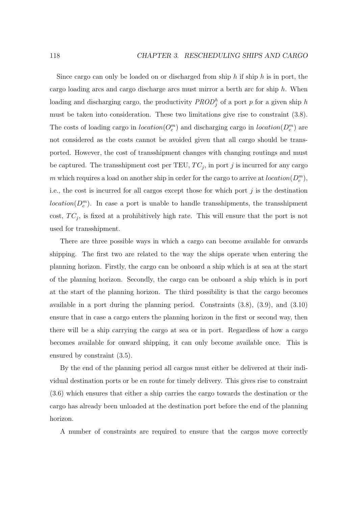Since cargo can only be loaded on or discharged from ship  $h$  if ship  $h$  is in port, the cargo loading arcs and cargo discharge arcs must mirror a berth arc for ship  $h$ . When loading and discharging cargo, the productivity  $PROD_j^h$  of a port p for a given ship h must be taken into consideration. These two limitations give rise to constraint (3.8). The costs of loading cargo in  $location(Q_c^m)$  and discharging cargo in  $location(D_c^m)$  are not considered as the costs cannot be avoided given that all cargo should be transported. However, the cost of transshipment changes with changing routings and must be captured. The transshipment cost per TEU,  $TC_j$ , in port j is incurred for any cargo m which requires a load on another ship in order for the cargo to arrive at  $location(D_c^m)$ , i.e., the cost is incurred for all cargos except those for which port  $j$  is the destination  $location(D_c^m)$ . In case a port is unable to handle transshipments, the transshipment cost,  $TC_j$ , is fixed at a prohibitively high rate. This will ensure that the port is not used for transshipment.

There are three possible ways in which a cargo can become available for onwards shipping. The first two are related to the way the ships operate when entering the planning horizon. Firstly, the cargo can be onboard a ship which is at sea at the start of the planning horizon. Secondly, the cargo can be onboard a ship which is in port at the start of the planning horizon. The third possibility is that the cargo becomes available in a port during the planning period. Constraints (3.8), (3.9), and (3.10) ensure that in case a cargo enters the planning horizon in the first or second way, then there will be a ship carrying the cargo at sea or in port. Regardless of how a cargo becomes available for onward shipping, it can only become available once. This is ensured by constraint (3.5).

By the end of the planning period all cargos must either be delivered at their individual destination ports or be en route for timely delivery. This gives rise to constraint (3.6) which ensures that either a ship carries the cargo towards the destination or the cargo has already been unloaded at the destination port before the end of the planning horizon.

A number of constraints are required to ensure that the cargos move correctly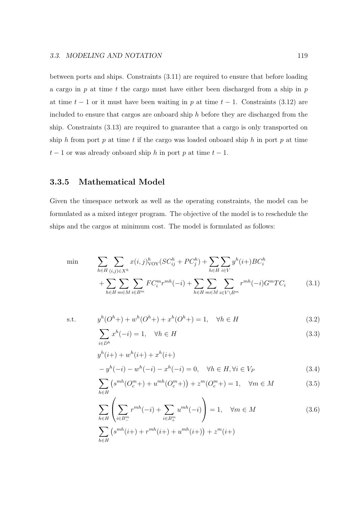between ports and ships. Constraints (3.11) are required to ensure that before loading a cargo in p at time t the cargo must have either been discharged from a ship in p at time  $t - 1$  or it must have been waiting in p at time  $t - 1$ . Constraints (3.12) are included to ensure that cargos are onboard ship  $h$  before they are discharged from the ship. Constraints (3.13) are required to guarantee that a cargo is only transported on ship h from port p at time t if the cargo was loaded onboard ship h in port p at time  $t-1$  or was already onboard ship h in port p at time  $t-1$ .

#### **3.3.5 Mathematical Model**

Given the timespace network as well as the operating constraints, the model can be formulated as a mixed integer program. The objective of the model is to reschedule the ships and the cargos at minimum cost. The model is formulated as follows:

$$
\min \qquad \sum_{h \in H} \sum_{(i,j) \in X^h} x(i,j)_{\text{VOY}}^h (SC_{ij}^h + PC_j^h) + \sum_{h \in H} \sum_{i \in V} y^h(i+) BC_i^h
$$
\n
$$
+ \sum_{h \in H} \sum_{m \in M} \sum_{i \in B^m} FC_i^m r^{mh}(-i) + \sum_{h \in H} \sum_{m \in M} \sum_{i \in V \backslash B^m} r^{mh}(-i) G^m T C_i \qquad (3.1)
$$

s.t. 
$$
y^{h}(O^{h}+) + w^{h}(O^{h}+) + x^{h}(O^{h}+) = 1, \quad \forall h \in H
$$
 (3.2)

$$
\sum_{i \in D^h} x^h(-i) = 1, \quad \forall h \in H \tag{3.3}
$$

$$
y^{h}(i+) + w^{h}(i+) + x^{h}(i+)
$$
  
-  $y^{h}(-i) - w^{h}(-i) - x^{h}(-i) = 0, \quad \forall h \in H, \forall i \in V_P$  (3.4)

$$
\sum_{h \in H} \left( s^{mh} (O_c^m) + u^{mh} (O_c^m) \right) + z^m (O_c^m) = 1, \quad \forall m \in M \tag{3.5}
$$

$$
\sum_{h \in H} \left( \sum_{i \in B_{\perp}^m} r^{mh}(-i) + \sum_{i \in B_{\perp}^m} u^{mh}(-i) \right) = 1, \quad \forall m \in M
$$
\n
$$
\sum_{i \in B_{\perp}^m} \left( \sum_{j \in B_{\perp}^m} r^{mh}(j+1) + \sum_{j \in B_{\perp}^m} u^{mh}(j+1) \right) + \sum_{j \in B_{\perp}^m} u^{mh}(j+1) \tag{3.6}
$$

$$
\sum_{h \in H} \left( s^{mh}(i+) + r^{mh}(i+) + u^{mh}(i+) \right) + z^m(i+)
$$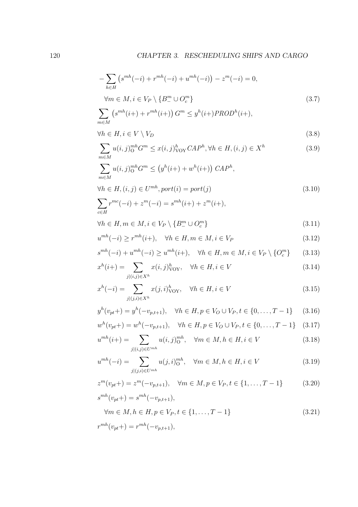$$
-\sum_{h \in H} \left( s^{mh}(-i) + r^{mh}(-i) + u^{mh}(-i) \right) - z^{m}(-i) = 0,
$$
  

$$
\forall m \in M, i \in V_P \setminus \{ B_{-}^{m} \cup O_c^{m} \}
$$
 (3.7)

$$
\sum_{m \in M} \left( s^{mh}(i+) + r^{mh}(i+) \right) G^m \le y^h(i+) PROD^h(i+),
$$
  

$$
\forall h \in H, i \in V \setminus V_D
$$
 (3.8)

$$
\sum_{m \in M} u(i,j)_O^{mh} G^m \le x(i,j)_{\text{VOY}}^h C A P^h, \forall h \in H, (i,j) \in X^h \tag{3.9}
$$

$$
\sum_{m \in M} u(i,j)_0^{mh} G^m \le (y^h(i+) + w^h(i+)) \, CAP^h,
$$
  

$$
\forall h \in H, (i,j) \in U^{mh}, port(i) = port(j)
$$
 (3.10)

$$
\sum_{c \in H} r^{mc}(-i) + z^m(-i) = s^{mh}(i+) + z^m(i+),
$$

$$
\forall h \in H, m \in M, i \in V_P \setminus \{B^m_{-} \cup O^m_{c}\}\tag{3.11}
$$

$$
u^{mh}(-i) \ge r^{mh}(i+), \quad \forall h \in H, m \in M, i \in V_P
$$
\n
$$
(3.12)
$$

$$
s^{mh}(-i) + u^{mh}(-i) \ge u^{mh}(i+), \quad \forall h \in H, m \in M, i \in V_P \setminus \{O_c^m\} \tag{3.13}
$$

$$
x^{h}(i+) = \sum_{j|(i,j)\in X^{h}} x(i,j)_{\text{VOY}}^{h}, \quad \forall h \in H, i \in V
$$
\n
$$
(3.14)
$$

$$
x^{h}(-i) = \sum_{j|(j,i)\in X^{h}} x(j,i)_{\text{VOY}}^{h}, \quad \forall h \in H, i \in V
$$
\n
$$
(3.15)
$$

$$
y^{h}(v_{pt}+) = y^{h}(-v_{p,t+1}), \quad \forall h \in H, p \in V_O \cup V_P, t \in \{0, ..., T-1\} \quad (3.16)
$$

$$
w^{h}(v_{pt}+) = w^{h}(-v_{p,t+1}), \quad \forall h \in H, p \in V_O \cup V_P, t \in \{0, ..., T-1\} \quad (3.17)
$$

$$
u^{mh}(i+) = \sum_{j|(i,j)\in U^{mh}} u(i,j)_{O}^{mh}, \quad \forall m \in M, h \in H, i \in V
$$
 (3.18)

$$
u^{mh}(-i) = \sum_{j|(j,i)\in U^{mh}} u(j,i)_{O}^{mh}, \quad \forall m \in M, h \in H, i \in V
$$
 (3.19)

$$
z^{m}(v_{pt}+) = z^{m}(-v_{p,t+1}), \quad \forall m \in M, p \in V_P, t \in \{1, ..., T-1\}
$$
 (3.20)

$$
s^{mh}(v_{pt}+) = s^{mh}(-v_{p,t+1}),
$$
  
\n
$$
\forall m \in M, h \in H, p \in V_P, t \in \{1, ..., T-1\}
$$
\n(3.21)

$$
r^{mh}(v_{pt}+) = r^{mh}(-v_{p,t+1}),
$$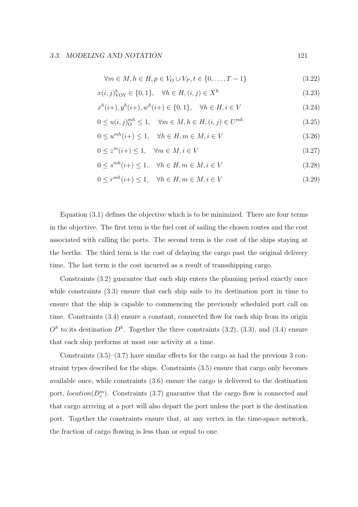$$
\forall m \in M, h \in H, p \in V_O \cup V_P, t \in \{0, \dots, T - 1\}
$$
\n(3.22)

$$
x(i,j)_{\text{VOY}}^h \in \{0,1\}, \quad \forall h \in H, (i,j) \in X^h \tag{3.23}
$$

$$
x^{h}(i+), y^{h}(i+), w^{h}(i+) \in \{0, 1\}, \quad \forall h \in H, i \in V
$$
\n(3.24)

$$
0 \le u(i,j)_{O}^{mh} \le 1, \quad \forall m \in M, h \in H, (i,j) \in U^{mh}
$$
\n(3.25)

$$
0 \le u^{mh}(i+) \le 1, \quad \forall h \in H, m \in M, i \in V \tag{3.26}
$$

$$
0 \le z^m(i+) \le 1, \quad \forall m \in M, i \in V \tag{3.27}
$$

$$
0 \le s^{mh}(i+) \le 1, \quad \forall h \in H, m \in M, i \in V
$$
\n
$$
(3.28)
$$

$$
0 \le r^{mh}(i+) \le 1, \quad \forall h \in H, m \in M, i \in V
$$
\n
$$
(3.29)
$$

Equation (3.1) defines the objective which is to be minimized. There are four terms in the objective. The first term is the fuel cost of sailing the chosen routes and the cost associated with calling the ports. The second term is the cost of the ships staying at the berths. The third term is the cost of delaying the cargo past the original delivery time. The last term is the cost incurred as a result of transshipping cargo.

Constraints (3.2) guarantee that each ship enters the planning period exactly once while constraints  $(3.3)$  ensure that each ship sails to its destination port in time to ensure that the ship is capable to commencing the previously scheduled port call on time. Constraints (3.4) ensure a constant, connected flow for each ship from its origin  $O<sup>h</sup>$  to its destination  $D<sup>h</sup>$ . Together the three constraints (3.2), (3.3), and (3.4) ensure that each ship performs at most one activity at a time.

Constraints  $(3.5)$ – $(3.7)$  have similar effects for the cargo as had the previous 3 constraint types described for the ships. Constraints (3.5) ensure that cargo only becomes available once, while constraints (3.6) ensure the cargo is delivered to the destination port,  $location(D_c^m)$ . Constraints (3.7) guarantee that the cargo flow is connected and that cargo arriving at a port will also depart the port unless the port is the destination port. Together the constraints ensure that, at any vertex in the time-space network, the fraction of cargo flowing is less than or equal to one.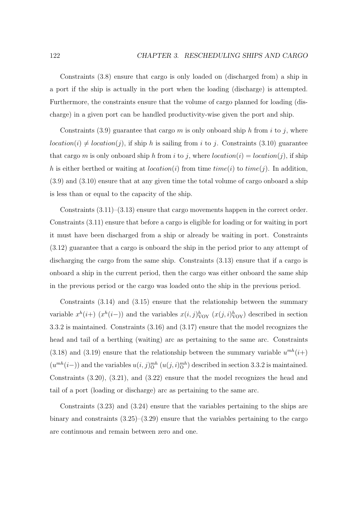Constraints (3.8) ensure that cargo is only loaded on (discharged from) a ship in a port if the ship is actually in the port when the loading (discharge) is attempted. Furthermore, the constraints ensure that the volume of cargo planned for loading (discharge) in a given port can be handled productivity-wise given the port and ship.

Constraints (3.9) guarantee that cargo  $m$  is only onboard ship  $h$  from  $i$  to  $j$ , where  $location(i) \neq location(j)$ , if ship h is sailing from i to j. Constraints (3.10) guarantee that cargo m is only onboard ship h from i to j, where  $location(i) = location(j)$ , if ship h is either berthed or waiting at location(i) from time time(i) to time(j). In addition, (3.9) and (3.10) ensure that at any given time the total volume of cargo onboard a ship is less than or equal to the capacity of the ship.

Constraints  $(3.11)$ – $(3.13)$  ensure that cargo movements happen in the correct order. Constraints (3.11) ensure that before a cargo is eligible for loading or for waiting in port it must have been discharged from a ship or already be waiting in port. Constraints (3.12) guarantee that a cargo is onboard the ship in the period prior to any attempt of discharging the cargo from the same ship. Constraints (3.13) ensure that if a cargo is onboard a ship in the current period, then the cargo was either onboard the same ship in the previous period or the cargo was loaded onto the ship in the previous period.

Constraints (3.14) and (3.15) ensure that the relationship between the summary variable  $x^h(i+)$   $(x^h(i-))$  and the variables  $x(i, j)_{\text{VOY}}^h$   $(x(j, i)_{\text{VOY}}^h)$  described in section 3.3.2 is maintained. Constraints (3.16) and (3.17) ensure that the model recognizes the head and tail of a berthing (waiting) arc as pertaining to the same arc. Constraints (3.18) and (3.19) ensure that the relationship between the summary variable  $u^{mh}(i+)$  $(u^{mh}(i-))$  and the variables  $u(i, j)_{\text{O}}^{mh}(u(j, i)_{\text{O}}^{mh})$  described in section 3.3.2 is maintained. Constraints (3.20), (3.21), and (3.22) ensure that the model recognizes the head and tail of a port (loading or discharge) arc as pertaining to the same arc.

Constraints (3.23) and (3.24) ensure that the variables pertaining to the ships are binary and constraints  $(3.25)-(3.29)$  ensure that the variables pertaining to the cargo are continuous and remain between zero and one.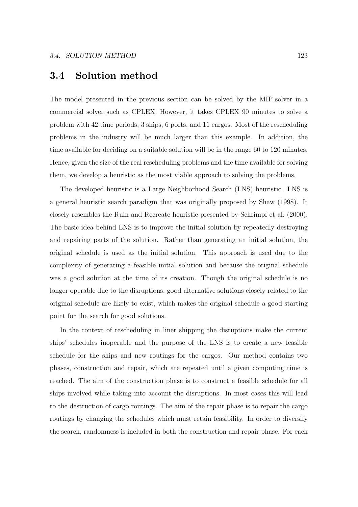## **3.4 Solution method**

The model presented in the previous section can be solved by the MIP-solver in a commercial solver such as CPLEX. However, it takes CPLEX 90 minutes to solve a problem with 42 time periods, 3 ships, 6 ports, and 11 cargos. Most of the rescheduling problems in the industry will be much larger than this example. In addition, the time available for deciding on a suitable solution will be in the range 60 to 120 minutes. Hence, given the size of the real rescheduling problems and the time available for solving them, we develop a heuristic as the most viable approach to solving the problems.

The developed heuristic is a Large Neighborhood Search (LNS) heuristic. LNS is a general heuristic search paradigm that was originally proposed by Shaw (1998). It closely resembles the Ruin and Recreate heuristic presented by Schrimpf et al. (2000). The basic idea behind LNS is to improve the initial solution by repeatedly destroying and repairing parts of the solution. Rather than generating an initial solution, the original schedule is used as the initial solution. This approach is used due to the complexity of generating a feasible initial solution and because the original schedule was a good solution at the time of its creation. Though the original schedule is no longer operable due to the disruptions, good alternative solutions closely related to the original schedule are likely to exist, which makes the original schedule a good starting point for the search for good solutions.

In the context of rescheduling in liner shipping the disruptions make the current ships' schedules inoperable and the purpose of the LNS is to create a new feasible schedule for the ships and new routings for the cargos. Our method contains two phases, construction and repair, which are repeated until a given computing time is reached. The aim of the construction phase is to construct a feasible schedule for all ships involved while taking into account the disruptions. In most cases this will lead to the destruction of cargo routings. The aim of the repair phase is to repair the cargo routings by changing the schedules which must retain feasibility. In order to diversify the search, randomness is included in both the construction and repair phase. For each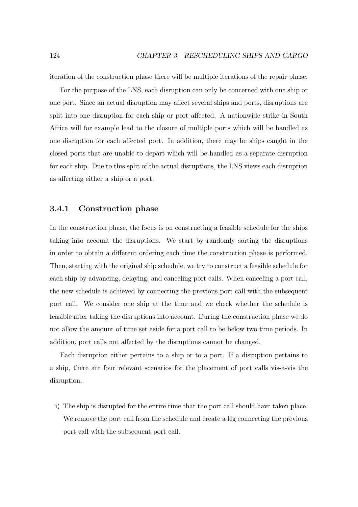iteration of the construction phase there will be multiple iterations of the repair phase.

For the purpose of the LNS, each disruption can only be concerned with one ship or one port. Since an actual disruption may affect several ships and ports, disruptions are split into one disruption for each ship or port affected. A nationwide strike in South Africa will for example lead to the closure of multiple ports which will be handled as one disruption for each affected port. In addition, there may be ships caught in the closed ports that are unable to depart which will be handled as a separate disruption for each ship. Due to this split of the actual disruptions, the LNS views each disruption as affecting either a ship or a port.

#### **3.4.1 Construction phase**

In the construction phase, the focus is on constructing a feasible schedule for the ships taking into account the disruptions. We start by randomly sorting the disruptions in order to obtain a different ordering each time the construction phase is performed. Then, starting with the original ship schedule, we try to construct a feasible schedule for each ship by advancing, delaying, and canceling port calls. When canceling a port call, the new schedule is achieved by connecting the previous port call with the subsequent port call. We consider one ship at the time and we check whether the schedule is feasible after taking the disruptions into account. During the construction phase we do not allow the amount of time set aside for a port call to be below two time periods. In addition, port calls not affected by the disruptions cannot be changed.

Each disruption either pertains to a ship or to a port. If a disruption pertains to a ship, there are four relevant scenarios for the placement of port calls vis-a-vis the disruption.

i) The ship is disrupted for the entire time that the port call should have taken place. We remove the port call from the schedule and create a leg connecting the previous port call with the subsequent port call.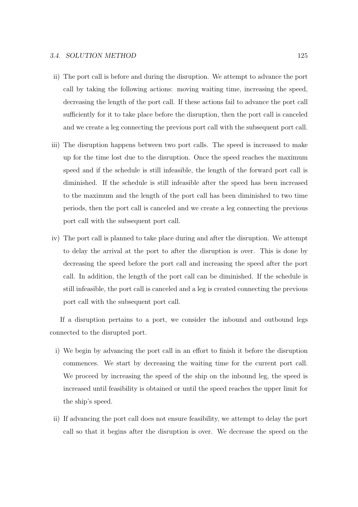- ii) The port call is before and during the disruption. We attempt to advance the port call by taking the following actions: moving waiting time, increasing the speed, decreasing the length of the port call. If these actions fail to advance the port call sufficiently for it to take place before the disruption, then the port call is canceled and we create a leg connecting the previous port call with the subsequent port call.
- iii) The disruption happens between two port calls. The speed is increased to make up for the time lost due to the disruption. Once the speed reaches the maximum speed and if the schedule is still infeasible, the length of the forward port call is diminished. If the schedule is still infeasible after the speed has been increased to the maximum and the length of the port call has been diminished to two time periods, then the port call is canceled and we create a leg connecting the previous port call with the subsequent port call.
- iv) The port call is planned to take place during and after the disruption. We attempt to delay the arrival at the port to after the disruption is over. This is done by decreasing the speed before the port call and increasing the speed after the port call. In addition, the length of the port call can be diminished. If the schedule is still infeasible, the port call is canceled and a leg is created connecting the previous port call with the subsequent port call.

If a disruption pertains to a port, we consider the inbound and outbound legs connected to the disrupted port.

- i) We begin by advancing the port call in an effort to finish it before the disruption commences. We start by decreasing the waiting time for the current port call. We proceed by increasing the speed of the ship on the inbound leg, the speed is increased until feasibility is obtained or until the speed reaches the upper limit for the ship's speed.
- ii) If advancing the port call does not ensure feasibility, we attempt to delay the port call so that it begins after the disruption is over. We decrease the speed on the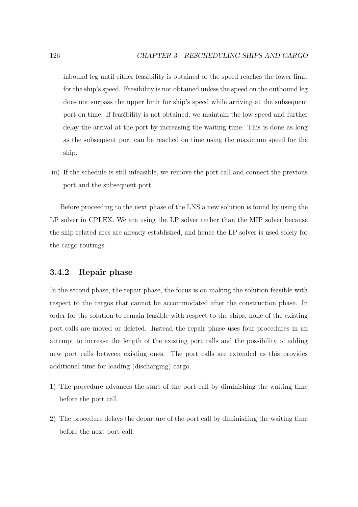inbound leg until either feasibility is obtained or the speed reaches the lower limit for the ship's speed. Feasibility is not obtained unless the speed on the outbound leg does not surpass the upper limit for ship's speed while arriving at the subsequent port on time. If feasibility is not obtained, we maintain the low speed and further delay the arrival at the port by increasing the waiting time. This is done as long as the subsequent port can be reached on time using the maximum speed for the ship.

iii) If the schedule is still infeasible, we remove the port call and connect the previous port and the subsequent port.

Before proceeding to the next phase of the LNS a new solution is found by using the LP solver in CPLEX. We are using the LP solver rather than the MIP solver because the ship-related arcs are already established, and hence the LP solver is used solely for the cargo routings.

#### **3.4.2 Repair phase**

In the second phase, the repair phase, the focus is on making the solution feasible with respect to the cargos that cannot be accommodated after the construction phase. In order for the solution to remain feasible with respect to the ships, none of the existing port calls are moved or deleted. Instead the repair phase uses four procedures in an attempt to increase the length of the existing port calls and the possibility of adding new port calls between existing ones. The port calls are extended as this provides additional time for loading (discharging) cargo.

- 1) The procedure advances the start of the port call by diminishing the waiting time before the port call.
- 2) The procedure delays the departure of the port call by diminishing the waiting time before the next port call.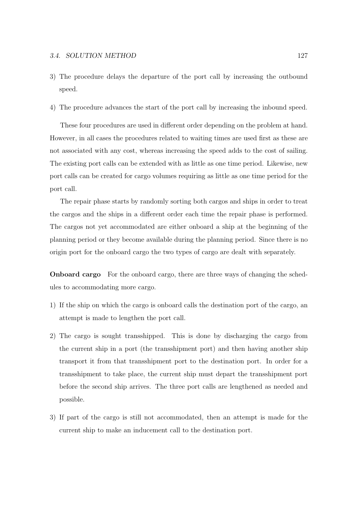- 3) The procedure delays the departure of the port call by increasing the outbound speed.
- 4) The procedure advances the start of the port call by increasing the inbound speed.

These four procedures are used in different order depending on the problem at hand. However, in all cases the procedures related to waiting times are used first as these are not associated with any cost, whereas increasing the speed adds to the cost of sailing. The existing port calls can be extended with as little as one time period. Likewise, new port calls can be created for cargo volumes requiring as little as one time period for the port call.

The repair phase starts by randomly sorting both cargos and ships in order to treat the cargos and the ships in a different order each time the repair phase is performed. The cargos not yet accommodated are either onboard a ship at the beginning of the planning period or they become available during the planning period. Since there is no origin port for the onboard cargo the two types of cargo are dealt with separately.

**Onboard cargo** For the onboard cargo, there are three ways of changing the schedules to accommodating more cargo.

- 1) If the ship on which the cargo is onboard calls the destination port of the cargo, an attempt is made to lengthen the port call.
- 2) The cargo is sought transshipped. This is done by discharging the cargo from the current ship in a port (the transshipment port) and then having another ship transport it from that transshipment port to the destination port. In order for a transshipment to take place, the current ship must depart the transshipment port before the second ship arrives. The three port calls are lengthened as needed and possible.
- 3) If part of the cargo is still not accommodated, then an attempt is made for the current ship to make an inducement call to the destination port.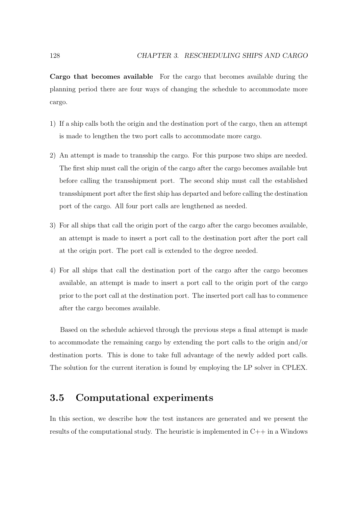**Cargo that becomes available** For the cargo that becomes available during the planning period there are four ways of changing the schedule to accommodate more cargo.

- 1) If a ship calls both the origin and the destination port of the cargo, then an attempt is made to lengthen the two port calls to accommodate more cargo.
- 2) An attempt is made to transship the cargo. For this purpose two ships are needed. The first ship must call the origin of the cargo after the cargo becomes available but before calling the transshipment port. The second ship must call the established transshipment port after the first ship has departed and before calling the destination port of the cargo. All four port calls are lengthened as needed.
- 3) For all ships that call the origin port of the cargo after the cargo becomes available, an attempt is made to insert a port call to the destination port after the port call at the origin port. The port call is extended to the degree needed.
- 4) For all ships that call the destination port of the cargo after the cargo becomes available, an attempt is made to insert a port call to the origin port of the cargo prior to the port call at the destination port. The inserted port call has to commence after the cargo becomes available.

Based on the schedule achieved through the previous steps a final attempt is made to accommodate the remaining cargo by extending the port calls to the origin and/or destination ports. This is done to take full advantage of the newly added port calls. The solution for the current iteration is found by employing the LP solver in CPLEX.

# **3.5 Computational experiments**

In this section, we describe how the test instances are generated and we present the results of the computational study. The heuristic is implemented in  $C++$  in a Windows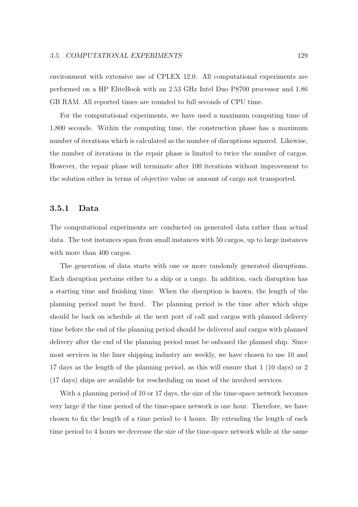environment with extensive use of CPLEX 12.0. All computational experiments are performed on a HP EliteBook with an 2.53 GHz Intel Duo P8700 processor and 1.86 GB RAM. All reported times are rounded to full seconds of CPU time.

For the computational experiments, we have used a maximum computing time of 1,800 seconds. Within the computing time, the construction phase has a maximum number of iterations which is calculated as the number of disruptions squared. Likewise, the number of iterations in the repair phase is limited to twice the number of cargos. However, the repair phase will terminate after 100 iterations without improvement to the solution either in terms of objective value or amount of cargo not transported.

#### **3.5.1 Data**

The computational experiments are conducted on generated data rather than actual data. The test instances span from small instances with 50 cargos, up to large instances with more than 400 cargos.

The generation of data starts with one or more randomly generated disruptions. Each disruption pertains either to a ship or a cargo. In addition, each disruption has a starting time and finishing time. When the disruption is known, the length of the planning period must be fixed. The planning period is the time after which ships should be back on schedule at the next port of call and cargos with planned delivery time before the end of the planning period should be delivered and cargos with planned delivery after the end of the planning period must be onboard the planned ship. Since most services in the liner shipping industry are weekly, we have chosen to use 10 and 17 days as the length of the planning period, as this will ensure that 1 (10 days) or 2 (17 days) ships are available for rescheduling on most of the involved services.

With a planning period of 10 or 17 days, the size of the time-space network becomes very large if the time period of the time-space network is one hour. Therefore, we have chosen to fix the length of a time period to 4 hours. By extending the length of each time period to 4 hours we decrease the size of the time-space network while at the same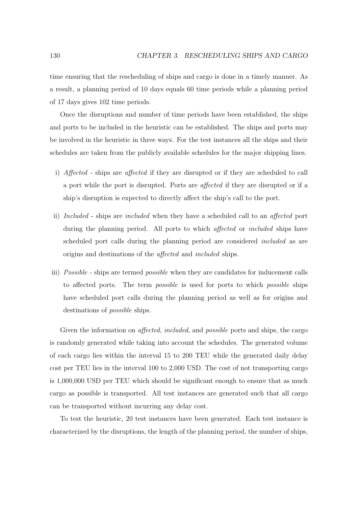time ensuring that the rescheduling of ships and cargo is done in a timely manner. As a result, a planning period of 10 days equals 60 time periods while a planning period of 17 days gives 102 time periods.

Once the disruptions and number of time periods have been established, the ships and ports to be included in the heuristic can be established. The ships and ports may be involved in the heuristic in three ways. For the test instances all the ships and their schedules are taken from the publicly available schedules for the major shipping lines.

- i) Affected ships are affected if they are disrupted or if they are scheduled to call a port while the port is disrupted. Ports are affected if they are disrupted or if a ship's disruption is expected to directly affect the ship's call to the port.
- ii) Included ships are included when they have a scheduled call to an affected port during the planning period. All ports to which *affected* or *included* ships have scheduled port calls during the planning period are considered included as are origins and destinations of the affected and included ships.
- iii) *Possible* ships are termed *possible* when they are candidates for inducement calls to affected ports. The term possible is used for ports to which possible ships have scheduled port calls during the planning period as well as for origins and destinations of possible ships.

Given the information on *affected, included*, and *possible* ports and ships, the cargo is randomly generated while taking into account the schedules. The generated volume of each cargo lies within the interval 15 to 200 TEU while the generated daily delay cost per TEU lies in the interval 100 to 2,000 USD. The cost of not transporting cargo is 1,000,000 USD per TEU which should be significant enough to ensure that as much cargo as possible is transported. All test instances are generated such that all cargo can be transported without incurring any delay cost.

To test the heuristic, 20 test instances have been generated. Each test instance is characterized by the disruptions, the length of the planning period, the number of ships,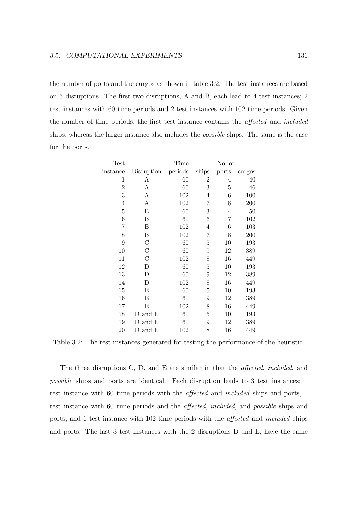the number of ports and the cargos as shown in table 3.2. The test instances are based on 5 disruptions. The first two disruptions, A and B, each lead to 4 test instances; 2 test instances with 60 time periods and 2 test instances with 102 time periods. Given the number of time periods, the first test instance contains the affected and included ships, whereas the larger instance also includes the possible ships. The same is the case for the ports.

| Test             |                                     | Time    |                | No. of         |        |
|------------------|-------------------------------------|---------|----------------|----------------|--------|
| instance         | Disruption                          | periods | ships          | ports          | cargos |
| 1                | Α                                   | 60      | $\overline{2}$ | 4              | 40     |
| $\overline{2}$   | A                                   | 60      | 3              | $\overline{5}$ | 46     |
| 3                | A                                   | 102     | 4              | 6              | 100    |
| 4                | A                                   | 102     | 7              | 8              | 200    |
| $\overline{5}$   | Β                                   | 60      | 3              | $\overline{4}$ | $50\,$ |
| 6                | Β                                   | 60      | 6              | 7              | 102    |
| 7                | Β                                   | 102     | $\overline{4}$ | 6              | 103    |
| 8                | Β                                   | 102     | 7              | 8              | 200    |
| $\boldsymbol{9}$ | $\mathcal{C}$                       | 60      | $\overline{5}$ | 10             | 193    |
| 10               | $\mathcal C$                        | 60      | 9              | 12             | 389    |
| 11               | $\mathcal{C}$                       | 102     | 8              | 16             | 449    |
| 12               | D                                   | 60      | 5              | 10             | 193    |
| 13               | D                                   | 60      | 9              | 12             | 389    |
| 14               | D                                   | 102     | 8              | 16             | 449    |
| 15               | E                                   | 60      | 5              | 10             | 193    |
| 16               | E                                   | 60      | 9              | 12             | 389    |
| 17               | E                                   | 102     | 8              | 16             | 449    |
| 18               | ${\mathcal{D}}$ and ${\mathcal{E}}$ | 60      | 5              | 10             | 193    |
| 19               | and E<br>D                          | 60      | 9              | 12             | 389    |
| 20               | D and E                             | 102     | 8              | 16             | 449    |

Table 3.2: The test instances generated for testing the performance of the heuristic.

The three disruptions C, D, and E are similar in that the affected, included, and possible ships and ports are identical. Each disruption leads to 3 test instances; 1 test instance with 60 time periods with the affected and included ships and ports, 1 test instance with 60 time periods and the affected, included, and possible ships and ports, and 1 test instance with 102 time periods with the affected and included ships and ports. The last 3 test instances with the 2 disruptions D and E, have the same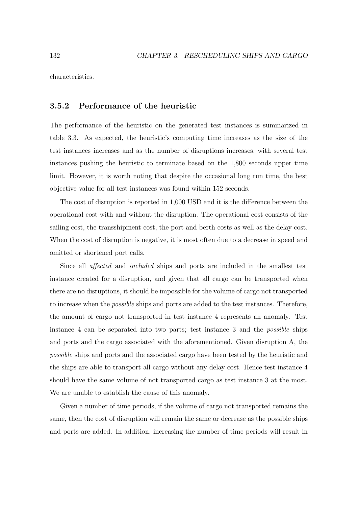characteristics.

### **3.5.2 Performance of the heuristic**

The performance of the heuristic on the generated test instances is summarized in table 3.3. As expected, the heuristic's computing time increases as the size of the test instances increases and as the number of disruptions increases, with several test instances pushing the heuristic to terminate based on the 1,800 seconds upper time limit. However, it is worth noting that despite the occasional long run time, the best objective value for all test instances was found within 152 seconds.

The cost of disruption is reported in 1,000 USD and it is the difference between the operational cost with and without the disruption. The operational cost consists of the sailing cost, the transshipment cost, the port and berth costs as well as the delay cost. When the cost of disruption is negative, it is most often due to a decrease in speed and omitted or shortened port calls.

Since all affected and included ships and ports are included in the smallest test instance created for a disruption, and given that all cargo can be transported when there are no disruptions, it should be impossible for the volume of cargo not transported to increase when the possible ships and ports are added to the test instances. Therefore, the amount of cargo not transported in test instance 4 represents an anomaly. Test instance 4 can be separated into two parts; test instance 3 and the possible ships and ports and the cargo associated with the aforementioned. Given disruption A, the possible ships and ports and the associated cargo have been tested by the heuristic and the ships are able to transport all cargo without any delay cost. Hence test instance 4 should have the same volume of not transported cargo as test instance 3 at the most. We are unable to establish the cause of this anomaly.

Given a number of time periods, if the volume of cargo not transported remains the same, then the cost of disruption will remain the same or decrease as the possible ships and ports are added. In addition, increasing the number of time periods will result in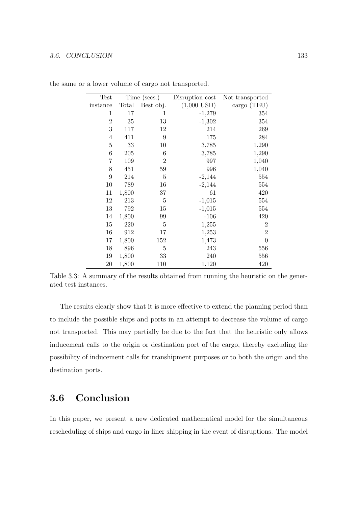#### 3.6. CONCLUSION 133

| Test           | Time (secs.) |                | Disruption cost | Not transported |
|----------------|--------------|----------------|-----------------|-----------------|
| instance       | Total        | Best obj.      | $(1,000$ USD)   | cargo (TEU)     |
| 1              | 17           | $\mathbf{1}$   | $-1,279$        | 354             |
| $\overline{2}$ | 35           | 13             | $-1,302$        | 354             |
| 3              | 117          | 12             | 214             | 269             |
| $\overline{4}$ | 411          | 9              | 175             | 284             |
| 5              | 33           | 10             | 3,785           | 1,290           |
| 6              | 205          | 6              | 3,785           | 1,290           |
| 7              | 109          | $\overline{2}$ | 997             | 1,040           |
| 8              | 451          | 59             | 996             | 1,040           |
| 9              | 214          | 5              | $-2,144$        | 554             |
| 10             | 789          | 16             | $-2,144$        | 554             |
| 11             | 1,800        | 37             | 61              | 420             |
| 12             | 213          | $\overline{5}$ | $-1,015$        | 554             |
| 13             | 792          | 15             | $-1,015$        | 554             |
| 14             | 1,800        | 99             | $-106$          | 420             |
| 15             | 220          | $\overline{5}$ | 1,255           | $\overline{2}$  |
| 16             | 912          | 17             | 1,253           | $\overline{2}$  |
| 17             | 1,800        | 152            | 1,473           | $\overline{0}$  |
| 18             | 896          | 5              | 243             | 556             |
| 19             | 1,800        | 33             | 240             | 556             |
| 20             | 1,800        | 110            | 1,120           | 420             |

the same or a lower volume of cargo not transported.

Table 3.3: A summary of the results obtained from running the heuristic on the generated test instances.

The results clearly show that it is more effective to extend the planning period than to include the possible ships and ports in an attempt to decrease the volume of cargo not transported. This may partially be due to the fact that the heuristic only allows inducement calls to the origin or destination port of the cargo, thereby excluding the possibility of inducement calls for transhipment purposes or to both the origin and the destination ports.

## **3.6 Conclusion**

In this paper, we present a new dedicated mathematical model for the simultaneous rescheduling of ships and cargo in liner shipping in the event of disruptions. The model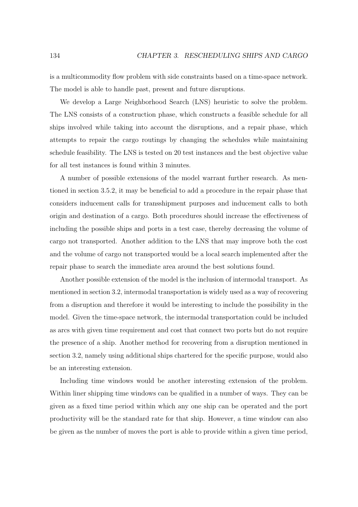is a multicommodity flow problem with side constraints based on a time-space network. The model is able to handle past, present and future disruptions.

We develop a Large Neighborhood Search (LNS) heuristic to solve the problem. The LNS consists of a construction phase, which constructs a feasible schedule for all ships involved while taking into account the disruptions, and a repair phase, which attempts to repair the cargo routings by changing the schedules while maintaining schedule feasibility. The LNS is tested on 20 test instances and the best objective value for all test instances is found within 3 minutes.

A number of possible extensions of the model warrant further research. As mentioned in section 3.5.2, it may be beneficial to add a procedure in the repair phase that considers inducement calls for transshipment purposes and inducement calls to both origin and destination of a cargo. Both procedures should increase the effectiveness of including the possible ships and ports in a test case, thereby decreasing the volume of cargo not transported. Another addition to the LNS that may improve both the cost and the volume of cargo not transported would be a local search implemented after the repair phase to search the immediate area around the best solutions found.

Another possible extension of the model is the inclusion of intermodal transport. As mentioned in section 3.2, intermodal transportation is widely used as a way of recovering from a disruption and therefore it would be interesting to include the possibility in the model. Given the time-space network, the intermodal transportation could be included as arcs with given time requirement and cost that connect two ports but do not require the presence of a ship. Another method for recovering from a disruption mentioned in section 3.2, namely using additional ships chartered for the specific purpose, would also be an interesting extension.

Including time windows would be another interesting extension of the problem. Within liner shipping time windows can be qualified in a number of ways. They can be given as a fixed time period within which any one ship can be operated and the port productivity will be the standard rate for that ship. However, a time window can also be given as the number of moves the port is able to provide within a given time period,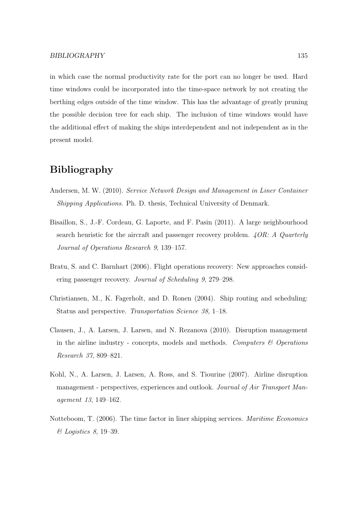in which case the normal productivity rate for the port can no longer be used. Hard time windows could be incorporated into the time-space network by not creating the berthing edges outside of the time window. This has the advantage of greatly pruning the possible decision tree for each ship. The inclusion of time windows would have the additional effect of making the ships interdependent and not independent as in the present model.

## **Bibliography**

- Andersen, M. W. (2010). Service Network Design and Management in Liner Container Shipping Applications. Ph. D. thesis, Technical University of Denmark.
- Bisaillon, S., J.-F. Cordeau, G. Laporte, and F. Pasin (2011). A large neighbourhood search heuristic for the aircraft and passenger recovery problem.  $\angle QOR: A$  Quarterly Journal of Operations Research 9, 139–157.
- Bratu, S. and C. Barnhart (2006). Flight operations recovery: New approaches considering passenger recovery. Journal of Scheduling 9, 279–298.
- Christiansen, M., K. Fagerholt, and D. Ronen (2004). Ship routing and scheduling: Status and perspective. Transportation Science 38, 1–18.
- Clausen, J., A. Larsen, J. Larsen, and N. Rezanova (2010). Disruption management in the airline industry - concepts, models and methods. Computers  $\mathcal C$  Operations Research 37, 809–821.
- Kohl, N., A. Larsen, J. Larsen, A. Ross, and S. Tiourine (2007). Airline disruption management - perspectives, experiences and outlook. Journal of Air Transport Management 13, 149–162.
- Notteboom, T. (2006). The time factor in liner shipping services. Maritime Economics & Logistics 8, 19–39.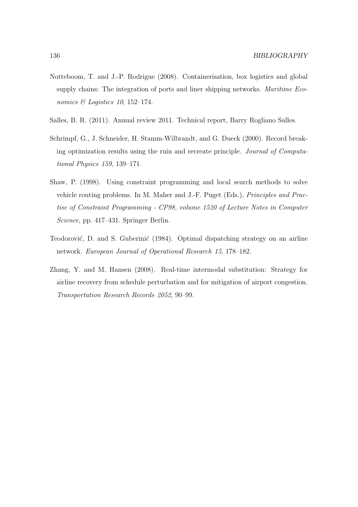- Notteboom, T. and J.-P. Rodrigue (2008). Containerisation, box logistics and global supply chains: The integration of ports and liner shipping networks. *Maritime Eco*nomics  $\mathcal{B}$  Logistics 10, 152–174.
- Salles, B. R. (2011). Annual review 2011. Technical report, Barry Rogliano Salles.
- Schrimpf, G., J. Schneider, H. Stamm-Wilbrandt, and G. Dueck (2000). Record breaking optimization results using the ruin and recreate principle. Journal of Computational Physics 159, 139–171.
- Shaw, P. (1998). Using constraint programming and local search methods to solve vehicle routing problems. In M. Maher and J.-F. Puget (Eds.), Principles and Practise of Constraint Programming - CP98, volume 1520 of Lecture Notes in Computer Science, pp. 417–431. Springer Berlin.
- Teodorović, D. and S. Guberinić (1984). Optimal dispatching strategy on an airline network. European Journal of Operational Research 15, 178–182.
- Zhang, Y. and M. Hansen (2008). Real-time intermodal substitution: Strategy for airline recovery from schedule perturbation and for mitigation of airport congestion. Transportation Research Records 2052, 90–99.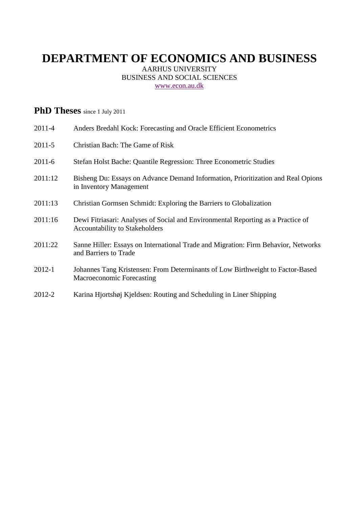# **DEPARTMENT OF ECONOMICS AND BUSINESS**

AARHUS UNIVERSITY BUSINESS AND SOCIAL SCIENCES [www.econ.au.dk](http://www.econ.au.dk/)

## **PhD Theses** since 1 July 2011

| 2011-4     | Anders Bredahl Kock: Forecasting and Oracle Efficient Econometrics                                                        |
|------------|---------------------------------------------------------------------------------------------------------------------------|
| $2011 - 5$ | Christian Bach: The Game of Risk                                                                                          |
| $2011 - 6$ | Stefan Holst Bache: Quantile Regression: Three Econometric Studies                                                        |
| 2011:12    | Bisheng Du: Essays on Advance Demand Information, Prioritization and Real Opions<br>in Inventory Management               |
| 2011:13    | Christian Gormsen Schmidt: Exploring the Barriers to Globalization                                                        |
| 2011:16    | Dewi Fitriasari: Analyses of Social and Environmental Reporting as a Practice of<br><b>Accountability to Stakeholders</b> |
| 2011:22    | Sanne Hiller: Essays on International Trade and Migration: Firm Behavior, Networks<br>and Barriers to Trade               |
| $2012 - 1$ | Johannes Tang Kristensen: From Determinants of Low Birthweight to Factor-Based<br>Macroeconomic Forecasting               |
| 2012-2     | Karina Hjortshøj Kjeldsen: Routing and Scheduling in Liner Shipping                                                       |